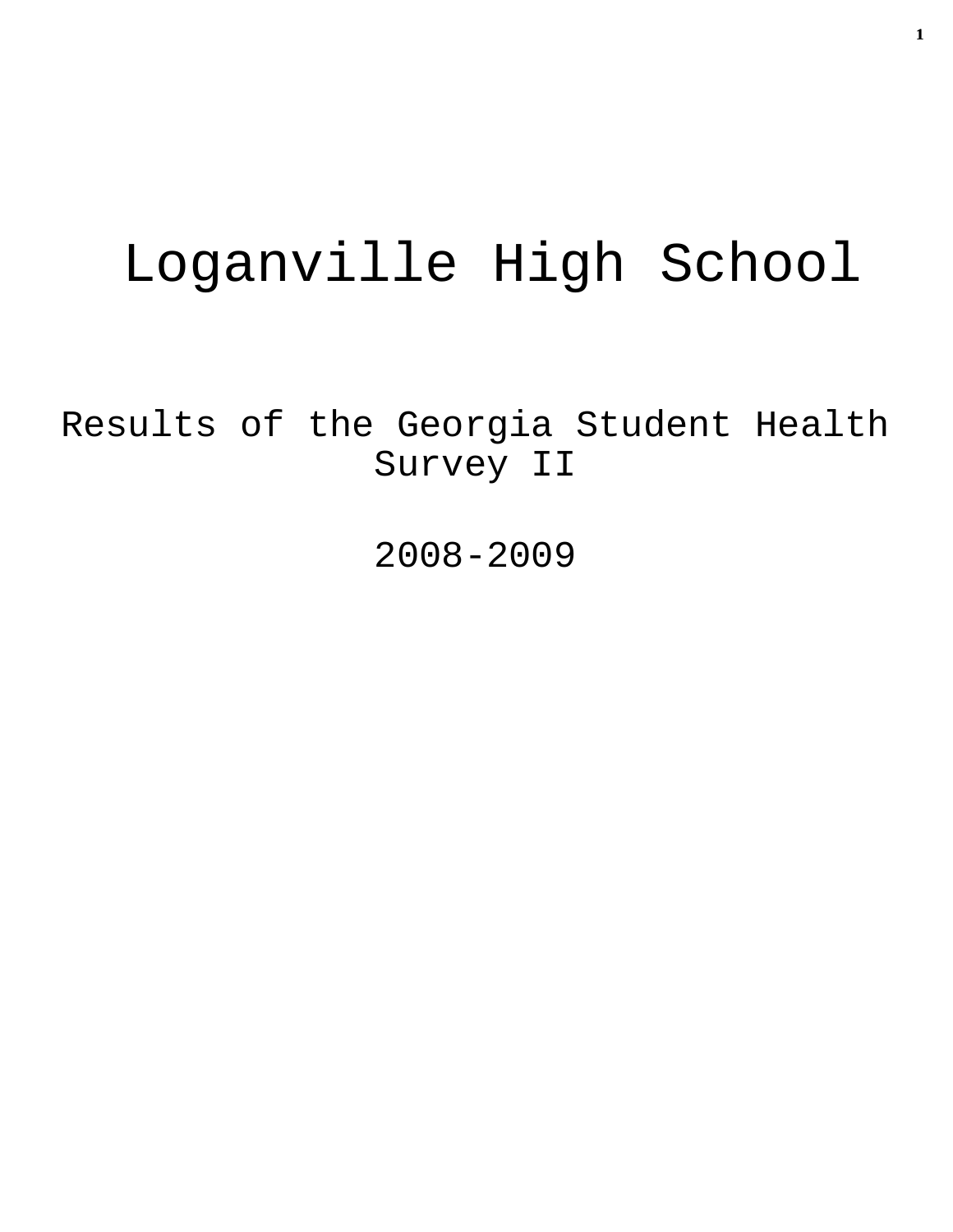# Loganville High School

Results of the Georgia Student Health Survey II

2008-2009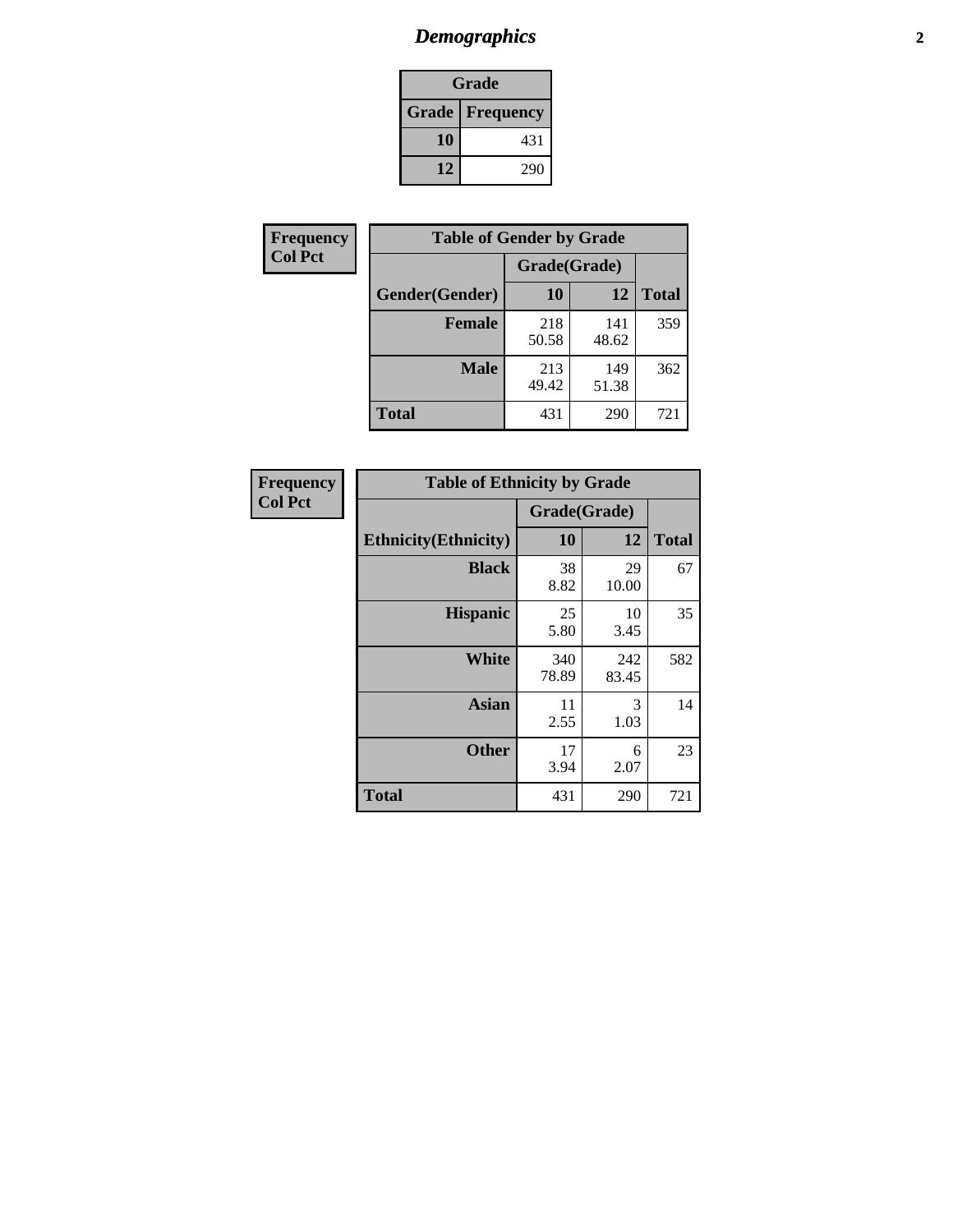# *Demographics* **2**

| Grade                    |     |  |  |  |
|--------------------------|-----|--|--|--|
| <b>Grade   Frequency</b> |     |  |  |  |
| 10                       | 431 |  |  |  |
| 12                       | 290 |  |  |  |

| Frequency      | <b>Table of Gender by Grade</b> |              |              |              |  |
|----------------|---------------------------------|--------------|--------------|--------------|--|
| <b>Col Pct</b> |                                 | Grade(Grade) |              |              |  |
|                | Gender(Gender)                  | 10           | 12           | <b>Total</b> |  |
|                | <b>Female</b>                   | 218<br>50.58 | 141<br>48.62 | 359          |  |
|                | <b>Male</b>                     | 213<br>49.42 | 149<br>51.38 | 362          |  |
|                | <b>Total</b>                    | 431          | 290          | 721          |  |

| Frequency      |
|----------------|
| <b>Col Pct</b> |

| <b>Table of Ethnicity by Grade</b> |              |              |              |  |  |  |
|------------------------------------|--------------|--------------|--------------|--|--|--|
|                                    | Grade(Grade) |              |              |  |  |  |
| <b>Ethnicity</b> (Ethnicity)       | 10           | 12           | <b>Total</b> |  |  |  |
| <b>Black</b>                       | 38<br>8.82   | 29<br>10.00  | 67           |  |  |  |
| <b>Hispanic</b>                    | 25<br>5.80   | 10<br>3.45   | 35           |  |  |  |
| White                              | 340<br>78.89 | 242<br>83.45 | 582          |  |  |  |
| <b>Asian</b>                       | 11<br>2.55   | 3<br>1.03    | 14           |  |  |  |
| <b>Other</b>                       | 17<br>3.94   | 6<br>2.07    | 23           |  |  |  |
| <b>Total</b>                       | 431          | 290          | 721          |  |  |  |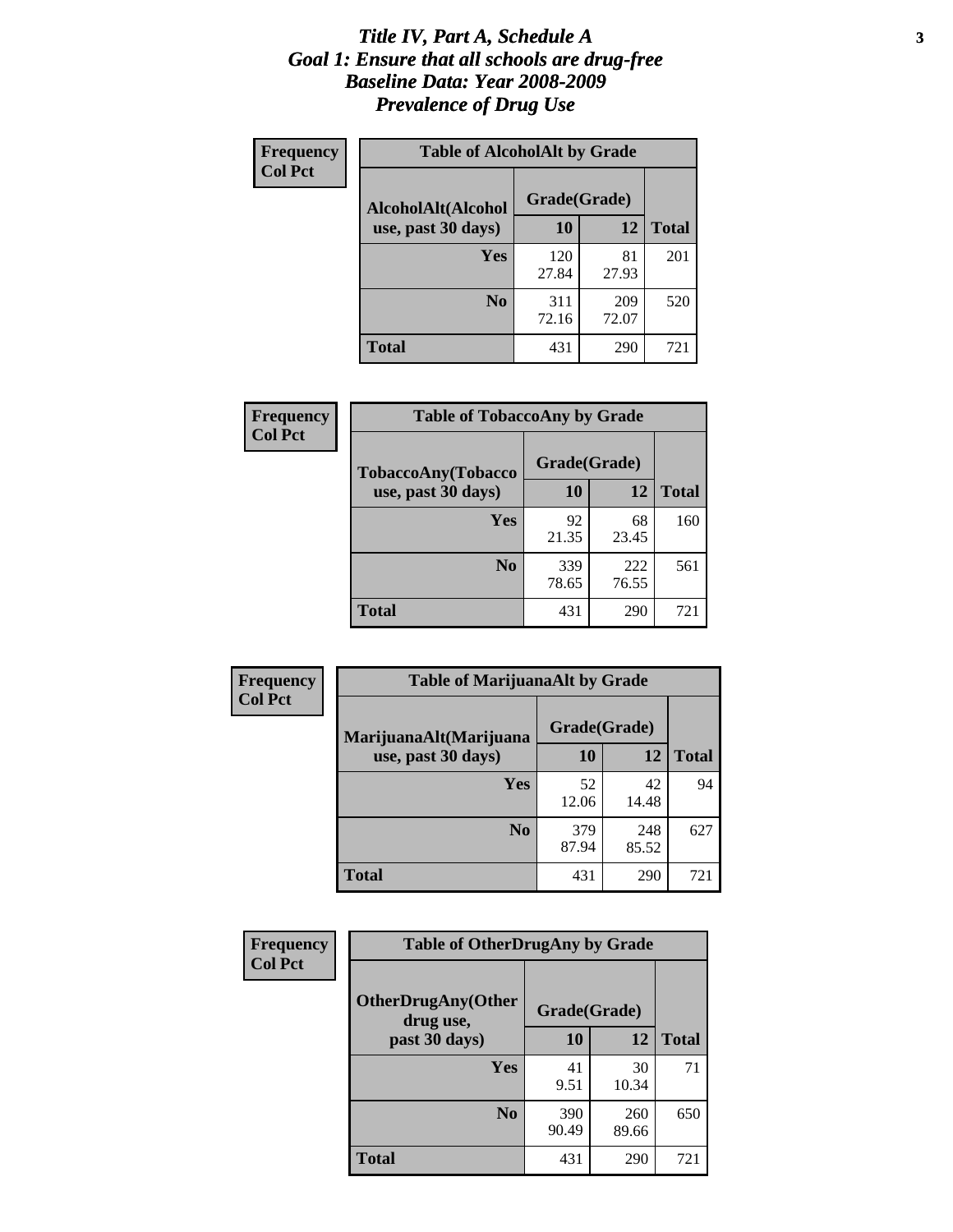#### *Title IV, Part A, Schedule A* **3** *Goal 1: Ensure that all schools are drug-free Baseline Data: Year 2008-2009 Prevalence of Drug Use*

| Frequency<br><b>Col Pct</b> | <b>Table of AlcoholAlt by Grade</b> |              |              |              |  |  |
|-----------------------------|-------------------------------------|--------------|--------------|--------------|--|--|
|                             | AlcoholAlt(Alcohol                  | Grade(Grade) |              |              |  |  |
|                             | use, past 30 days)                  | 10           | 12           | <b>Total</b> |  |  |
|                             | Yes                                 | 120<br>27.84 | 81<br>27.93  | 201          |  |  |
|                             | N <sub>0</sub>                      | 311<br>72.16 | 209<br>72.07 | 520          |  |  |
|                             | <b>Total</b>                        | 431          | 290          | 721          |  |  |

| Frequency<br><b>Col Pct</b> | <b>Table of TobaccoAny by Grade</b> |              |              |              |  |
|-----------------------------|-------------------------------------|--------------|--------------|--------------|--|
|                             | <b>TobaccoAny(Tobacco</b>           | Grade(Grade) |              |              |  |
|                             | use, past 30 days)                  | 10           | 12           | <b>Total</b> |  |
|                             | Yes                                 | 92<br>21.35  | 68<br>23.45  | 160          |  |
|                             | N <sub>0</sub>                      | 339<br>78.65 | 222<br>76.55 | 561          |  |
|                             | Total                               | 431          | 290          | 721          |  |

| Frequency<br><b>Col Pct</b> | <b>Table of MarijuanaAlt by Grade</b> |              |              |              |  |
|-----------------------------|---------------------------------------|--------------|--------------|--------------|--|
|                             | MarijuanaAlt(Marijuana                | Grade(Grade) |              |              |  |
|                             | use, past 30 days)                    | 10           | 12           | <b>Total</b> |  |
|                             | <b>Yes</b>                            | 52<br>12.06  | 42<br>14.48  | 94           |  |
|                             | N <sub>0</sub>                        | 379<br>87.94 | 248<br>85.52 | 627          |  |
|                             | <b>Total</b>                          | 431          | 290          | 721          |  |

| Frequency<br><b>Col Pct</b> | <b>Table of OtherDrugAny by Grade</b>  |              |              |              |  |  |
|-----------------------------|----------------------------------------|--------------|--------------|--------------|--|--|
|                             | <b>OtherDrugAny(Other</b><br>drug use, | Grade(Grade) |              |              |  |  |
|                             | past 30 days)                          | 10           | 12           | <b>Total</b> |  |  |
|                             | Yes                                    | 41<br>9.51   | 30<br>10.34  | 71           |  |  |
|                             | N <sub>0</sub>                         | 390<br>90.49 | 260<br>89.66 | 650          |  |  |
|                             | <b>Total</b>                           | 431          | 290          | 721          |  |  |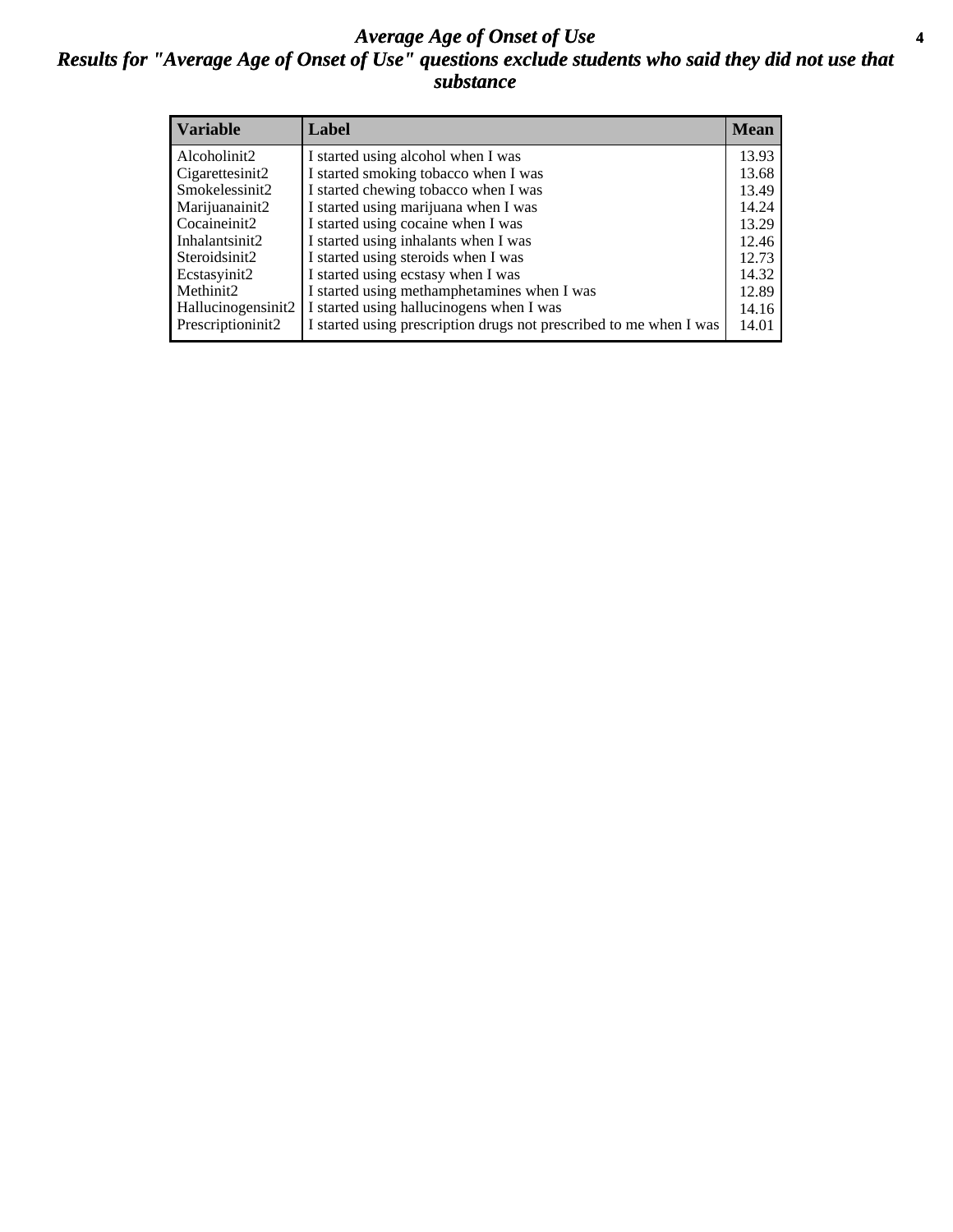### *Average Age of Onset of Use* **4** *Results for "Average Age of Onset of Use" questions exclude students who said they did not use that substance*

| <b>Variable</b>    | Label                                                              | <b>Mean</b> |
|--------------------|--------------------------------------------------------------------|-------------|
| Alcoholinit2       | I started using alcohol when I was                                 | 13.93       |
| Cigarettesinit2    | I started smoking tobacco when I was                               | 13.68       |
| Smokelessinit2     | I started chewing tobacco when I was                               | 13.49       |
| Marijuanainit2     | I started using marijuana when I was                               | 14.24       |
| Cocaineinit2       | I started using cocaine when I was                                 | 13.29       |
| Inhalantsinit2     | I started using inhalants when I was                               | 12.46       |
| Steroidsinit2      | I started using steroids when I was                                | 12.73       |
| Ecstasyinit2       | I started using ecstasy when I was                                 | 14.32       |
| Methinit2          | I started using methamphetamines when I was                        | 12.89       |
| Hallucinogensinit2 | I started using hallucinogens when I was                           | 14.16       |
| Prescriptioninit2  | I started using prescription drugs not prescribed to me when I was | 14.01       |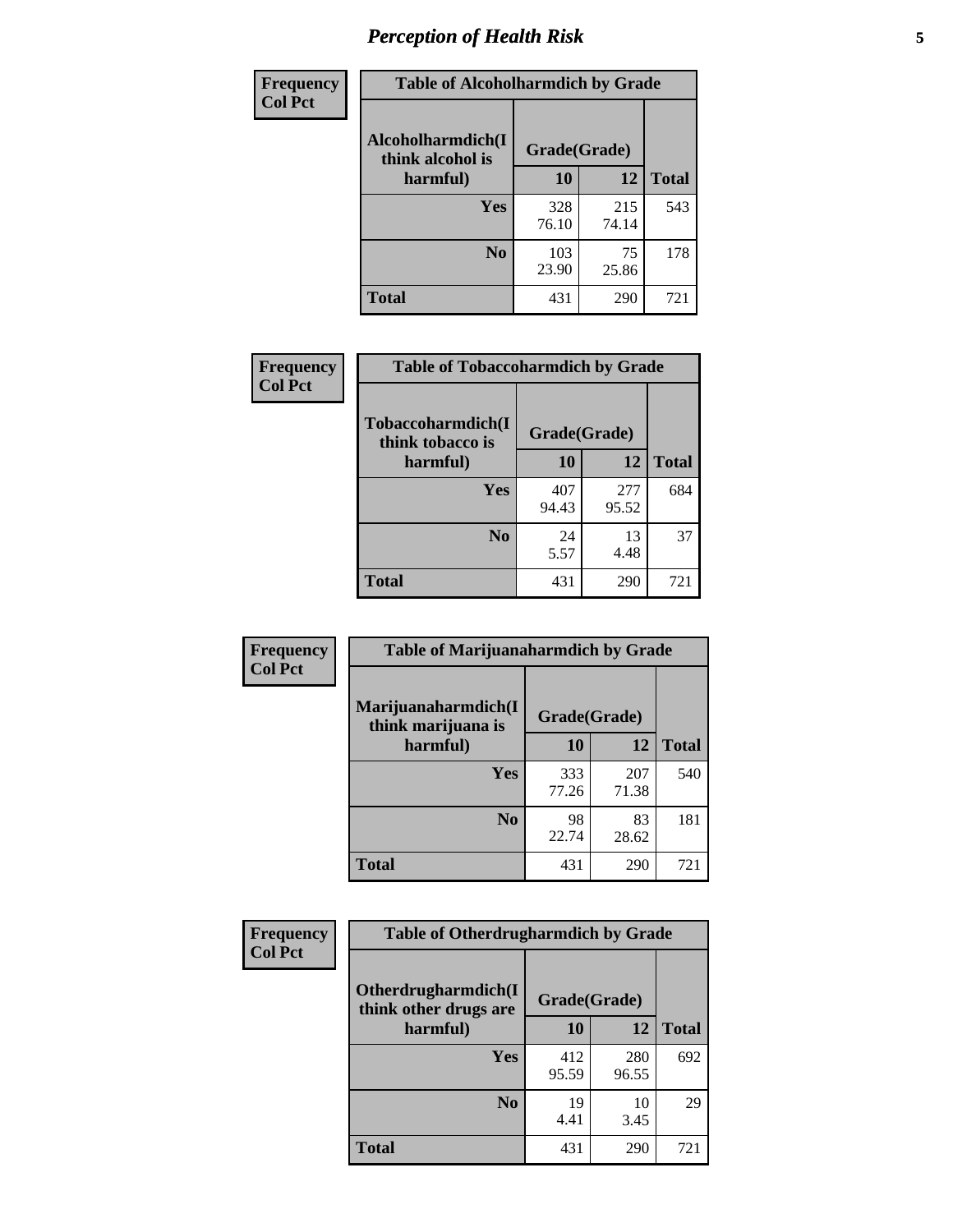# *Perception of Health Risk* **5**

| <b>Frequency</b> | <b>Table of Alcoholharmdich by Grade</b> |              |              |              |  |
|------------------|------------------------------------------|--------------|--------------|--------------|--|
| <b>Col Pct</b>   | Alcoholharmdich(I<br>think alcohol is    | Grade(Grade) |              |              |  |
|                  | harmful)                                 | 10           | 12           | <b>Total</b> |  |
|                  | <b>Yes</b>                               | 328<br>76.10 | 215<br>74.14 | 543          |  |
|                  | N <sub>0</sub>                           | 103<br>23.90 | 75<br>25.86  | 178          |  |
|                  | <b>Total</b>                             | 431          | 290          | 721          |  |

| <b>Frequency</b> | <b>Table of Tobaccoharmdich by Grade</b> |              |              |              |
|------------------|------------------------------------------|--------------|--------------|--------------|
| <b>Col Pct</b>   | Tobaccoharmdich(I<br>think tobacco is    | Grade(Grade) |              |              |
|                  | harmful)                                 | 10           | 12           | <b>Total</b> |
|                  | Yes                                      | 407<br>94.43 | 277<br>95.52 | 684          |
|                  | N <sub>0</sub>                           | 24<br>5.57   | 13<br>4.48   | 37           |
|                  | Total                                    | 431          | 290          | 721          |

| <b>Frequency</b><br><b>Col Pct</b> | <b>Table of Marijuanaharmdich by Grade</b> |              |              |              |  |  |
|------------------------------------|--------------------------------------------|--------------|--------------|--------------|--|--|
|                                    | Marijuanaharmdich(I<br>think marijuana is  | Grade(Grade) |              |              |  |  |
|                                    | harmful)                                   | 10           | 12           | <b>Total</b> |  |  |
|                                    | <b>Yes</b>                                 | 333<br>77.26 | 207<br>71.38 | 540          |  |  |
|                                    | N <sub>0</sub>                             | 98<br>22.74  | 83<br>28.62  | 181          |  |  |
|                                    | <b>Total</b>                               | 431          | 290          | 721          |  |  |

| Frequency      | <b>Table of Otherdrugharmdich by Grade</b>                   |              |              |              |  |  |  |  |
|----------------|--------------------------------------------------------------|--------------|--------------|--------------|--|--|--|--|
| <b>Col Pct</b> | Otherdrugharmdich(I<br>Grade(Grade)<br>think other drugs are |              |              |              |  |  |  |  |
|                | harmful)                                                     | 10           | 12           | <b>Total</b> |  |  |  |  |
|                | <b>Yes</b>                                                   | 412<br>95.59 | 280<br>96.55 | 692          |  |  |  |  |
|                | N <sub>0</sub>                                               | 19<br>4.41   | 10<br>3.45   | 29           |  |  |  |  |
|                | <b>Total</b>                                                 | 431          | 290          | 721          |  |  |  |  |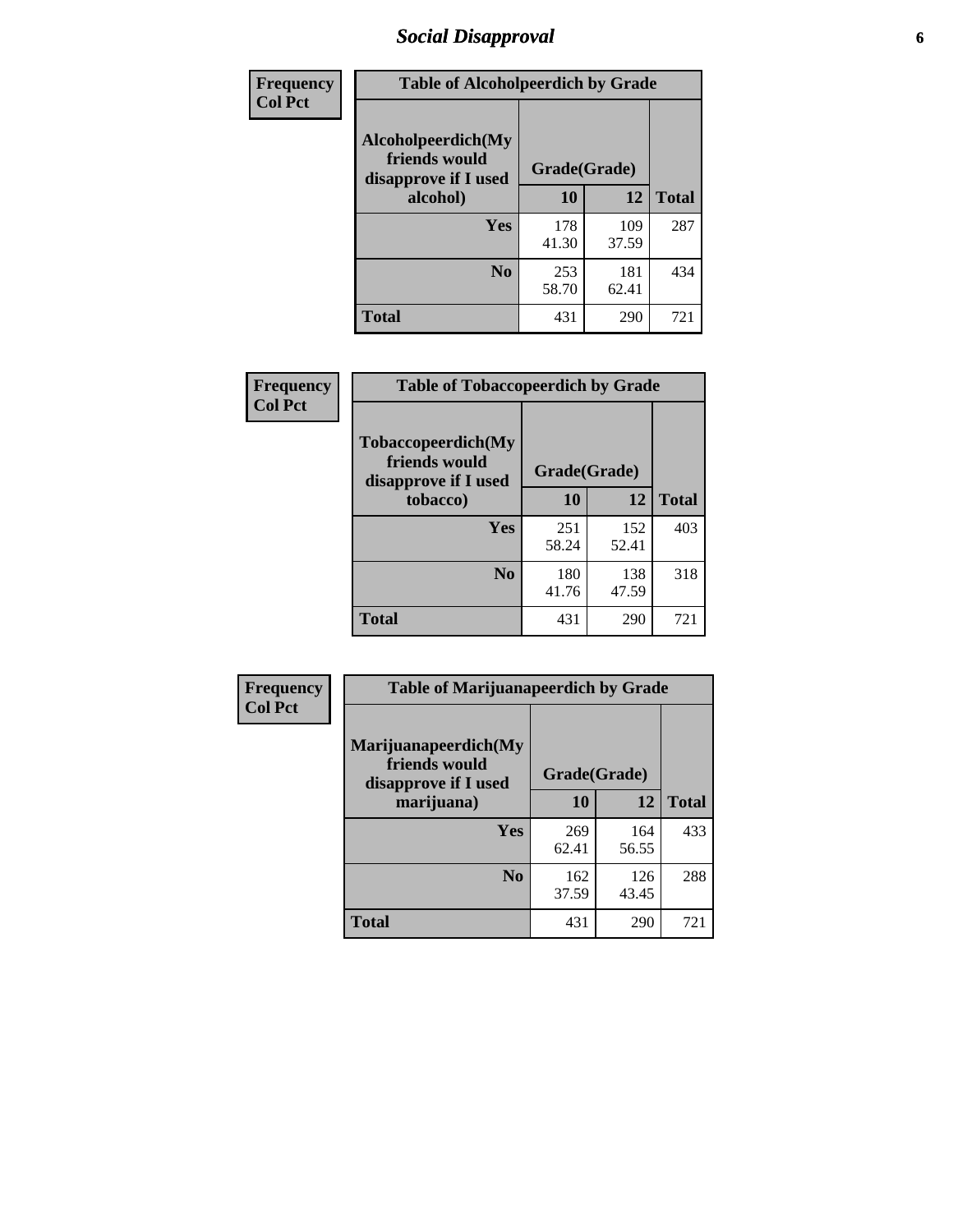# *Social Disapproval* **6**

| Frequency      | <b>Table of Alcoholpeerdich by Grade</b>                    |              |              |     |  |  |  |
|----------------|-------------------------------------------------------------|--------------|--------------|-----|--|--|--|
| <b>Col Pct</b> | Alcoholpeerdich(My<br>friends would<br>disapprove if I used | Grade(Grade) |              |     |  |  |  |
|                | alcohol)                                                    | 10           | <b>Total</b> |     |  |  |  |
|                | <b>Yes</b>                                                  | 178<br>41.30 | 109<br>37.59 | 287 |  |  |  |
|                | N <sub>0</sub>                                              | 253<br>58.70 | 181<br>62.41 | 434 |  |  |  |
|                | <b>Total</b>                                                | 431          | 290          | 721 |  |  |  |

| <b>Frequency</b> |
|------------------|
| <b>Col Pct</b>   |

| <b>Table of Tobaccopeerdich by Grade</b>                    |              |              |              |  |  |  |  |
|-------------------------------------------------------------|--------------|--------------|--------------|--|--|--|--|
| Tobaccopeerdich(My<br>friends would<br>disapprove if I used | Grade(Grade) |              |              |  |  |  |  |
| tobacco)                                                    | 10           | 12           | <b>Total</b> |  |  |  |  |
| Yes                                                         | 251<br>58.24 | 152<br>52.41 | 403          |  |  |  |  |
| N <sub>0</sub>                                              | 180<br>41.76 | 138<br>47.59 | 318          |  |  |  |  |
| <b>Total</b>                                                | 431          | 290          | 721          |  |  |  |  |

| <b>Frequency</b> | <b>Table of Marijuanapeerdich by Grade</b>                    |              |              |              |  |  |  |  |
|------------------|---------------------------------------------------------------|--------------|--------------|--------------|--|--|--|--|
| <b>Col Pct</b>   | Marijuanapeerdich(My<br>friends would<br>disapprove if I used | Grade(Grade) |              |              |  |  |  |  |
|                  | marijuana)                                                    | 10           | 12           | <b>Total</b> |  |  |  |  |
|                  | <b>Yes</b>                                                    | 269<br>62.41 | 164<br>56.55 | 433          |  |  |  |  |
|                  | N <sub>0</sub>                                                | 162<br>37.59 | 126<br>43.45 | 288          |  |  |  |  |
|                  | <b>Total</b>                                                  | 431          | 290          | 721          |  |  |  |  |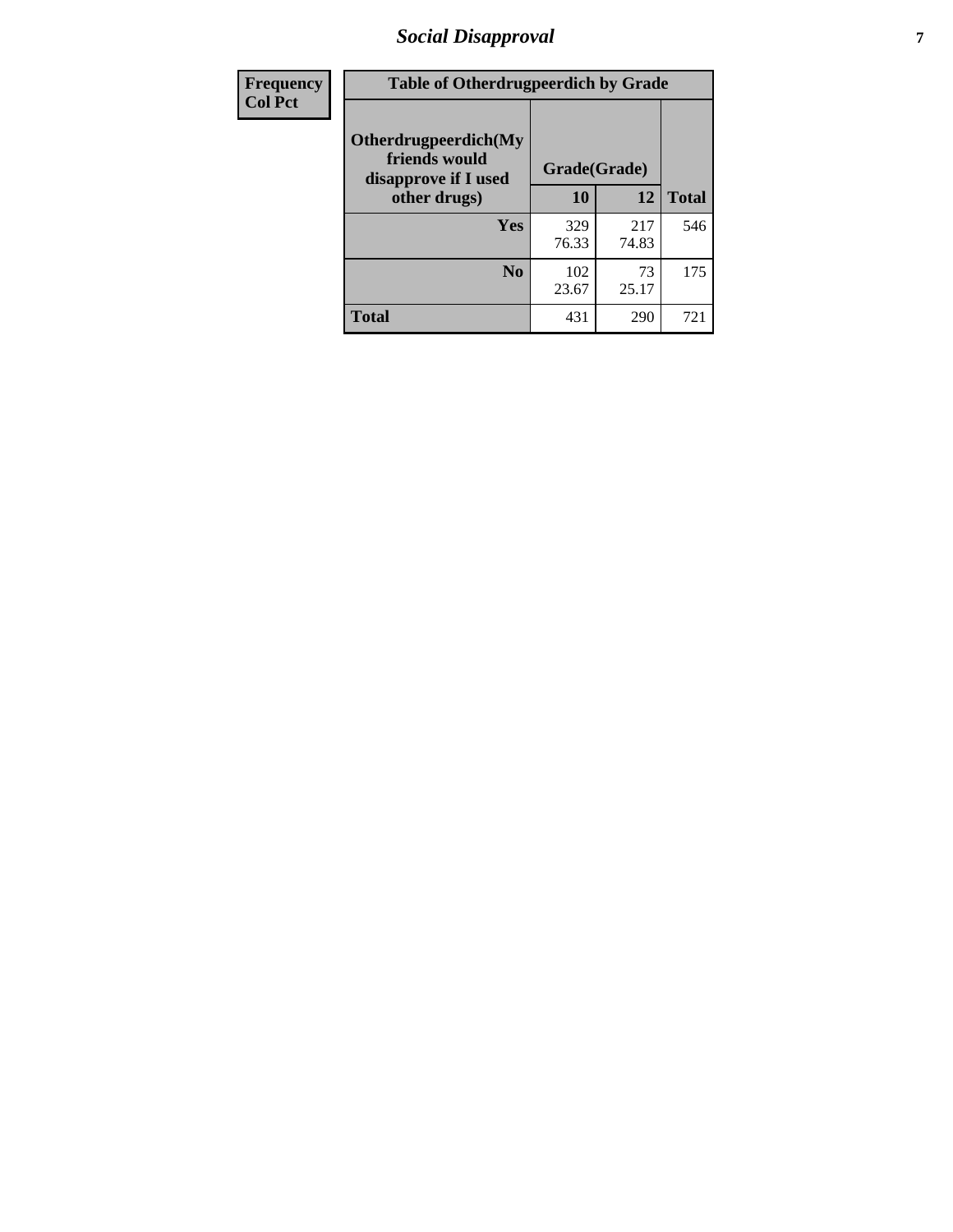# *Social Disapproval* **7**

| Frequency      | <b>Table of Otherdrugpeerdich by Grade</b>                    |              |              |              |  |  |  |  |
|----------------|---------------------------------------------------------------|--------------|--------------|--------------|--|--|--|--|
| <b>Col Pct</b> | Otherdrugpeerdich(My<br>friends would<br>disapprove if I used | Grade(Grade) |              |              |  |  |  |  |
|                | other drugs)                                                  | 10           | 12           | <b>Total</b> |  |  |  |  |
|                | <b>Yes</b>                                                    | 329<br>76.33 | 217<br>74.83 | 546          |  |  |  |  |
|                | N <sub>0</sub>                                                | 102<br>23.67 | 73<br>25.17  | 175          |  |  |  |  |
|                | <b>Total</b>                                                  | 431          | 290          | 721          |  |  |  |  |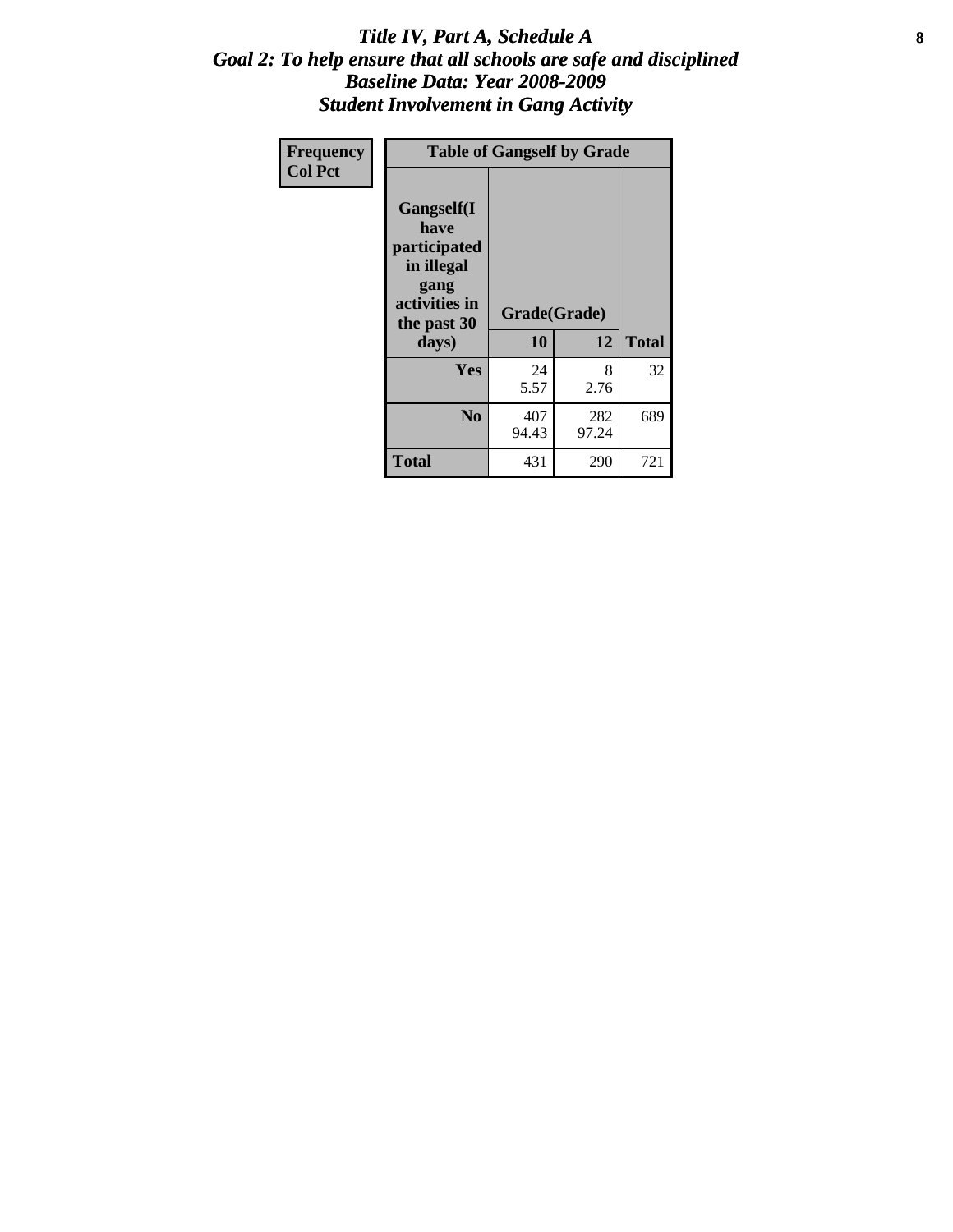### Title IV, Part A, Schedule A **8** *Goal 2: To help ensure that all schools are safe and disciplined Baseline Data: Year 2008-2009 Student Involvement in Gang Activity*

| Frequency      | <b>Table of Gangself by Grade</b>                                                                 |                    |              |              |
|----------------|---------------------------------------------------------------------------------------------------|--------------------|--------------|--------------|
| <b>Col Pct</b> | Gangself(I<br>have<br>participated<br>in illegal<br>gang<br>activities in<br>the past 30<br>days) | Grade(Grade)<br>10 | 12           | <b>Total</b> |
|                | Yes                                                                                               | 24<br>5.57         | 8<br>2.76    | 32           |
|                | N <sub>0</sub>                                                                                    | 407<br>94.43       | 282<br>97.24 | 689          |
|                | <b>Total</b>                                                                                      | 431                | 290          | 721          |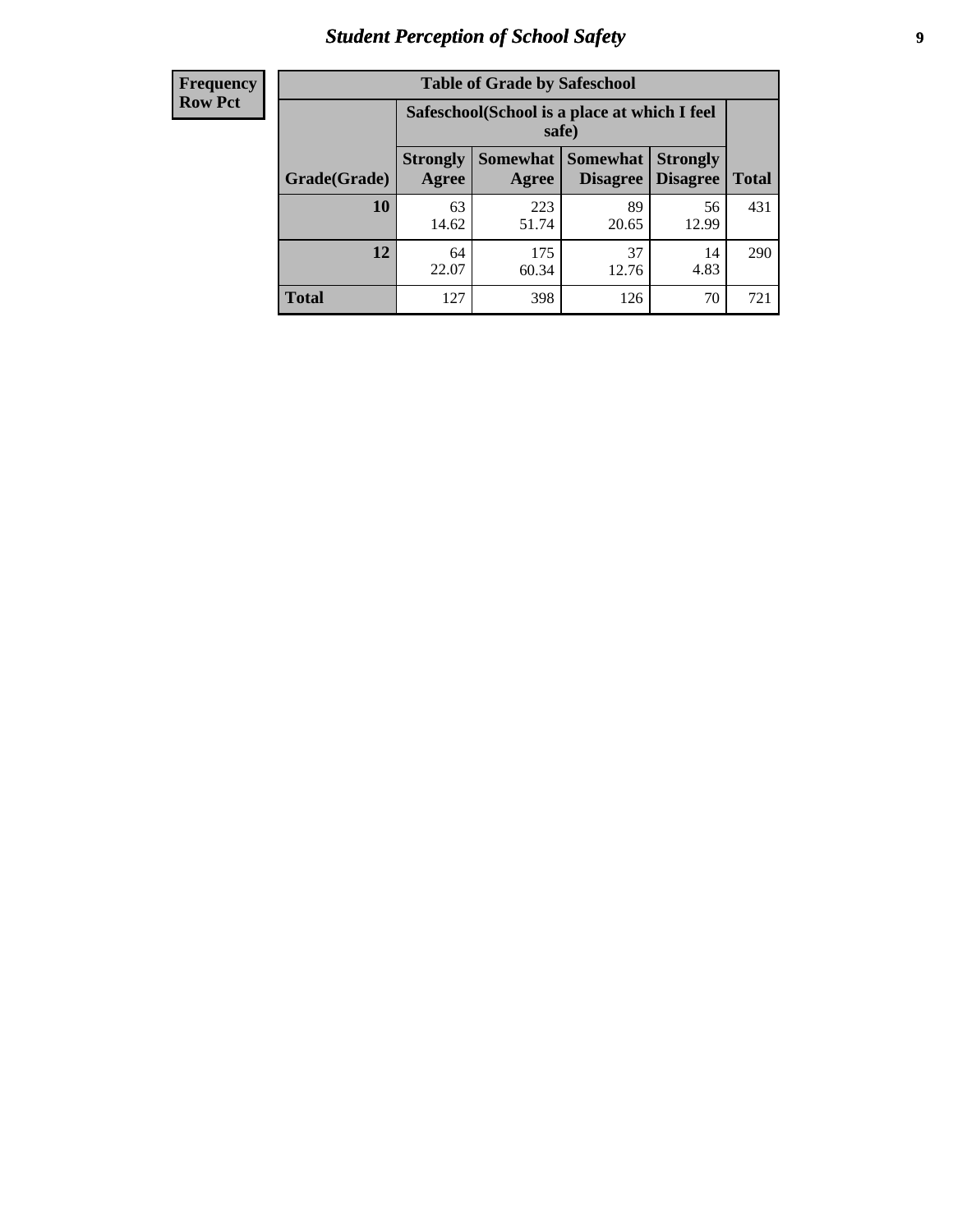# *Student Perception of School Safety* **9**

| <b>Frequency</b><br>Row Pct |
|-----------------------------|
|                             |

| <b>Table of Grade by Safeschool</b> |                          |                                                                                               |             |             |     |  |  |
|-------------------------------------|--------------------------|-----------------------------------------------------------------------------------------------|-------------|-------------|-----|--|--|
|                                     |                          | Safeschool (School is a place at which I feel<br>safe)                                        |             |             |     |  |  |
| Grade(Grade)                        | <b>Strongly</b><br>Agree | <b>Somewhat</b><br><b>Somewhat</b><br><b>Strongly</b><br><b>Disagree</b><br>Disagree<br>Agree |             |             |     |  |  |
| 10                                  | 63<br>14.62              | 223<br>51.74                                                                                  | 89<br>20.65 | 56<br>12.99 | 431 |  |  |
| 12                                  | 64<br>22.07              | 175<br>60.34                                                                                  | 37<br>12.76 | 14<br>4.83  | 290 |  |  |
| <b>Total</b>                        | 127                      | 398                                                                                           | 126         | 70          | 721 |  |  |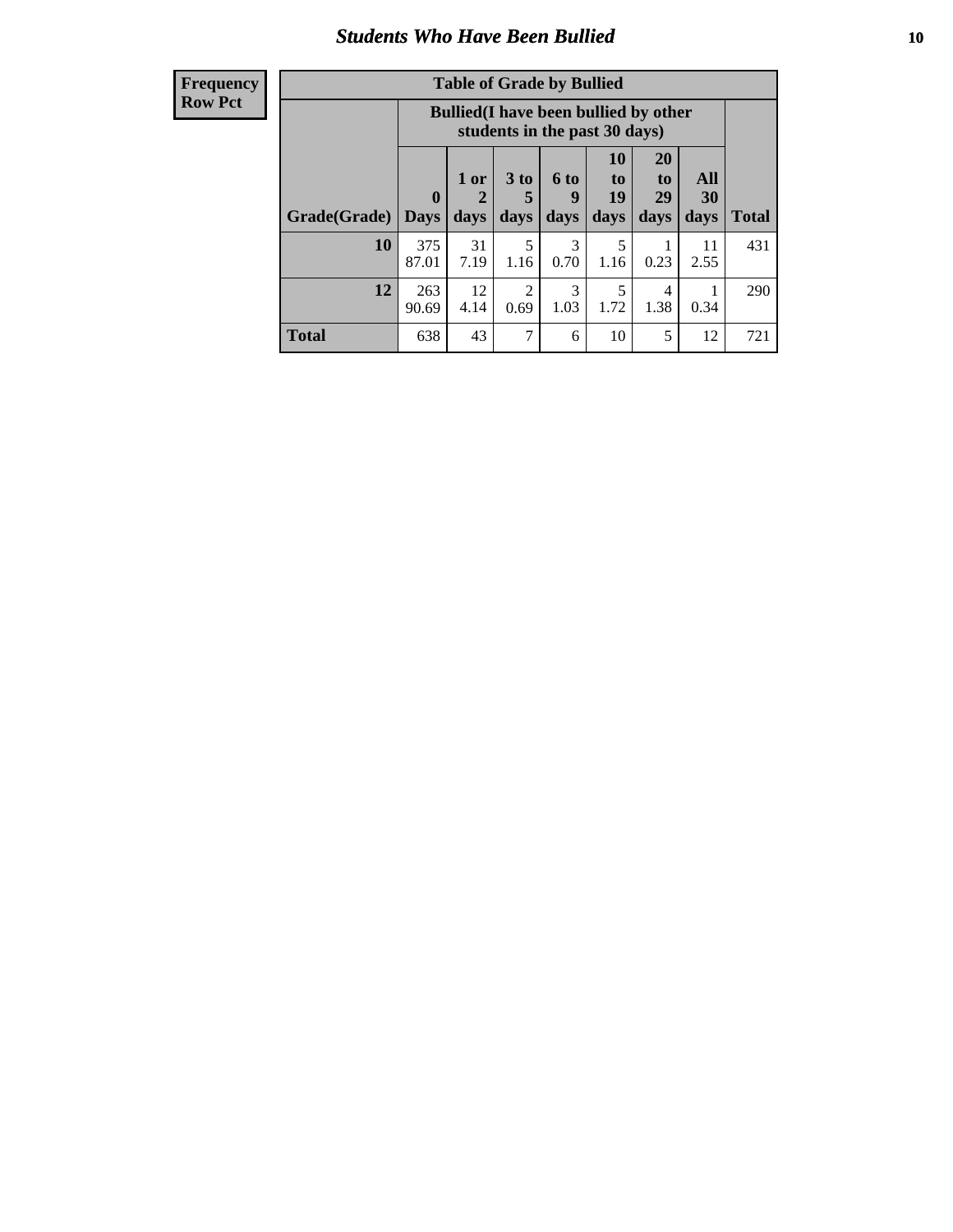### *Students Who Have Been Bullied* **10**

| <b>Frequency</b> |
|------------------|
| Row Pct          |

| <b>Table of Grade by Bullied</b> |                            |                                                                               |                              |                   |                        |                               |                   |              |
|----------------------------------|----------------------------|-------------------------------------------------------------------------------|------------------------------|-------------------|------------------------|-------------------------------|-------------------|--------------|
|                                  |                            | <b>Bullied</b> (I have been bullied by other<br>students in the past 30 days) |                              |                   |                        |                               |                   |              |
| Grade(Grade)                     | $\mathbf 0$<br><b>Days</b> | 1 or<br>$\mathbf{2}$<br>days                                                  | 3 <sub>to</sub><br>5<br>days | 6 to<br>9<br>days | 10<br>to<br>19<br>days | <b>20</b><br>to<br>29<br>days | All<br>30<br>days | <b>Total</b> |
| 10                               | 375<br>87.01               | 31<br>7.19                                                                    | 5<br>1.16                    | 3<br>0.70         | 5<br>1.16              | 1<br>0.23                     | 11<br>2.55        | 431          |
| 12                               | 263<br>90.69               | 12<br>4.14                                                                    | 2<br>0.69                    | 3<br>1.03         | 5<br>1.72              | 4<br>1.38                     | 0.34              | 290          |
| <b>Total</b>                     | 638                        | 43                                                                            | 7                            | 6                 | 10                     | 5                             | 12                | 721          |

 $\overline{\phantom{a}}$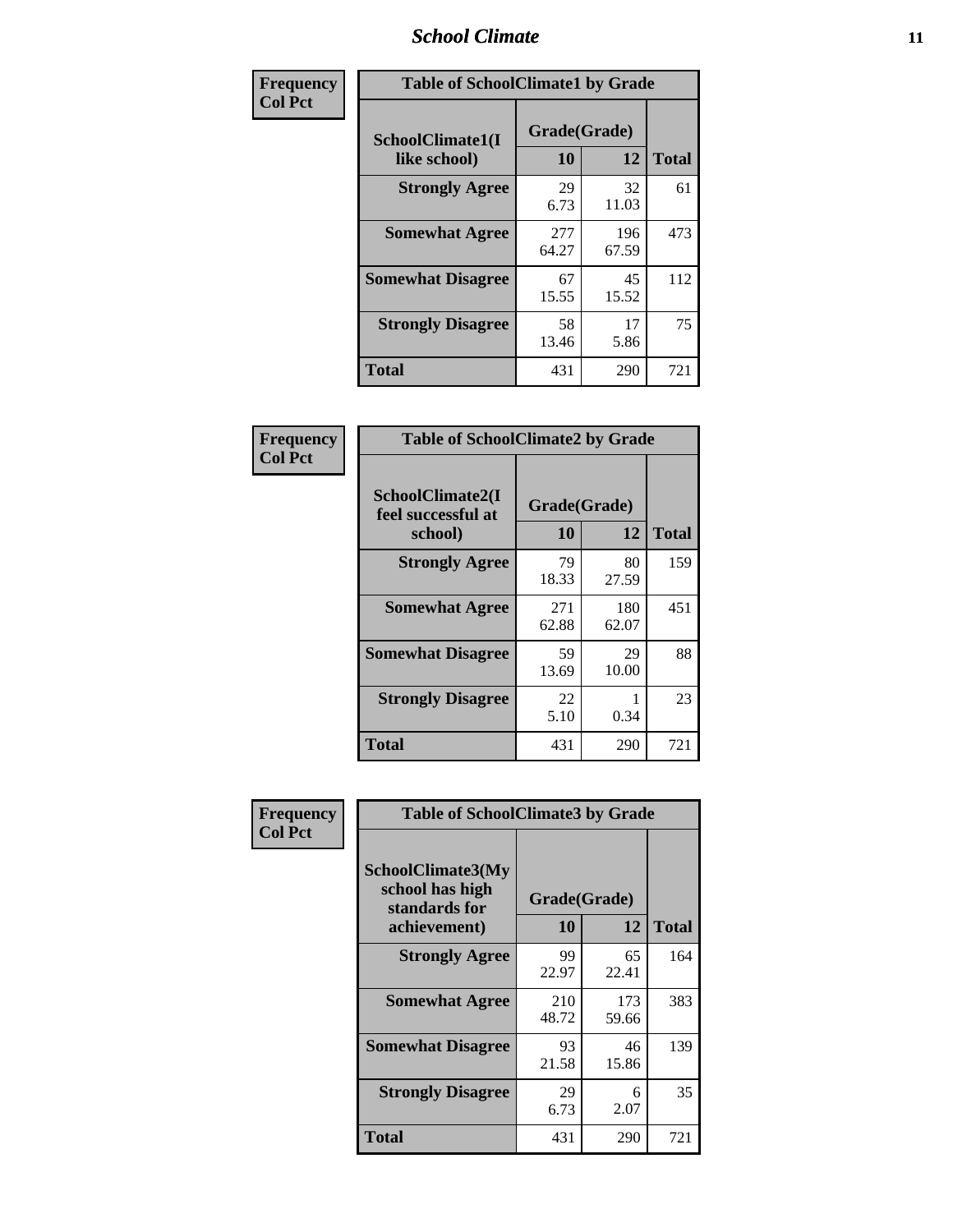### *School Climate* **11**

| Frequency      | <b>Table of SchoolClimate1 by Grade</b> |                    |              |              |  |  |
|----------------|-----------------------------------------|--------------------|--------------|--------------|--|--|
| <b>Col Pct</b> | SchoolClimate1(I<br>like school)        | Grade(Grade)<br>10 | 12           | <b>Total</b> |  |  |
|                | <b>Strongly Agree</b>                   | 29<br>6.73         | 32<br>11.03  | 61           |  |  |
|                | <b>Somewhat Agree</b>                   | 277<br>64.27       | 196<br>67.59 | 473          |  |  |
|                | <b>Somewhat Disagree</b>                | 67<br>15.55        | 45<br>15.52  | 112          |  |  |
|                | <b>Strongly Disagree</b>                | 58<br>13.46        | 17<br>5.86   | 75           |  |  |
|                | <b>Total</b>                            | 431                | 290          | 721          |  |  |

| Frequency      | <b>Table of SchoolClimate2 by Grade</b>           |                    |              |              |
|----------------|---------------------------------------------------|--------------------|--------------|--------------|
| <b>Col Pct</b> | SchoolClimate2(I<br>feel successful at<br>school) | Grade(Grade)<br>10 | 12           | <b>Total</b> |
|                | <b>Strongly Agree</b>                             | 79<br>18.33        | 80<br>27.59  | 159          |
|                | <b>Somewhat Agree</b>                             | 271<br>62.88       | 180<br>62.07 | 451          |
|                | <b>Somewhat Disagree</b>                          | 59<br>13.69        | 29<br>10.00  | 88           |
|                | <b>Strongly Disagree</b>                          | 22<br>5.10         | 0.34         | 23           |
|                | <b>Total</b>                                      | 431                | 290          | 721          |

| Frequency      | <b>Table of SchoolClimate3 by Grade</b>                                      |                    |              |              |  |
|----------------|------------------------------------------------------------------------------|--------------------|--------------|--------------|--|
| <b>Col Pct</b> | <b>SchoolClimate3(My</b><br>school has high<br>standards for<br>achievement) | Grade(Grade)<br>10 | 12           | <b>Total</b> |  |
|                | <b>Strongly Agree</b>                                                        | 99<br>22.97        | 65<br>22.41  | 164          |  |
|                | <b>Somewhat Agree</b>                                                        | 210<br>48.72       | 173<br>59.66 | 383          |  |
|                | <b>Somewhat Disagree</b>                                                     | 93<br>21.58        | 46<br>15.86  | 139          |  |
|                | <b>Strongly Disagree</b>                                                     | 29<br>6.73         | 6<br>2.07    | 35           |  |
|                | Total                                                                        | 431                | 290          | 721          |  |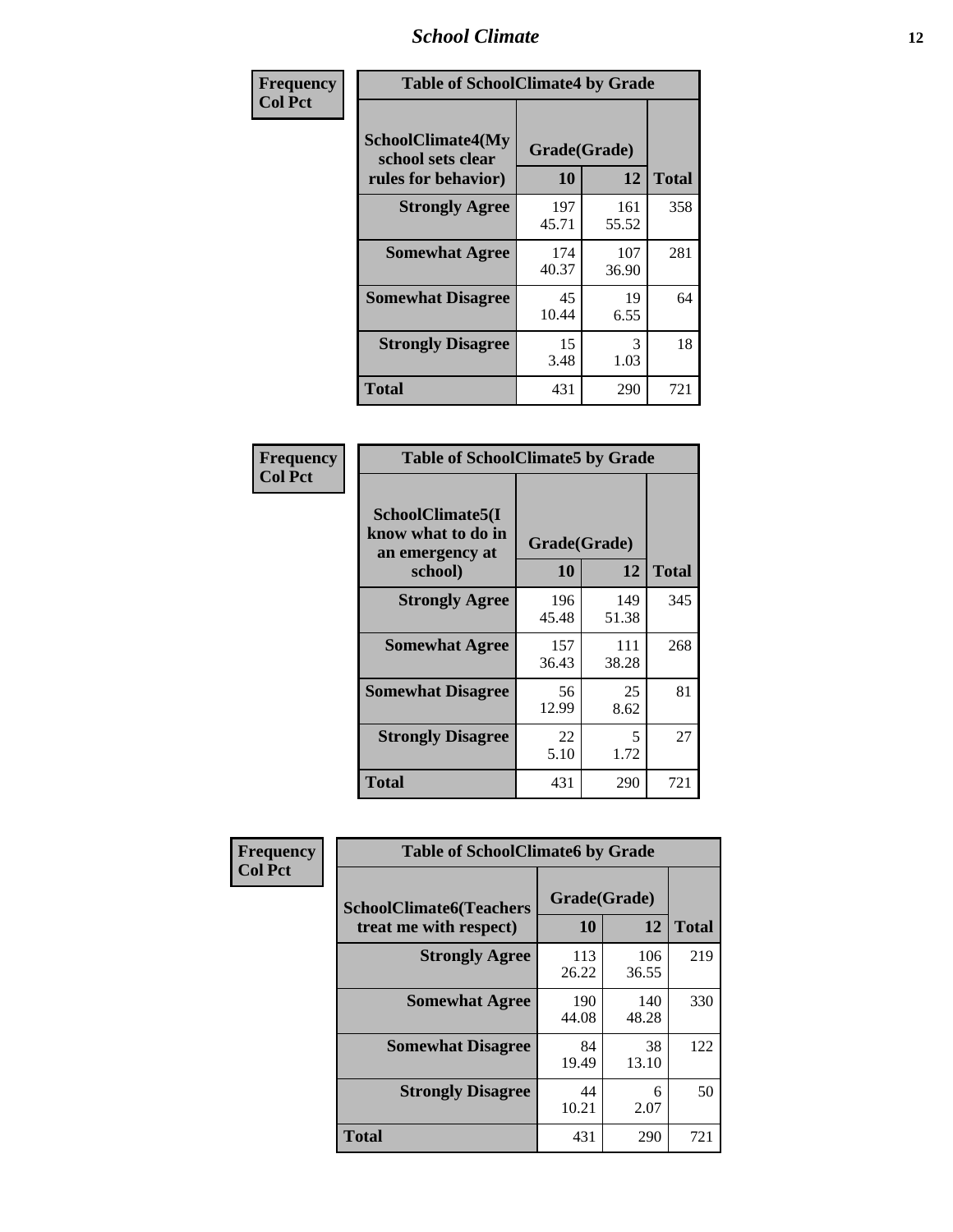### *School Climate* **12**

| Frequency      |                                                               | <b>Table of SchoolClimate4 by Grade</b> |              |              |  |
|----------------|---------------------------------------------------------------|-----------------------------------------|--------------|--------------|--|
| <b>Col Pct</b> | SchoolClimate4(My<br>school sets clear<br>rules for behavior) | Grade(Grade)<br>10                      | 12           | <b>Total</b> |  |
|                | <b>Strongly Agree</b>                                         | 197<br>45.71                            | 161<br>55.52 | 358          |  |
|                | <b>Somewhat Agree</b>                                         | 174<br>40.37                            | 107<br>36.90 | 281          |  |
|                | <b>Somewhat Disagree</b>                                      | 45<br>10.44                             | 19<br>6.55   | 64           |  |
|                | <b>Strongly Disagree</b>                                      | 15<br>3.48                              | 3<br>1.03    | 18           |  |
|                | <b>Total</b>                                                  | 431                                     | 290          | 721          |  |

| <b>Table of SchoolClimate5 by Grade</b>                              |                    |              |              |  |  |
|----------------------------------------------------------------------|--------------------|--------------|--------------|--|--|
| SchoolClimate5(I<br>know what to do in<br>an emergency at<br>school) | Grade(Grade)<br>10 | 12           | <b>Total</b> |  |  |
| <b>Strongly Agree</b>                                                | 196<br>45.48       | 149<br>51.38 | 345          |  |  |
| <b>Somewhat Agree</b>                                                | 157<br>36.43       | 111<br>38.28 | 268          |  |  |
| <b>Somewhat Disagree</b>                                             | 56<br>12.99        | 25<br>8.62   | 81           |  |  |
| <b>Strongly Disagree</b>                                             | 22<br>5.10         | 5<br>1.72    | 27           |  |  |
| Total                                                                | 431                | 290          | 721          |  |  |

| Frequency      | <b>Table of SchoolClimate6 by Grade</b>                  |                    |              |              |
|----------------|----------------------------------------------------------|--------------------|--------------|--------------|
| <b>Col Pct</b> | <b>SchoolClimate6(Teachers</b><br>treat me with respect) | Grade(Grade)<br>10 | 12           | <b>Total</b> |
|                | <b>Strongly Agree</b>                                    | 113<br>26.22       | 106<br>36.55 | 219          |
|                | <b>Somewhat Agree</b>                                    | 190<br>44.08       | 140<br>48.28 | 330          |
|                | <b>Somewhat Disagree</b>                                 | 84<br>19.49        | 38<br>13.10  | 122          |
|                | <b>Strongly Disagree</b>                                 | 44<br>10.21        | 6<br>2.07    | 50           |
|                | <b>Total</b>                                             | 431                | 290          | 721          |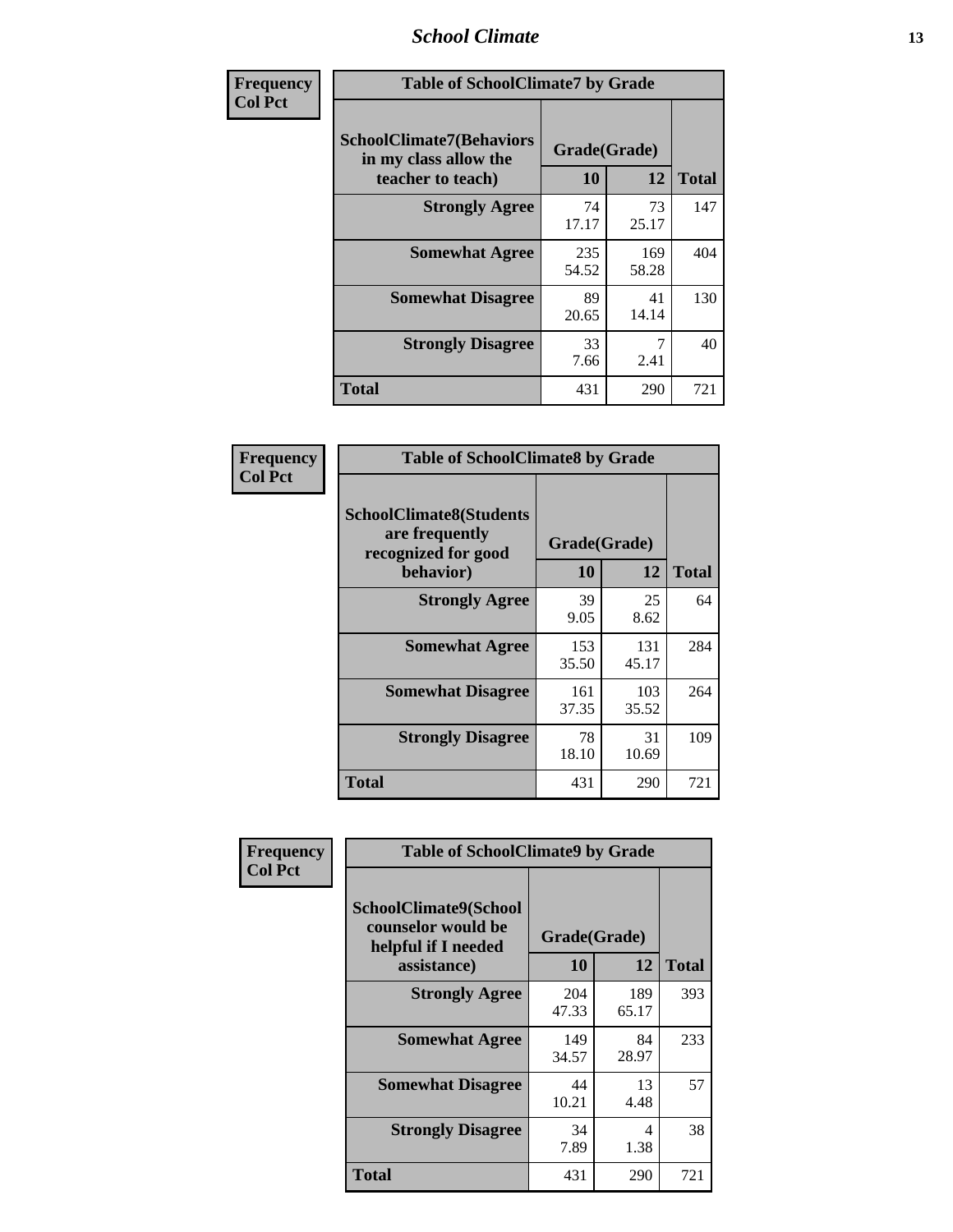### *School Climate* **13**

| Frequency      | <b>Table of SchoolClimate7 by Grade</b>                                       |                           |              |              |
|----------------|-------------------------------------------------------------------------------|---------------------------|--------------|--------------|
| <b>Col Pct</b> | <b>SchoolClimate7(Behaviors</b><br>in my class allow the<br>teacher to teach) | Grade(Grade)<br><b>10</b> | 12           | <b>Total</b> |
|                | <b>Strongly Agree</b>                                                         | 74<br>17.17               | 73<br>25.17  | 147          |
|                | <b>Somewhat Agree</b>                                                         | 235<br>54.52              | 169<br>58.28 | 404          |
|                | <b>Somewhat Disagree</b>                                                      | 89<br>20.65               | 41<br>14.14  | 130          |
|                | <b>Strongly Disagree</b>                                                      | 33<br>7.66                | 2.41         | 40           |
|                | <b>Total</b>                                                                  | 431                       | 290          | 721          |

| Frequency      | <b>Table of SchoolClimate8 by Grade</b>                                              |                    |              |              |
|----------------|--------------------------------------------------------------------------------------|--------------------|--------------|--------------|
| <b>Col Pct</b> | <b>SchoolClimate8(Students</b><br>are frequently<br>recognized for good<br>behavior) | Grade(Grade)<br>10 | 12           | <b>Total</b> |
|                | <b>Strongly Agree</b>                                                                | 39<br>9.05         | 25<br>8.62   | 64           |
|                | <b>Somewhat Agree</b>                                                                | 153<br>35.50       | 131<br>45.17 | 284          |
|                | <b>Somewhat Disagree</b>                                                             | 161<br>37.35       | 103<br>35.52 | 264          |
|                | <b>Strongly Disagree</b>                                                             | 78<br>18.10        | 31<br>10.69  | 109          |
|                | <b>Total</b>                                                                         | 431                | 290          | 721          |

| Frequency      | <b>Table of SchoolClimate9 by Grade</b>                                           |                    |              |              |
|----------------|-----------------------------------------------------------------------------------|--------------------|--------------|--------------|
| <b>Col Pct</b> | SchoolClimate9(School<br>counselor would be<br>helpful if I needed<br>assistance) | Grade(Grade)<br>10 | 12           | <b>Total</b> |
|                | <b>Strongly Agree</b>                                                             | 204<br>47.33       | 189<br>65.17 | 393          |
|                | <b>Somewhat Agree</b>                                                             | 149<br>34.57       | 84<br>28.97  | 233          |
|                | <b>Somewhat Disagree</b>                                                          | 44<br>10.21        | 13<br>4.48   | 57           |
|                | <b>Strongly Disagree</b>                                                          | 34<br>7.89         | 4<br>1.38    | 38           |
|                | Total                                                                             | 431                | 290          | 721          |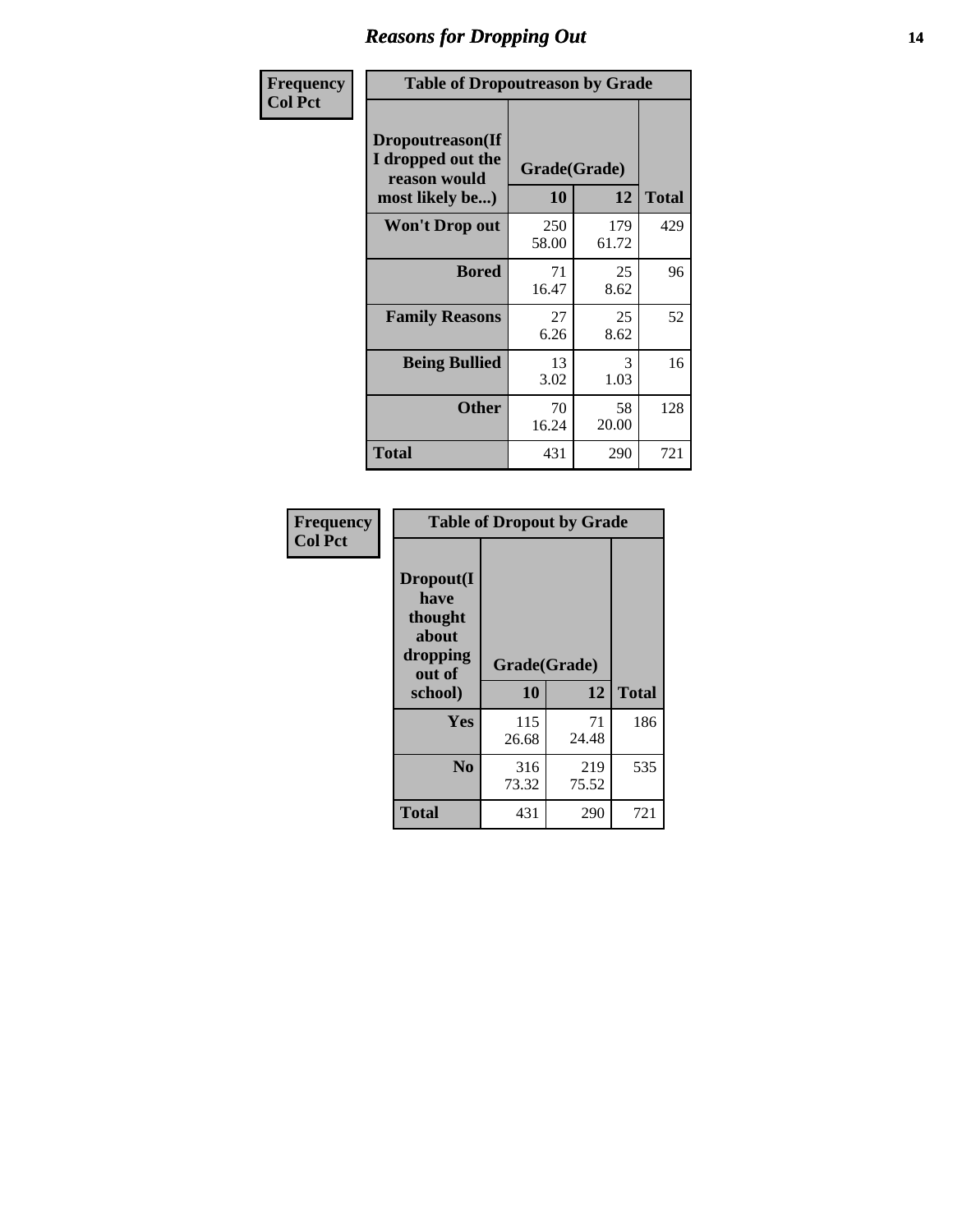### *Reasons for Dropping Out* **14**

| Frequency      | <b>Table of Dropoutreason by Grade</b>                                   |                    |              |              |
|----------------|--------------------------------------------------------------------------|--------------------|--------------|--------------|
| <b>Col Pct</b> | Dropoutreason(If<br>I dropped out the<br>reason would<br>most likely be) | Grade(Grade)<br>10 | 12           | <b>Total</b> |
|                | <b>Won't Drop out</b>                                                    | 250<br>58.00       | 179<br>61.72 | 429          |
|                | <b>Bored</b>                                                             | 71<br>16.47        | 25<br>8.62   | 96           |
|                | <b>Family Reasons</b>                                                    | 27<br>6.26         | 25<br>8.62   | 52           |
|                | <b>Being Bullied</b>                                                     | 13<br>3.02         | 3<br>1.03    | 16           |
|                | <b>Other</b>                                                             | 70<br>16.24        | 58<br>20.00  | 128          |
|                | <b>Total</b>                                                             | 431                | 290          | 721          |

| Frequency      | <b>Table of Dropout by Grade</b>                            |                    |             |              |  |  |
|----------------|-------------------------------------------------------------|--------------------|-------------|--------------|--|--|
| <b>Col Pct</b> | Dropout(I<br>have<br>thought<br>about<br>dropping<br>out of | Grade(Grade)<br>10 | 12          | <b>Total</b> |  |  |
|                | school)                                                     |                    |             |              |  |  |
|                | Yes                                                         | 115<br>26.68       | 71<br>24.48 | 186          |  |  |
|                | N <sub>0</sub>                                              | 316                | 219         | 535          |  |  |
|                |                                                             | 73.32              | 75.52       |              |  |  |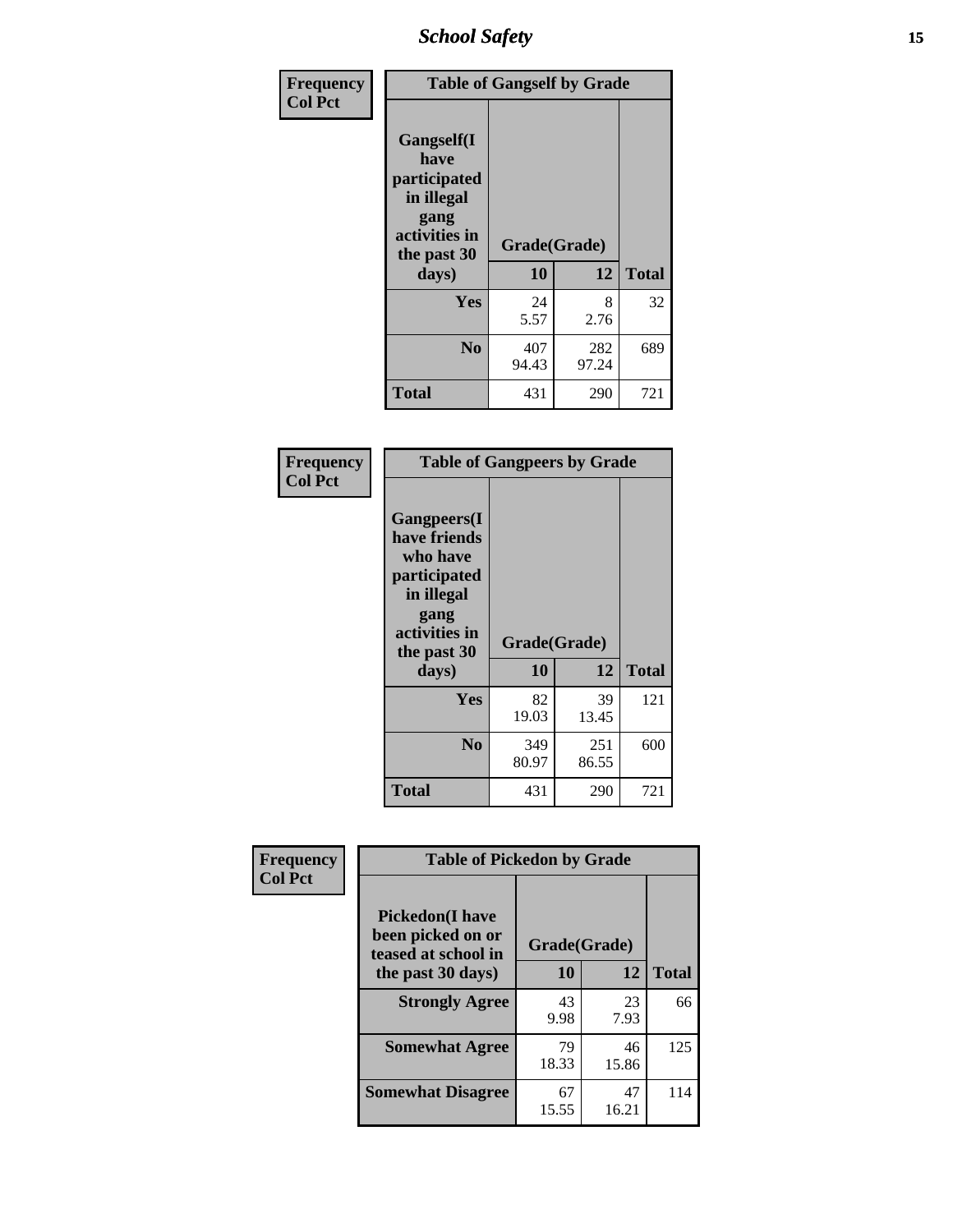*School Safety* **15**

| Frequency      |                                                                                                           | <b>Table of Gangself by Grade</b> |              |              |
|----------------|-----------------------------------------------------------------------------------------------------------|-----------------------------------|--------------|--------------|
| <b>Col Pct</b> | <b>Gangself</b> (I<br>have<br>participated<br>in illegal<br>gang<br>activities in<br>the past 30<br>days) | Grade(Grade)<br>10                | 12           | <b>Total</b> |
|                | Yes                                                                                                       | 24<br>5.57                        | 8<br>2.76    | 32           |
|                | N <sub>0</sub>                                                                                            | 407<br>94.43                      | 282<br>97.24 | 689          |
|                | <b>Total</b>                                                                                              | 431                               | 290          | 721          |

| Frequency<br><b>Col Pct</b> | <b>Table of Gangpeers by Grade</b>                                                                                             |                    |              |              |
|-----------------------------|--------------------------------------------------------------------------------------------------------------------------------|--------------------|--------------|--------------|
|                             | <b>Gangpeers</b> (I<br>have friends<br>who have<br>participated<br>in illegal<br>gang<br>activities in<br>the past 30<br>days) | Grade(Grade)<br>10 | 12           | <b>Total</b> |
|                             | Yes                                                                                                                            | 82<br>19.03        | 39<br>13.45  | 121          |
|                             | N <sub>0</sub>                                                                                                                 | 349<br>80.97       | 251<br>86.55 | 600          |
|                             | <b>Total</b>                                                                                                                   | 431                | 290          | 721          |

| Frequency      |                                                                    | <b>Table of Pickedon by Grade</b> |             |              |  |  |  |
|----------------|--------------------------------------------------------------------|-----------------------------------|-------------|--------------|--|--|--|
| <b>Col Pct</b> | <b>Pickedon(I have</b><br>been picked on or<br>teased at school in | Grade(Grade)                      |             |              |  |  |  |
|                | the past 30 days)                                                  | 10                                | 12          | <b>Total</b> |  |  |  |
|                | <b>Strongly Agree</b>                                              | 43<br>9.98                        | 23<br>7.93  | 66           |  |  |  |
|                | <b>Somewhat Agree</b>                                              | 79<br>18.33                       | 46<br>15.86 | 125          |  |  |  |
|                | <b>Somewhat Disagree</b>                                           | 67<br>15.55                       | 47<br>16.21 | 114          |  |  |  |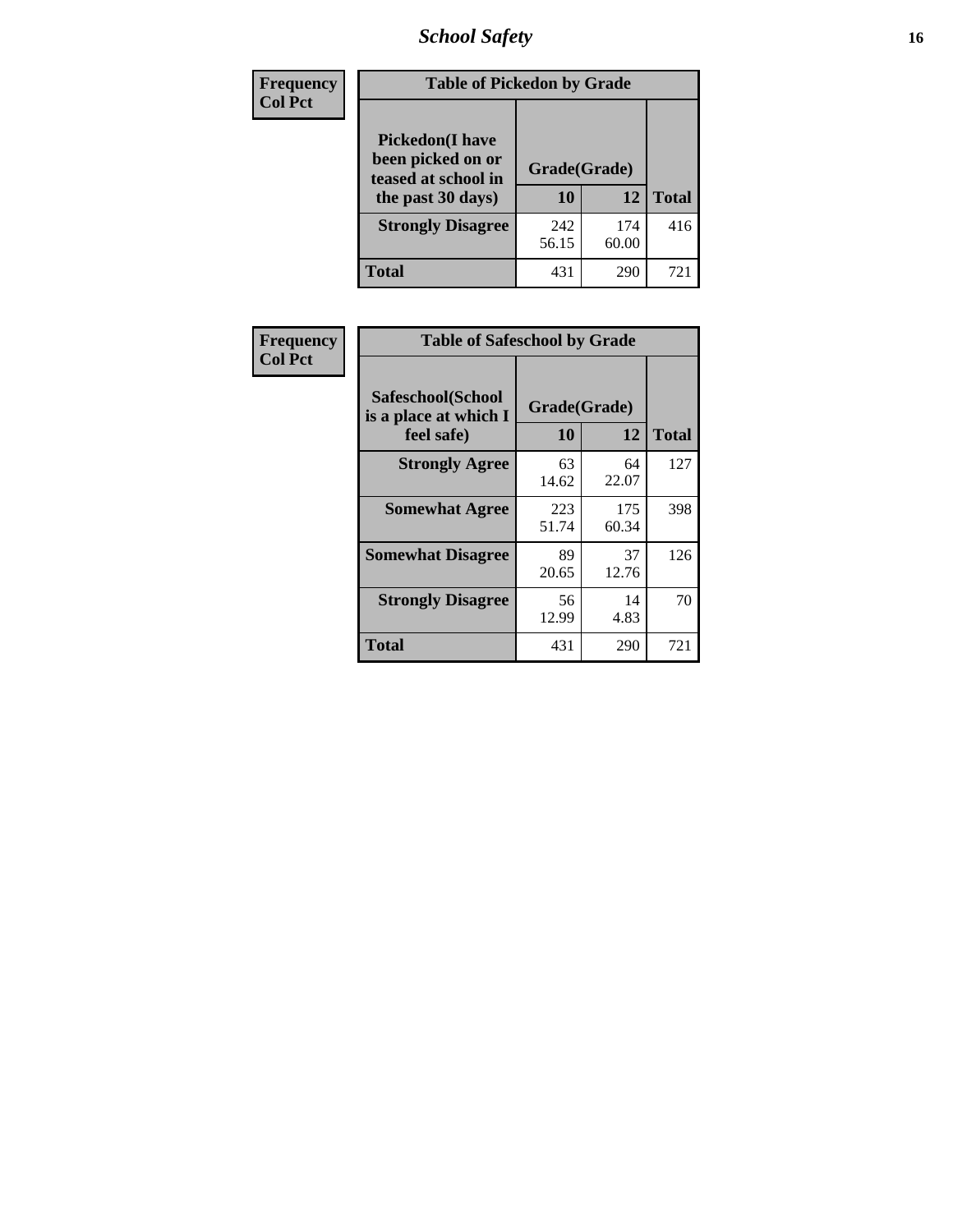# *School Safety* **16**

| <b>Frequency</b> | <b>Table of Pickedon by Grade</b>                                                        |                    |              |              |
|------------------|------------------------------------------------------------------------------------------|--------------------|--------------|--------------|
| <b>Col Pct</b>   | <b>Pickedon</b> (I have<br>been picked on or<br>teased at school in<br>the past 30 days) | Grade(Grade)<br>10 | 12           | <b>Total</b> |
|                  | <b>Strongly Disagree</b>                                                                 | 242<br>56.15       | 174<br>60.00 | 416          |
|                  | Total                                                                                    | 431                | 290          | $72^{\circ}$ |

| Frequency      | <b>Table of Safeschool by Grade</b>                      |                    |              |              |
|----------------|----------------------------------------------------------|--------------------|--------------|--------------|
| <b>Col Pct</b> | Safeschool(School<br>is a place at which I<br>feel safe) | Grade(Grade)<br>10 | 12           | <b>Total</b> |
|                | <b>Strongly Agree</b>                                    | 63<br>14.62        | 64<br>22.07  | 127          |
|                | <b>Somewhat Agree</b>                                    | 223<br>51.74       | 175<br>60.34 | 398          |
|                | <b>Somewhat Disagree</b>                                 | 89<br>20.65        | 37<br>12.76  | 126          |
|                | <b>Strongly Disagree</b>                                 | 56<br>12.99        | 14<br>4.83   | 70           |
|                | <b>Total</b>                                             | 431                | 290          | 721          |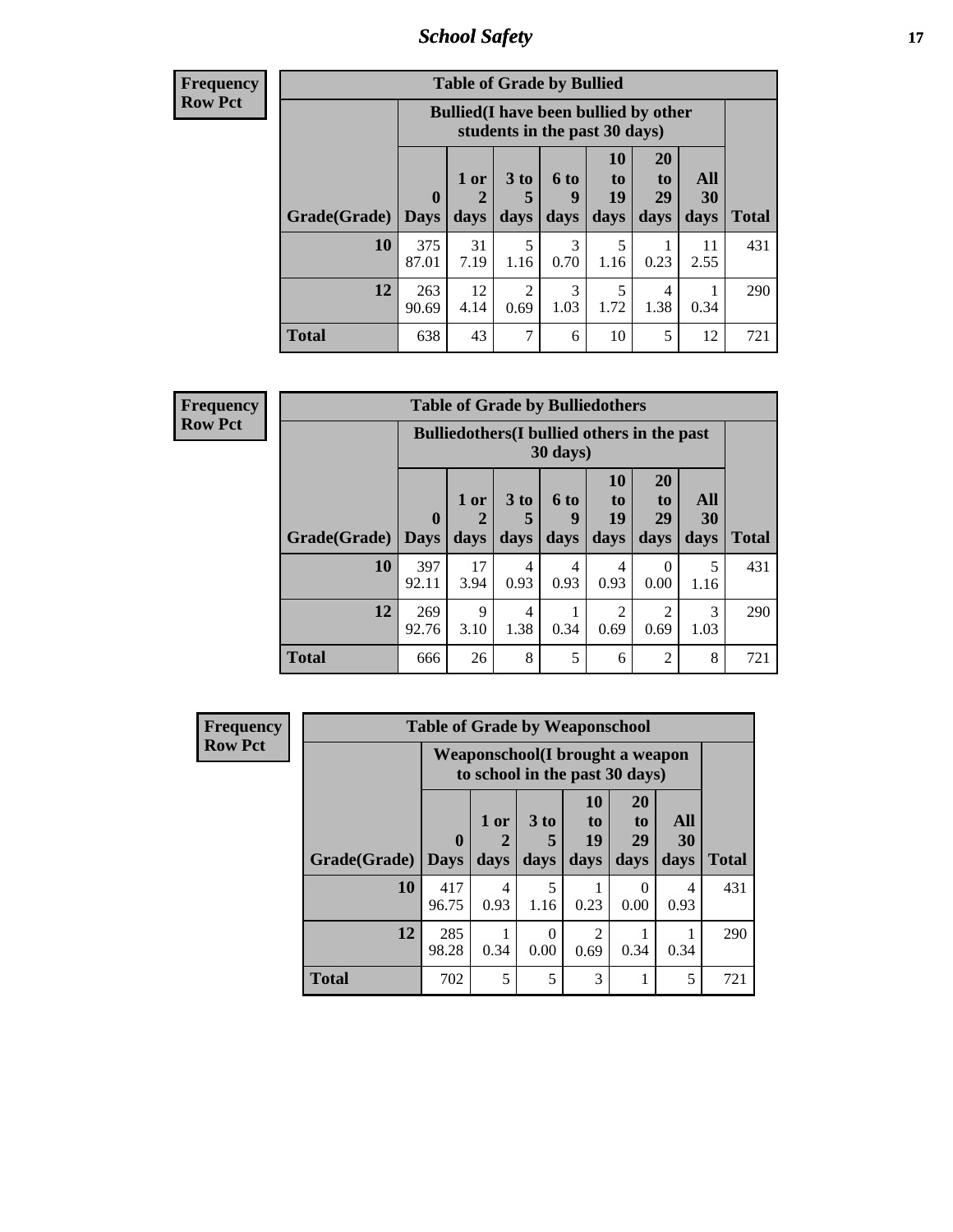*School Safety* **17**

| Frequency |  |
|-----------|--|
| Row Pct   |  |

| <b>Table of Grade by Bullied</b> |              |                                                                               |                      |                  |                 |                |            |              |  |  |  |  |
|----------------------------------|--------------|-------------------------------------------------------------------------------|----------------------|------------------|-----------------|----------------|------------|--------------|--|--|--|--|
|                                  |              | <b>Bullied</b> (I have been bullied by other<br>students in the past 30 days) |                      |                  |                 |                |            |              |  |  |  |  |
|                                  | $\mathbf 0$  | $1$ or<br>2                                                                   | 3 <sub>to</sub><br>5 | <b>6 to</b><br>9 | 10<br>to.<br>19 | 20<br>to<br>29 | All<br>30  |              |  |  |  |  |
| Grade(Grade)   Days              |              | days                                                                          | days                 | days             | days            | days           | days       | <b>Total</b> |  |  |  |  |
| 10                               | 375<br>87.01 | 31<br>7.19                                                                    | 5<br>1.16            | 3<br>0.70        | 5<br>1.16       | 0.23           | 11<br>2.55 | 431          |  |  |  |  |
| 12                               | 263<br>90.69 | 12<br>4.14                                                                    | 2<br>0.69            | 3<br>1.03        | 5<br>1.72       | 4<br>1.38      | 0.34       | 290          |  |  |  |  |
| <b>Total</b>                     | 638          | 43                                                                            | 7                    | 6                | 10              | 5              | 12         | 721          |  |  |  |  |

| Frequency      |              |                                                    |                | <b>Table of Grade by Bulliedothers</b> |                          |                        |                        |                   |              |
|----------------|--------------|----------------------------------------------------|----------------|----------------------------------------|--------------------------|------------------------|------------------------|-------------------|--------------|
| <b>Row Pct</b> |              | <b>Bulliedothers</b> (I bullied others in the past |                |                                        |                          |                        |                        |                   |              |
|                | Grade(Grade) | $\mathbf{0}$<br><b>Days</b>                        | $1$ or<br>days | 3 <sub>to</sub><br>days                | <b>6 to</b><br>9<br>days | 10<br>to<br>19<br>days | 20<br>to<br>29<br>days | All<br>30<br>days | <b>Total</b> |
|                | 10           | 397<br>92.11                                       | 17<br>3.94     | 4<br>0.93                              | 4<br>0.93                | 4<br>0.93              | $\Omega$<br>0.00       | 5<br>1.16         | 431          |
|                | 12           | 269<br>92.76                                       | 9<br>3.10      | 4<br>1.38                              | 0.34                     | $\mathfrak{D}$<br>0.69 | $\mathfrak{D}$<br>0.69 | 3<br>1.03         | 290          |
|                | <b>Total</b> | 666                                                | 26             | 8                                      | 5                        | 6                      | $\overline{2}$         | 8                 | 721          |

| <b>Frequency</b> |              | <b>Table of Grade by Weaponschool</b>                                     |              |              |                                     |                                           |                   |              |  |  |  |  |
|------------------|--------------|---------------------------------------------------------------------------|--------------|--------------|-------------------------------------|-------------------------------------------|-------------------|--------------|--|--|--|--|
| <b>Row Pct</b>   |              | <b>Weaponschool</b> (I brought a weapon<br>to school in the past 30 days) |              |              |                                     |                                           |                   |              |  |  |  |  |
|                  | Grade(Grade) | $\bf{0}$<br><b>Days</b>                                                   | 1 or<br>days | 3 to<br>days | <b>10</b><br>to<br>19<br>days       | <b>20</b><br>t <sub>0</sub><br>29<br>days | All<br>30<br>days | <b>Total</b> |  |  |  |  |
|                  | 10           | 417<br>96.75                                                              | 4<br>0.93    | 5<br>1.16    | 0.23                                | 0<br>0.00                                 | 4<br>0.93         | 431          |  |  |  |  |
|                  | 12           | 285<br>98.28                                                              | 0.34         | ∩<br>0.00    | $\mathcal{D}_{\mathcal{L}}$<br>0.69 | 0.34                                      | 0.34              | 290          |  |  |  |  |
|                  | <b>Total</b> | 702                                                                       | 5            | 5            | 3                                   |                                           | 5                 | 721          |  |  |  |  |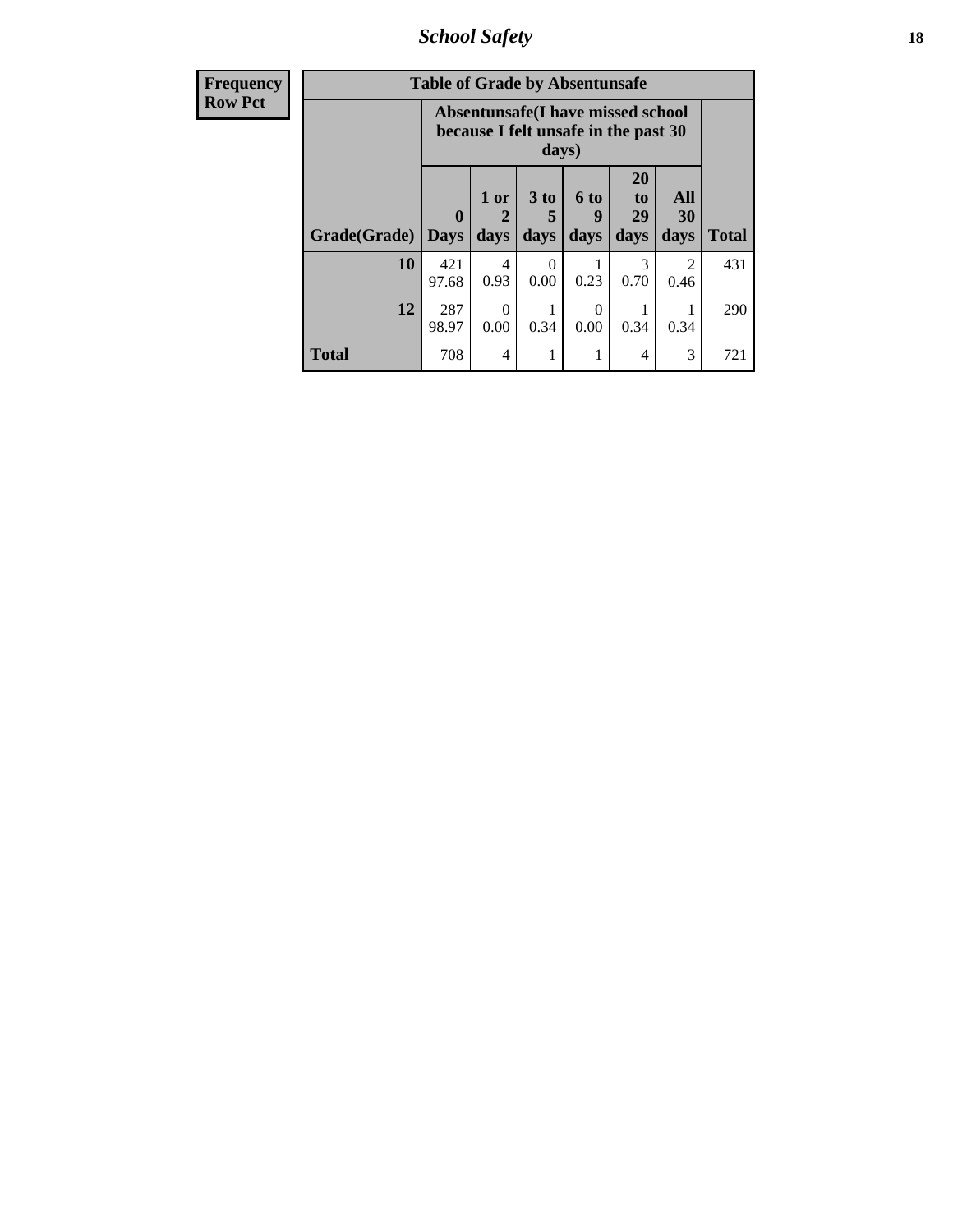*School Safety* **18**

| <b>Frequency</b> | <b>Table of Grade by Absentunsafe</b> |                             |                                                                           |                              |                   |                                           |                   |              |  |  |
|------------------|---------------------------------------|-----------------------------|---------------------------------------------------------------------------|------------------------------|-------------------|-------------------------------------------|-------------------|--------------|--|--|
| <b>Row Pct</b>   |                                       |                             | Absentunsafe(I have missed school<br>because I felt unsafe in the past 30 | days)                        |                   |                                           |                   |              |  |  |
|                  | Grade(Grade)                          | $\mathbf{0}$<br><b>Days</b> | 1 or<br>$\mathbf 2$<br>days                                               | 3 <sub>to</sub><br>5<br>days | 6 to<br>9<br>days | <b>20</b><br>t <sub>0</sub><br>29<br>days | All<br>30<br>days | <b>Total</b> |  |  |
|                  | 10                                    | 421<br>97.68                | 4<br>0.93                                                                 | $\Omega$<br>0.00             | 0.23              | 3<br>0.70                                 | 2<br>0.46         | 431          |  |  |
|                  | 12                                    | 287<br>98.97                | $\Omega$<br>0.00                                                          | 0.34                         | 0<br>0.00         | 0.34                                      | 0.34              | 290          |  |  |
|                  | <b>Total</b>                          | 708                         | $\overline{4}$                                                            |                              |                   | 4                                         | 3                 | 721          |  |  |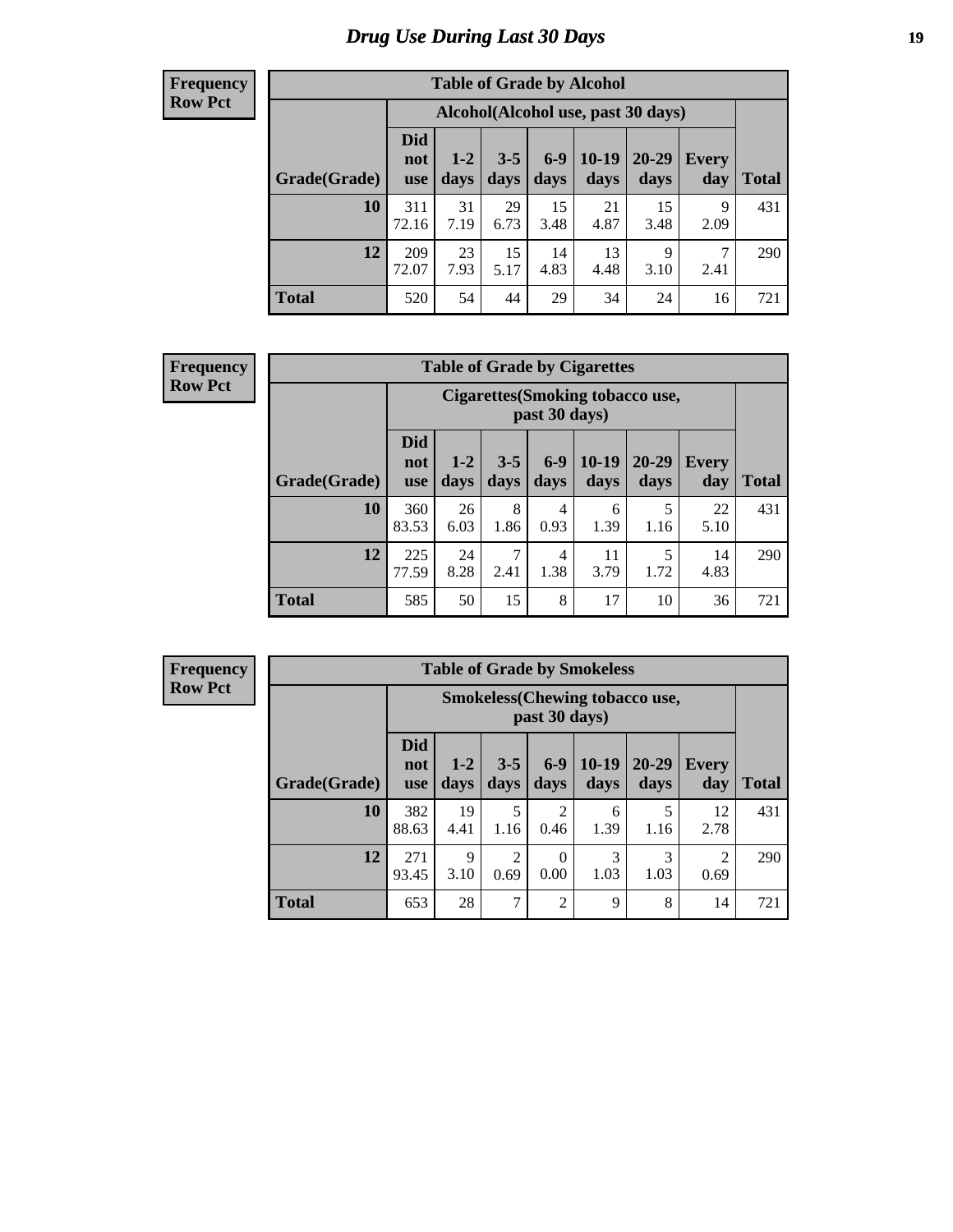# *Drug Use During Last 30 Days* **19**

#### **Frequency Row Pct**

| <b>Table of Grade by Alcohol</b> |                                 |                                     |                 |                 |                 |                   |              |              |  |  |  |  |
|----------------------------------|---------------------------------|-------------------------------------|-----------------|-----------------|-----------------|-------------------|--------------|--------------|--|--|--|--|
|                                  |                                 | Alcohol (Alcohol use, past 30 days) |                 |                 |                 |                   |              |              |  |  |  |  |
| Grade(Grade)                     | <b>Did</b><br>not<br><b>use</b> | $1 - 2$<br>days                     | $3 - 5$<br>days | $6 - 9$<br>days | $10-19$<br>days | $20 - 29$<br>days | Every<br>day | <b>Total</b> |  |  |  |  |
| 10                               | 311<br>72.16                    | 31<br>7.19                          | 29<br>6.73      | 15<br>3.48      | 21<br>4.87      | 15<br>3.48        | 9<br>2.09    | 431          |  |  |  |  |
| 12                               | 209<br>72.07                    | 23<br>7.93                          | 15<br>5.17      | 14<br>4.83      | 13<br>4.48      | 9<br>3.10         | 7<br>2.41    | 290          |  |  |  |  |
| <b>Total</b>                     | 520                             | 54                                  | 44              | 29              | 34              | 24                | 16           | 721          |  |  |  |  |

#### **Frequency Row Pct**

| <b>Table of Grade by Cigarettes</b> |                                 |                                                          |                 |               |                 |                   |                     |              |  |  |  |  |
|-------------------------------------|---------------------------------|----------------------------------------------------------|-----------------|---------------|-----------------|-------------------|---------------------|--------------|--|--|--|--|
|                                     |                                 | <b>Cigarettes</b> (Smoking tobacco use,<br>past 30 days) |                 |               |                 |                   |                     |              |  |  |  |  |
| Grade(Grade)                        | <b>Did</b><br>not<br><b>use</b> | $1 - 2$<br>days                                          | $3 - 5$<br>days | $6-9$<br>days | $10-19$<br>days | $20 - 29$<br>days | <b>Every</b><br>day | <b>Total</b> |  |  |  |  |
| 10                                  | 360<br>83.53                    | 26<br>6.03                                               | 8<br>1.86       | 4<br>0.93     | 6<br>1.39       | 5<br>1.16         | 22<br>5.10          | 431          |  |  |  |  |
| 12                                  | 225<br>77.59                    | 24<br>8.28                                               | 7<br>2.41       | 4<br>1.38     | 11<br>3.79      | 5<br>1.72         | 14<br>4.83          | 290          |  |  |  |  |
| <b>Total</b>                        | 585                             | 50                                                       | 15              | 8             | 17              | 10                | 36                  | 721          |  |  |  |  |

**Frequency Row Pct**

| <b>Table of Grade by Smokeless</b> |                                 |                                                        |                        |                  |                 |                   |                     |              |  |  |  |  |
|------------------------------------|---------------------------------|--------------------------------------------------------|------------------------|------------------|-----------------|-------------------|---------------------|--------------|--|--|--|--|
|                                    |                                 | <b>Smokeless</b> (Chewing tobaccouse,<br>past 30 days) |                        |                  |                 |                   |                     |              |  |  |  |  |
| Grade(Grade)                       | <b>Did</b><br>not<br><b>use</b> | $1 - 2$<br>days                                        | $3 - 5$<br>days        | $6-9$<br>days    | $10-19$<br>days | $20 - 29$<br>days | <b>Every</b><br>day | <b>Total</b> |  |  |  |  |
| 10                                 | 382<br>88.63                    | 19<br>4.41                                             | 5<br>1.16              | 2<br>0.46        | 6<br>1.39       | 1.16              | 12<br>2.78          | 431          |  |  |  |  |
| 12                                 | 271<br>93.45                    | 9<br>3.10                                              | $\overline{2}$<br>0.69 | $\Omega$<br>0.00 | 3<br>1.03       | 3<br>1.03         | 2<br>0.69           | 290          |  |  |  |  |
| <b>Total</b>                       | 653                             | 28                                                     | 7                      | $\overline{2}$   | 9               | 8                 | 14                  | 721          |  |  |  |  |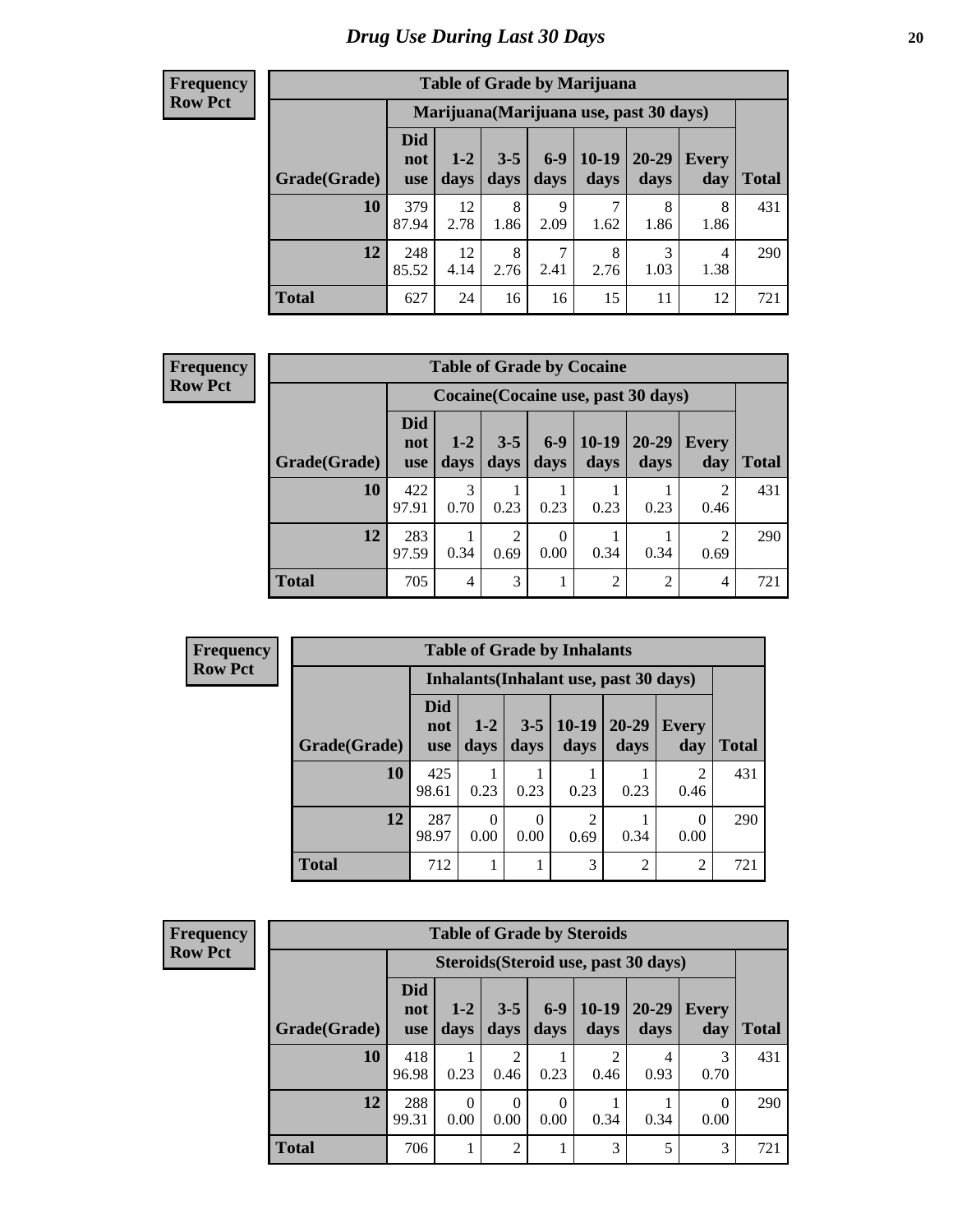| <b>Table of Grade by Marijuana</b> |                                 |                                         |                 |                 |                 |                   |              |              |  |  |  |  |
|------------------------------------|---------------------------------|-----------------------------------------|-----------------|-----------------|-----------------|-------------------|--------------|--------------|--|--|--|--|
|                                    |                                 | Marijuana (Marijuana use, past 30 days) |                 |                 |                 |                   |              |              |  |  |  |  |
| Grade(Grade)                       | <b>Did</b><br>not<br><b>use</b> | $1 - 2$<br>days                         | $3 - 5$<br>days | $6 - 9$<br>days | $10-19$<br>days | $20 - 29$<br>days | Every<br>day | <b>Total</b> |  |  |  |  |
| 10                                 | 379<br>87.94                    | 12<br>2.78                              | 8<br>1.86       | 9<br>2.09       | 7<br>1.62       | 8<br>1.86         | 8<br>1.86    | 431          |  |  |  |  |
| 12                                 | 248<br>85.52                    | 12<br>4.14                              | 8<br>2.76       | 7<br>2.41       | 8<br>2.76       | 3<br>1.03         | 4<br>1.38    | 290          |  |  |  |  |
| <b>Total</b>                       | 627                             | 24                                      | 16              | 16              | 15              | 11                | 12           | 721          |  |  |  |  |

#### **Frequency Row Pct**

| <b>Table of Grade by Cocaine</b> |                          |                                                                                                                         |           |                  |                |                |                        |     |  |  |
|----------------------------------|--------------------------|-------------------------------------------------------------------------------------------------------------------------|-----------|------------------|----------------|----------------|------------------------|-----|--|--|
|                                  |                          | Cocaine (Cocaine use, past 30 days)                                                                                     |           |                  |                |                |                        |     |  |  |
| Grade(Grade)                     | Did<br>not<br><b>use</b> | $6 - 9$<br>$10-19$<br>20-29<br>$1-2$<br>$3 - 5$<br><b>Every</b><br>days<br>days<br>days<br>days<br>day<br>Total<br>days |           |                  |                |                |                        |     |  |  |
| 10                               | 422<br>97.91             | 3<br>0.70                                                                                                               | 0.23      | 0.23             | 0.23           | 0.23           | $\mathfrak{D}$<br>0.46 | 431 |  |  |
| 12                               | 283<br>97.59             | 0.34                                                                                                                    | 2<br>0.69 | $\Omega$<br>0.00 | 0.34           | 0.34           | $\mathfrak{D}$<br>0.69 | 290 |  |  |
| Total                            | 705                      | 4                                                                                                                       | 3         |                  | $\overline{2}$ | $\overline{2}$ | 4                      | 721 |  |  |

| <b>Frequency</b> |
|------------------|
| <b>Row Pct</b>   |

×

| <b>Table of Grade by Inhalants</b>     |                                 |                  |                 |                        |                   |                        |       |  |  |  |
|----------------------------------------|---------------------------------|------------------|-----------------|------------------------|-------------------|------------------------|-------|--|--|--|
| Inhalants (Inhalant use, past 30 days) |                                 |                  |                 |                        |                   |                        |       |  |  |  |
| Grade(Grade)                           | <b>Did</b><br>not<br><b>use</b> | $1-2$<br>days    | $3 - 5$<br>days | $10-19$<br>days        | $20 - 29$<br>days | Every<br>day           | Total |  |  |  |
| 10                                     | 425<br>98.61                    | 0.23             | 0.23            | 0.23                   | 0.23              | $\mathfrak{D}$<br>0.46 | 431   |  |  |  |
| 12                                     | 287<br>98.97                    | $\theta$<br>0.00 | 0<br>0.00       | $\overline{2}$<br>0.69 | 0.34              | 0.00                   | 290   |  |  |  |
| <b>Total</b>                           | 712                             |                  |                 | 3                      | $\overline{2}$    | 2                      | 721   |  |  |  |

| <b>Frequency</b> |  |
|------------------|--|
| <b>Row Pct</b>   |  |

| <b>Table of Grade by Steroids</b> |                                 |                                                                                                                           |                        |                  |           |           |                  |     |  |  |
|-----------------------------------|---------------------------------|---------------------------------------------------------------------------------------------------------------------------|------------------------|------------------|-----------|-----------|------------------|-----|--|--|
|                                   |                                 | Steroids (Steroid use, past 30 days)                                                                                      |                        |                  |           |           |                  |     |  |  |
| Grade(Grade)                      | <b>Did</b><br>not<br><b>use</b> | $6 - 9$<br>$10-19$<br>$3 - 5$<br>20-29<br>$1 - 2$<br><b>Every</b><br>days<br>days<br>day<br>Total<br>days<br>days<br>days |                        |                  |           |           |                  |     |  |  |
| 10                                | 418<br>96.98                    | 0.23                                                                                                                      | $\overline{c}$<br>0.46 | 0.23             | 2<br>0.46 | 4<br>0.93 | 0.70             | 431 |  |  |
| 12                                | 288<br>99.31                    | $\Omega$<br>0.00                                                                                                          | 0<br>0.00              | $\Omega$<br>0.00 | 0.34      | 0.34      | $\Omega$<br>0.00 | 290 |  |  |
| <b>Total</b>                      | 706                             |                                                                                                                           | $\overline{c}$         |                  | 3         | 5         | 3                | 721 |  |  |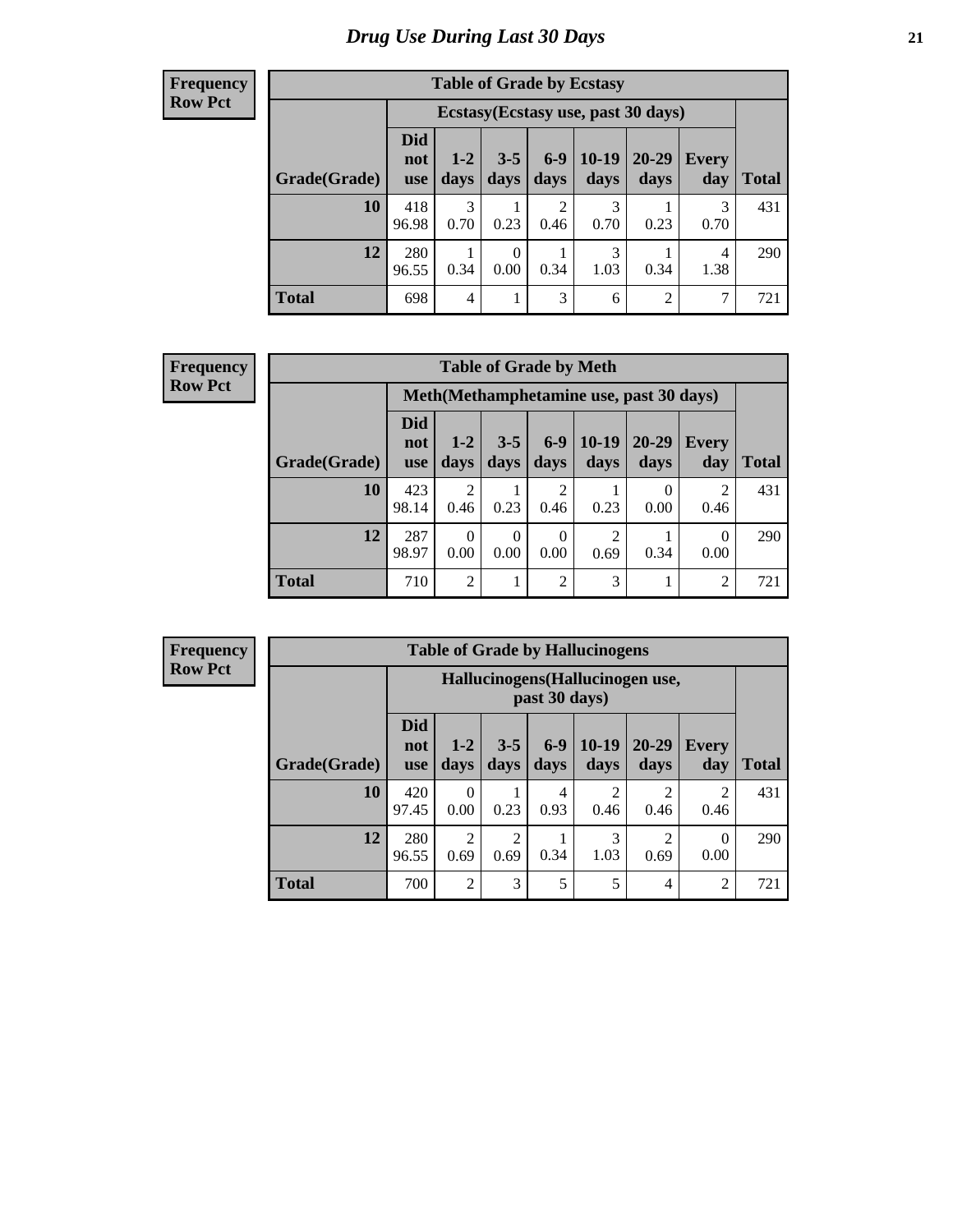| <b>Table of Grade by Ecstasy</b> |                                 |                                     |                 |                 |                 |                |              |       |  |  |  |
|----------------------------------|---------------------------------|-------------------------------------|-----------------|-----------------|-----------------|----------------|--------------|-------|--|--|--|
|                                  |                                 | Ecstasy (Ecstasy use, past 30 days) |                 |                 |                 |                |              |       |  |  |  |
| Grade(Grade)                     | <b>Did</b><br>not<br><b>use</b> | $1 - 2$<br>days                     | $3 - 5$<br>days | $6 - 9$<br>days | $10-19$<br>days | 20-29<br>days  | Every<br>day | Total |  |  |  |
| 10                               | 418<br>96.98                    | 3<br>0.70                           | 0.23            | 2<br>0.46       | 3<br>0.70       | 0.23           | 3<br>0.70    | 431   |  |  |  |
| 12                               | 280<br>96.55                    | 0.34                                | 0<br>0.00       | 0.34            | 3<br>1.03       | 0.34           | 4<br>1.38    | 290   |  |  |  |
| <b>Total</b>                     | 698                             | $\overline{4}$                      |                 | 3               | 6               | $\overline{2}$ | 7            | 721   |  |  |  |

#### **Frequency Row Pct**

| <b>Table of Grade by Meth</b>                                                                                                                              |              |                                         |           |                        |           |      |                |     |  |  |
|------------------------------------------------------------------------------------------------------------------------------------------------------------|--------------|-----------------------------------------|-----------|------------------------|-----------|------|----------------|-----|--|--|
|                                                                                                                                                            |              | Meth(Methamphetamine use, past 30 days) |           |                        |           |      |                |     |  |  |
| Did<br>$6-9$<br>$10-19$<br>20-29<br>$1 - 2$<br>$3 - 5$<br><b>Every</b><br>not<br>Grade(Grade)<br>days<br>days<br>days<br>days<br>day<br>days<br><b>use</b> |              |                                         |           |                        |           |      |                |     |  |  |
| 10                                                                                                                                                         | 423<br>98.14 | $\overline{c}$<br>0.46                  | 0.23      | $\overline{2}$<br>0.46 | 0.23      | 0.00 | 2<br>0.46      | 431 |  |  |
| 12                                                                                                                                                         | 287<br>98.97 | 0.00                                    | 0<br>0.00 | $\Omega$<br>0.00       | 2<br>0.69 | 0.34 | 0<br>0.00      | 290 |  |  |
| <b>Total</b>                                                                                                                                               | 710          | $\mathfrak{D}$                          |           | $\overline{2}$         | 3         |      | $\overline{2}$ | 721 |  |  |

**Frequency Row Pct**

| <b>Table of Grade by Hallucinogens</b> |              |                                 |                                                   |                        |               |                        |                        |              |              |  |  |  |
|----------------------------------------|--------------|---------------------------------|---------------------------------------------------|------------------------|---------------|------------------------|------------------------|--------------|--------------|--|--|--|
|                                        |              |                                 | Hallucinogens (Hallucinogen use,<br>past 30 days) |                        |               |                        |                        |              |              |  |  |  |
|                                        | Grade(Grade) | <b>Did</b><br>not<br><b>use</b> | $1 - 2$<br>days                                   | $3 - 5$<br>days        | $6-9$<br>days | $10-19$<br>days        | $20 - 29$<br>days      | Every<br>day | <b>Total</b> |  |  |  |
|                                        | 10           | 420<br>97.45                    | $\Omega$<br>0.00                                  | 0.23                   | 4<br>0.93     | $\overline{c}$<br>0.46 | 2<br>0.46              | 2<br>0.46    | 431          |  |  |  |
|                                        | 12           | 280<br>96.55                    | $\overline{2}$<br>0.69                            | $\overline{2}$<br>0.69 | 0.34          | 3<br>1.03              | $\mathfrak{D}$<br>0.69 | 0<br>0.00    | 290          |  |  |  |
|                                        | <b>Total</b> | 700                             | $\overline{2}$                                    | 3                      | 5             | 5                      | 4                      | 2            | 721          |  |  |  |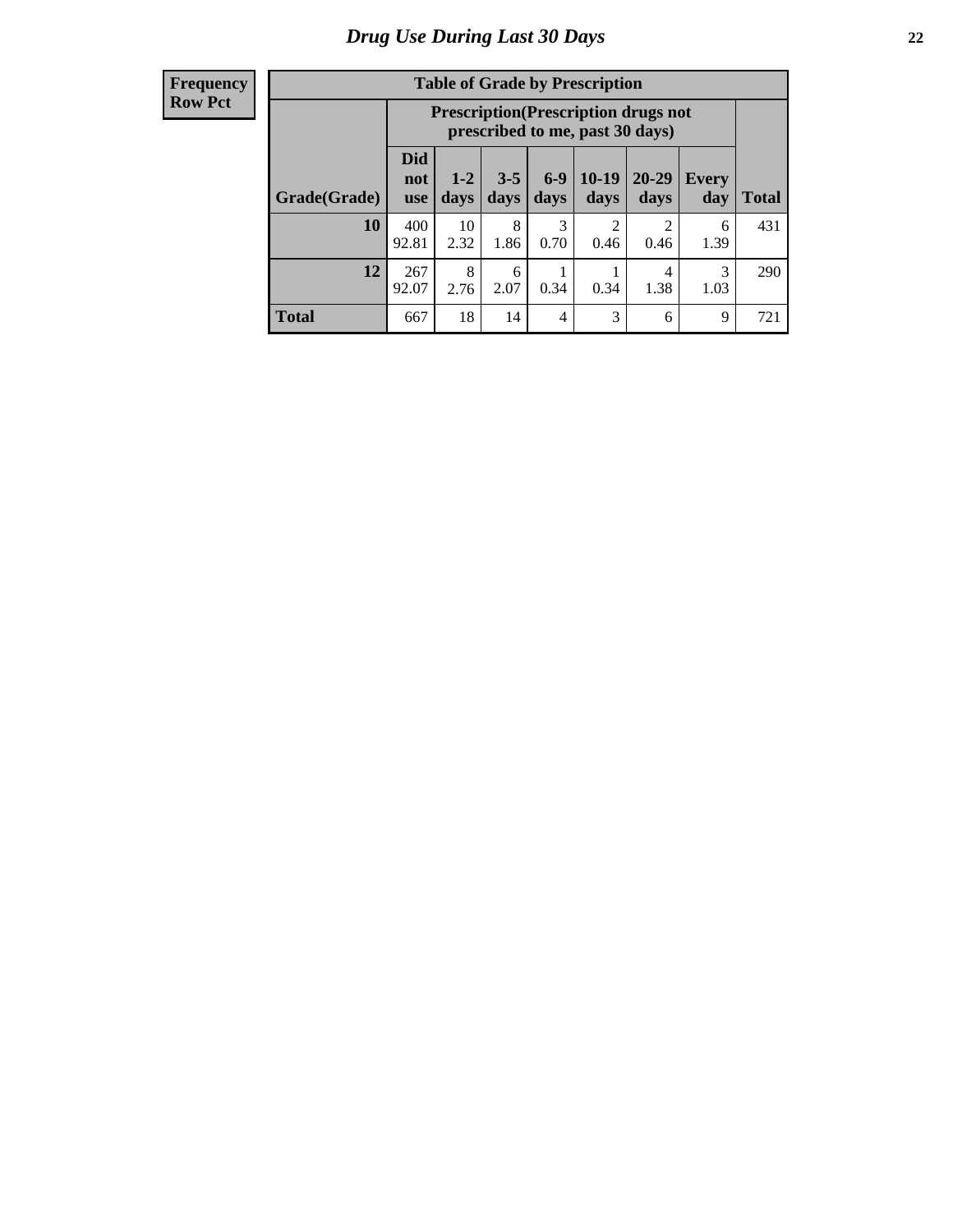| <b>Table of Grade by Prescription</b> |                                 |                                                                                |                 |               |                 |                   |              |       |  |  |
|---------------------------------------|---------------------------------|--------------------------------------------------------------------------------|-----------------|---------------|-----------------|-------------------|--------------|-------|--|--|
|                                       |                                 | <b>Prescription</b> (Prescription drugs not<br>prescribed to me, past 30 days) |                 |               |                 |                   |              |       |  |  |
| Grade(Grade)                          | <b>Did</b><br>not<br><b>use</b> | $1 - 2$<br>days                                                                | $3 - 5$<br>days | $6-9$<br>days | $10-19$<br>days | $20 - 29$<br>days | Every<br>day | Total |  |  |
| 10                                    | 400<br>92.81                    | 10<br>2.32                                                                     | 8<br>1.86       | 3<br>0.70     | 2<br>0.46       | റ<br>0.46         | 6<br>1.39    | 431   |  |  |
| 12                                    | 267<br>92.07                    | 8<br>2.76                                                                      | 6<br>2.07       | 0.34          | 0.34            | 4<br>1.38         | 3<br>1.03    | 290   |  |  |
| <b>Total</b>                          | 667                             | 18                                                                             | 14              | 4             | 3               | 6                 | 9            | 721   |  |  |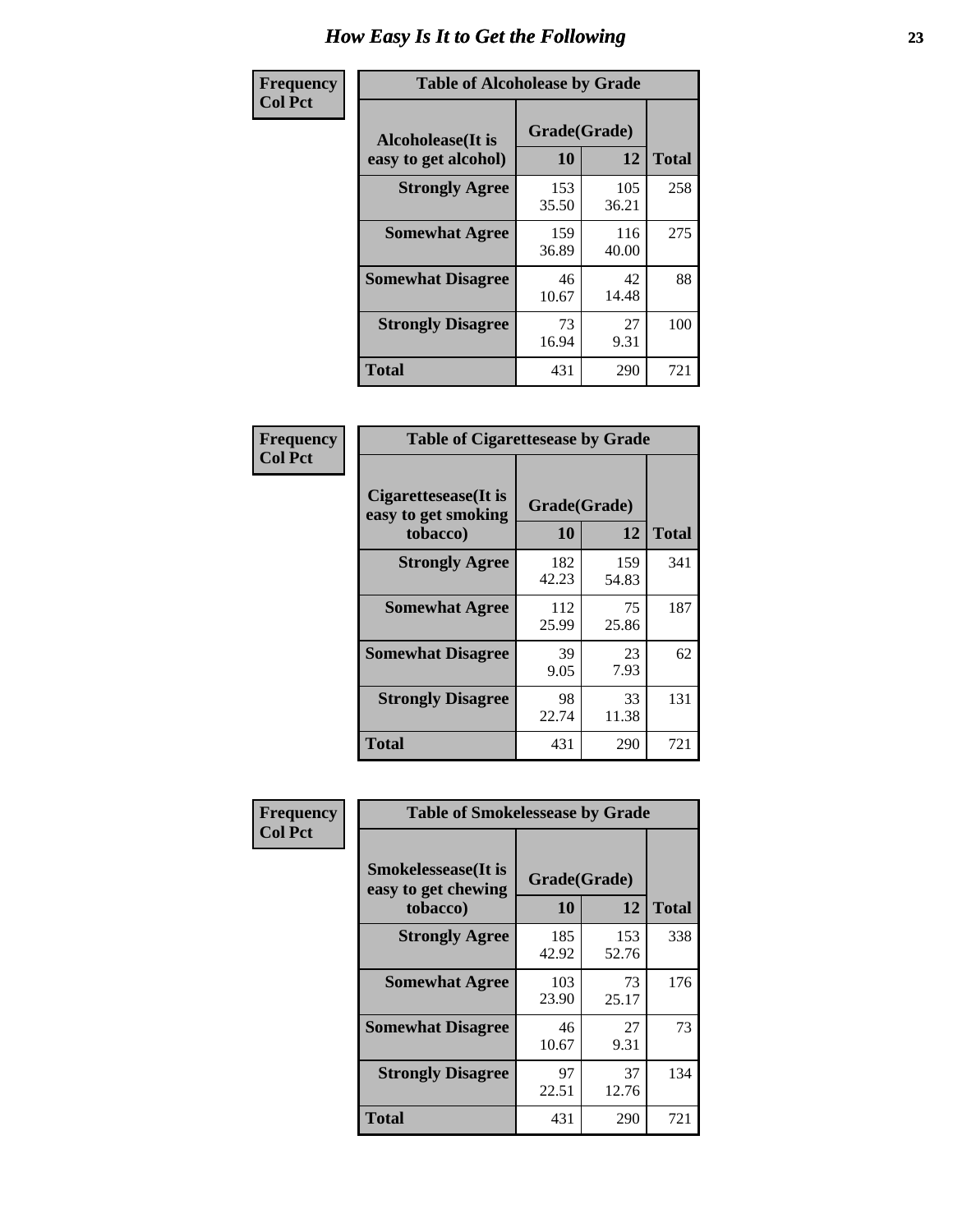| Frequency      | <b>Table of Alcoholease by Grade</b>              |                    |              |              |  |  |  |  |  |
|----------------|---------------------------------------------------|--------------------|--------------|--------------|--|--|--|--|--|
| <b>Col Pct</b> | <b>Alcoholease</b> (It is<br>easy to get alcohol) | Grade(Grade)<br>10 | 12           | <b>Total</b> |  |  |  |  |  |
|                | <b>Strongly Agree</b>                             | 153<br>35.50       | 105<br>36.21 | 258          |  |  |  |  |  |
|                | <b>Somewhat Agree</b>                             | 159<br>36.89       | 116<br>40.00 | 275          |  |  |  |  |  |
|                | <b>Somewhat Disagree</b>                          | 46<br>10.67        | 42<br>14.48  | 88           |  |  |  |  |  |
|                | <b>Strongly Disagree</b>                          | 73<br>16.94        | 27<br>9.31   | 100          |  |  |  |  |  |
|                | <b>Total</b>                                      | 431                | 290          | 721          |  |  |  |  |  |

| Frequency      | <b>Table of Cigarettesease by Grade</b>                 |                    |              |              |  |  |  |  |
|----------------|---------------------------------------------------------|--------------------|--------------|--------------|--|--|--|--|
| <b>Col Pct</b> | Cigarettesease(It is<br>easy to get smoking<br>tobacco) | Grade(Grade)<br>10 | 12           | <b>Total</b> |  |  |  |  |
|                | <b>Strongly Agree</b>                                   | 182<br>42.23       | 159<br>54.83 | 341          |  |  |  |  |
|                | <b>Somewhat Agree</b>                                   | 112<br>25.99       | 75<br>25.86  | 187          |  |  |  |  |
|                | <b>Somewhat Disagree</b>                                | 39<br>9.05         | 23<br>7.93   | 62           |  |  |  |  |
|                | <b>Strongly Disagree</b>                                | 98<br>22.74        | 33<br>11.38  | 131          |  |  |  |  |
|                | <b>Total</b>                                            | 431                | 290          | 721          |  |  |  |  |

| Frequency      | <b>Table of Smokelessease by Grade</b>                         |                    |              |              |
|----------------|----------------------------------------------------------------|--------------------|--------------|--------------|
| <b>Col Pct</b> | <b>Smokelessease</b> (It is<br>easy to get chewing<br>tobacco) | Grade(Grade)<br>10 | 12           | <b>Total</b> |
|                | <b>Strongly Agree</b>                                          | 185<br>42.92       | 153<br>52.76 | 338          |
|                | <b>Somewhat Agree</b>                                          | 103<br>23.90       | 73<br>25.17  | 176          |
|                | <b>Somewhat Disagree</b>                                       | 46<br>10.67        | 27<br>9.31   | 73           |
|                | <b>Strongly Disagree</b>                                       | 97<br>22.51        | 37<br>12.76  | 134          |
|                | Total                                                          | 431                | 290          | 721          |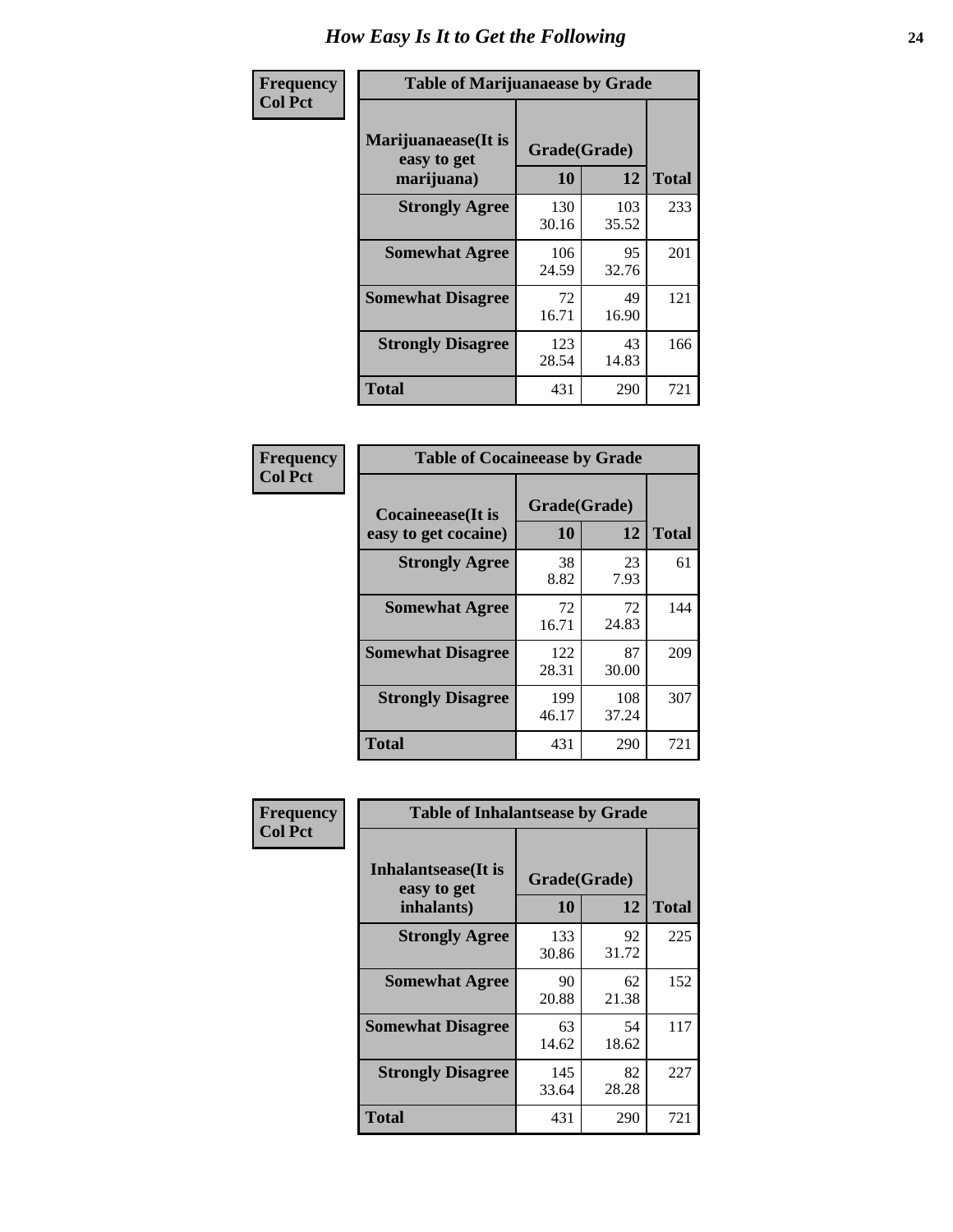| Frequency      | <b>Table of Marijuanaease by Grade</b>           |                    |              |     |  |  |  |  |  |
|----------------|--------------------------------------------------|--------------------|--------------|-----|--|--|--|--|--|
| <b>Col Pct</b> | Marijuanaease(It is<br>easy to get<br>marijuana) | Grade(Grade)<br>10 | <b>Total</b> |     |  |  |  |  |  |
|                | <b>Strongly Agree</b>                            | 130<br>30.16       | 103<br>35.52 | 233 |  |  |  |  |  |
|                | <b>Somewhat Agree</b>                            | 106<br>24.59       | 95<br>32.76  | 201 |  |  |  |  |  |
|                | <b>Somewhat Disagree</b>                         | 72<br>16.71        | 49<br>16.90  | 121 |  |  |  |  |  |
|                | <b>Strongly Disagree</b>                         | 123<br>28.54       | 43<br>14.83  | 166 |  |  |  |  |  |
|                | <b>Total</b>                                     | 431                | 290          | 721 |  |  |  |  |  |

| <b>Table of Cocaineease by Grade</b>              |              |                    |     |  |  |  |  |  |  |
|---------------------------------------------------|--------------|--------------------|-----|--|--|--|--|--|--|
| <b>Cocaineease</b> (It is<br>easy to get cocaine) | 10           | Grade(Grade)<br>12 |     |  |  |  |  |  |  |
| <b>Strongly Agree</b>                             | 38<br>8.82   | 23<br>7.93         | 61  |  |  |  |  |  |  |
| <b>Somewhat Agree</b>                             | 72<br>16.71  | 72<br>24.83        | 144 |  |  |  |  |  |  |
| <b>Somewhat Disagree</b>                          | 122<br>28.31 | 87<br>30.00        | 209 |  |  |  |  |  |  |
| <b>Strongly Disagree</b>                          | 199<br>46.17 | 108<br>37.24       | 307 |  |  |  |  |  |  |
| <b>Total</b>                                      | 431          | 290                | 721 |  |  |  |  |  |  |

| Frequency      | <b>Table of Inhalantsease by Grade</b>           |                    |              |     |  |  |  |  |  |  |
|----------------|--------------------------------------------------|--------------------|--------------|-----|--|--|--|--|--|--|
| <b>Col Pct</b> | Inhalantsease(It is<br>easy to get<br>inhalants) | Grade(Grade)<br>10 | <b>Total</b> |     |  |  |  |  |  |  |
|                | <b>Strongly Agree</b>                            | 133<br>30.86       | 92<br>31.72  | 225 |  |  |  |  |  |  |
|                | <b>Somewhat Agree</b>                            | 90<br>20.88        | 62<br>21.38  | 152 |  |  |  |  |  |  |
|                | <b>Somewhat Disagree</b>                         | 63<br>14.62        | 54<br>18.62  | 117 |  |  |  |  |  |  |
|                | <b>Strongly Disagree</b>                         | 145<br>33.64       | 82<br>28.28  | 227 |  |  |  |  |  |  |
|                | <b>Total</b>                                     | 431                | 290          | 721 |  |  |  |  |  |  |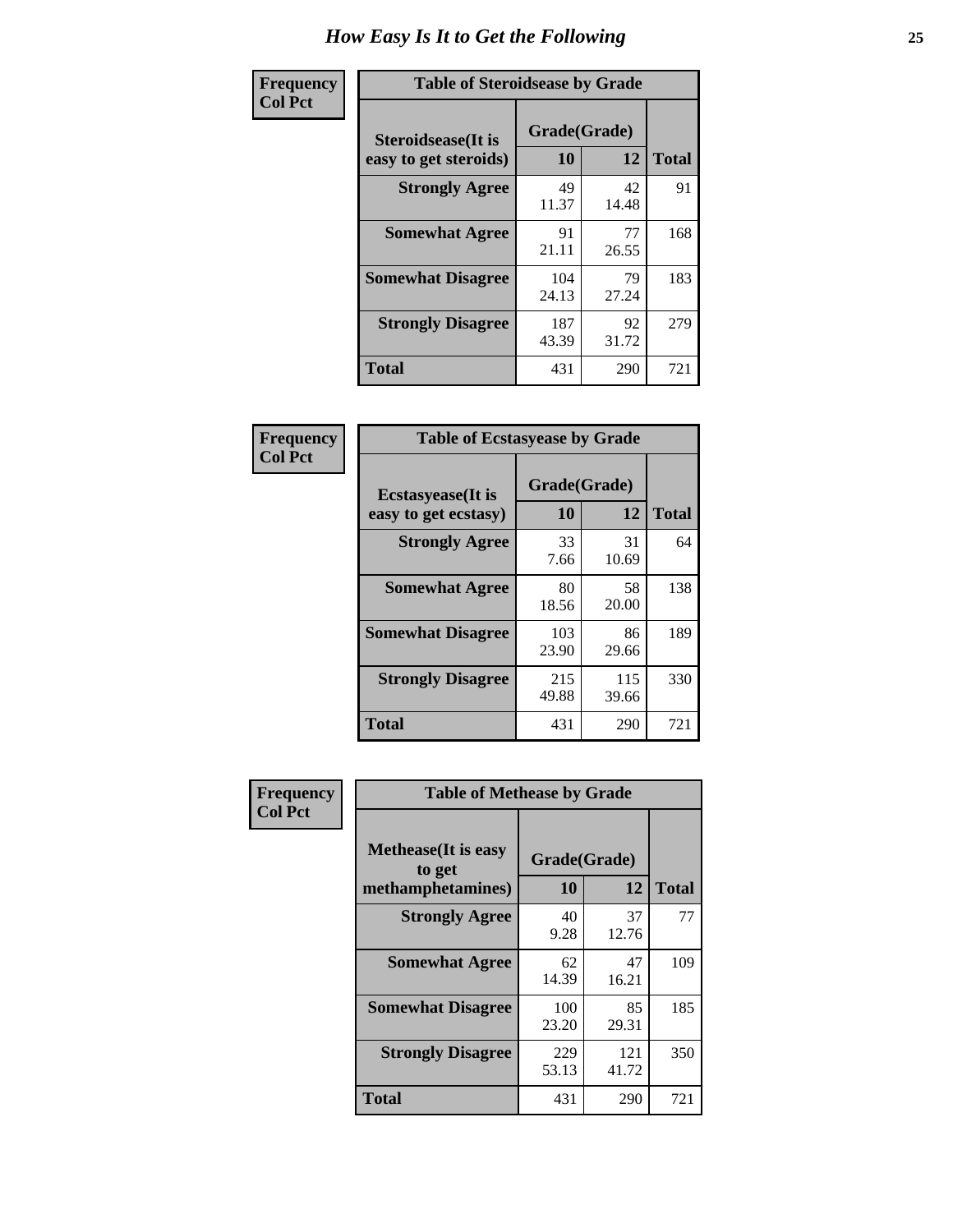| Frequency      | <b>Table of Steroidsease by Grade</b>               |                    |              |     |  |  |  |  |  |
|----------------|-----------------------------------------------------|--------------------|--------------|-----|--|--|--|--|--|
| <b>Col Pct</b> | <b>Steroidsease</b> (It is<br>easy to get steroids) | Grade(Grade)<br>10 | <b>Total</b> |     |  |  |  |  |  |
|                | <b>Strongly Agree</b>                               | 49<br>11.37        | 42<br>14.48  | 91  |  |  |  |  |  |
|                | <b>Somewhat Agree</b>                               | 91<br>21.11        | 77<br>26.55  | 168 |  |  |  |  |  |
|                | <b>Somewhat Disagree</b>                            | 104<br>24.13       | 79<br>27.24  | 183 |  |  |  |  |  |
|                | <b>Strongly Disagree</b>                            | 187<br>43.39       | 92<br>31.72  | 279 |  |  |  |  |  |
|                | <b>Total</b>                                        | 431                | 290          | 721 |  |  |  |  |  |

| Frequency      |  |
|----------------|--|
| <b>Col Pct</b> |  |

| <b>Table of Ecstasyease by Grade</b>              |                    |              |     |  |  |  |  |  |  |  |
|---------------------------------------------------|--------------------|--------------|-----|--|--|--|--|--|--|--|
| <b>Ecstasyease</b> (It is<br>easy to get ecstasy) | Grade(Grade)<br>10 | <b>Total</b> |     |  |  |  |  |  |  |  |
| <b>Strongly Agree</b>                             | 33<br>7.66         | 31<br>10.69  | 64  |  |  |  |  |  |  |  |
| <b>Somewhat Agree</b>                             | 80<br>18.56        | 58<br>20.00  | 138 |  |  |  |  |  |  |  |
| <b>Somewhat Disagree</b>                          | 103<br>23.90       | 86<br>29.66  | 189 |  |  |  |  |  |  |  |
| <b>Strongly Disagree</b>                          | 215<br>49.88       | 115<br>39.66 | 330 |  |  |  |  |  |  |  |
| <b>Total</b>                                      | 431                | 290          | 721 |  |  |  |  |  |  |  |

| Frequency      | <b>Table of Methease by Grade</b>                          |                    |              |              |  |  |  |  |  |  |
|----------------|------------------------------------------------------------|--------------------|--------------|--------------|--|--|--|--|--|--|
| <b>Col Pct</b> | <b>Methease</b> (It is easy<br>to get<br>methamphetamines) | Grade(Grade)<br>10 | 12           | <b>Total</b> |  |  |  |  |  |  |
|                | <b>Strongly Agree</b>                                      | 40<br>9.28         | 37<br>12.76  | 77           |  |  |  |  |  |  |
|                | <b>Somewhat Agree</b>                                      | 62<br>14.39        | 47<br>16.21  | 109          |  |  |  |  |  |  |
|                | <b>Somewhat Disagree</b>                                   | 100<br>23.20       | 85<br>29.31  | 185          |  |  |  |  |  |  |
|                | <b>Strongly Disagree</b>                                   | 229<br>53.13       | 121<br>41.72 | 350          |  |  |  |  |  |  |
|                | Total                                                      | 431                | 290          | 721          |  |  |  |  |  |  |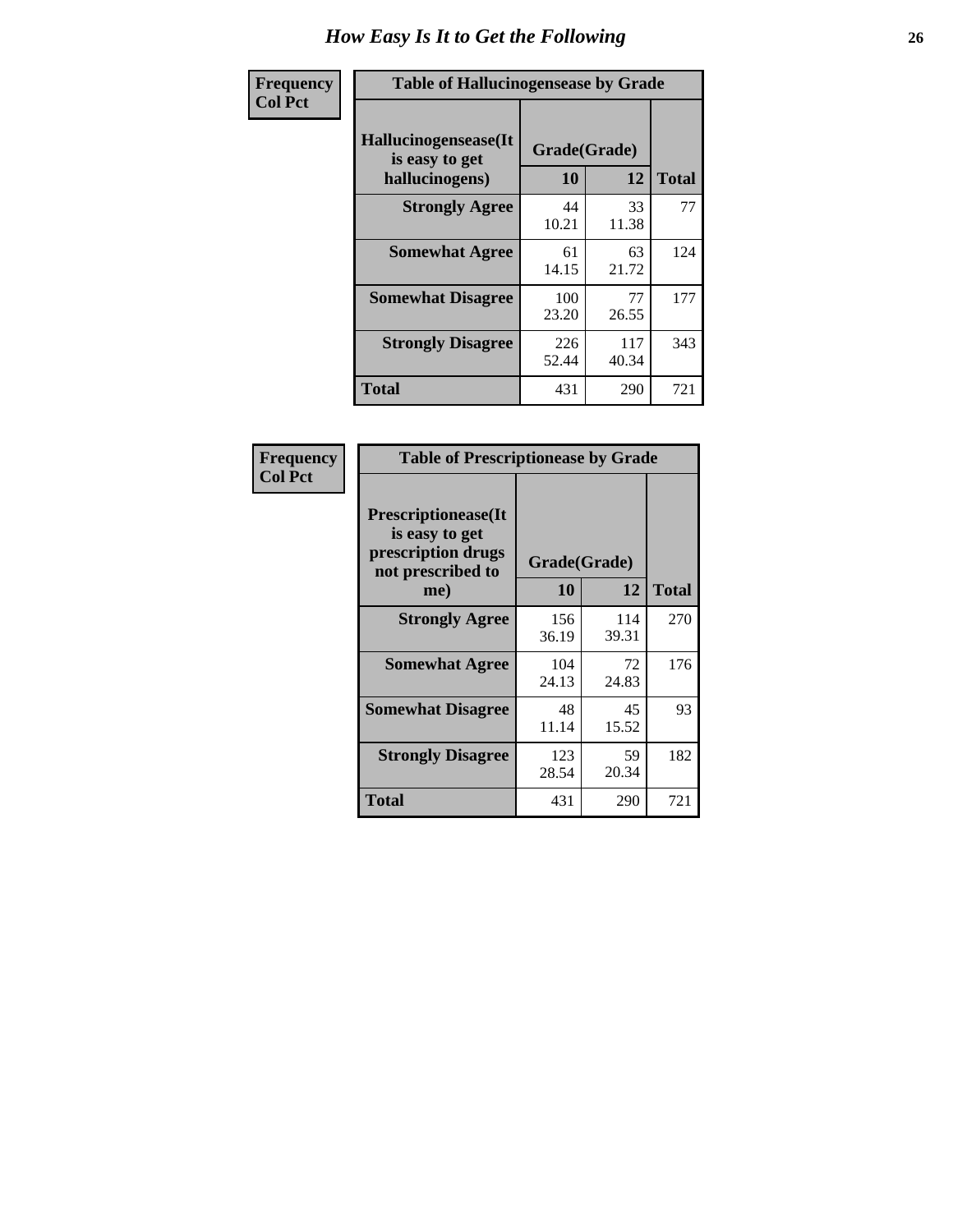| <b>Frequency</b> | <b>Table of Hallucinogensease by Grade</b>               |                    |              |     |  |  |  |  |  |
|------------------|----------------------------------------------------------|--------------------|--------------|-----|--|--|--|--|--|
| <b>Col Pct</b>   | Hallucinogensease(It<br>is easy to get<br>hallucinogens) | Grade(Grade)<br>10 | <b>Total</b> |     |  |  |  |  |  |
|                  | <b>Strongly Agree</b>                                    | 44<br>10.21        | 33<br>11.38  | 77  |  |  |  |  |  |
|                  | <b>Somewhat Agree</b>                                    | 61<br>14.15        | 63<br>21.72  | 124 |  |  |  |  |  |
|                  | <b>Somewhat Disagree</b>                                 | 100<br>23.20       | 77<br>26.55  | 177 |  |  |  |  |  |
|                  | <b>Strongly Disagree</b>                                 | 226<br>52.44       | 117<br>40.34 | 343 |  |  |  |  |  |
|                  | <b>Total</b>                                             | 431                | 290          | 721 |  |  |  |  |  |

| Frequency<br>Col Pct |
|----------------------|
|                      |

| <b>Table of Prescriptionease by Grade</b>                                               |              |              |              |  |  |  |  |  |  |  |
|-----------------------------------------------------------------------------------------|--------------|--------------|--------------|--|--|--|--|--|--|--|
| <b>Prescriptionease(It</b><br>is easy to get<br>prescription drugs<br>not prescribed to |              | Grade(Grade) |              |  |  |  |  |  |  |  |
| me)                                                                                     | 10           | 12           | <b>Total</b> |  |  |  |  |  |  |  |
| <b>Strongly Agree</b>                                                                   | 156<br>36.19 | 114<br>39.31 | 270          |  |  |  |  |  |  |  |
| <b>Somewhat Agree</b>                                                                   | 104<br>24.13 | 72<br>24.83  | 176          |  |  |  |  |  |  |  |
| <b>Somewhat Disagree</b>                                                                | 48<br>11.14  | 45<br>15.52  | 93           |  |  |  |  |  |  |  |
| <b>Strongly Disagree</b>                                                                | 123<br>28.54 | 59<br>20.34  | 182          |  |  |  |  |  |  |  |
| <b>Total</b>                                                                            | 431          | 290          | 721          |  |  |  |  |  |  |  |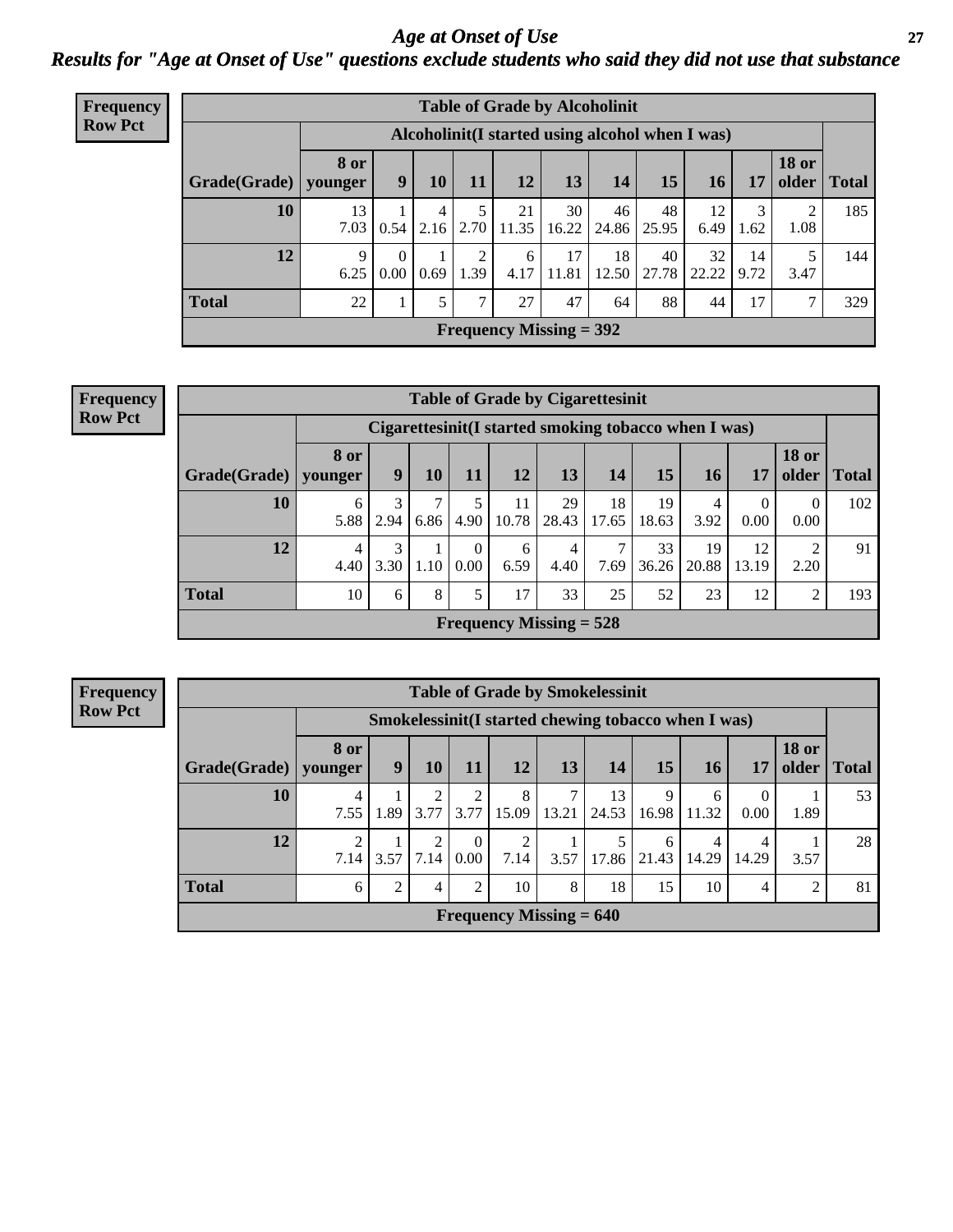*Age at Onset of Use* **27** *Results for "Age at Onset of Use" questions exclude students who said they did not use that substance*

| Frequency      | <b>Table of Grade by Alcoholinit</b>             |                        |                               |      |               |             |                                |             |             |             |            |                       |              |
|----------------|--------------------------------------------------|------------------------|-------------------------------|------|---------------|-------------|--------------------------------|-------------|-------------|-------------|------------|-----------------------|--------------|
| <b>Row Pct</b> | Alcoholinit (I started using alcohol when I was) |                        |                               |      |               |             |                                |             |             |             |            |                       |              |
|                | Grade(Grade)                                     | <b>8 or</b><br>vounger | 9                             | 10   | 11            | 12          | 13                             | 14          | 15          | 16          | 17         | <b>18 or</b><br>older | <b>Total</b> |
|                | 10                                               | 13<br>7.03             | 0.54                          | 4    | $2.16$   2.70 | 21<br>11.35 | 30<br>16.22                    | 46<br>24.86 | 48<br>25.95 | 12<br>6.49  | 3<br>1.62  | 2<br>1.08             | 185          |
|                | 12                                               | 9<br>6.25              | $\Omega$<br>0.00 <sub>l</sub> | 0.69 | 2<br>1.39     | 6<br>4.17   | 17<br>11.81                    | 18<br>12.50 | 40<br>27.78 | 32<br>22.22 | 14<br>9.72 | 3.47                  | 144          |
|                | <b>Total</b>                                     | 22                     |                               | 5    | ⇁             | 27          | 47                             | 64          | 88          | 44          | 17         | ⇁                     | 329          |
|                |                                                  |                        |                               |      |               |             | <b>Frequency Missing = 392</b> |             |             |             |            |                       |              |

| <b>Table of Grade by Cigarettesinit</b> |                 |                                                      |           |           |             |                           |             |             |             |                  |                        |       |
|-----------------------------------------|-----------------|------------------------------------------------------|-----------|-----------|-------------|---------------------------|-------------|-------------|-------------|------------------|------------------------|-------|
|                                         |                 | Cigarettesinit(I started smoking tobacco when I was) |           |           |             |                           |             |             |             |                  |                        |       |
| Grade(Grade)                            | 8 or<br>younger | 9                                                    | 10        | 11        | 12          | 13                        | 14          | 15          | 16          | 17               | <b>18 or</b><br>older  | Total |
| 10                                      | 6<br>5.88       | 3<br>2.94                                            | ⇁<br>6.86 | 5<br>4.90 | 11<br>10.78 | 29<br>28.43               | 18<br>17.65 | 19<br>18.63 | 4<br>3.92   | $\theta$<br>0.00 | $\theta$<br>0.00       | 102   |
| 12                                      | 4<br>4.40       | 3<br>3.30                                            | 1.10      | 0<br>0.00 | 6<br>6.59   | 4<br>4.40                 | 7.69        | 33<br>36.26 | 19<br>20.88 | 12<br>13.19      | $\overline{2}$<br>2.20 | 91    |
| <b>Total</b>                            | 10              | 6                                                    | 8         | 5         | 17          | 33                        | 25          | 52          | 23          | 12               | $\overline{c}$         | 193   |
|                                         |                 |                                                      |           |           |             | Frequency Missing $= 528$ |             |             |             |                  |                        |       |

**Frequency Row Pct**

| <b>Table of Grade by Smokelessinit</b> |                 |      |                        |                  |                                                     |            |             |            |            |                  |                       |              |
|----------------------------------------|-----------------|------|------------------------|------------------|-----------------------------------------------------|------------|-------------|------------|------------|------------------|-----------------------|--------------|
|                                        |                 |      |                        |                  | Smokelessinit(I started chewing tobacco when I was) |            |             |            |            |                  |                       |              |
| Grade(Grade)                           | 8 or<br>younger | 9    | 10                     | 11               | 12                                                  | 13         | 14          | 15         | 16         | 17               | <b>18 or</b><br>older | <b>Total</b> |
| 10                                     | 4<br>7.55       | 1.89 | 3.77                   | 2<br>3.77        | 8<br>15.09                                          | 7<br>13.21 | 13<br>24.53 | 9<br>16.98 | 6<br>11.32 | $\theta$<br>0.00 | 1.89                  | 53           |
| 12                                     | 2<br>7.14       | 3.57 | $\mathfrak{D}$<br>7.14 | $\theta$<br>0.00 | $\overline{2}$<br>7.14                              | 3.57       | 17.86       | 6<br>21.43 | 4<br>14.29 | 4<br>14.29       | 3.57                  | 28           |
| <b>Total</b>                           | 6               | ∍    | 4                      | $\overline{2}$   | 10                                                  | 8          | 18          | 15         | 10         | 4                | 2                     | 81           |
| Frequency Missing $= 640$              |                 |      |                        |                  |                                                     |            |             |            |            |                  |                       |              |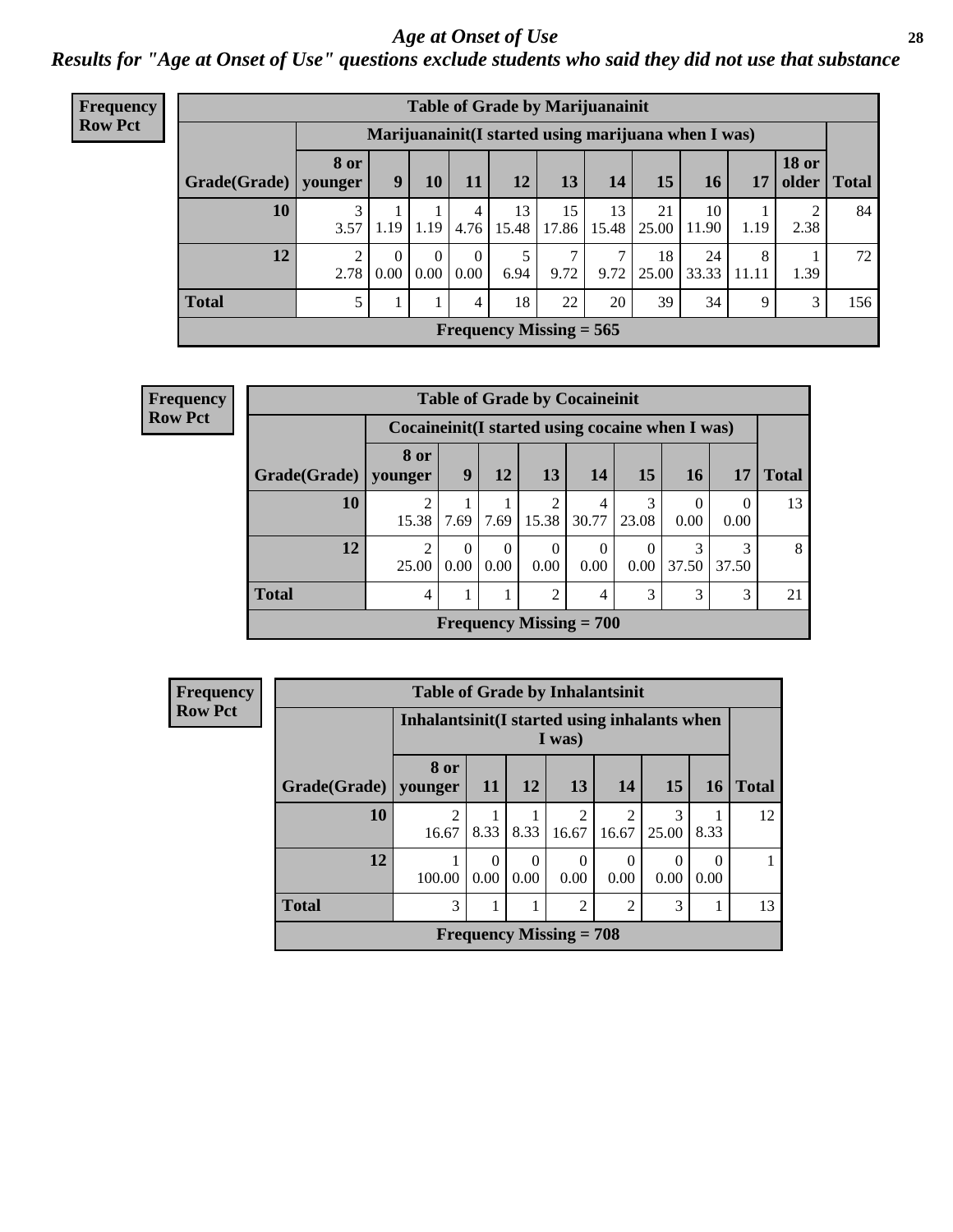#### *Age at Onset of Use* **28**

*Results for "Age at Onset of Use" questions exclude students who said they did not use that substance*

| <b>Frequency</b> | <b>Table of Grade by Marijuanainit</b> |                        |      |                  |                  |             |                                                     |             |             |             |            |                       |              |
|------------------|----------------------------------------|------------------------|------|------------------|------------------|-------------|-----------------------------------------------------|-------------|-------------|-------------|------------|-----------------------|--------------|
| <b>Row Pct</b>   |                                        |                        |      |                  |                  |             | Marijuanainit(I started using marijuana when I was) |             |             |             |            |                       |              |
|                  | Grade(Grade)                           | 8 or<br>younger        | 9    | 10               | 11               | 12          | 13                                                  | 14          | 15          | 16          | 17         | <b>18 or</b><br>older | <b>Total</b> |
|                  | 10                                     | 3<br>3.57              | 1.19 | 1.19             | 4<br>4.76        | 13<br>15.48 | 15<br>17.86                                         | 13<br>15.48 | 21<br>25.00 | 10<br>11.90 | 1.19       | 2.38                  | 84           |
|                  | 12                                     | $\mathfrak{D}$<br>2.78 | 0.00 | $\theta$<br>0.00 | $\theta$<br>0.00 | 6.94        | 7<br>9.72                                           | 7<br>9.72   | 18<br>25.00 | 24<br>33.33 | 8<br>11.11 | 1.39                  | 72           |
|                  | <b>Total</b>                           | 5                      |      |                  | 4                | 18          | 22                                                  | 20          | 39          | 34          | 9          | 3                     | 156          |
|                  | Frequency Missing $= 565$              |                        |      |                  |                  |             |                                                     |             |             |             |            |                       |              |

| <b>Frequency</b> |                           |                                                  |           |                  |                  | <b>Table of Grade by Cocaineinit</b> |                               |                  |            |              |  |
|------------------|---------------------------|--------------------------------------------------|-----------|------------------|------------------|--------------------------------------|-------------------------------|------------------|------------|--------------|--|
| <b>Row Pct</b>   |                           | Cocaineinit (I started using cocaine when I was) |           |                  |                  |                                      |                               |                  |            |              |  |
|                  | Grade(Grade)              | 8 or<br>younger                                  | 9         | 12               | 13               | <b>14</b>                            | 15                            | <b>16</b>        | 17         | <b>Total</b> |  |
|                  | 10                        | 15.38                                            | 7.69      | 7.69             | 15.38            | 4<br>30.77                           | 3<br>23.08                    | $\theta$<br>0.00 | 0<br>0.00  | 13           |  |
|                  | 12                        | ↑<br>25.00                                       | 0<br>0.00 | $\Omega$<br>0.00 | $\left($<br>0.00 | $\Omega$<br>0.00                     | $\theta$<br>0.00 <sub>1</sub> | 3<br>37.50       | 3<br>37.50 | 8            |  |
|                  | <b>Total</b>              | 4                                                |           |                  | 2                | 4                                    | 3                             | 3                | 3          | 21           |  |
|                  | Frequency Missing $= 700$ |                                                  |           |                  |                  |                                      |                               |                  |            |              |  |

| Frequency<br>Row Pct |
|----------------------|
|                      |

| <b>Table of Grade by Inhalantsinit</b> |                                                  |                                                                |           |                         |            |            |           |    |  |  |  |  |
|----------------------------------------|--------------------------------------------------|----------------------------------------------------------------|-----------|-------------------------|------------|------------|-----------|----|--|--|--|--|
|                                        |                                                  | Inhalantsinit(I started using inhalants when<br>I was)         |           |                         |            |            |           |    |  |  |  |  |
| Grade(Grade)   younger                 | 8 or                                             | 13<br>12<br>15<br><b>Total</b><br>14<br><b>11</b><br><b>16</b> |           |                         |            |            |           |    |  |  |  |  |
| 10                                     | 16.67                                            | 8.33                                                           | 8.33      | $\mathfrak{D}$<br>16.67 | 2<br>16.67 | 3<br>25.00 | 8.33      | 12 |  |  |  |  |
| 12                                     | 100.00                                           | $\Omega$<br>0.00                                               | 0<br>0.00 | $\mathcal{O}$<br>0.00   | 0<br>0.00  | 0.00       | 0<br>0.00 |    |  |  |  |  |
| <b>Total</b>                           | $\overline{2}$<br>3<br>$\overline{2}$<br>3<br>13 |                                                                |           |                         |            |            |           |    |  |  |  |  |
| Frequency Missing $= 708$              |                                                  |                                                                |           |                         |            |            |           |    |  |  |  |  |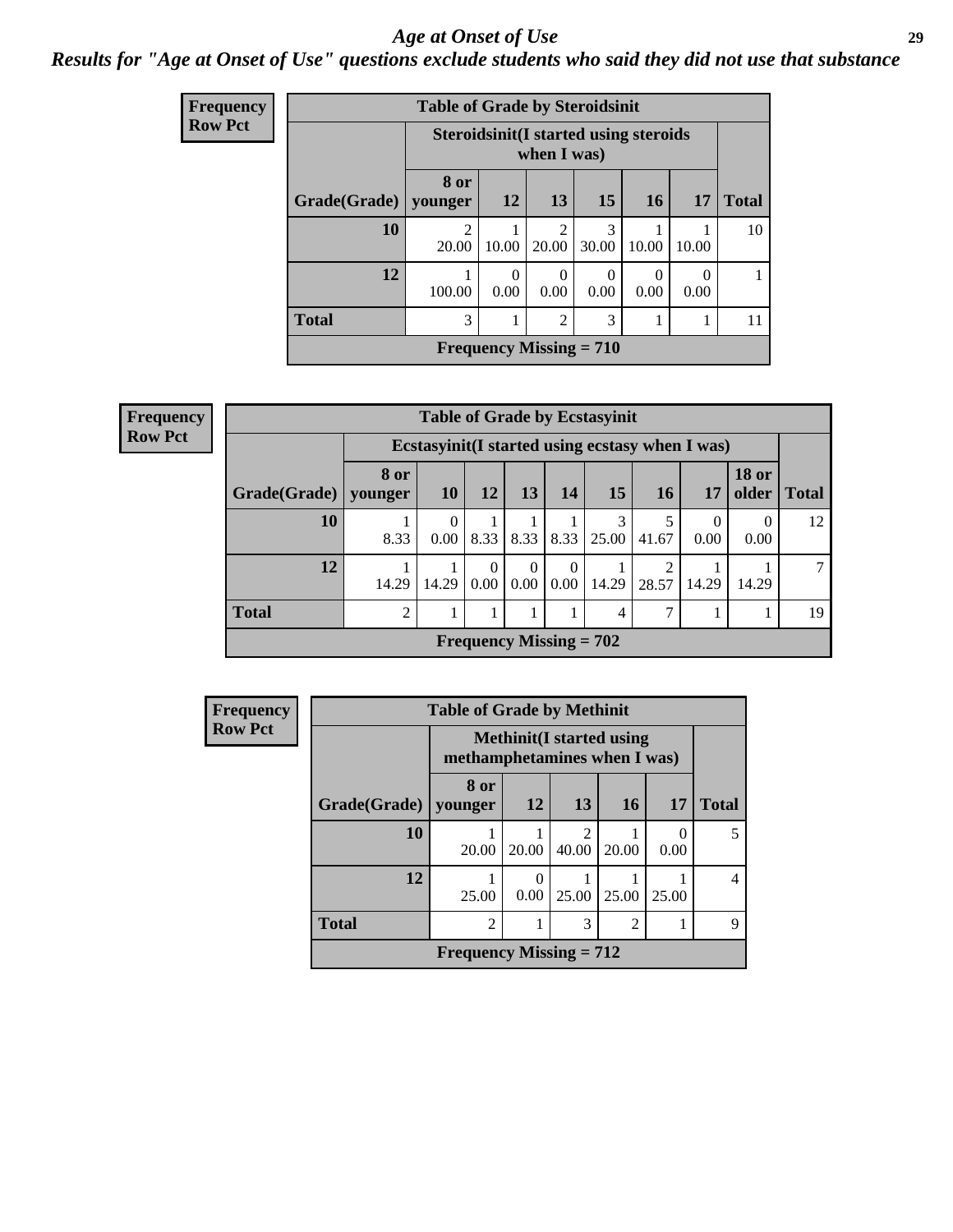#### *Age at Onset of Use* **29**

### *Results for "Age at Onset of Use" questions exclude students who said they did not use that substance*

| <b>Frequency</b> |              | <b>Table of Grade by Steroidsinit</b> |                  |                                                             |            |           |                  |              |  |  |
|------------------|--------------|---------------------------------------|------------------|-------------------------------------------------------------|------------|-----------|------------------|--------------|--|--|
| <b>Row Pct</b>   |              |                                       |                  | <b>Steroidsinit(I started using steroids</b><br>when I was) |            |           |                  |              |  |  |
|                  | Grade(Grade) | 8 or<br>younger                       | 12               | 13                                                          | 15         | <b>16</b> | 17               | <b>Total</b> |  |  |
|                  | 10           | $\overline{c}$<br>20.00               | 10.00            | 2<br>20.00                                                  | 3<br>30.00 | 10.00     | 10.00            | 10           |  |  |
|                  | 12           | 100.00                                | $\Omega$<br>0.00 | $\Omega$<br>0.00                                            | 0<br>0.00  | 0<br>0.00 | $\Omega$<br>0.00 | 1            |  |  |
|                  | <b>Total</b> | 3                                     |                  | $\overline{2}$                                              | 3          |           |                  | 11           |  |  |
|                  |              | Frequency Missing $= 710$             |                  |                                                             |            |           |                  |              |  |  |

| <b>Frequency</b> |                                             |       |                                                  |                  |                  |                  | <b>Table of Grade by Ecstasyinit</b> |       |                  |                       |              |
|------------------|---------------------------------------------|-------|--------------------------------------------------|------------------|------------------|------------------|--------------------------------------|-------|------------------|-----------------------|--------------|
| <b>Row Pct</b>   |                                             |       | Ecstasyinit (I started using ecstasy when I was) |                  |                  |                  |                                      |       |                  |                       |              |
|                  | Grade(Grade)   younger                      | 8 or  | <b>10</b>                                        | 12               | 13               | 14               | 15                                   | 16    | <b>17</b>        | <b>18 or</b><br>older | <b>Total</b> |
|                  | 10                                          | 8.33  | $\left($<br>0.00 <sub>1</sub>                    | 8.33             | 8.33             | 8.33             | 3<br>25.00                           | 41.67 | $\theta$<br>0.00 | $\theta$<br>0.00      | 12           |
|                  | 12                                          | 14.29 | 14.29                                            | $\Omega$<br>0.00 | $\Omega$<br>0.00 | $\Omega$<br>0.00 | 14.29                                | 28.57 | 14.29            | 14.29                 | 7            |
|                  | <b>Total</b>                                | 2     |                                                  |                  |                  |                  | 4                                    | 7     |                  |                       | 19           |
|                  | <b>Frequency Missing = <math>702</math></b> |       |                                                  |                  |                  |                  |                                      |       |                  |                       |              |

| <b>Frequency</b>          |                        | <b>Table of Grade by Methinit</b> |                                                                  |                         |                |                  |              |  |  |
|---------------------------|------------------------|-----------------------------------|------------------------------------------------------------------|-------------------------|----------------|------------------|--------------|--|--|
| <b>Row Pct</b>            |                        |                                   | <b>Methinit</b> (I started using<br>methamphetamines when I was) |                         |                |                  |              |  |  |
|                           | Grade(Grade)   younger | 8 or                              | 12                                                               | 13                      | 16             | 17               | <b>Total</b> |  |  |
|                           | <b>10</b>              | 20.00                             | 20.00                                                            | $\overline{2}$<br>40.00 | 20.00          | $\Omega$<br>0.00 |              |  |  |
|                           | 12                     | 25.00                             | $\Omega$<br>0.00                                                 | 25.00                   | 25.00          | 25.00            | 4            |  |  |
|                           | <b>Total</b>           | $\mathfrak{D}$                    |                                                                  | 3                       | $\overline{c}$ |                  | 9            |  |  |
| Frequency Missing $= 712$ |                        |                                   |                                                                  |                         |                |                  |              |  |  |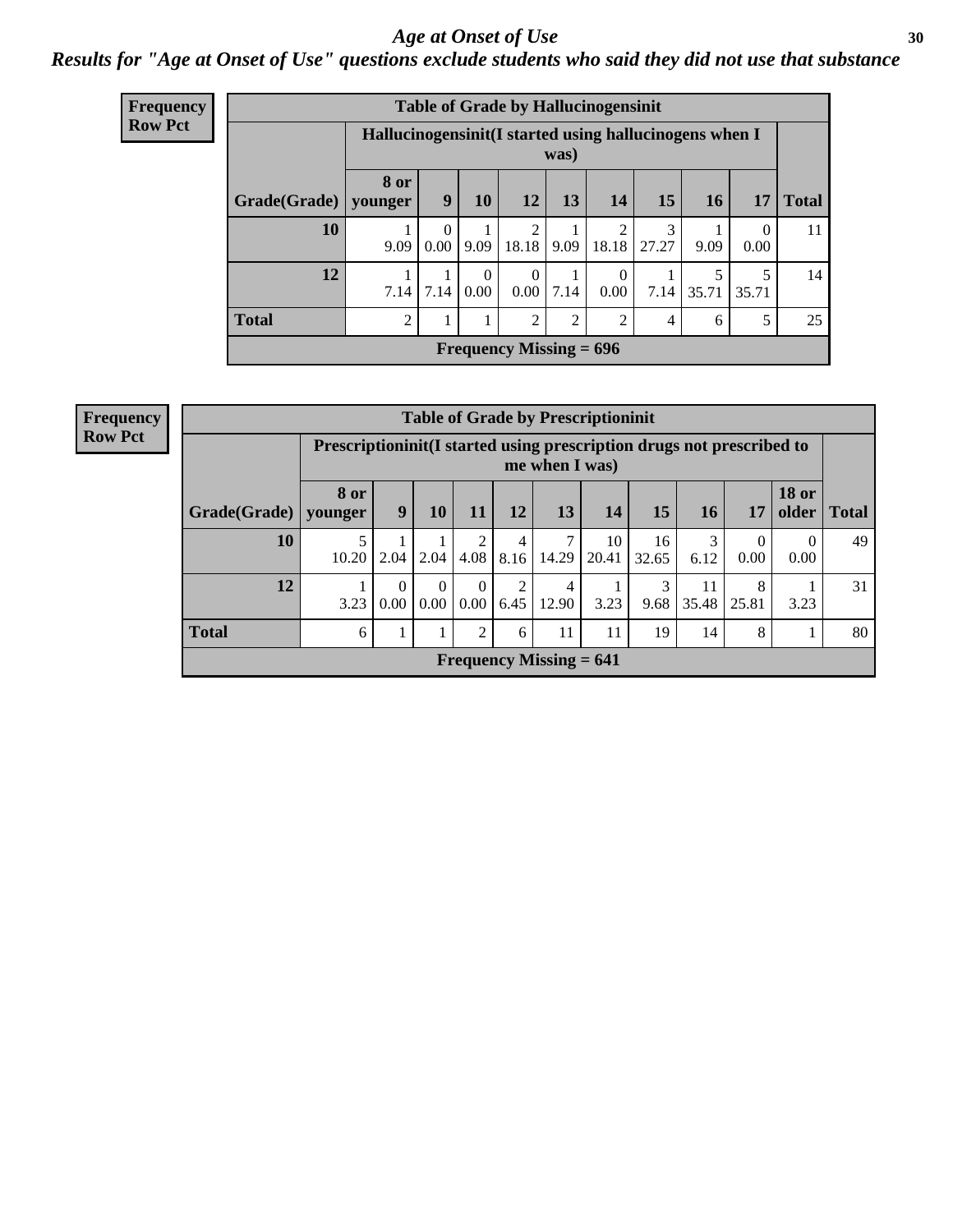#### Age at Onset of Use **30**

### *Results for "Age at Onset of Use" questions exclude students who said they did not use that substance*

| <b>Frequency</b>          |                        |                                                        |           |                  |                         |      | <b>Table of Grade by Hallucinogensinit</b> |            |           |                  |              |
|---------------------------|------------------------|--------------------------------------------------------|-----------|------------------|-------------------------|------|--------------------------------------------|------------|-----------|------------------|--------------|
| <b>Row Pct</b>            |                        | Hallucinogensinit(I started using hallucinogens when I |           |                  |                         | was) |                                            |            |           |                  |              |
|                           | Grade(Grade)   younger | 8 or                                                   | 9         | 10               | 12                      | 13   | 14                                         | 15         | <b>16</b> | 17               | <b>Total</b> |
|                           | 10                     | 9.09                                                   | 0<br>0.00 | 9.09             | $\mathfrak{D}$<br>18.18 | 9.09 | $\mathfrak{D}$<br>18.18                    | 3<br>27.27 | 9.09      | $\theta$<br>0.00 | 11           |
|                           | 12                     | 7.14                                                   | 7.14      | $\theta$<br>0.00 | $\theta$<br>$0.00\,$    | 7.14 | 0<br>0.00                                  | 7.14       | 35.71     | 5<br>35.71       | 14           |
|                           | <b>Total</b>           | 2                                                      |           |                  | 2                       | 2    | $\mathfrak{D}$                             | 4          | 6         | 5                | 25           |
| Frequency Missing $= 696$ |                        |                                                        |           |                  |                         |      |                                            |            |           |                  |              |

| <b>Frequency</b> | <b>Table of Grade by Prescriptioninit</b> |             |                                                                                            |                      |                  |           |            |             |             |           |                  |                       |              |  |
|------------------|-------------------------------------------|-------------|--------------------------------------------------------------------------------------------|----------------------|------------------|-----------|------------|-------------|-------------|-----------|------------------|-----------------------|--------------|--|
| <b>Row Pct</b>   |                                           |             | Prescription in it (I started using prescription drugs not prescribed to<br>me when I was) |                      |                  |           |            |             |             |           |                  |                       |              |  |
|                  | $Grade(Grade)$ younger                    | <b>8 or</b> | 9                                                                                          | 10                   | 11               | 12        | 13         | 14          | 15          | 16        | 17               | <b>18 or</b><br>older | <b>Total</b> |  |
|                  | 10                                        | 5<br>10.20  | 2.04                                                                                       | 2.04                 | 4.08             | 4<br>8.16 | 7<br>14.29 | 10<br>20.41 | 16<br>32.65 | 3<br>6.12 | $\Omega$<br>0.00 | $\theta$<br>0.00      | 49           |  |
|                  | 12                                        | 3.23        | $\Omega$<br>0.00                                                                           | $\Omega$<br>$0.00\,$ | $\Omega$<br>0.00 | 6.45      | 4<br>12.90 | 3.23        | 3<br>9.68   | 35.48     | 8<br>25.81       | 3.23                  | 31           |  |
|                  | <b>Total</b>                              | 6           | 1                                                                                          | 1                    | 2                | 6         | 11         | 11          | 19          | 14        | 8                |                       | 80           |  |
|                  | Frequency Missing $= 641$                 |             |                                                                                            |                      |                  |           |            |             |             |           |                  |                       |              |  |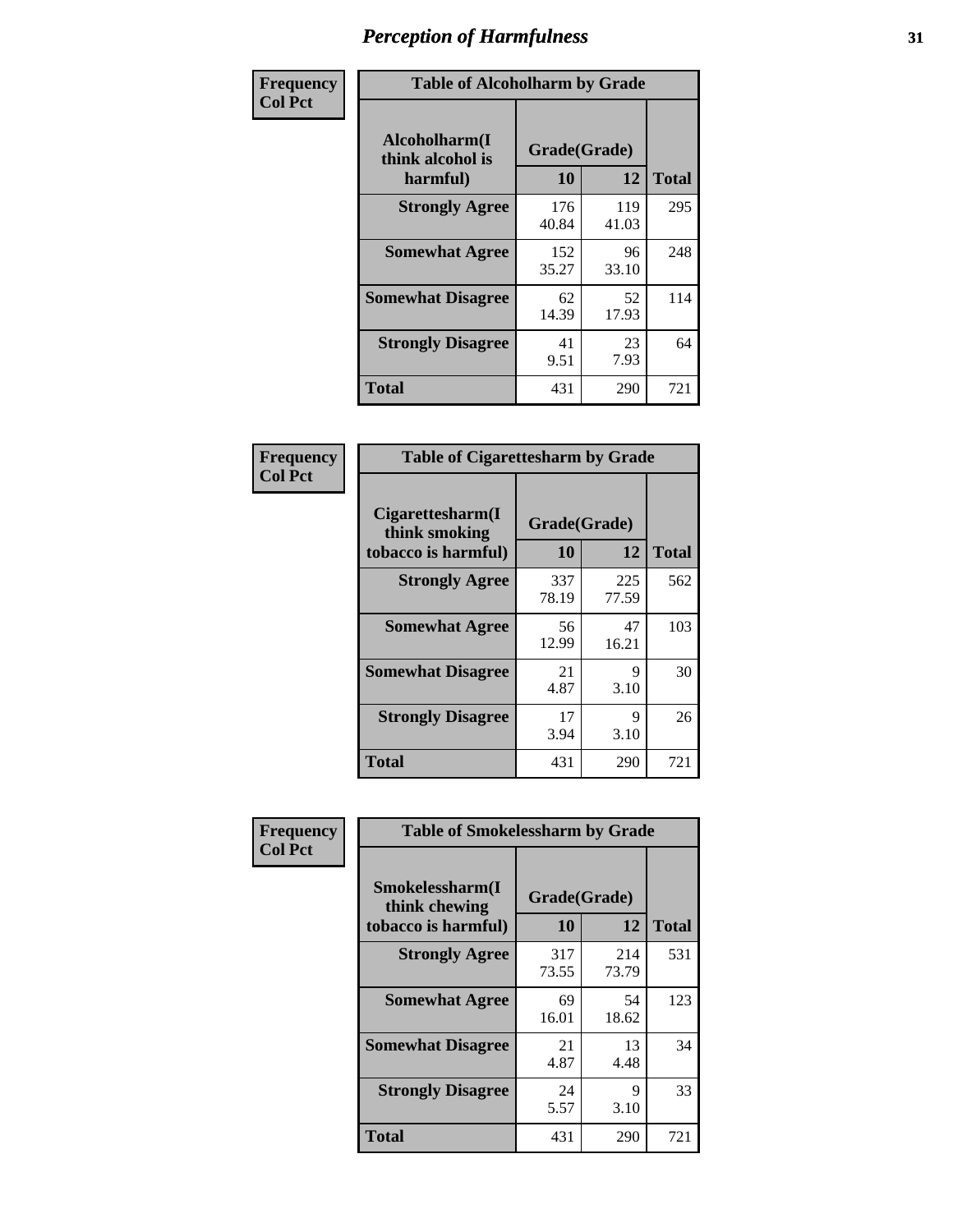| Frequency      | <b>Table of Alcoholharm by Grade</b>          |                    |              |              |
|----------------|-----------------------------------------------|--------------------|--------------|--------------|
| <b>Col Pct</b> | Alcoholharm(I<br>think alcohol is<br>harmful) | Grade(Grade)<br>10 | 12           | <b>Total</b> |
|                | <b>Strongly Agree</b>                         | 176<br>40.84       | 119<br>41.03 | 295          |
|                | <b>Somewhat Agree</b>                         | 152<br>35.27       | 96<br>33.10  | 248          |
|                | <b>Somewhat Disagree</b>                      | 62<br>14.39        | 52<br>17.93  | 114          |
|                | <b>Strongly Disagree</b>                      | 41<br>9.51         | 23<br>7.93   | 64           |
|                | <b>Total</b>                                  | 431                | 290          | 721          |

| <b>Table of Cigarettesharm by Grade</b>                  |                    |              |              |  |  |  |  |  |  |
|----------------------------------------------------------|--------------------|--------------|--------------|--|--|--|--|--|--|
| Cigarettesharm(I<br>think smoking<br>tobacco is harmful) | Grade(Grade)<br>10 | 12           | <b>Total</b> |  |  |  |  |  |  |
| <b>Strongly Agree</b>                                    | 337<br>78.19       | 225<br>77.59 | 562          |  |  |  |  |  |  |
| <b>Somewhat Agree</b>                                    | 56<br>12.99        | 47<br>16.21  | 103          |  |  |  |  |  |  |
| <b>Somewhat Disagree</b>                                 | 21<br>4.87         | 9<br>3.10    | 30           |  |  |  |  |  |  |
| <b>Strongly Disagree</b>                                 | 17<br>3.94         | 9<br>3.10    | 26           |  |  |  |  |  |  |
| <b>Total</b>                                             | 431                | 290          | 721          |  |  |  |  |  |  |

| Frequency      | <b>Table of Smokelessharm by Grade</b>                  |                    |              |              |
|----------------|---------------------------------------------------------|--------------------|--------------|--------------|
| <b>Col Pct</b> | Smokelessharm(I<br>think chewing<br>tobacco is harmful) | Grade(Grade)<br>10 | 12           | <b>Total</b> |
|                | <b>Strongly Agree</b>                                   | 317<br>73.55       | 214<br>73.79 | 531          |
|                | <b>Somewhat Agree</b>                                   | 69<br>16.01        | 54<br>18.62  | 123          |
|                | <b>Somewhat Disagree</b>                                | 21<br>4.87         | 13<br>4.48   | 34           |
|                | <b>Strongly Disagree</b>                                | 24<br>5.57         | 9<br>3.10    | 33           |
|                | <b>Total</b>                                            | 431                | 290          | 721          |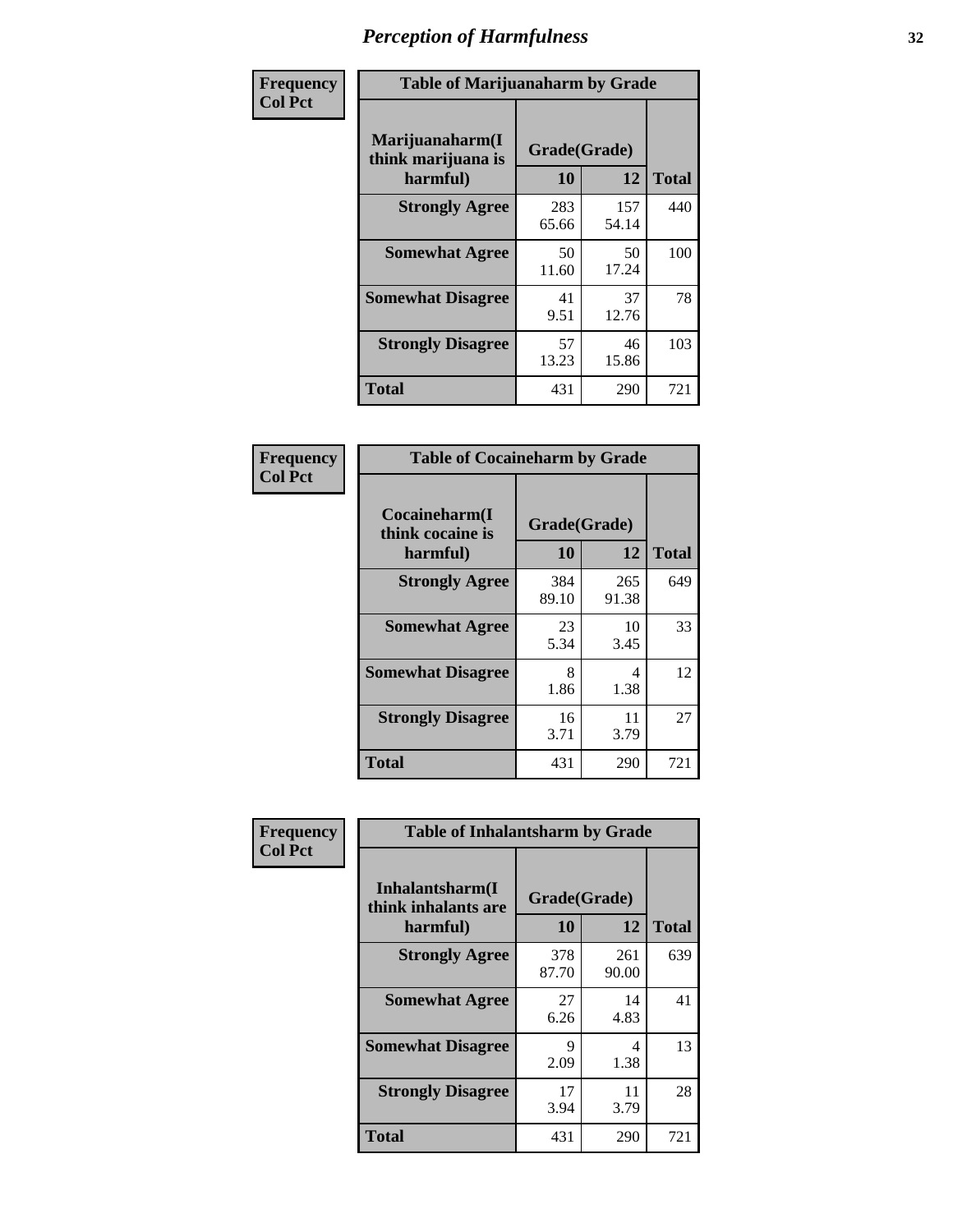| Frequency      | <b>Table of Marijuanaharm by Grade</b>            |                    |              |              |
|----------------|---------------------------------------------------|--------------------|--------------|--------------|
| <b>Col Pct</b> | Marijuanaharm(I<br>think marijuana is<br>harmful) | Grade(Grade)<br>10 | 12           | <b>Total</b> |
|                | <b>Strongly Agree</b>                             | 283<br>65.66       | 157<br>54.14 | 440          |
|                | <b>Somewhat Agree</b>                             | 50<br>11.60        | 50<br>17.24  | 100          |
|                | <b>Somewhat Disagree</b>                          | 41<br>9.51         | 37<br>12.76  | 78           |
|                | <b>Strongly Disagree</b>                          | 57<br>13.23        | 46<br>15.86  | 103          |
|                | <b>Total</b>                                      | 431                | 290          | 721          |

| <b>Table of Cocaineharm by Grade</b>                                      |              |              |     |  |  |
|---------------------------------------------------------------------------|--------------|--------------|-----|--|--|
| Cocaineharm(I<br>Grade(Grade)<br>think cocaine is<br>12<br>10<br>harmful) |              |              |     |  |  |
| <b>Strongly Agree</b>                                                     | 384<br>89.10 | 265<br>91.38 | 649 |  |  |
| <b>Somewhat Agree</b>                                                     | 23<br>5.34   | 10<br>3.45   | 33  |  |  |
| <b>Somewhat Disagree</b>                                                  | 8<br>1.86    | 4<br>1.38    | 12  |  |  |
| <b>Strongly Disagree</b>                                                  | 16<br>3.71   | 11<br>3.79   | 27  |  |  |
| <b>Total</b>                                                              | 431          | 290          | 721 |  |  |

| Frequency      | <b>Table of Inhalantsharm by Grade</b>             |                           |              |              |
|----------------|----------------------------------------------------|---------------------------|--------------|--------------|
| <b>Col Pct</b> | Inhalantsharm(I<br>think inhalants are<br>harmful) | Grade(Grade)<br><b>10</b> | 12           | <b>Total</b> |
|                | <b>Strongly Agree</b>                              | 378<br>87.70              | 261<br>90.00 | 639          |
|                | <b>Somewhat Agree</b>                              | 27<br>6.26                | 14<br>4.83   | 41           |
|                | <b>Somewhat Disagree</b>                           | 9<br>2.09                 | 4<br>1.38    | 13           |
|                | <b>Strongly Disagree</b>                           | 17<br>3.94                | 11<br>3.79   | 28           |
|                | <b>Total</b>                                       | 431                       | 290          | 721          |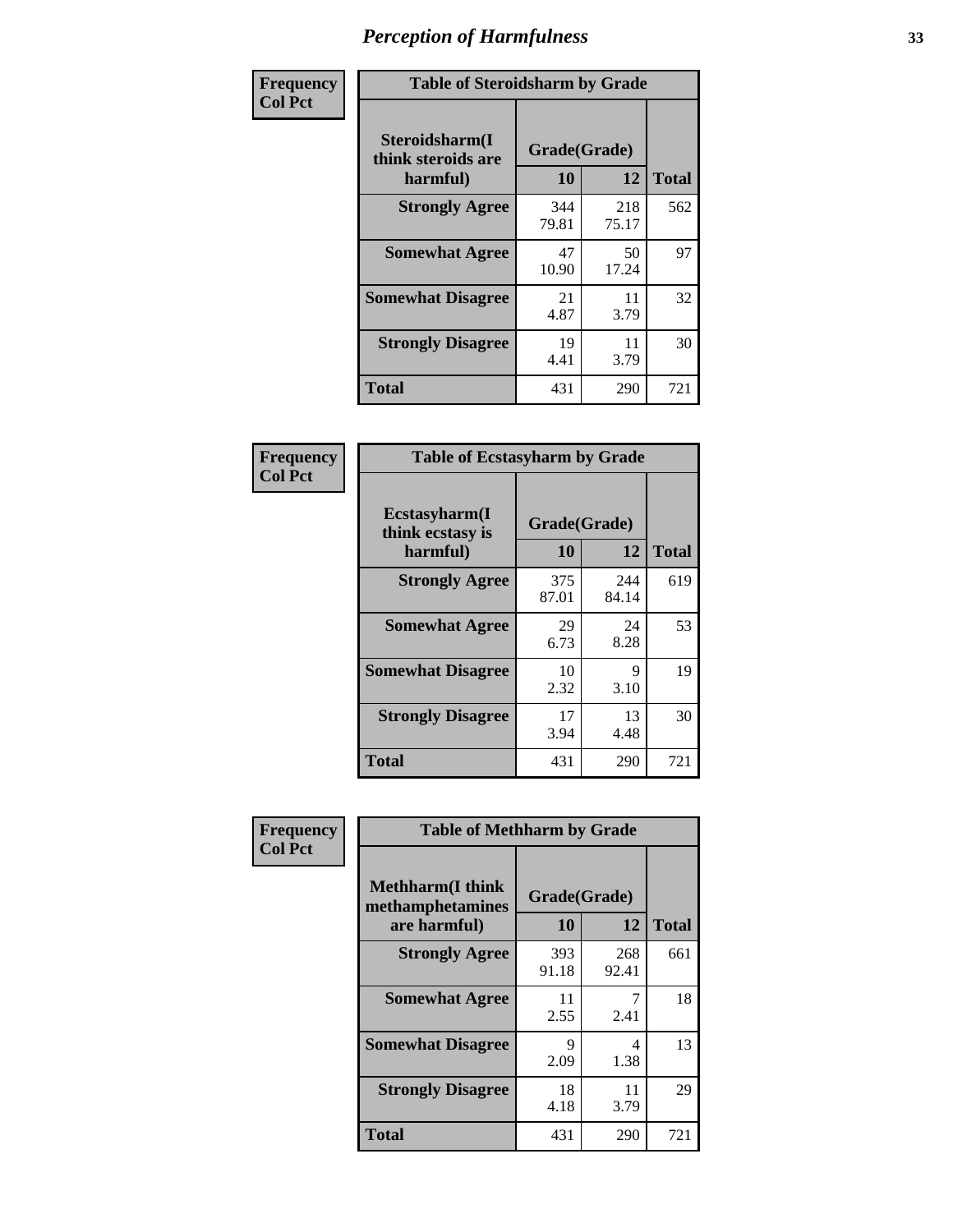| Frequency      | <b>Table of Steroidsharm by Grade</b>            |                    |              |              |
|----------------|--------------------------------------------------|--------------------|--------------|--------------|
| <b>Col Pct</b> | Steroidsharm(I<br>think steroids are<br>harmful) | Grade(Grade)<br>10 | 12           | <b>Total</b> |
|                | <b>Strongly Agree</b>                            | 344<br>79.81       | 218<br>75.17 | 562          |
|                | <b>Somewhat Agree</b>                            | 47<br>10.90        | 50<br>17.24  | 97           |
|                | <b>Somewhat Disagree</b>                         | 21<br>4.87         | 11<br>3.79   | 32           |
|                | <b>Strongly Disagree</b>                         | 19<br>4.41         | 11<br>3.79   | 30           |
|                | <b>Total</b>                                     | 431                | 290          | 721          |

| <b>Table of Ecstasyharm by Grade</b>          |                    |              |              |  |  |
|-----------------------------------------------|--------------------|--------------|--------------|--|--|
| Ecstasyharm(I<br>think ecstasy is<br>harmful) | Grade(Grade)<br>10 | 12           | <b>Total</b> |  |  |
| <b>Strongly Agree</b>                         | 375<br>87.01       | 244<br>84.14 | 619          |  |  |
| <b>Somewhat Agree</b>                         | 29<br>6.73         | 24<br>8.28   | 53           |  |  |
| <b>Somewhat Disagree</b>                      | 10<br>2.32         | 9<br>3.10    | 19           |  |  |
| <b>Strongly Disagree</b>                      | 17<br>3.94         | 13<br>4.48   | 30           |  |  |
| <b>Total</b>                                  | 431                | 290          | 721          |  |  |

| Frequency      | <b>Table of Methharm by Grade</b>                            |                    |              |              |
|----------------|--------------------------------------------------------------|--------------------|--------------|--------------|
| <b>Col Pct</b> | <b>Methharm</b> (I think<br>methamphetamines<br>are harmful) | Grade(Grade)<br>10 | 12           | <b>Total</b> |
|                | <b>Strongly Agree</b>                                        | 393<br>91.18       | 268<br>92.41 | 661          |
|                | <b>Somewhat Agree</b>                                        | 11<br>2.55         | 2.41         | 18           |
|                | <b>Somewhat Disagree</b>                                     | 9<br>2.09          | 4<br>1.38    | 13           |
|                | <b>Strongly Disagree</b>                                     | 18<br>4.18         | 11<br>3.79   | 29           |
|                | <b>Total</b>                                                 | 431                | 290          | 721          |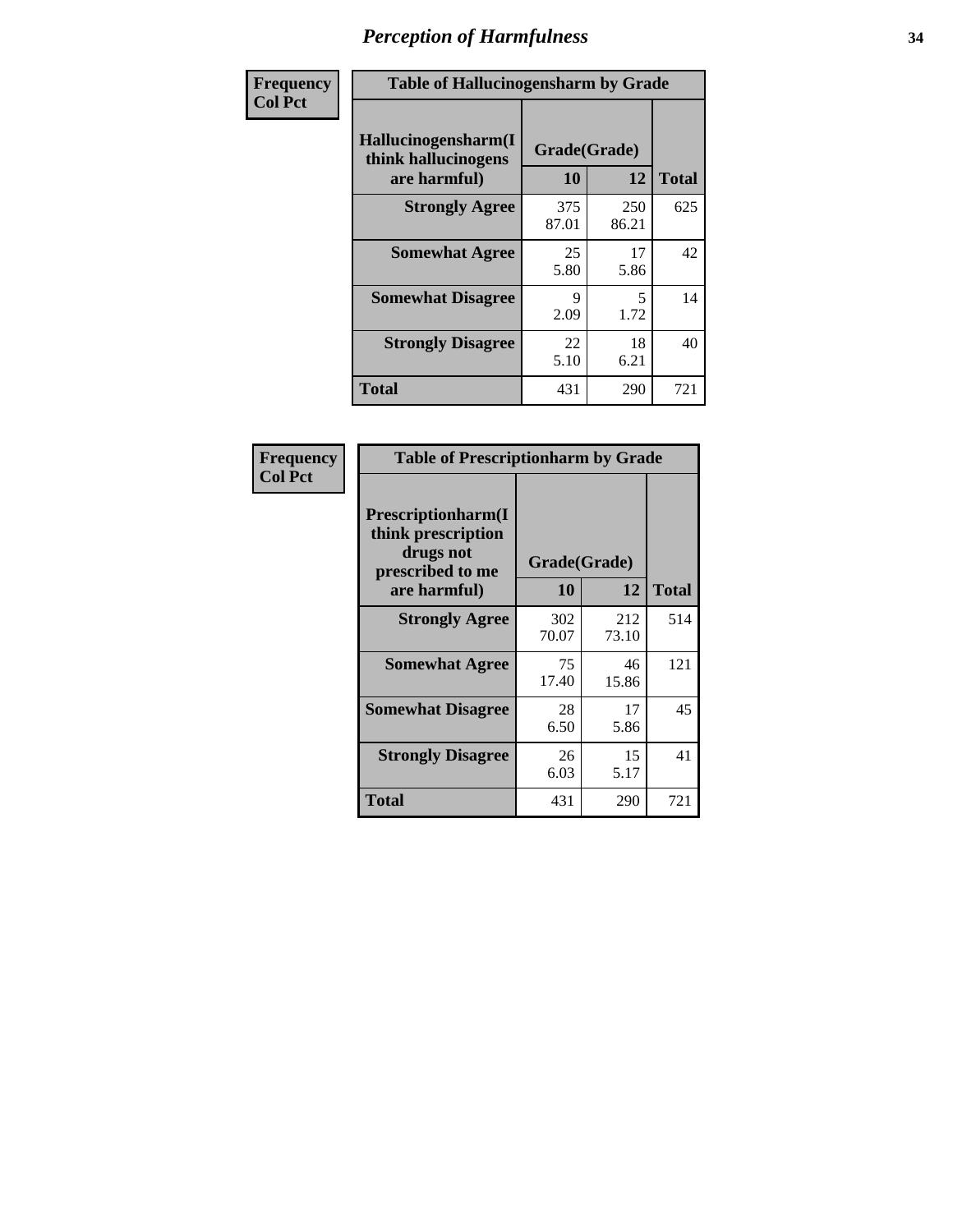| Frequency      | <b>Table of Hallucinogensharm by Grade</b>                 |                    |                                  |              |
|----------------|------------------------------------------------------------|--------------------|----------------------------------|--------------|
| <b>Col Pct</b> | Hallucinogensharm(I<br>think hallucinogens<br>are harmful) | Grade(Grade)<br>10 | 12                               | <b>Total</b> |
|                | <b>Strongly Agree</b>                                      | 375<br>87.01       | 250<br>86.21                     | 625          |
|                | <b>Somewhat Agree</b>                                      | 25<br>5.80         | 17<br>5.86                       | 42           |
|                | <b>Somewhat Disagree</b>                                   | 9<br>2.09          | $\overline{\mathcal{L}}$<br>1.72 | 14           |
|                | <b>Strongly Disagree</b>                                   | 22<br>5.10         | 18<br>6.21                       | 40           |
|                | <b>Total</b>                                               | 431                | 290                              | 721          |

| <b>Table of Prescriptionharm by Grade</b>                                                         |                    |             |              |  |  |
|---------------------------------------------------------------------------------------------------|--------------------|-------------|--------------|--|--|
| <b>Prescriptionharm(I)</b><br>think prescription<br>drugs not<br>prescribed to me<br>are harmful) | Grade(Grade)<br>10 | 12          | <b>Total</b> |  |  |
| <b>Strongly Agree</b>                                                                             | 302                | 212         | 514          |  |  |
|                                                                                                   | 70.07              | 73.10       |              |  |  |
| <b>Somewhat Agree</b>                                                                             | 75<br>17.40        | 46<br>15.86 | 121          |  |  |
| <b>Somewhat Disagree</b>                                                                          | 28<br>6.50         | 17<br>5.86  | 45           |  |  |
| <b>Strongly Disagree</b>                                                                          | 26<br>6.03         | 15<br>5.17  | 41           |  |  |
| <b>Total</b>                                                                                      | 431                | 290         | 721          |  |  |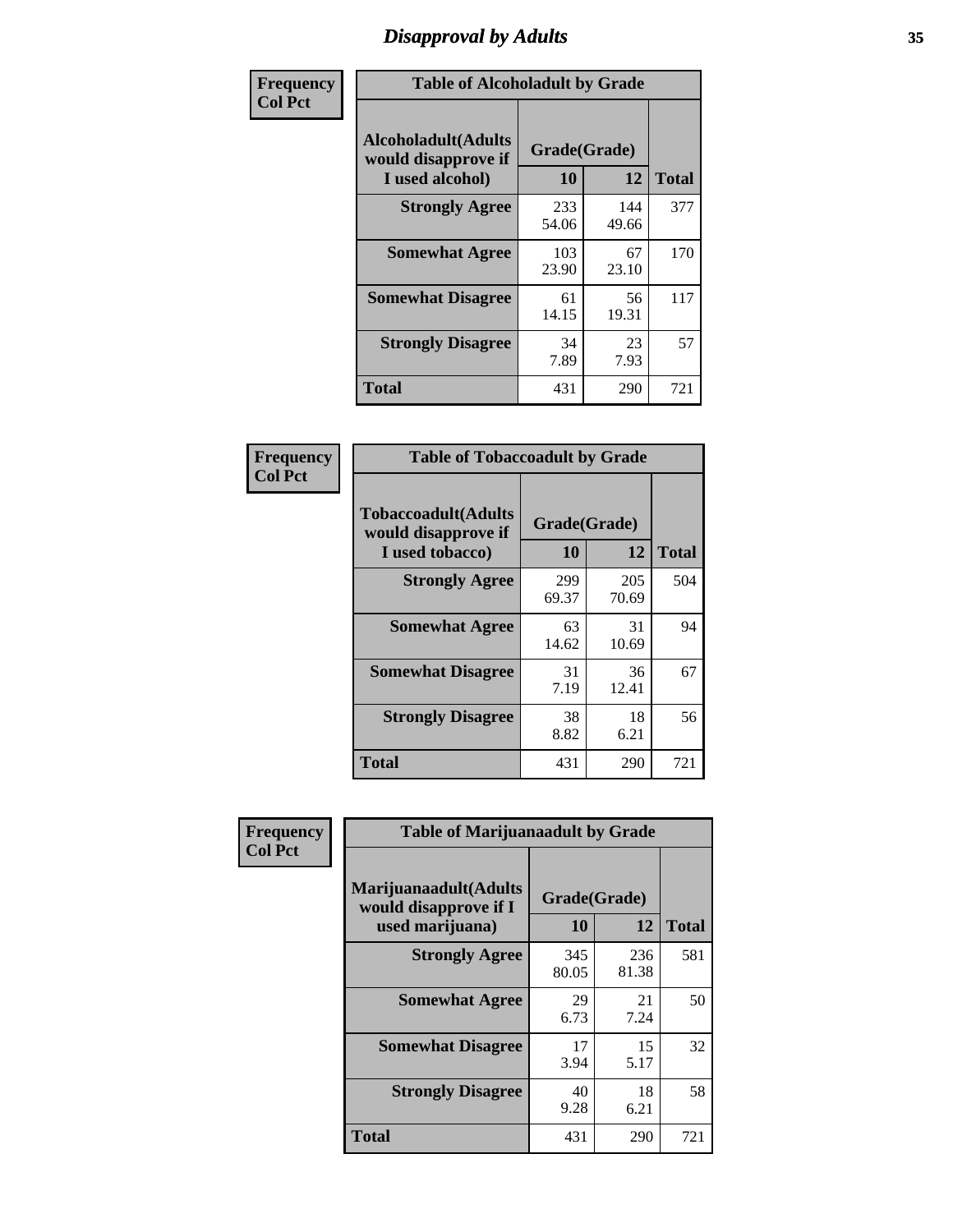# *Disapproval by Adults* **35**

| Frequency      | <b>Table of Alcoholadult by Grade</b>                                 |                    |              |              |
|----------------|-----------------------------------------------------------------------|--------------------|--------------|--------------|
| <b>Col Pct</b> | <b>Alcoholadult</b> (Adults<br>would disapprove if<br>I used alcohol) | Grade(Grade)<br>10 | 12           | <b>Total</b> |
|                | <b>Strongly Agree</b>                                                 | 233<br>54.06       | 144<br>49.66 | 377          |
|                | <b>Somewhat Agree</b>                                                 | 103<br>23.90       | 67<br>23.10  | 170          |
|                | <b>Somewhat Disagree</b>                                              | 61<br>14.15        | 56<br>19.31  | 117          |
|                | <b>Strongly Disagree</b>                                              | 34<br>7.89         | 23<br>7.93   | 57           |
|                | <b>Total</b>                                                          | 431                | 290          | 721          |

| <b>Table of Tobaccoadult by Grade</b>                                 |              |                    |              |  |  |
|-----------------------------------------------------------------------|--------------|--------------------|--------------|--|--|
| <b>Tobaccoadult</b> (Adults<br>would disapprove if<br>I used tobacco) | 10           | Grade(Grade)<br>12 | <b>Total</b> |  |  |
| <b>Strongly Agree</b>                                                 | 299<br>69.37 | 205<br>70.69       | 504          |  |  |
| <b>Somewhat Agree</b>                                                 | 63<br>14.62  | 31<br>10.69        | 94           |  |  |
| <b>Somewhat Disagree</b>                                              | 31<br>7.19   | 36<br>12.41        | 67           |  |  |
| <b>Strongly Disagree</b>                                              | 38<br>8.82   | 18<br>6.21         | 56           |  |  |
| <b>Total</b>                                                          | 431          | 290                | 721          |  |  |

| Frequency      | <b>Table of Marijuanaadult by Grade</b>                           |                    |              |              |
|----------------|-------------------------------------------------------------------|--------------------|--------------|--------------|
| <b>Col Pct</b> | Marijuanaadult(Adults<br>would disapprove if I<br>used marijuana) | Grade(Grade)<br>10 | 12           | <b>Total</b> |
|                | <b>Strongly Agree</b>                                             | 345<br>80.05       | 236<br>81.38 | 581          |
|                | <b>Somewhat Agree</b>                                             | 29<br>6.73         | 21<br>7.24   | 50           |
|                | <b>Somewhat Disagree</b>                                          | 17<br>3.94         | 15<br>5.17   | 32           |
|                | <b>Strongly Disagree</b>                                          | 40<br>9.28         | 18<br>6.21   | 58           |
|                | <b>Total</b>                                                      | 431                | 290          | 721          |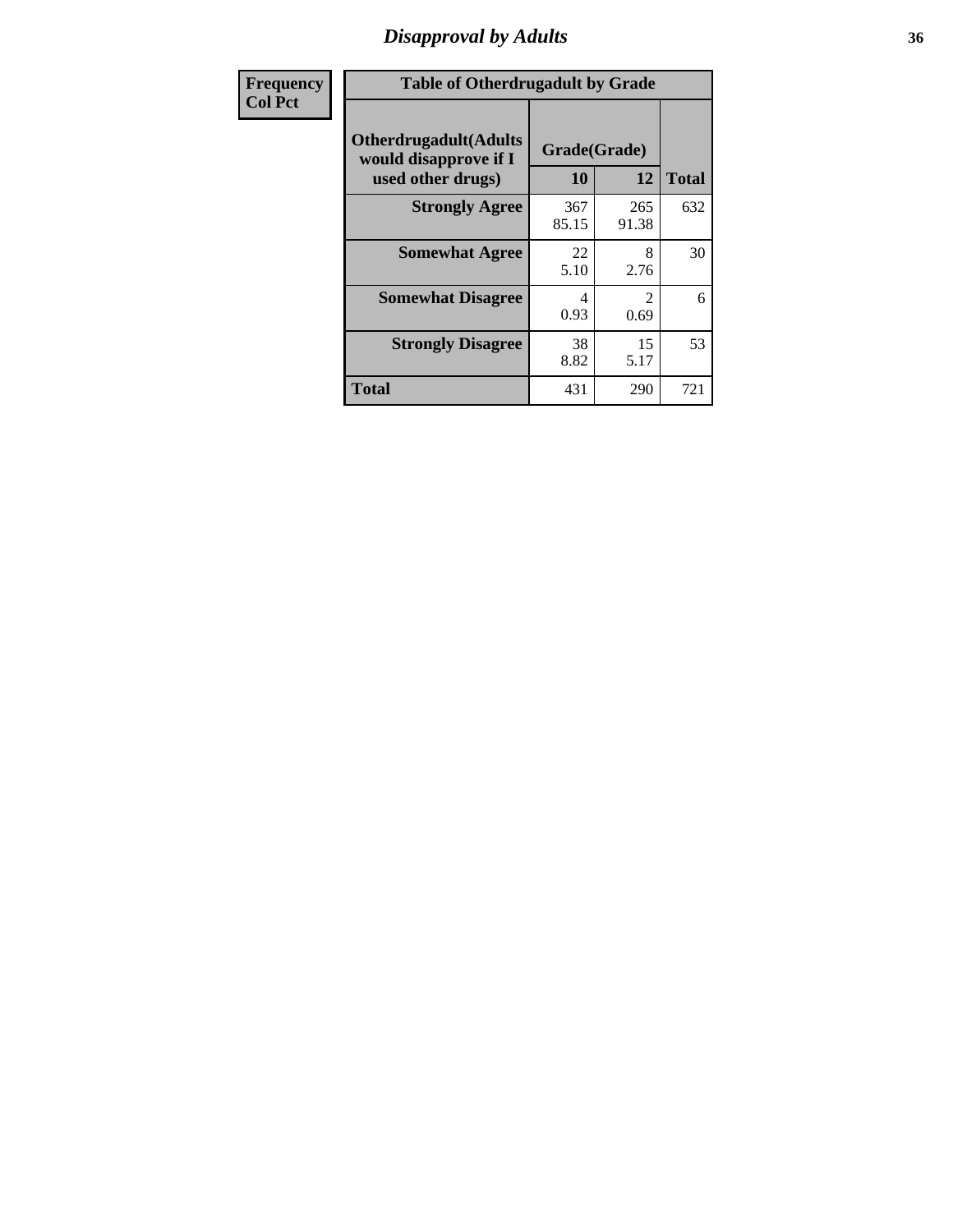# *Disapproval by Adults* **36**

| Frequency      | <b>Table of Otherdrugadult by Grade</b>                                     |              |                                     |     |
|----------------|-----------------------------------------------------------------------------|--------------|-------------------------------------|-----|
| <b>Col Pct</b> | <b>Otherdrugadult</b> (Adults<br>would disapprove if I<br>used other drugs) | 10           | Grade(Grade)<br>12<br><b>Total</b>  |     |
|                | <b>Strongly Agree</b>                                                       | 367<br>85.15 | 265<br>91.38                        | 632 |
|                | <b>Somewhat Agree</b>                                                       | 22<br>5.10   | 8<br>2.76                           | 30  |
|                | <b>Somewhat Disagree</b>                                                    | 4<br>0.93    | $\mathcal{D}_{\mathcal{L}}$<br>0.69 | 6   |
|                | <b>Strongly Disagree</b>                                                    | 38<br>8.82   | 15<br>5.17                          | 53  |
|                | <b>Total</b>                                                                | 431          | 290                                 | 721 |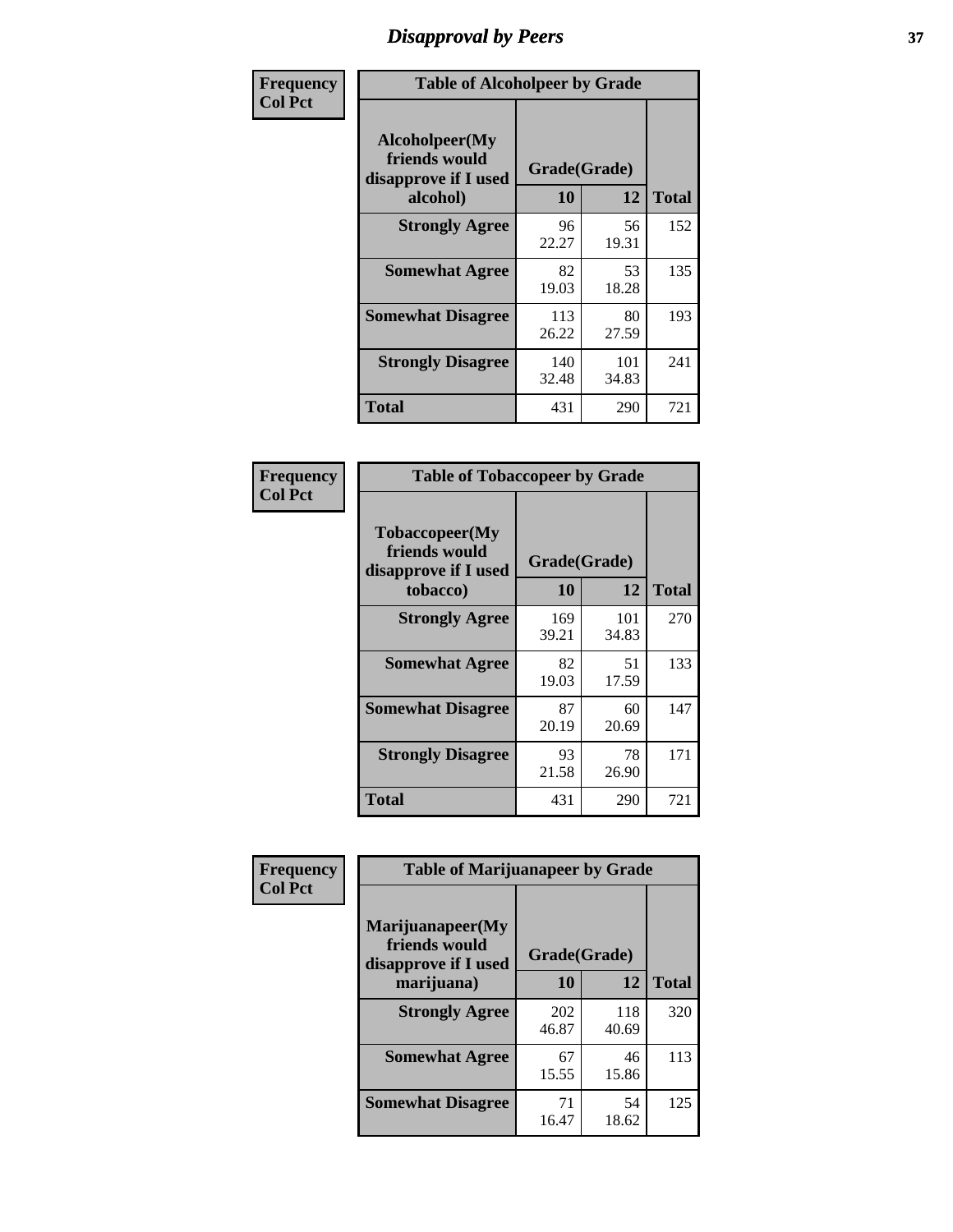# *Disapproval by Peers* **37**

| Frequency      | <b>Table of Alcoholpeer by Grade</b>                    |              |              |              |  |
|----------------|---------------------------------------------------------|--------------|--------------|--------------|--|
| <b>Col Pct</b> | Alcoholpeer(My<br>friends would<br>disapprove if I used | Grade(Grade) |              |              |  |
|                | alcohol)                                                | 10           | 12           | <b>Total</b> |  |
|                | <b>Strongly Agree</b>                                   | 96<br>22.27  | 56<br>19.31  | 152          |  |
|                | <b>Somewhat Agree</b>                                   | 82<br>19.03  | 53<br>18.28  | 135          |  |
|                | <b>Somewhat Disagree</b>                                | 113<br>26.22 | 80<br>27.59  | 193          |  |
|                | <b>Strongly Disagree</b>                                | 140<br>32.48 | 101<br>34.83 | 241          |  |
|                | Total                                                   | 431          | 290          | 721          |  |

| Frequency      | <b>Table of Tobaccopeer by Grade</b>                                |                    |              |              |
|----------------|---------------------------------------------------------------------|--------------------|--------------|--------------|
| <b>Col Pct</b> | Tobaccopeer(My<br>friends would<br>disapprove if I used<br>tobacco) | Grade(Grade)<br>10 | 12           | <b>Total</b> |
|                | <b>Strongly Agree</b>                                               | 169<br>39.21       | 101<br>34.83 | 270          |
|                | <b>Somewhat Agree</b>                                               | 82<br>19.03        | 51<br>17.59  | 133          |
|                | <b>Somewhat Disagree</b>                                            | 87<br>20.19        | 60<br>20.69  | 147          |
|                | <b>Strongly Disagree</b>                                            | 93<br>21.58        | 78<br>26.90  | 171          |
|                | Total                                                               | 431                | 290          | 721          |

| Frequency<br><b>Col Pct</b> | <b>Table of Marijuanapeer by Grade</b>                    |              |              |              |
|-----------------------------|-----------------------------------------------------------|--------------|--------------|--------------|
|                             | Marijuanapeer(My<br>friends would<br>disapprove if I used | Grade(Grade) |              |              |
|                             | marijuana)                                                | 10           | 12           | <b>Total</b> |
|                             | <b>Strongly Agree</b>                                     | 202<br>46.87 | 118<br>40.69 | 320          |
|                             | <b>Somewhat Agree</b>                                     | 67<br>15.55  | 46<br>15.86  | 113          |
|                             | <b>Somewhat Disagree</b>                                  | 71<br>16.47  | 54<br>18.62  | 125          |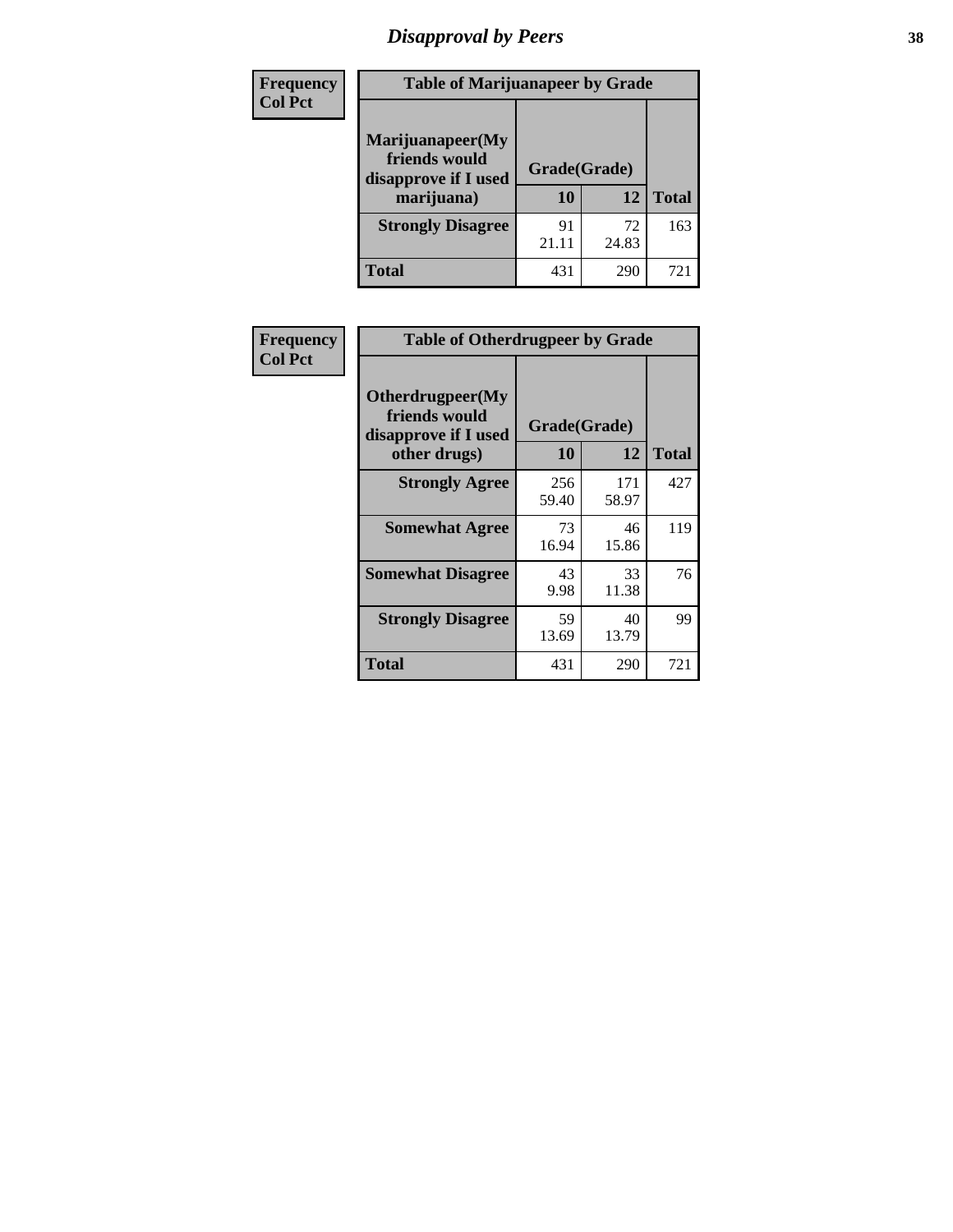# *Disapproval by Peers* **38**

| Frequency<br><b>Col Pct</b> | <b>Table of Marijuanapeer by Grade</b>                                  |                    |             |              |
|-----------------------------|-------------------------------------------------------------------------|--------------------|-------------|--------------|
|                             | Marijuanapeer(My<br>friends would<br>disapprove if I used<br>marijuana) | Grade(Grade)<br>10 | 12          | <b>Total</b> |
|                             | <b>Strongly Disagree</b>                                                | 91<br>21.11        | 72<br>24.83 | 163          |
|                             | Total                                                                   | 431                | 290         | 721          |

| Frequency      | <b>Table of Otherdrugpeer by Grade</b>                                    |                           |              |              |
|----------------|---------------------------------------------------------------------------|---------------------------|--------------|--------------|
| <b>Col Pct</b> | Otherdrugpeer(My<br>friends would<br>disapprove if I used<br>other drugs) | Grade(Grade)<br><b>10</b> | 12           | <b>Total</b> |
|                | <b>Strongly Agree</b>                                                     | 256<br>59.40              | 171<br>58.97 | 427          |
|                | <b>Somewhat Agree</b>                                                     | 73<br>16.94               | 46<br>15.86  | 119          |
|                | <b>Somewhat Disagree</b>                                                  | 43<br>9.98                | 33<br>11.38  | 76           |
|                | <b>Strongly Disagree</b>                                                  | 59<br>13.69               | 40<br>13.79  | 99           |
|                | Total                                                                     | 431                       | 290          | 721          |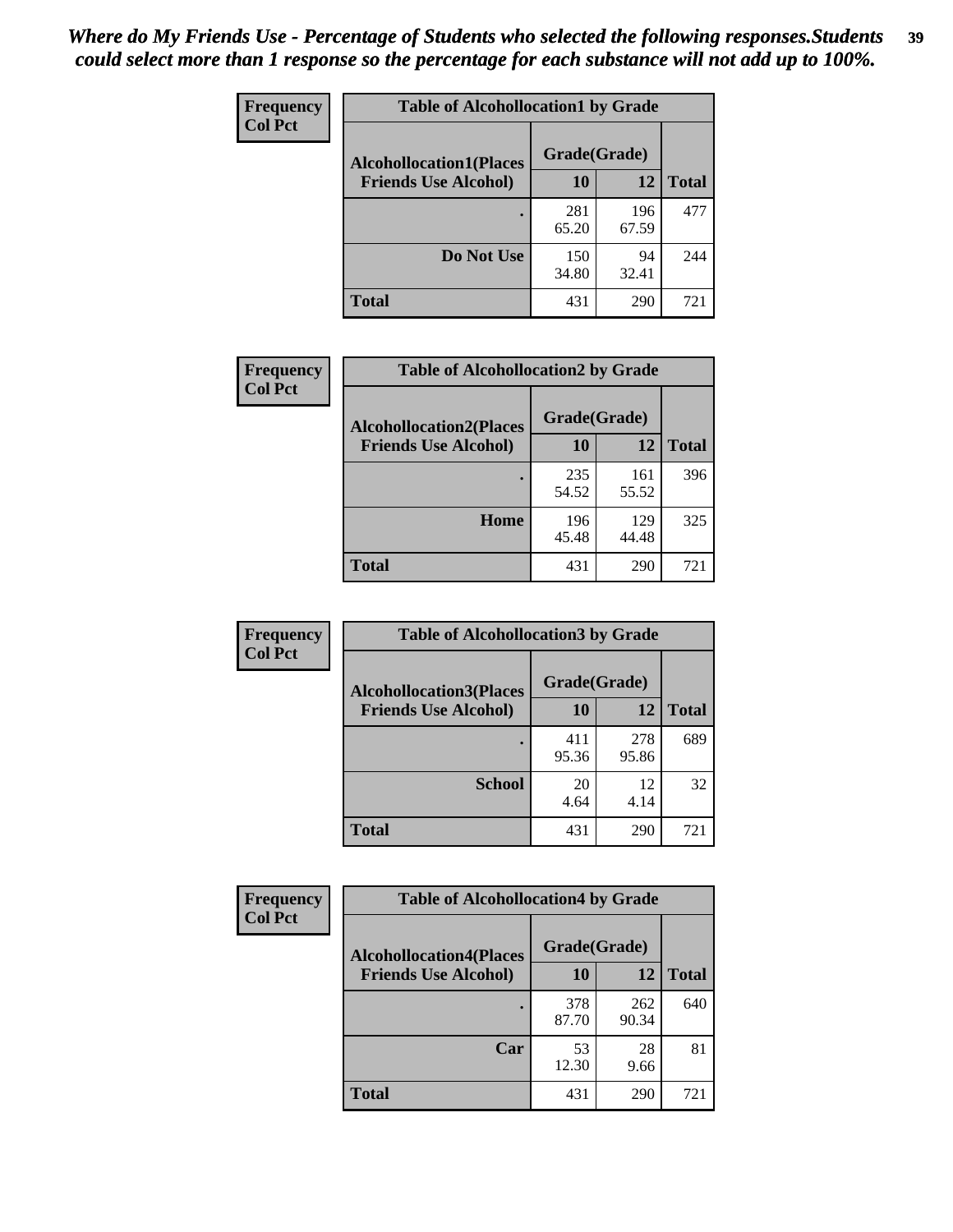| Frequency      | <b>Table of Alcohollocation1 by Grade</b> |              |              |              |
|----------------|-------------------------------------------|--------------|--------------|--------------|
| <b>Col Pct</b> | <b>Alcohollocation1(Places</b>            | Grade(Grade) |              |              |
|                | <b>Friends Use Alcohol)</b>               | 10           | 12           | <b>Total</b> |
|                |                                           | 281<br>65.20 | 196<br>67.59 | 477          |
|                | Do Not Use                                | 150<br>34.80 | 94<br>32.41  | 244          |
|                | <b>Total</b>                              | 431          | 290          | 721          |

| Frequency      | <b>Table of Alcohollocation2 by Grade</b>                     |                    |              |              |
|----------------|---------------------------------------------------------------|--------------------|--------------|--------------|
| <b>Col Pct</b> | <b>Alcohollocation2(Places</b><br><b>Friends Use Alcohol)</b> | Grade(Grade)<br>10 | 12           | <b>Total</b> |
|                |                                                               | 235<br>54.52       | 161<br>55.52 | 396          |
|                | Home                                                          | 196<br>45.48       | 129<br>44.48 | 325          |
|                | <b>Total</b>                                                  | 431                | 290          | 721          |

| Frequency<br><b>Col Pct</b> | <b>Table of Alcohollocation 3 by Grade</b>                    |                    |              |              |
|-----------------------------|---------------------------------------------------------------|--------------------|--------------|--------------|
|                             | <b>Alcohollocation3(Places</b><br><b>Friends Use Alcohol)</b> | Grade(Grade)<br>10 | 12           | <b>Total</b> |
|                             |                                                               | 411<br>95.36       | 278<br>95.86 | 689          |
|                             | <b>School</b>                                                 | 20<br>4.64         | 12<br>4.14   | 32           |
|                             | <b>Total</b>                                                  | 431                | 290          | 721          |

| Frequency      | <b>Table of Alcohollocation4 by Grade</b> |              |              |              |
|----------------|-------------------------------------------|--------------|--------------|--------------|
| <b>Col Pct</b> | <b>Alcohollocation4(Places</b>            | Grade(Grade) |              |              |
|                | <b>Friends Use Alcohol)</b>               | 10           | 12           | <b>Total</b> |
|                |                                           | 378<br>87.70 | 262<br>90.34 | 640          |
|                | Car                                       | 53<br>12.30  | 28<br>9.66   | 81           |
|                | <b>Total</b>                              | 431          | 290          | 721          |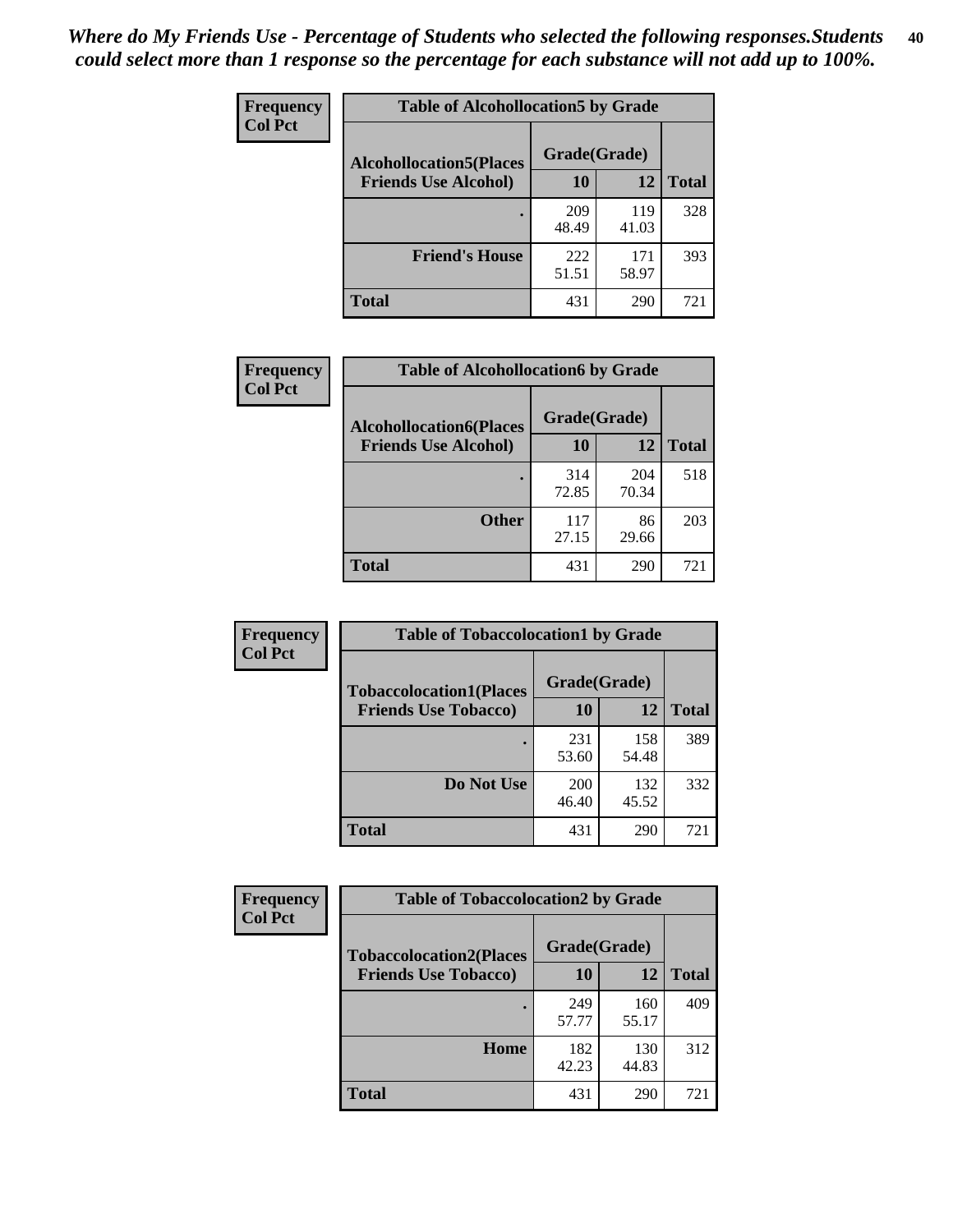| Frequency<br><b>Col Pct</b> | <b>Table of Alcohollocation5 by Grade</b> |              |              |              |  |
|-----------------------------|-------------------------------------------|--------------|--------------|--------------|--|
|                             | <b>Alcohollocation5(Places</b>            | Grade(Grade) |              |              |  |
|                             | <b>Friends Use Alcohol)</b>               | 10           | 12           | <b>Total</b> |  |
|                             |                                           | 209<br>48.49 | 119<br>41.03 | 328          |  |
|                             | <b>Friend's House</b>                     | 222<br>51.51 | 171<br>58.97 | 393          |  |
|                             | <b>Total</b>                              | 431          | 290          | 721          |  |

| <b>Frequency</b> | <b>Table of Alcohollocation6 by Grade</b>                     |              |              |              |
|------------------|---------------------------------------------------------------|--------------|--------------|--------------|
| <b>Col Pct</b>   | <b>Alcohollocation6(Places</b><br><b>Friends Use Alcohol)</b> | Grade(Grade) |              |              |
|                  |                                                               | 10           | 12           | <b>Total</b> |
|                  |                                                               | 314<br>72.85 | 204<br>70.34 | 518          |
|                  | <b>Other</b>                                                  | 117<br>27.15 | 86<br>29.66  | 203          |
|                  | <b>Total</b>                                                  | 431          | 290          | 721          |

| Frequency      | <b>Table of Tobaccolocation1 by Grade</b> |              |              |              |
|----------------|-------------------------------------------|--------------|--------------|--------------|
| <b>Col Pct</b> | <b>Tobaccolocation1(Places</b>            | Grade(Grade) |              |              |
|                | <b>Friends Use Tobacco)</b>               | 10           | <b>12</b>    | <b>Total</b> |
|                |                                           | 231<br>53.60 | 158<br>54.48 | 389          |
|                | Do Not Use                                | 200<br>46.40 | 132<br>45.52 | 332          |
|                | <b>Total</b>                              | 431          | 290          | 721          |

| <b>Frequency</b> | <b>Table of Tobaccolocation2 by Grade</b> |              |              |              |  |
|------------------|-------------------------------------------|--------------|--------------|--------------|--|
| <b>Col Pct</b>   | <b>Tobaccolocation2(Places</b>            | Grade(Grade) |              |              |  |
|                  | <b>Friends Use Tobacco)</b>               | 10           | 12           | <b>Total</b> |  |
|                  |                                           | 249<br>57.77 | 160<br>55.17 | 409          |  |
|                  | Home                                      | 182<br>42.23 | 130<br>44.83 | 312          |  |
|                  | <b>Total</b>                              | 431          | 290          | 721          |  |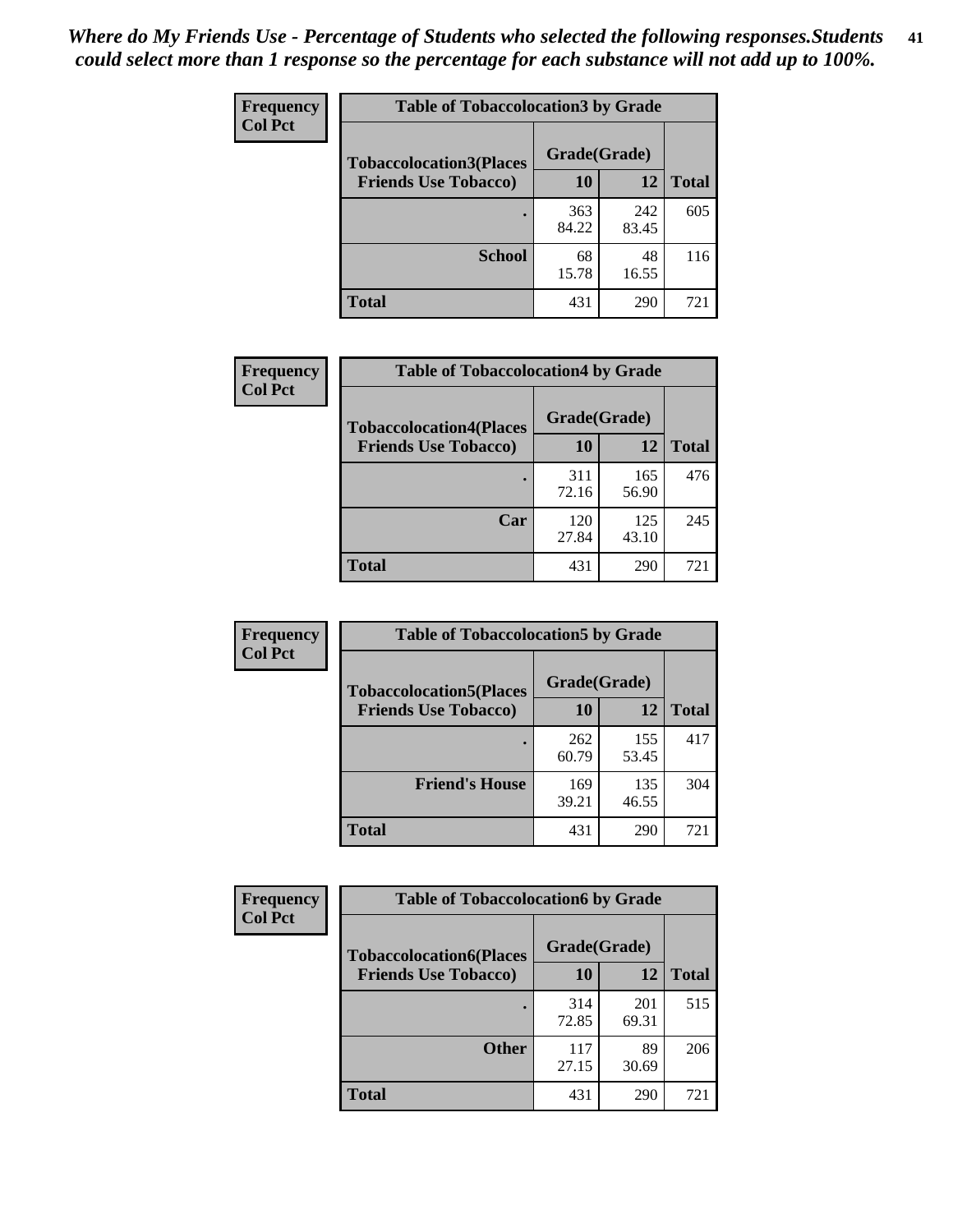| Frequency      | <b>Table of Tobaccolocation3 by Grade</b> |              |              |              |  |
|----------------|-------------------------------------------|--------------|--------------|--------------|--|
| <b>Col Pct</b> | <b>Tobaccolocation3(Places</b>            | Grade(Grade) |              |              |  |
|                | <b>Friends Use Tobacco)</b>               | 10           | 12           | <b>Total</b> |  |
|                |                                           | 363<br>84.22 | 242<br>83.45 | 605          |  |
|                | <b>School</b>                             | 68<br>15.78  | 48<br>16.55  | 116          |  |
|                | <b>Total</b>                              | 431          | 290          | 721          |  |

| Frequency      | <b>Table of Tobaccolocation4 by Grade</b> |              |              |              |
|----------------|-------------------------------------------|--------------|--------------|--------------|
| <b>Col Pct</b> | <b>Tobaccolocation4(Places</b>            | Grade(Grade) |              |              |
|                | <b>Friends Use Tobacco)</b>               | 10           | 12           | <b>Total</b> |
|                |                                           | 311<br>72.16 | 165<br>56.90 | 476          |
|                | Car                                       | 120<br>27.84 | 125<br>43.10 | 245          |
|                | <b>Total</b>                              | 431          | 290          | 721          |

| Frequency      | <b>Table of Tobaccolocation5 by Grade</b> |              |              |              |
|----------------|-------------------------------------------|--------------|--------------|--------------|
| <b>Col Pct</b> | <b>Tobaccolocation5(Places</b>            | Grade(Grade) |              |              |
|                | <b>Friends Use Tobacco)</b>               | 10           | 12           | <b>Total</b> |
|                |                                           | 262<br>60.79 | 155<br>53.45 | 417          |
|                | <b>Friend's House</b>                     | 169<br>39.21 | 135<br>46.55 | 304          |
|                | <b>Total</b>                              | 431          | 290          | 721          |

| Frequency      | <b>Table of Tobaccolocation6 by Grade</b> |              |              |              |  |
|----------------|-------------------------------------------|--------------|--------------|--------------|--|
| <b>Col Pct</b> | <b>Tobaccolocation6(Places</b>            | Grade(Grade) |              |              |  |
|                | <b>Friends Use Tobacco)</b>               | 10           | 12           | <b>Total</b> |  |
|                |                                           | 314<br>72.85 | 201<br>69.31 | 515          |  |
|                | <b>Other</b>                              | 117<br>27.15 | 89<br>30.69  | 206          |  |
|                | <b>Total</b>                              | 431          | 290          | 721          |  |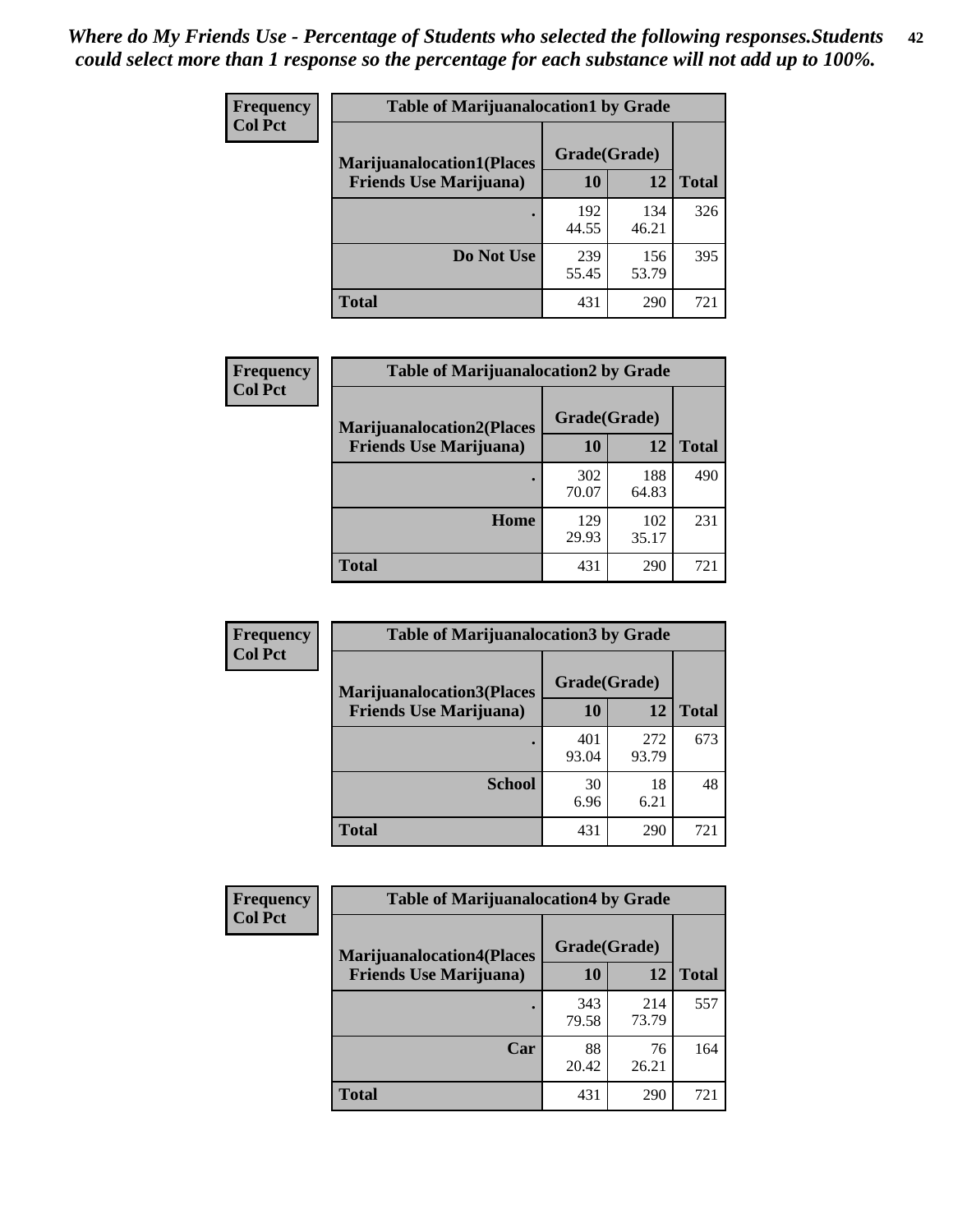| <b>Frequency</b> | <b>Table of Marijuanalocation1 by Grade</b> |              |              |              |
|------------------|---------------------------------------------|--------------|--------------|--------------|
| <b>Col Pct</b>   | <b>Marijuanalocation1(Places</b>            | Grade(Grade) |              |              |
|                  | <b>Friends Use Marijuana</b> )              | <b>10</b>    | 12           | <b>Total</b> |
|                  |                                             | 192<br>44.55 | 134<br>46.21 | 326          |
|                  | Do Not Use                                  | 239<br>55.45 | 156<br>53.79 | 395          |
|                  | <b>Total</b>                                | 431          | 290          | 721          |

| <b>Frequency</b> | <b>Table of Marijuanalocation2 by Grade</b>                        |                    |              |              |
|------------------|--------------------------------------------------------------------|--------------------|--------------|--------------|
| <b>Col Pct</b>   | <b>Marijuanalocation2(Places</b><br><b>Friends Use Marijuana</b> ) | Grade(Grade)<br>10 | 12           | <b>Total</b> |
|                  |                                                                    | 302<br>70.07       | 188<br>64.83 | 490          |
|                  | Home                                                               | 129<br>29.93       | 102<br>35.17 | 231          |
|                  | <b>Total</b>                                                       | 431                | 290          | 721          |

| <b>Frequency</b><br><b>Col Pct</b> | <b>Table of Marijuanalocation3 by Grade</b> |              |              |              |
|------------------------------------|---------------------------------------------|--------------|--------------|--------------|
|                                    | <b>Marijuanalocation3(Places</b>            | Grade(Grade) |              |              |
|                                    | <b>Friends Use Marijuana</b> )              | <b>10</b>    | 12           | <b>Total</b> |
|                                    |                                             | 401<br>93.04 | 272<br>93.79 | 673          |
|                                    | <b>School</b>                               | 30<br>6.96   | 18<br>6.21   | 48           |
|                                    | <b>Total</b>                                | 431          | 290          | 721          |

| <b>Frequency</b> | <b>Table of Marijuanalocation4 by Grade</b> |              |              |              |  |
|------------------|---------------------------------------------|--------------|--------------|--------------|--|
| <b>Col Pct</b>   | <b>Marijuanalocation4(Places</b>            | Grade(Grade) |              |              |  |
|                  | <b>Friends Use Marijuana</b> )              | <b>10</b>    | 12           | <b>Total</b> |  |
|                  |                                             | 343<br>79.58 | 214<br>73.79 | 557          |  |
|                  | Car                                         | 88<br>20.42  | 76<br>26.21  | 164          |  |
|                  | <b>Total</b>                                | 431          | 290          | 721          |  |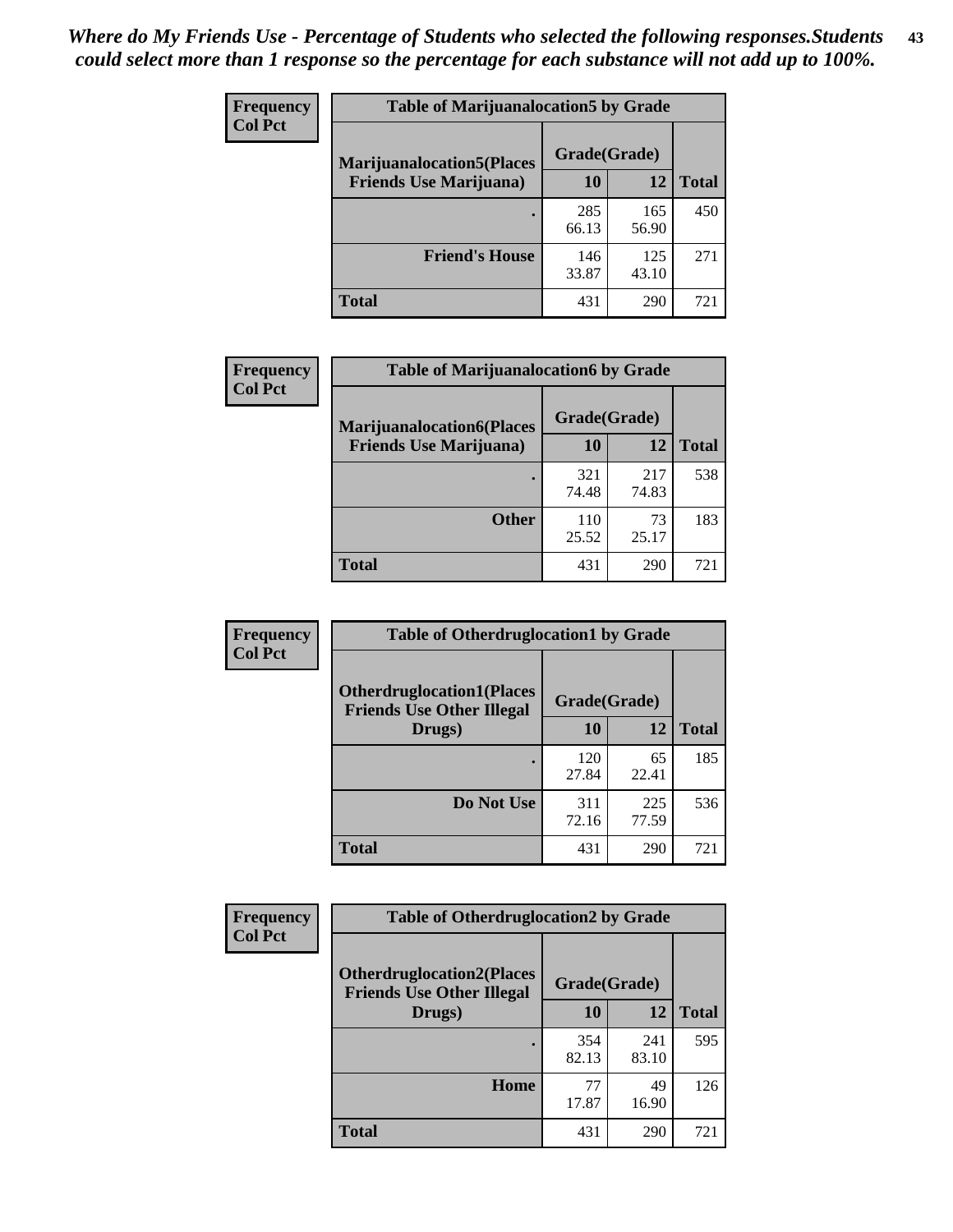| <b>Frequency</b> | <b>Table of Marijuanalocation5 by Grade</b> |              |              |              |
|------------------|---------------------------------------------|--------------|--------------|--------------|
| <b>Col Pct</b>   | <b>Marijuanalocation5</b> (Places           | Grade(Grade) |              |              |
|                  | <b>Friends Use Marijuana</b> )              | 10           | 12           | <b>Total</b> |
|                  |                                             | 285<br>66.13 | 165<br>56.90 | 450          |
|                  | <b>Friend's House</b>                       | 146<br>33.87 | 125<br>43.10 | 271          |
|                  | Total                                       | 431          | 290          | 721          |

| Frequency      | <b>Table of Marijuanalocation6 by Grade</b> |              |              |              |
|----------------|---------------------------------------------|--------------|--------------|--------------|
| <b>Col Pct</b> | <b>Marijuanalocation6(Places</b>            | Grade(Grade) |              |              |
|                | <b>Friends Use Marijuana</b> )              | 10           | 12           | <b>Total</b> |
|                |                                             | 321<br>74.48 | 217<br>74.83 | 538          |
|                | <b>Other</b>                                | 110<br>25.52 | 73<br>25.17  | 183          |
|                | <b>Total</b>                                | 431          | 290          | 721          |

| <b>Frequency</b> | <b>Table of Otherdruglocation1 by Grade</b>                          |              |              |              |
|------------------|----------------------------------------------------------------------|--------------|--------------|--------------|
| <b>Col Pct</b>   | <b>Otherdruglocation1(Places</b><br><b>Friends Use Other Illegal</b> | Grade(Grade) |              |              |
|                  | Drugs)                                                               | 10           | 12           | <b>Total</b> |
|                  |                                                                      | 120<br>27.84 | 65<br>22.41  | 185          |
|                  | Do Not Use                                                           | 311<br>72.16 | 225<br>77.59 | 536          |
|                  | <b>Total</b>                                                         | 431          | 290          | 721          |

| <b>Frequency</b> | <b>Table of Otherdruglocation2 by Grade</b>                          |              |              |              |
|------------------|----------------------------------------------------------------------|--------------|--------------|--------------|
| <b>Col Pct</b>   | <b>Otherdruglocation2(Places</b><br><b>Friends Use Other Illegal</b> | Grade(Grade) |              |              |
|                  | Drugs)                                                               | 10           | 12           | <b>Total</b> |
|                  |                                                                      | 354<br>82.13 | 241<br>83.10 | 595          |
|                  | <b>Home</b>                                                          | 77<br>17.87  | 49<br>16.90  | 126          |
|                  | Total                                                                | 431          | 290          | 721          |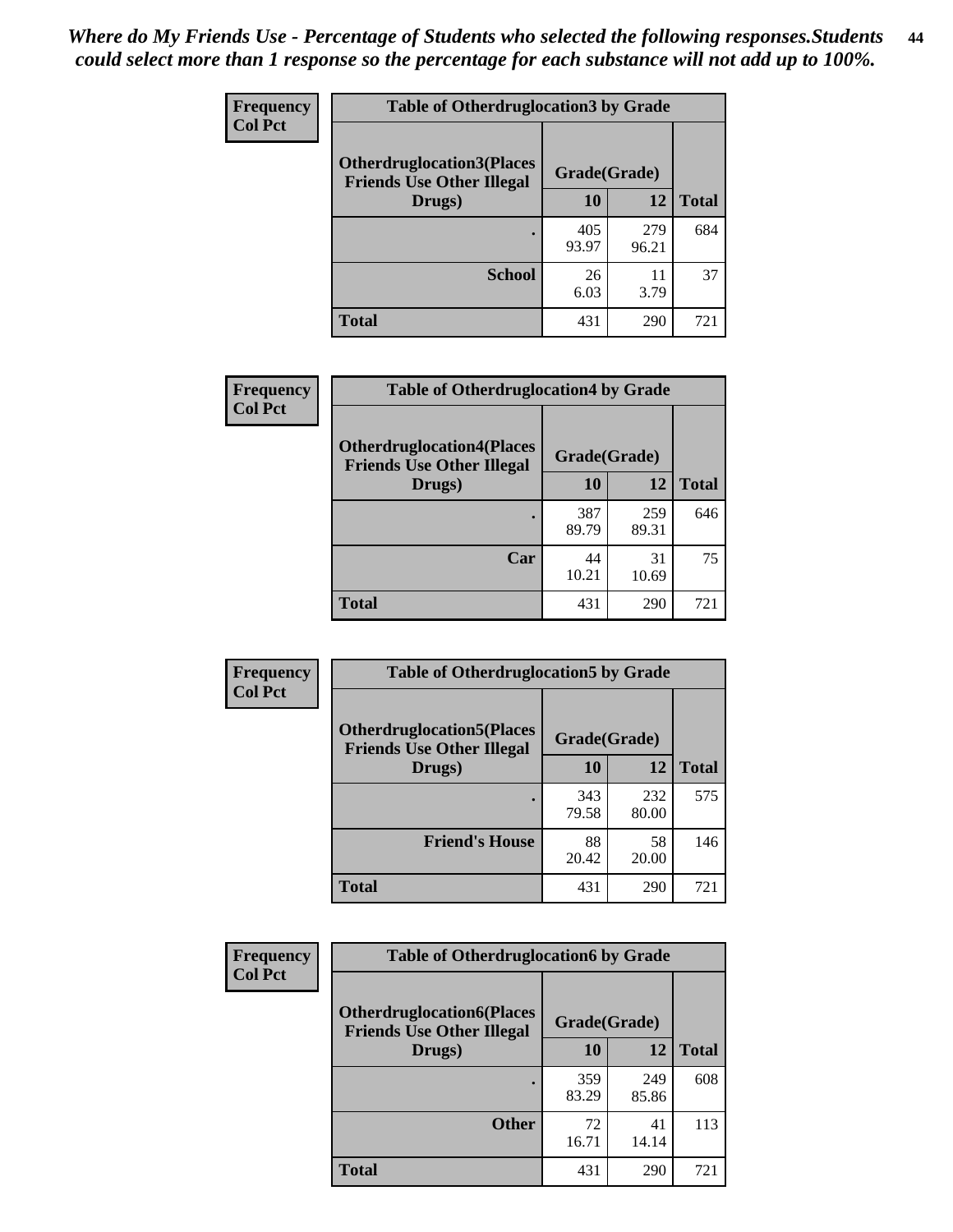| <b>Frequency</b> | <b>Table of Otherdruglocation 3 by Grade</b>                          |              |              |              |
|------------------|-----------------------------------------------------------------------|--------------|--------------|--------------|
| <b>Col Pct</b>   | <b>Otherdruglocation3(Places)</b><br><b>Friends Use Other Illegal</b> | Grade(Grade) |              |              |
|                  | Drugs)                                                                | 10           | 12           | <b>Total</b> |
|                  | $\bullet$                                                             | 405<br>93.97 | 279<br>96.21 | 684          |
|                  | <b>School</b>                                                         | 26<br>6.03   | 11<br>3.79   | 37           |
|                  | <b>Total</b>                                                          | 431          | 290          | 721          |

| Frequency      | <b>Table of Otherdruglocation4 by Grade</b>                          |              |              |              |
|----------------|----------------------------------------------------------------------|--------------|--------------|--------------|
| <b>Col Pct</b> | <b>Otherdruglocation4(Places</b><br><b>Friends Use Other Illegal</b> | Grade(Grade) |              |              |
|                | Drugs)                                                               | 10           | 12           | <b>Total</b> |
|                |                                                                      | 387<br>89.79 | 259<br>89.31 | 646          |
|                | Car                                                                  | 44<br>10.21  | 31<br>10.69  | 75           |
|                | <b>Total</b>                                                         | 431          | 290          | 721          |

| <b>Frequency</b> | <b>Table of Otherdruglocation5 by Grade</b>                          |              |              |              |
|------------------|----------------------------------------------------------------------|--------------|--------------|--------------|
| <b>Col Pct</b>   | <b>Otherdruglocation5(Places</b><br><b>Friends Use Other Illegal</b> | Grade(Grade) |              |              |
|                  | Drugs)                                                               | 10           | 12           | <b>Total</b> |
|                  |                                                                      | 343<br>79.58 | 232<br>80.00 | 575          |
|                  | <b>Friend's House</b>                                                | 88<br>20.42  | 58<br>20.00  | 146          |
|                  | <b>Total</b>                                                         | 431          | 290          | 721          |

| <b>Frequency</b> | <b>Table of Otherdruglocation6 by Grade</b>                          |              |              |              |
|------------------|----------------------------------------------------------------------|--------------|--------------|--------------|
| <b>Col Pct</b>   | <b>Otherdruglocation6(Places</b><br><b>Friends Use Other Illegal</b> | Grade(Grade) |              |              |
|                  | Drugs)                                                               | 10           | 12           | <b>Total</b> |
|                  |                                                                      | 359<br>83.29 | 249<br>85.86 | 608          |
|                  | <b>Other</b>                                                         | 72<br>16.71  | 41<br>14.14  | 113          |
|                  | <b>Total</b>                                                         | 431          | 290          | 721          |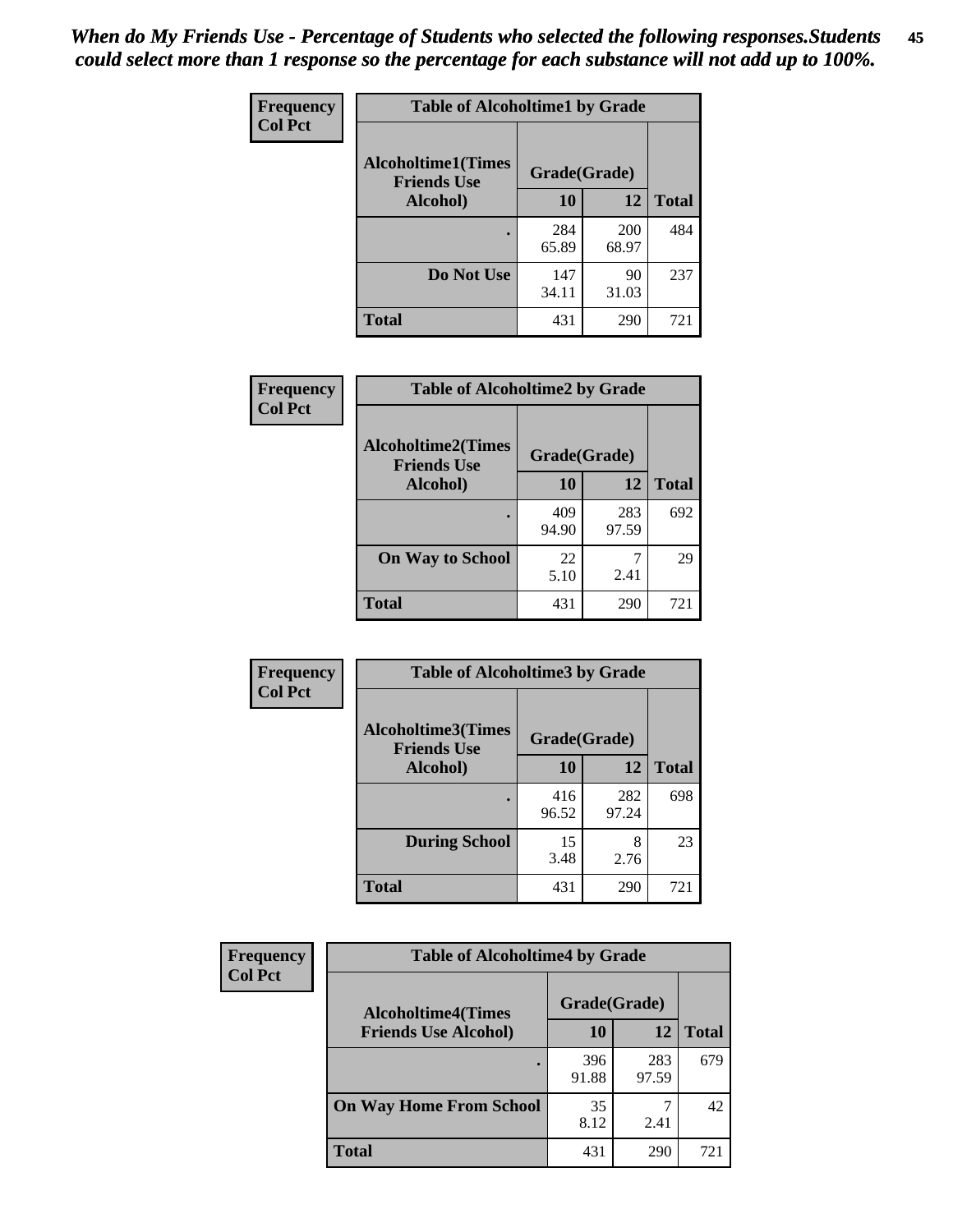| Frequency      | <b>Table of Alcoholtime1 by Grade</b>           |              |                     |              |
|----------------|-------------------------------------------------|--------------|---------------------|--------------|
| <b>Col Pct</b> | <b>Alcoholtime1(Times</b><br><b>Friends Use</b> | Grade(Grade) |                     |              |
|                | Alcohol)                                        | 10           | 12                  | <b>Total</b> |
|                |                                                 | 284<br>65.89 | <b>200</b><br>68.97 | 484          |
|                | Do Not Use                                      | 147<br>34.11 | 90<br>31.03         | 237          |
|                | <b>Total</b>                                    | 431          | 290                 | 721          |

| Frequency      | <b>Table of Alcoholtime2 by Grade</b>           |              |              |              |
|----------------|-------------------------------------------------|--------------|--------------|--------------|
| <b>Col Pct</b> | <b>Alcoholtime2(Times</b><br><b>Friends Use</b> | Grade(Grade) |              |              |
|                | Alcohol)                                        | 10           | 12           | <b>Total</b> |
|                |                                                 | 409<br>94.90 | 283<br>97.59 | 692          |
|                | <b>On Way to School</b>                         | 22<br>5.10   | 7<br>2.41    | 29           |
|                | <b>Total</b>                                    | 431          | 290          | 721          |

| Frequency<br><b>Col Pct</b> | <b>Table of Alcoholtime3 by Grade</b>           |              |              |              |
|-----------------------------|-------------------------------------------------|--------------|--------------|--------------|
|                             | <b>Alcoholtime3(Times</b><br><b>Friends Use</b> | Grade(Grade) |              |              |
|                             | Alcohol)                                        | 10           | 12           | <b>Total</b> |
|                             |                                                 | 416<br>96.52 | 282<br>97.24 | 698          |
|                             | <b>During School</b>                            | 15<br>3.48   | 8<br>2.76    | 23           |
|                             | <b>Total</b>                                    | 431          | 290          | 721          |

| <b>Frequency</b> | <b>Table of Alcoholtime4 by Grade</b> |              |              |              |
|------------------|---------------------------------------|--------------|--------------|--------------|
| <b>Col Pct</b>   | <b>Alcoholtime4(Times</b>             | Grade(Grade) |              |              |
|                  | <b>Friends Use Alcohol)</b>           | 10           | 12           | <b>Total</b> |
|                  |                                       | 396<br>91.88 | 283<br>97.59 | 679          |
|                  | <b>On Way Home From School</b>        | 35<br>8.12   | 2.41         | 42           |
|                  | <b>Total</b>                          | 431          | 290          | 721          |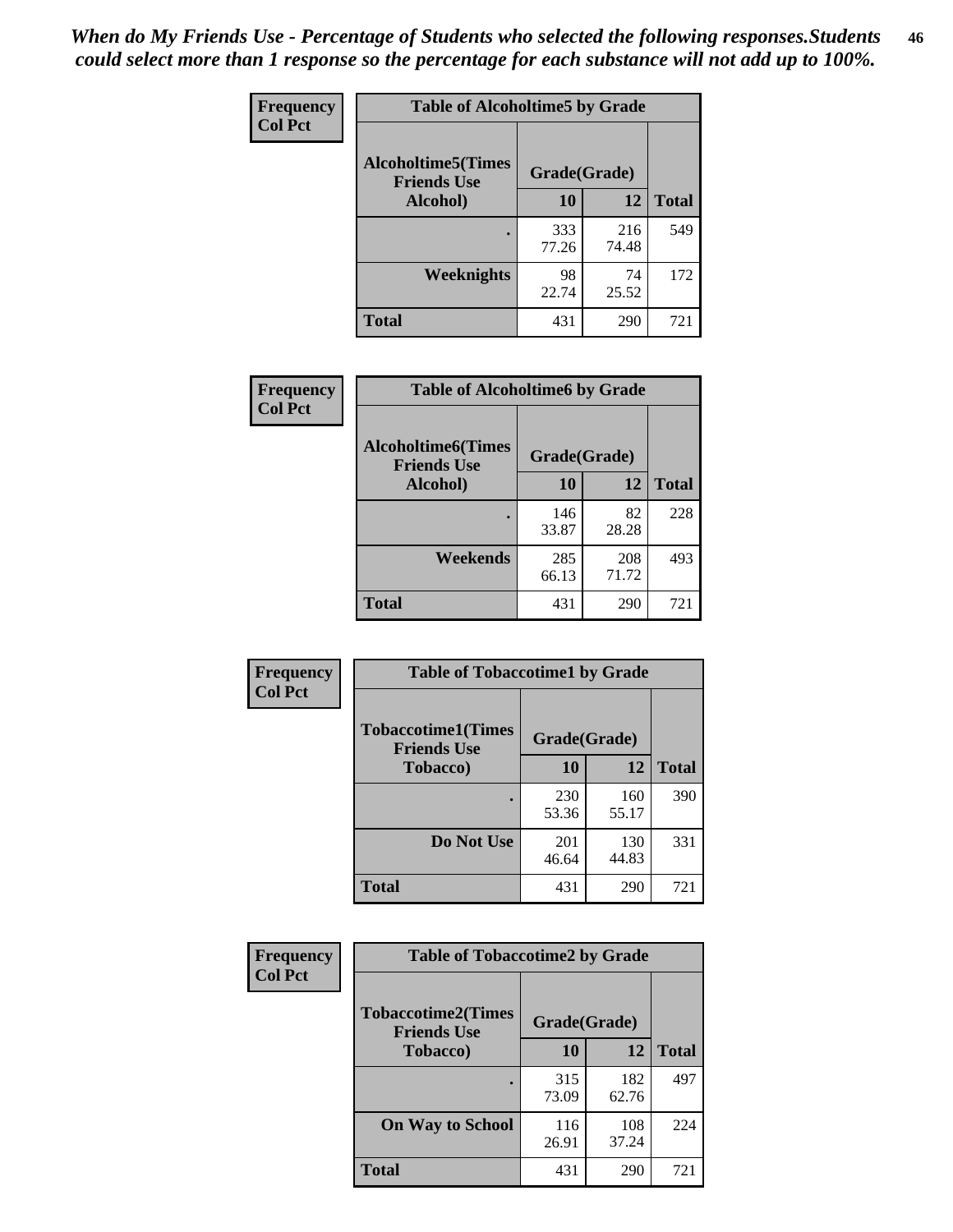*When do My Friends Use - Percentage of Students who selected the following responses.Students could select more than 1 response so the percentage for each substance will not add up to 100%.* **46**

| Frequency      | <b>Table of Alcoholtime5 by Grade</b>           |              |              |              |
|----------------|-------------------------------------------------|--------------|--------------|--------------|
| <b>Col Pct</b> | <b>Alcoholtime5(Times</b><br><b>Friends Use</b> | Grade(Grade) |              |              |
|                | Alcohol)                                        | 10           | 12           | <b>Total</b> |
|                |                                                 | 333<br>77.26 | 216<br>74.48 | 549          |
|                | Weeknights                                      | 98<br>22.74  | 74<br>25.52  | 172          |
|                | <b>Total</b>                                    | 431          | 290          | 721          |

| <b>Frequency</b> | <b>Table of Alcoholtime6 by Grade</b>           |              |              |              |
|------------------|-------------------------------------------------|--------------|--------------|--------------|
| <b>Col Pct</b>   | <b>Alcoholtime6(Times</b><br><b>Friends Use</b> | Grade(Grade) |              |              |
|                  | <b>Alcohol</b> )                                | 10           | 12           | <b>Total</b> |
|                  |                                                 | 146<br>33.87 | 82<br>28.28  | 228          |
|                  | Weekends                                        | 285<br>66.13 | 208<br>71.72 | 493          |
|                  | <b>Total</b>                                    | 431          | 290          | 721          |

| Frequency      | <b>Table of Tobaccotime1 by Grade</b>           |              |              |              |
|----------------|-------------------------------------------------|--------------|--------------|--------------|
| <b>Col Pct</b> | <b>Tobaccotime1(Times</b><br><b>Friends Use</b> | Grade(Grade) |              |              |
|                | <b>Tobacco</b> )                                | 10           | 12           | <b>Total</b> |
|                | $\bullet$                                       | 230<br>53.36 | 160<br>55.17 | 390          |
|                | Do Not Use                                      | 201<br>46.64 | 130<br>44.83 | 331          |
|                | <b>Total</b>                                    | 431          | 290          | 721          |

| <b>Frequency</b> | <b>Table of Tobaccotime2 by Grade</b>           |              |              |              |
|------------------|-------------------------------------------------|--------------|--------------|--------------|
| <b>Col Pct</b>   | <b>Tobaccotime2(Times</b><br><b>Friends Use</b> | Grade(Grade) |              |              |
|                  | <b>Tobacco</b> )                                | 10           | 12           | <b>Total</b> |
|                  |                                                 | 315<br>73.09 | 182<br>62.76 | 497          |
|                  | <b>On Way to School</b>                         | 116<br>26.91 | 108<br>37.24 | 224          |
|                  | Total                                           | 431          | 290          | 721          |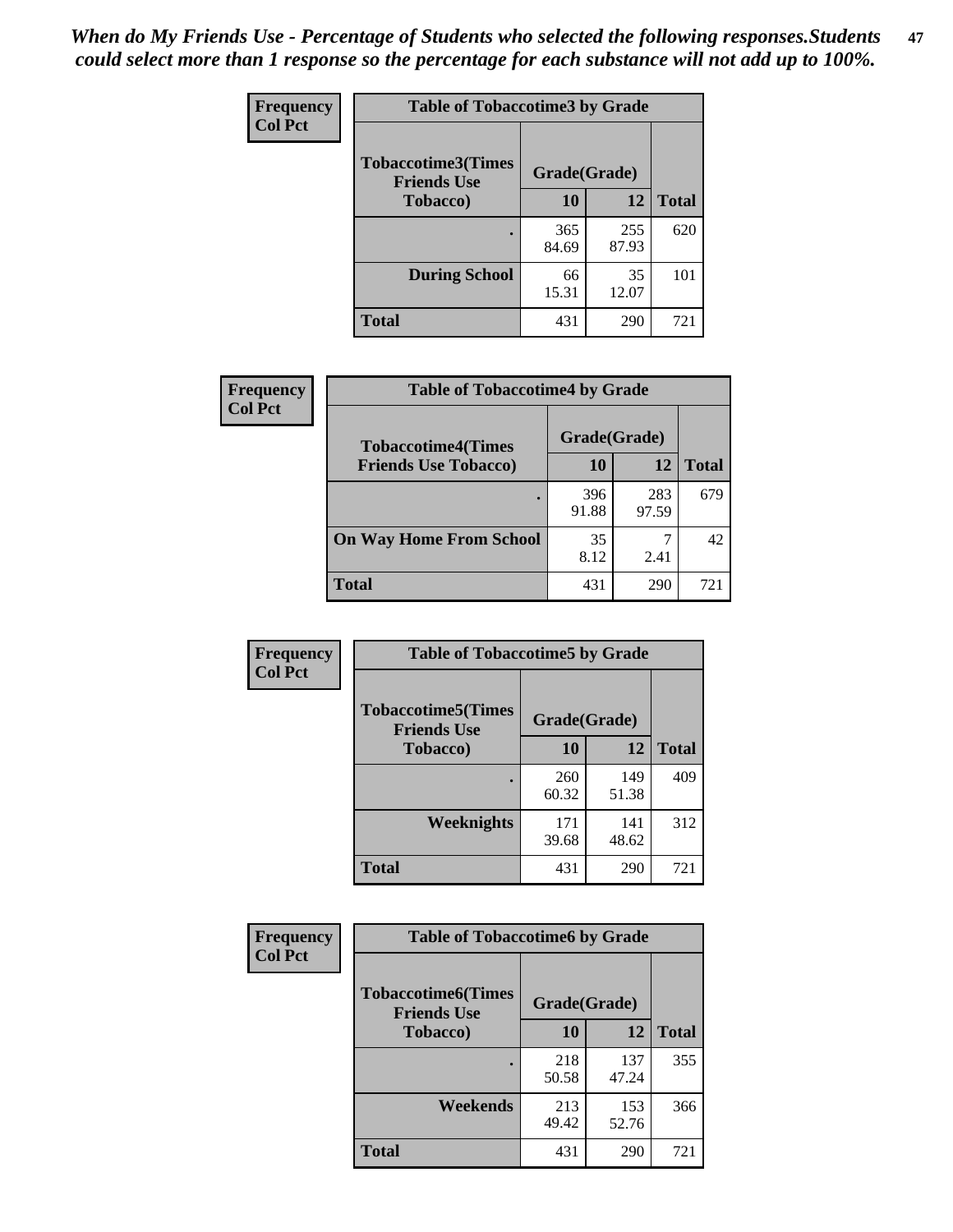| Frequency      | <b>Table of Tobaccotime3 by Grade</b>           |              |              |              |
|----------------|-------------------------------------------------|--------------|--------------|--------------|
| <b>Col Pct</b> | <b>Tobaccotime3(Times</b><br><b>Friends Use</b> | Grade(Grade) |              |              |
|                | <b>Tobacco</b> )                                | 10           | 12           | <b>Total</b> |
|                | $\bullet$                                       | 365<br>84.69 | 255<br>87.93 | 620          |
|                | <b>During School</b>                            | 66<br>15.31  | 35<br>12.07  | 101          |
|                | <b>Total</b>                                    | 431          | 290          | 721          |

| <b>Frequency</b> | <b>Table of Tobaccotime4 by Grade</b> |              |              |              |
|------------------|---------------------------------------|--------------|--------------|--------------|
| <b>Col Pct</b>   | <b>Tobaccotime4(Times</b>             | Grade(Grade) |              |              |
|                  | <b>Friends Use Tobacco)</b>           | 10           | 12           | <b>Total</b> |
|                  |                                       | 396<br>91.88 | 283<br>97.59 | 679          |
|                  | <b>On Way Home From School</b>        | 35<br>8.12   | 2.41         | 42           |
|                  | <b>Total</b>                          | 431          | 290          | 721          |

| Frequency      | <b>Table of Tobaccotime5 by Grade</b>           |              |              |              |
|----------------|-------------------------------------------------|--------------|--------------|--------------|
| <b>Col Pct</b> | <b>Tobaccotime5(Times</b><br><b>Friends Use</b> | Grade(Grade) |              |              |
|                | Tobacco)                                        | 10           | 12           | <b>Total</b> |
|                | $\bullet$                                       | 260<br>60.32 | 149<br>51.38 | 409          |
|                | Weeknights                                      | 171<br>39.68 | 141<br>48.62 | 312          |
|                | <b>Total</b>                                    | 431          | 290          | 721          |

| Frequency<br><b>Col Pct</b> | <b>Table of Tobaccotime6 by Grade</b>           |              |              |              |
|-----------------------------|-------------------------------------------------|--------------|--------------|--------------|
|                             | <b>Tobaccotime6(Times</b><br><b>Friends Use</b> | Grade(Grade) |              |              |
|                             | <b>Tobacco</b> )                                | 10           | 12           | <b>Total</b> |
|                             |                                                 | 218<br>50.58 | 137<br>47.24 | 355          |
|                             | Weekends                                        | 213<br>49.42 | 153<br>52.76 | 366          |
|                             | <b>Total</b>                                    | 431          | 290          | 721          |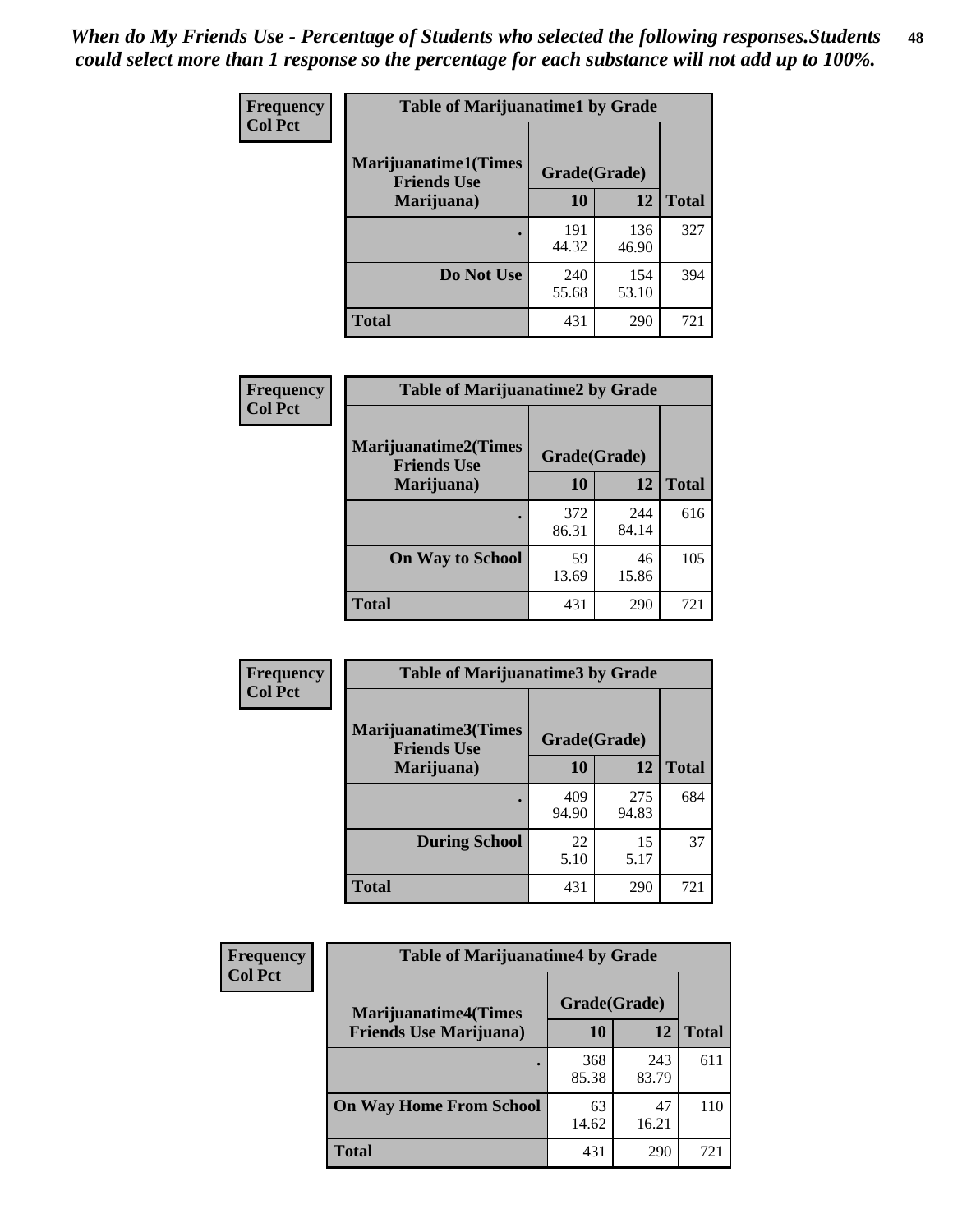| Frequency      | <b>Table of Marijuanatime1 by Grade</b>           |              |              |              |  |
|----------------|---------------------------------------------------|--------------|--------------|--------------|--|
| <b>Col Pct</b> | <b>Marijuanatime1(Times</b><br><b>Friends Use</b> | Grade(Grade) |              |              |  |
|                | Marijuana)                                        | 10           | 12           | <b>Total</b> |  |
|                |                                                   | 191<br>44.32 | 136<br>46.90 | 327          |  |
|                | Do Not Use                                        | 240<br>55.68 | 154<br>53.10 | 394          |  |
|                | <b>Total</b>                                      | 431          | 290          | 721          |  |

| Frequency      | <b>Table of Marijuanatime2 by Grade</b>           |              |              |              |
|----------------|---------------------------------------------------|--------------|--------------|--------------|
| <b>Col Pct</b> | <b>Marijuanatime2(Times</b><br><b>Friends Use</b> | Grade(Grade) |              |              |
|                | Marijuana)                                        | 10           | 12           | <b>Total</b> |
|                |                                                   | 372<br>86.31 | 244<br>84.14 | 616          |
|                | <b>On Way to School</b>                           | 59<br>13.69  | 46<br>15.86  | 105          |
|                | <b>Total</b>                                      | 431          | 290          | 721          |

| Frequency      | <b>Table of Marijuanatime3 by Grade</b>    |              |              |              |
|----------------|--------------------------------------------|--------------|--------------|--------------|
| <b>Col Pct</b> | Marijuanatime3(Times<br><b>Friends Use</b> | Grade(Grade) |              |              |
|                | Marijuana)                                 | 10           | 12           | <b>Total</b> |
|                |                                            | 409<br>94.90 | 275<br>94.83 | 684          |
|                | <b>During School</b>                       | 22<br>5.10   | 15<br>5.17   | 37           |
|                | <b>Total</b>                               | 431          | 290          | 721          |

| Frequency      | <b>Table of Marijuanatime4 by Grade</b> |              |              |       |
|----------------|-----------------------------------------|--------------|--------------|-------|
| <b>Col Pct</b> | <b>Marijuanatime4(Times</b>             | Grade(Grade) |              |       |
|                | <b>Friends Use Marijuana</b> )          | 10           | 12           | Total |
|                |                                         | 368<br>85.38 | 243<br>83.79 | 611   |
|                | <b>On Way Home From School</b>          | 63<br>14.62  | 47<br>16.21  | 110   |
|                | <b>Total</b>                            | 431          | 290          | 721   |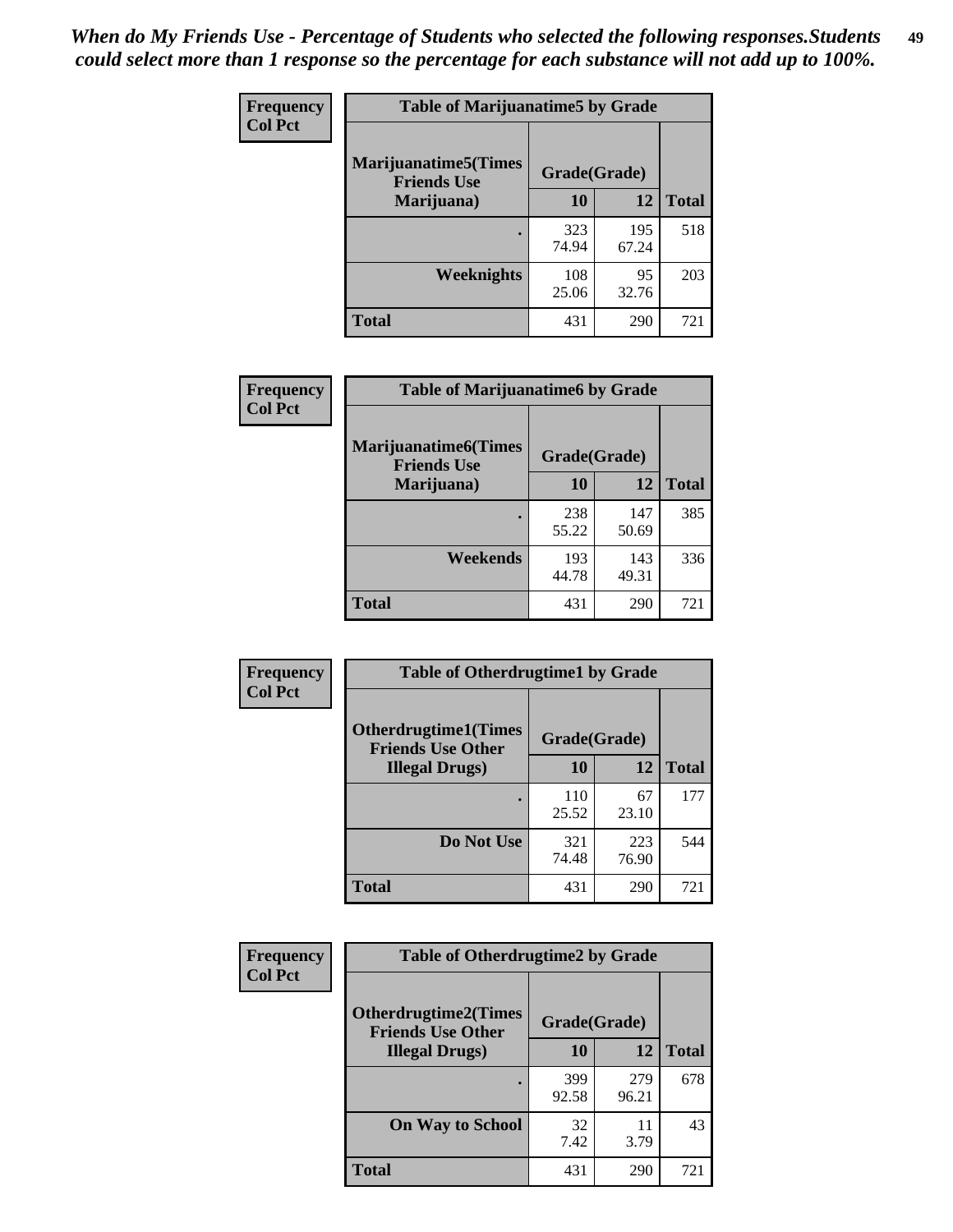| Frequency      | <b>Table of Marijuanatime5 by Grade</b>            |              |              |              |
|----------------|----------------------------------------------------|--------------|--------------|--------------|
| <b>Col Pct</b> | <b>Marijuanatime5</b> (Times<br><b>Friends Use</b> | Grade(Grade) |              |              |
|                | Marijuana)                                         | 10           | 12           | <b>Total</b> |
|                |                                                    | 323<br>74.94 | 195<br>67.24 | 518          |
|                | Weeknights                                         | 108<br>25.06 | 95<br>32.76  | 203          |
|                | <b>Total</b>                                       | 431          | 290          | 721          |

| Frequency      | <b>Table of Marijuanatime6 by Grade</b>    |              |              |              |
|----------------|--------------------------------------------|--------------|--------------|--------------|
| <b>Col Pct</b> | Marijuanatime6(Times<br><b>Friends Use</b> | Grade(Grade) |              |              |
|                | Marijuana)                                 | 10           | 12           | <b>Total</b> |
|                |                                            | 238<br>55.22 | 147<br>50.69 | 385          |
|                | Weekends                                   | 193<br>44.78 | 143<br>49.31 | 336          |
|                | <b>Total</b>                               | 431          | 290          | 721          |

| Frequency      | <b>Table of Otherdrugtime1 by Grade</b><br><b>Otherdrugtime1(Times</b><br>Grade(Grade)<br><b>Friends Use Other</b> |              |              |              |
|----------------|--------------------------------------------------------------------------------------------------------------------|--------------|--------------|--------------|
| <b>Col Pct</b> |                                                                                                                    |              |              |              |
|                | <b>Illegal Drugs</b> )                                                                                             | 10           | 12           | <b>Total</b> |
|                |                                                                                                                    | 110<br>25.52 | 67<br>23.10  | 177          |
|                | Do Not Use                                                                                                         | 321<br>74.48 | 223<br>76.90 | 544          |
|                | Total                                                                                                              | 431          | 290          | 721          |

| <b>Frequency</b> | <b>Table of Otherdrugtime2 by Grade</b>                                 |              |              |              |  |  |
|------------------|-------------------------------------------------------------------------|--------------|--------------|--------------|--|--|
| <b>Col Pct</b>   | <b>Otherdrugtime2(Times</b><br>Grade(Grade)<br><b>Friends Use Other</b> |              |              |              |  |  |
|                  | <b>Illegal Drugs</b> )                                                  | 10           | 12           | <b>Total</b> |  |  |
|                  |                                                                         | 399<br>92.58 | 279<br>96.21 | 678          |  |  |
|                  | <b>On Way to School</b>                                                 | 32<br>7.42   | 11<br>3.79   | 43           |  |  |
|                  | <b>Total</b>                                                            | 431          | 290          | 721          |  |  |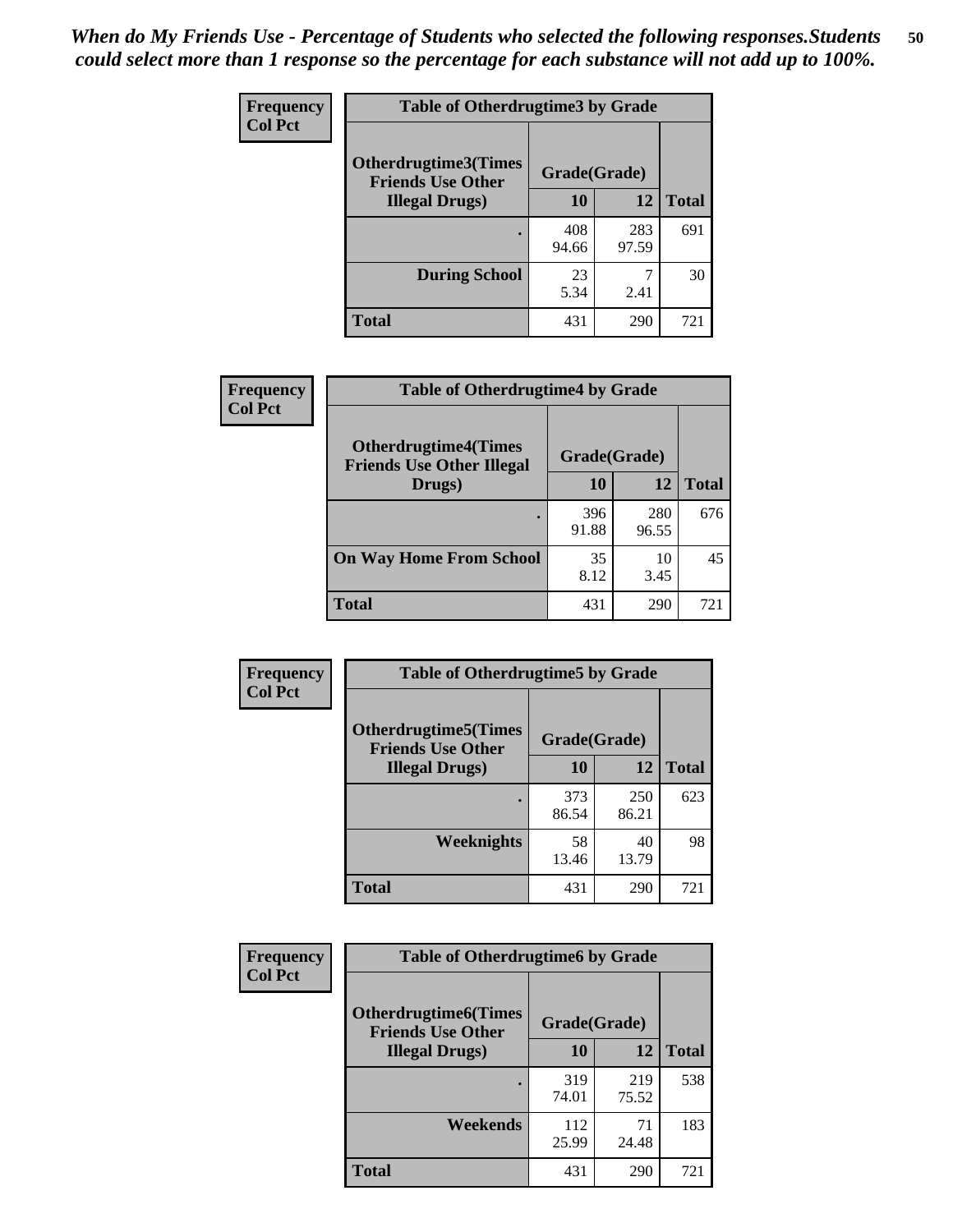| <b>Frequency</b> | <b>Table of Otherdrugtime3 by Grade</b>                 |              |              |              |  |  |  |
|------------------|---------------------------------------------------------|--------------|--------------|--------------|--|--|--|
| <b>Col Pct</b>   | <b>Otherdrugtime3(Times</b><br><b>Friends Use Other</b> | Grade(Grade) |              |              |  |  |  |
|                  | <b>Illegal Drugs</b> )                                  | 10           | 12           | <b>Total</b> |  |  |  |
|                  |                                                         | 408<br>94.66 | 283<br>97.59 | 691          |  |  |  |
|                  | <b>During School</b>                                    | 23<br>5.34   | 7<br>2.41    | 30           |  |  |  |
|                  | Total                                                   | 431          | 290          | 721          |  |  |  |

| Frequency      | <b>Table of Otherdrugtime4 by Grade</b>                         |              |              |              |  |  |
|----------------|-----------------------------------------------------------------|--------------|--------------|--------------|--|--|
| <b>Col Pct</b> | <b>Otherdrugtime4(Times</b><br><b>Friends Use Other Illegal</b> | Grade(Grade) |              |              |  |  |
|                | Drugs)                                                          | 10           | 12           | <b>Total</b> |  |  |
|                | ٠                                                               | 396<br>91.88 | 280<br>96.55 | 676          |  |  |
|                | <b>On Way Home From School</b>                                  | 35<br>8.12   | 10<br>3.45   | 45           |  |  |
|                | <b>Total</b>                                                    | 431          | 290          | 721          |  |  |

| <b>Frequency</b> | <b>Table of Otherdrugtime5 by Grade</b>                  |              |              |              |  |  |  |
|------------------|----------------------------------------------------------|--------------|--------------|--------------|--|--|--|
| <b>Col Pct</b>   | <b>Otherdrugtime5</b> (Times<br><b>Friends Use Other</b> | Grade(Grade) |              |              |  |  |  |
|                  | <b>Illegal Drugs</b> )                                   | 10           | 12           | <b>Total</b> |  |  |  |
|                  |                                                          | 373<br>86.54 | 250<br>86.21 | 623          |  |  |  |
|                  | <b>Weeknights</b>                                        | 58<br>13.46  | 40<br>13.79  | 98           |  |  |  |
|                  | <b>Total</b>                                             | 431          | 290          | 721          |  |  |  |

| Frequency      | <b>Table of Otherdrugtime6 by Grade</b>                 |              |              |              |  |  |
|----------------|---------------------------------------------------------|--------------|--------------|--------------|--|--|
| <b>Col Pct</b> | <b>Otherdrugtime6(Times</b><br><b>Friends Use Other</b> | Grade(Grade) |              |              |  |  |
|                | <b>Illegal Drugs</b> )                                  | 10           | 12           | <b>Total</b> |  |  |
|                |                                                         | 319<br>74.01 | 219<br>75.52 | 538          |  |  |
|                | Weekends                                                | 112<br>25.99 | 71<br>24.48  | 183          |  |  |
|                | Total                                                   | 431          | 290          | 721          |  |  |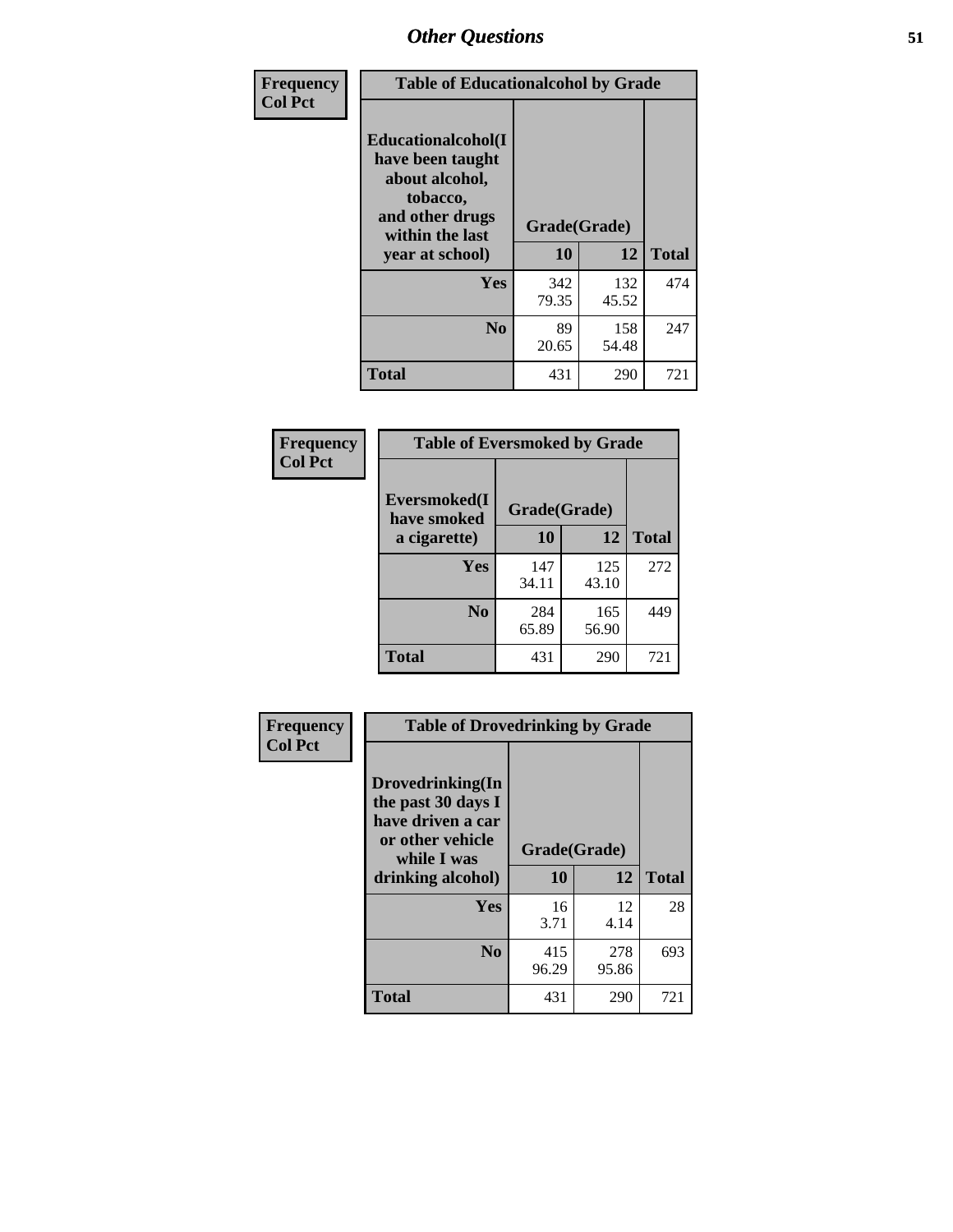| Frequency      | <b>Table of Educationalcohol by Grade</b>                                                                  |              |              |              |  |  |
|----------------|------------------------------------------------------------------------------------------------------------|--------------|--------------|--------------|--|--|
| <b>Col Pct</b> | Educationalcohol(I<br>have been taught<br>about alcohol,<br>tobacco,<br>and other drugs<br>within the last | Grade(Grade) |              |              |  |  |
|                | year at school)                                                                                            | 10           | 12           | <b>Total</b> |  |  |
|                | <b>Yes</b>                                                                                                 | 342<br>79.35 | 132<br>45.52 | 474          |  |  |
|                | N <sub>0</sub>                                                                                             | 89<br>20.65  | 158<br>54.48 | 247          |  |  |
|                | <b>Total</b>                                                                                               | 431          | 290          | 721          |  |  |

| Frequency      | <b>Table of Eversmoked by Grade</b> |              |              |              |  |  |  |
|----------------|-------------------------------------|--------------|--------------|--------------|--|--|--|
| <b>Col Pct</b> | Eversmoked(I<br>have smoked         | Grade(Grade) |              |              |  |  |  |
|                | a cigarette)                        | 10           | 12           | <b>Total</b> |  |  |  |
|                | <b>Yes</b>                          | 147<br>34.11 | 125<br>43.10 | 272          |  |  |  |
|                | N <sub>0</sub>                      | 284<br>65.89 | 165<br>56.90 | 449          |  |  |  |
|                | <b>Total</b>                        | 431          | 290          | 721          |  |  |  |

| Frequency      | <b>Table of Drovedrinking by Grade</b>                                                                              |                    |              |              |  |  |  |
|----------------|---------------------------------------------------------------------------------------------------------------------|--------------------|--------------|--------------|--|--|--|
| <b>Col Pct</b> | Drovedrinking(In<br>the past 30 days I<br>have driven a car<br>or other vehicle<br>while I was<br>drinking alcohol) | Grade(Grade)<br>10 | 12           | <b>Total</b> |  |  |  |
|                | <b>Yes</b>                                                                                                          | 16<br>3.71         | 12<br>4.14   | 28           |  |  |  |
|                | N <sub>0</sub>                                                                                                      | 415<br>96.29       | 278<br>95.86 | 693          |  |  |  |
|                | <b>Total</b>                                                                                                        | 431                | 290          | 721          |  |  |  |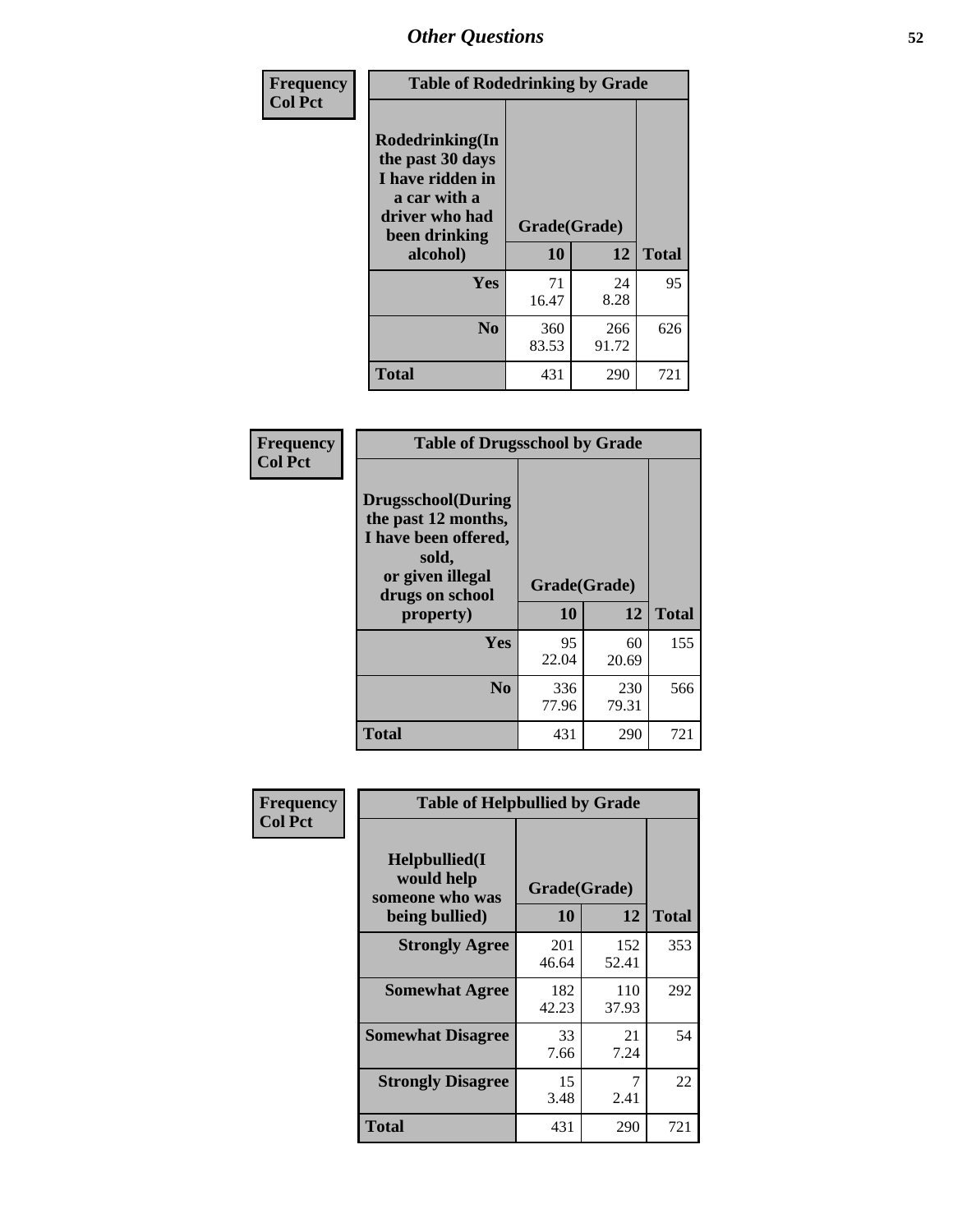| Frequency<br><b>Col Pct</b> | <b>Table of Rodedrinking by Grade</b>                                                                      |              |              |              |  |  |  |
|-----------------------------|------------------------------------------------------------------------------------------------------------|--------------|--------------|--------------|--|--|--|
|                             | Rodedrinking(In<br>the past 30 days<br>I have ridden in<br>a car with a<br>driver who had<br>been drinking | Grade(Grade) |              |              |  |  |  |
|                             | alcohol)                                                                                                   | 10           | 12           | <b>Total</b> |  |  |  |
|                             | <b>Yes</b>                                                                                                 | 71<br>16.47  | 24<br>8.28   | 95           |  |  |  |
|                             | N <sub>0</sub>                                                                                             | 360<br>83.53 | 266<br>91.72 | 626          |  |  |  |
|                             | <b>Total</b>                                                                                               | 431          | 290          | 721          |  |  |  |

#### **Frequency Col Pct**

| <b>Table of Drugsschool by Grade</b>                                                                                      |              |             |              |  |  |  |  |
|---------------------------------------------------------------------------------------------------------------------------|--------------|-------------|--------------|--|--|--|--|
| <b>Drugsschool</b> (During<br>the past 12 months,<br>I have been offered,<br>sold,<br>or given illegal<br>drugs on school | Grade(Grade) |             |              |  |  |  |  |
| property)                                                                                                                 | 10           | 12          | <b>Total</b> |  |  |  |  |
| Yes                                                                                                                       | 95<br>22.04  | 60<br>20.69 | 155          |  |  |  |  |
| N <sub>0</sub>                                                                                                            | 336          | 230         | 566          |  |  |  |  |
|                                                                                                                           | 77.96        | 79.31       |              |  |  |  |  |

| Frequency      | <b>Table of Helpbullied by Grade</b>           |              |              |              |  |  |  |
|----------------|------------------------------------------------|--------------|--------------|--------------|--|--|--|
| <b>Col Pct</b> | Helpbullied(I<br>would help<br>someone who was | Grade(Grade) |              |              |  |  |  |
|                | being bullied)                                 | 10           | 12           | <b>Total</b> |  |  |  |
|                | <b>Strongly Agree</b>                          | 201<br>46.64 | 152<br>52.41 | 353          |  |  |  |
|                | <b>Somewhat Agree</b>                          | 182<br>42.23 | 110<br>37.93 | 292          |  |  |  |
|                | <b>Somewhat Disagree</b>                       | 33<br>7.66   | 21<br>7.24   | 54           |  |  |  |
|                | <b>Strongly Disagree</b>                       | 15<br>3.48   | 7<br>2.41    | 22           |  |  |  |
|                | <b>Total</b>                                   | 431          | 290          | 721          |  |  |  |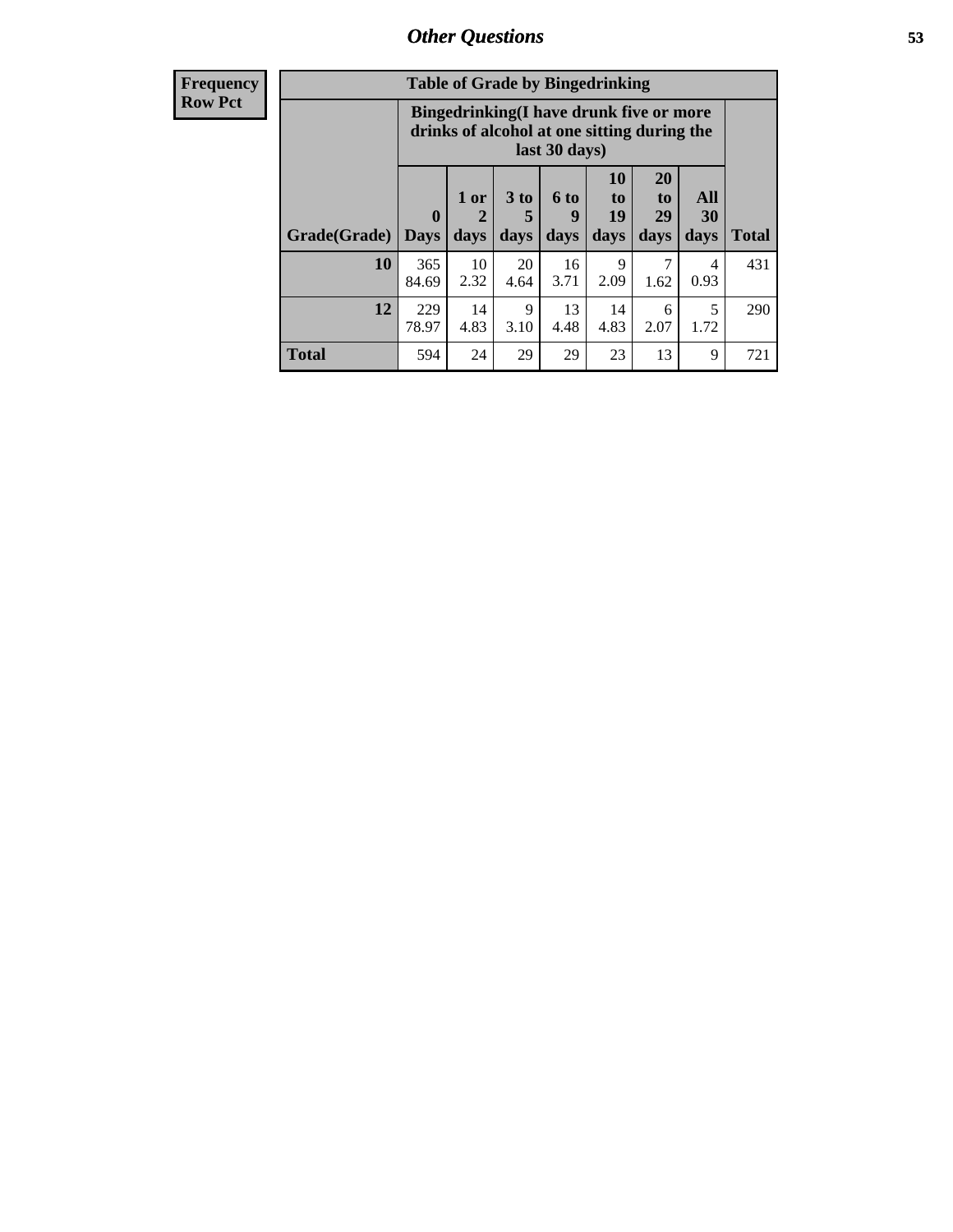| <b>Frequency</b> | <b>Table of Grade by Bingedrinking</b> |                                                                                                         |                                |                              |                          |                                 |                        |                   |              |
|------------------|----------------------------------------|---------------------------------------------------------------------------------------------------------|--------------------------------|------------------------------|--------------------------|---------------------------------|------------------------|-------------------|--------------|
| <b>Row Pct</b>   |                                        | Bingedrinking(I have drunk five or more<br>drinks of alcohol at one sitting during the<br>last 30 days) |                                |                              |                          |                                 |                        |                   |              |
|                  | Grade(Grade)                           | $\mathbf{0}$<br><b>Days</b>                                                                             | 1 or<br>$\overline{2}$<br>days | 3 <sub>to</sub><br>5<br>days | <b>6 to</b><br>9<br>days | <b>10</b><br>to  <br>19<br>days | 20<br>to<br>29<br>days | All<br>30<br>days | <b>Total</b> |
|                  | 10                                     | 365<br>84.69                                                                                            | 10<br>2.32                     | 20<br>4.64                   | 16<br>3.71               | 9<br>2.09                       | 7<br>1.62              | 4<br>0.93         | 431          |
|                  | 12                                     | 229<br>78.97                                                                                            | 14<br>4.83                     | 9<br>3.10                    | 13<br>4.48               | 14<br>4.83                      | 6<br>2.07              | 5<br>1.72         | 290          |
|                  | <b>Total</b>                           | 594                                                                                                     | 24                             | 29                           | 29                       | 23                              | 13                     | 9                 | 721          |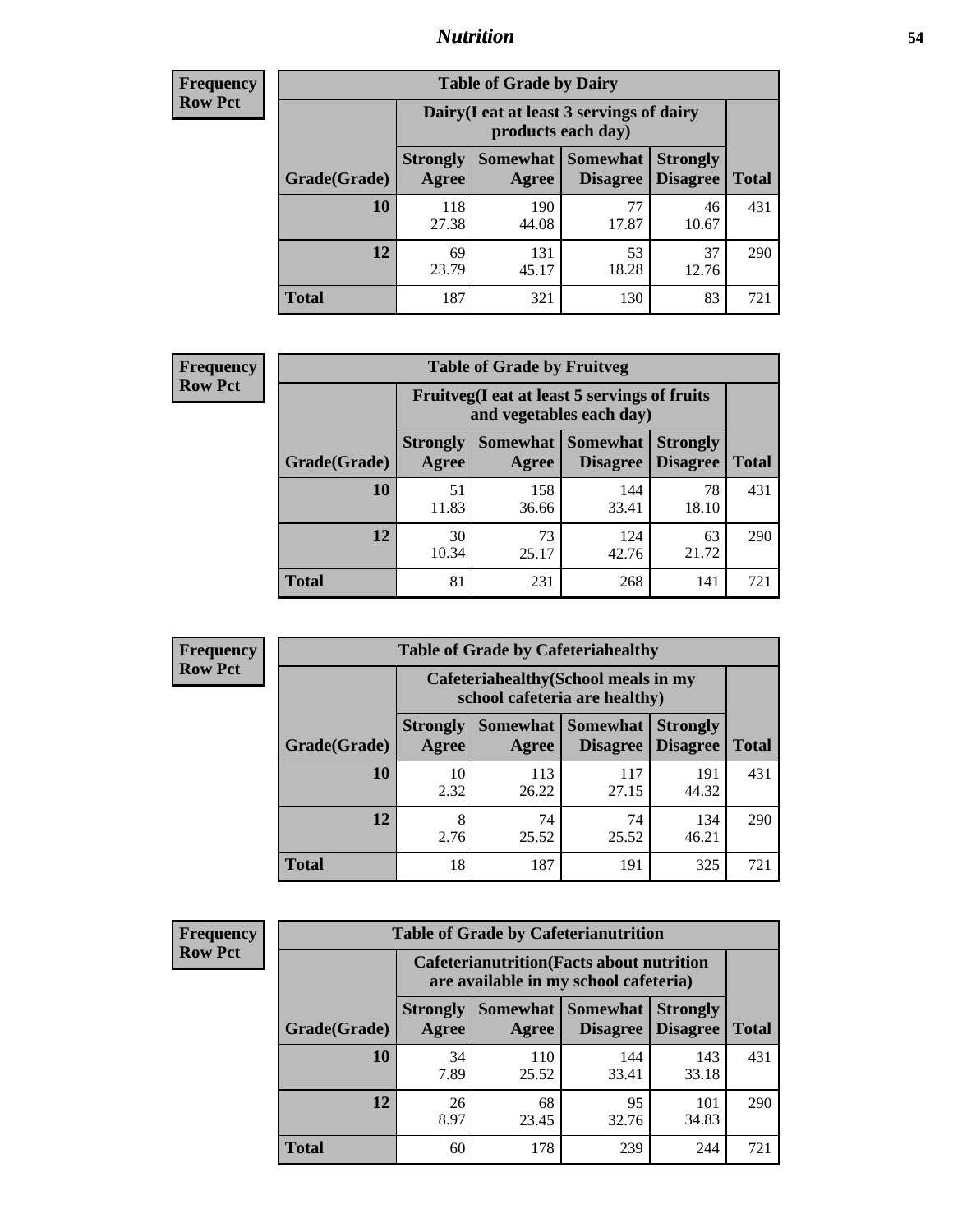## *Nutrition* **54**

| <b>Frequency</b><br>Row Pct |
|-----------------------------|
|                             |

| <b>Table of Grade by Dairy</b> |                          |                                                                                                      |             |             |     |  |  |  |
|--------------------------------|--------------------------|------------------------------------------------------------------------------------------------------|-------------|-------------|-----|--|--|--|
|                                |                          | Dairy (I eat at least 3 servings of dairy<br>products each day)                                      |             |             |     |  |  |  |
| Grade(Grade)                   | <b>Strongly</b><br>Agree | <b>Somewhat</b><br><b>Somewhat</b><br><b>Strongly</b><br><b>Disagree</b><br><b>Disagree</b><br>Agree |             |             |     |  |  |  |
| 10                             | 118<br>27.38             | 190<br>44.08                                                                                         | 77<br>17.87 | 46<br>10.67 | 431 |  |  |  |
| 12                             | 69<br>23.79              | 131<br>45.17                                                                                         | 53<br>18.28 | 37<br>12.76 | 290 |  |  |  |
| <b>Total</b>                   | 187                      | 321                                                                                                  | 130         | 83          | 721 |  |  |  |

| <b>Frequency</b> |  |
|------------------|--|
| <b>Row Pct</b>   |  |

| <b>Table of Grade by Fruitveg</b>                                        |                               |                                    |              |             |     |  |  |  |
|--------------------------------------------------------------------------|-------------------------------|------------------------------------|--------------|-------------|-----|--|--|--|
| Fruitveg(I eat at least 5 servings of fruits<br>and vegetables each day) |                               |                                    |              |             |     |  |  |  |
| Grade(Grade)                                                             | Somewhat Somewhat<br>Disagree | <b>Strongly</b><br><b>Disagree</b> | <b>Total</b> |             |     |  |  |  |
| 10                                                                       | 51<br>11.83                   | 158<br>36.66                       | 144<br>33.41 | 78<br>18.10 | 431 |  |  |  |
| 12                                                                       | 30<br>10.34                   | 73<br>25.17                        | 124<br>42.76 | 63<br>21.72 | 290 |  |  |  |
| <b>Total</b>                                                             | 81                            | 231                                | 268          | 141         | 721 |  |  |  |

| <b>Frequency</b> | <b>Table of Grade by Cafeteriahealthy</b> |                                                                       |              |                                          |                                    |              |  |  |
|------------------|-------------------------------------------|-----------------------------------------------------------------------|--------------|------------------------------------------|------------------------------------|--------------|--|--|
| <b>Row Pct</b>   |                                           | Cafeteriahealthy (School meals in my<br>school cafeteria are healthy) |              |                                          |                                    |              |  |  |
|                  | Grade(Grade)                              | <b>Strongly</b><br>Agree                                              | Agree        | Somewhat   Somewhat  <br><b>Disagree</b> | <b>Strongly</b><br><b>Disagree</b> | <b>Total</b> |  |  |
|                  | 10                                        | 10<br>2.32                                                            | 113<br>26.22 | 117<br>27.15                             | 191<br>44.32                       | 431          |  |  |
|                  | 12                                        | 8<br>2.76                                                             | 74<br>25.52  | 74<br>25.52                              | 134<br>46.21                       | 290          |  |  |
|                  | <b>Total</b>                              | 18                                                                    | 187          | 191                                      | 325                                | 721          |  |  |

| <b>Frequency</b> |
|------------------|
| <b>Row Pct</b>   |

F

| <b>Table of Grade by Cafeterianutrition</b> |                          |                                                                                           |                                    |                                    |              |  |  |  |
|---------------------------------------------|--------------------------|-------------------------------------------------------------------------------------------|------------------------------------|------------------------------------|--------------|--|--|--|
|                                             |                          | <b>Cafeterianutrition</b> (Facts about nutrition<br>are available in my school cafeteria) |                                    |                                    |              |  |  |  |
| Grade(Grade)                                | <b>Strongly</b><br>Agree | Somewhat  <br>Agree                                                                       | <b>Somewhat</b><br><b>Disagree</b> | <b>Strongly</b><br><b>Disagree</b> | <b>Total</b> |  |  |  |
| 10                                          | 34<br>7.89               | 110<br>25.52                                                                              | 144<br>33.41                       | 143<br>33.18                       | 431          |  |  |  |
| 12                                          | 26<br>8.97               | 68<br>23.45                                                                               | 95<br>32.76                        | 101<br>34.83                       | 290          |  |  |  |
| <b>Total</b>                                | 60                       | 178                                                                                       | 239                                | 244                                | 721          |  |  |  |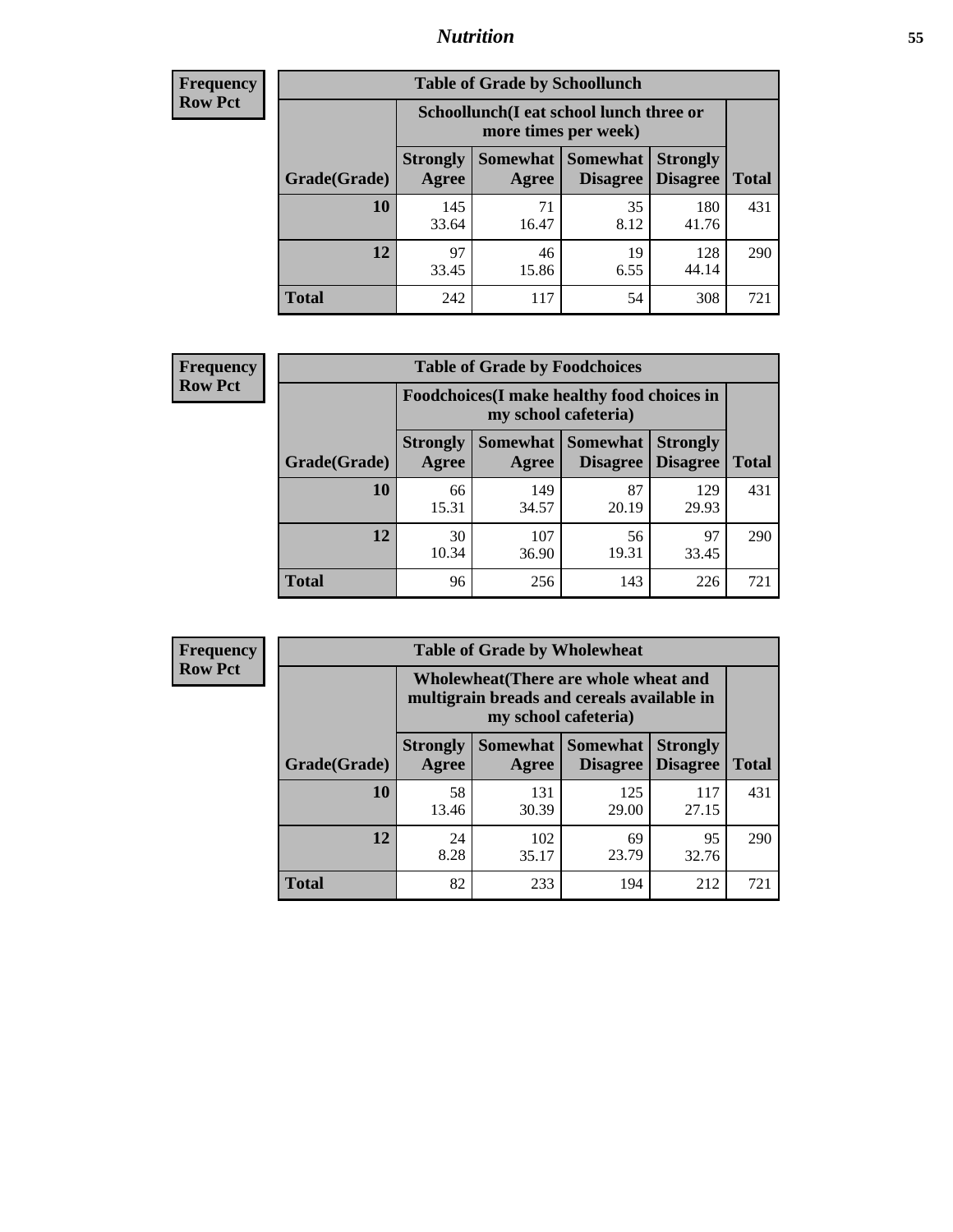## *Nutrition* **55**

| Frequency |
|-----------|
| Row Pct   |

| <b>Table of Grade by Schoollunch</b> |                          |                                                                                                          |            |              |     |  |  |  |
|--------------------------------------|--------------------------|----------------------------------------------------------------------------------------------------------|------------|--------------|-----|--|--|--|
|                                      |                          | Schoollunch(I eat school lunch three or<br>more times per week)                                          |            |              |     |  |  |  |
| Grade(Grade)                         | <b>Strongly</b><br>Agree | <b>Somewhat</b><br>Somewhat  <br><b>Strongly</b><br><b>Disagree</b><br>Disagree<br><b>Total</b><br>Agree |            |              |     |  |  |  |
| 10                                   | 145<br>33.64             | 71<br>16.47                                                                                              | 35<br>8.12 | 180<br>41.76 | 431 |  |  |  |
| 12                                   | 97<br>33.45              | 46<br>15.86                                                                                              | 19<br>6.55 | 128<br>44.14 | 290 |  |  |  |
| <b>Total</b>                         | 242                      | 117                                                                                                      | 54         | 308          | 721 |  |  |  |

| <b>Frequency</b> |  |
|------------------|--|
| <b>Row Pct</b>   |  |

| <b>Table of Grade by Foodchoices</b>                                                                                                  |             |              |             |              |     |  |  |
|---------------------------------------------------------------------------------------------------------------------------------------|-------------|--------------|-------------|--------------|-----|--|--|
| <b>Foodchoices</b> (I make healthy food choices in<br>my school cafeteria)                                                            |             |              |             |              |     |  |  |
| Somewhat Somewhat<br><b>Strongly</b><br><b>Strongly</b><br><b>Disagree</b> Disagree<br>Agree<br><b>Total</b><br>Grade(Grade)<br>Agree |             |              |             |              |     |  |  |
| 10                                                                                                                                    | 66<br>15.31 | 149<br>34.57 | 87<br>20.19 | 129<br>29.93 | 431 |  |  |
| 12                                                                                                                                    | 30<br>10.34 | 107<br>36.90 | 56<br>19.31 | 97<br>33.45  | 290 |  |  |
| <b>Total</b>                                                                                                                          | 96          | 256          | 143         | 226          | 721 |  |  |

| Frequency      | <b>Table of Grade by Wholewheat</b> |                                                                                                             |              |                                      |                                    |              |  |  |
|----------------|-------------------------------------|-------------------------------------------------------------------------------------------------------------|--------------|--------------------------------------|------------------------------------|--------------|--|--|
| <b>Row Pct</b> |                                     | Wholewheat (There are whole wheat and<br>multigrain breads and cereals available in<br>my school cafeteria) |              |                                      |                                    |              |  |  |
|                | Grade(Grade)                        | <b>Strongly</b><br>Agree                                                                                    | Agree        | Somewhat Somewhat<br><b>Disagree</b> | <b>Strongly</b><br><b>Disagree</b> | <b>Total</b> |  |  |
|                | 10                                  | 58<br>13.46                                                                                                 | 131<br>30.39 | 125<br>29.00                         | 117<br>27.15                       | 431          |  |  |
|                | 12                                  | 24<br>8.28                                                                                                  | 102<br>35.17 | 69<br>23.79                          | 95<br>32.76                        | 290          |  |  |
|                | <b>Total</b>                        | 82                                                                                                          | 233          | 194                                  | 212                                | 721          |  |  |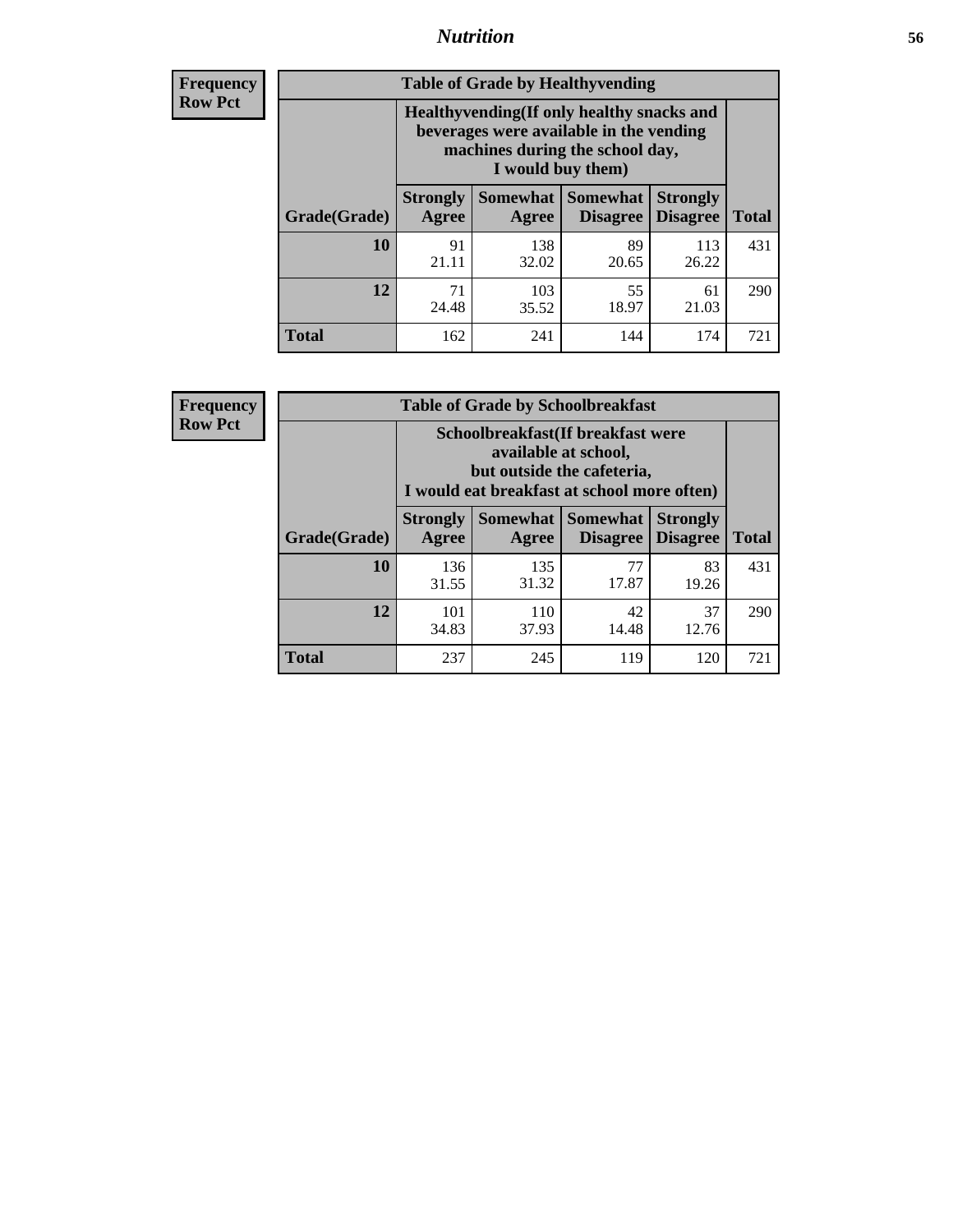## *Nutrition* **56**

**Frequency Row Pct**

| <b>Table of Grade by Healthyvending</b> |                                                                                                                                               |                          |                                    |                                    |              |  |
|-----------------------------------------|-----------------------------------------------------------------------------------------------------------------------------------------------|--------------------------|------------------------------------|------------------------------------|--------------|--|
|                                         | Healthyvending (If only healthy snacks and<br>beverages were available in the vending<br>machines during the school day,<br>I would buy them) |                          |                                    |                                    |              |  |
| Grade(Grade)                            | <b>Strongly</b><br>Agree                                                                                                                      | <b>Somewhat</b><br>Agree | <b>Somewhat</b><br><b>Disagree</b> | <b>Strongly</b><br><b>Disagree</b> | <b>Total</b> |  |
| 10                                      | 91<br>21.11                                                                                                                                   | 138<br>32.02             | 89<br>20.65                        | 113<br>26.22                       | 431          |  |
| 12                                      | 71<br>24.48                                                                                                                                   | 103<br>35.52             | 55<br>18.97                        | 61<br>21.03                        | 290          |  |
| Total                                   | 162                                                                                                                                           | 241                      | 144                                | 174                                | 721          |  |

**Frequency Row Pct**

| <b>Table of Grade by Schoolbreakfast</b> |                                                                                                                                        |                     |                                    |                                    |              |  |
|------------------------------------------|----------------------------------------------------------------------------------------------------------------------------------------|---------------------|------------------------------------|------------------------------------|--------------|--|
|                                          | Schoolbreakfast(If breakfast were<br>available at school,<br>but outside the cafeteria,<br>I would eat breakfast at school more often) |                     |                                    |                                    |              |  |
| Grade(Grade)                             | <b>Strongly</b><br>Agree                                                                                                               | Somewhat  <br>Agree | <b>Somewhat</b><br><b>Disagree</b> | <b>Strongly</b><br><b>Disagree</b> | <b>Total</b> |  |
| 10                                       | 136<br>31.55                                                                                                                           | 135<br>31.32        | 77<br>17.87                        | 83<br>19.26                        | 431          |  |
| 12                                       | 101<br>34.83                                                                                                                           | 110<br>37.93        | 42<br>14.48                        | 37<br>12.76                        | 290          |  |
| <b>Total</b>                             | 237                                                                                                                                    | 245                 | 119                                | 120                                | 721          |  |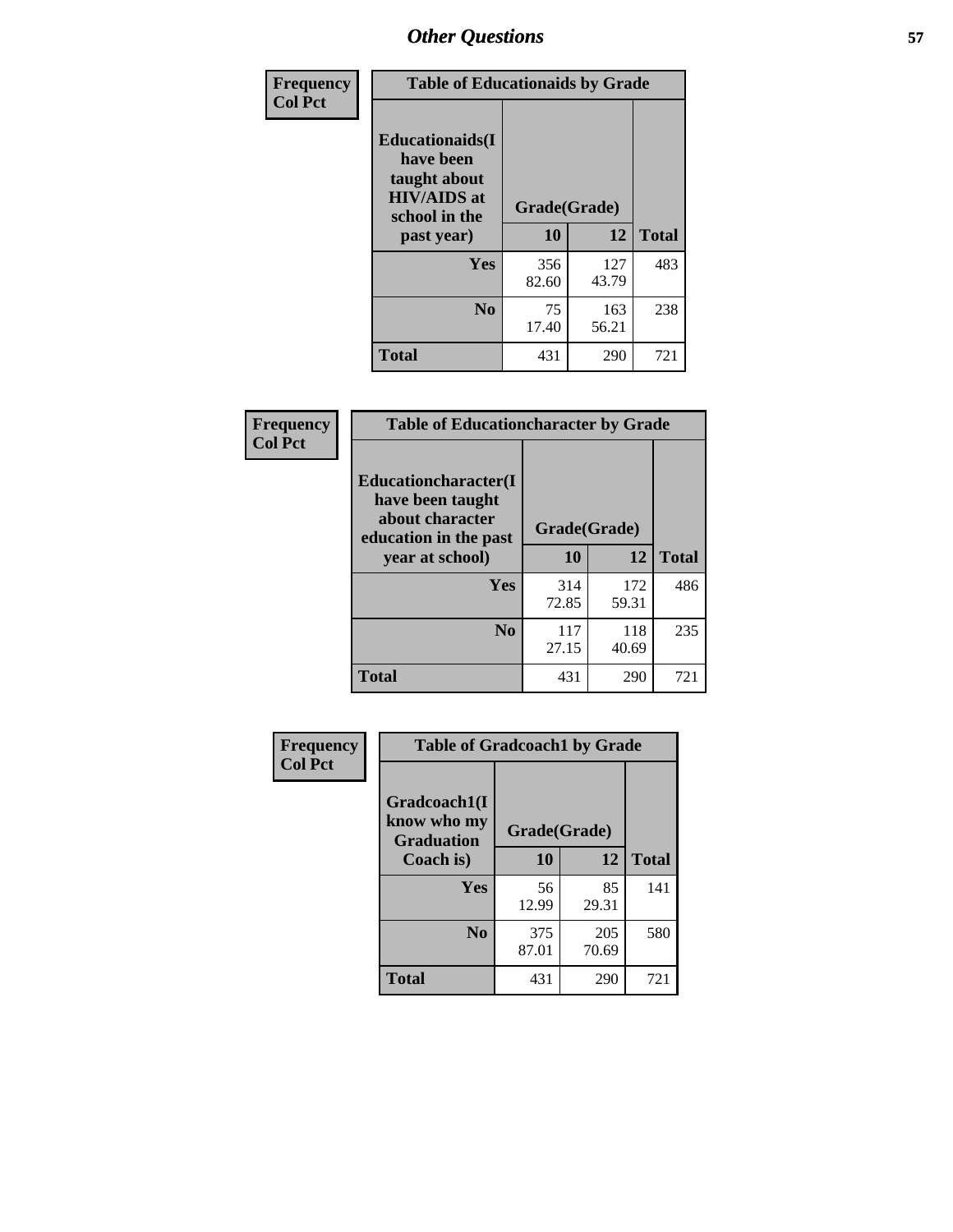| Frequency<br><b>Col Pct</b> | <b>Table of Educationaids by Grade</b>                                                                    |                    |              |              |
|-----------------------------|-----------------------------------------------------------------------------------------------------------|--------------------|--------------|--------------|
|                             | <b>Educationaids</b> (I<br>have been<br>taught about<br><b>HIV/AIDS</b> at<br>school in the<br>past year) | Grade(Grade)<br>10 | 12           | <b>Total</b> |
|                             | Yes                                                                                                       | 356<br>82.60       | 127<br>43.79 | 483          |
|                             | N <sub>0</sub>                                                                                            | 75<br>17.40        | 163<br>56.21 | 238          |
|                             | <b>Total</b>                                                                                              | 431                | 290          | 721          |

| <b>Frequency</b> | <b>Table of Educationcharacter by Grade</b>                                                 |              |              |              |
|------------------|---------------------------------------------------------------------------------------------|--------------|--------------|--------------|
| <b>Col Pct</b>   | <b>Educationcharacter(I</b><br>have been taught<br>about character<br>education in the past | Grade(Grade) |              |              |
|                  | year at school)                                                                             | 10           | 12           | <b>Total</b> |
|                  | <b>Yes</b>                                                                                  | 314<br>72.85 | 172<br>59.31 | 486          |
|                  | N <sub>0</sub>                                                                              | 117<br>27.15 | 118<br>40.69 | 235          |
|                  | <b>Total</b>                                                                                | 431          | 290          | 721          |

| Frequency      | <b>Table of Gradcoach1 by Grade</b>              |              |              |              |
|----------------|--------------------------------------------------|--------------|--------------|--------------|
| <b>Col Pct</b> | Gradcoach1(I<br>know who my<br><b>Graduation</b> | Grade(Grade) |              |              |
|                | Coach is)                                        | 10           | 12           | <b>Total</b> |
|                | Yes                                              | 56<br>12.99  | 85<br>29.31  | 141          |
|                | N <sub>0</sub>                                   | 375<br>87.01 | 205<br>70.69 | 580          |
|                | <b>Total</b>                                     | 431          | 290          | 721          |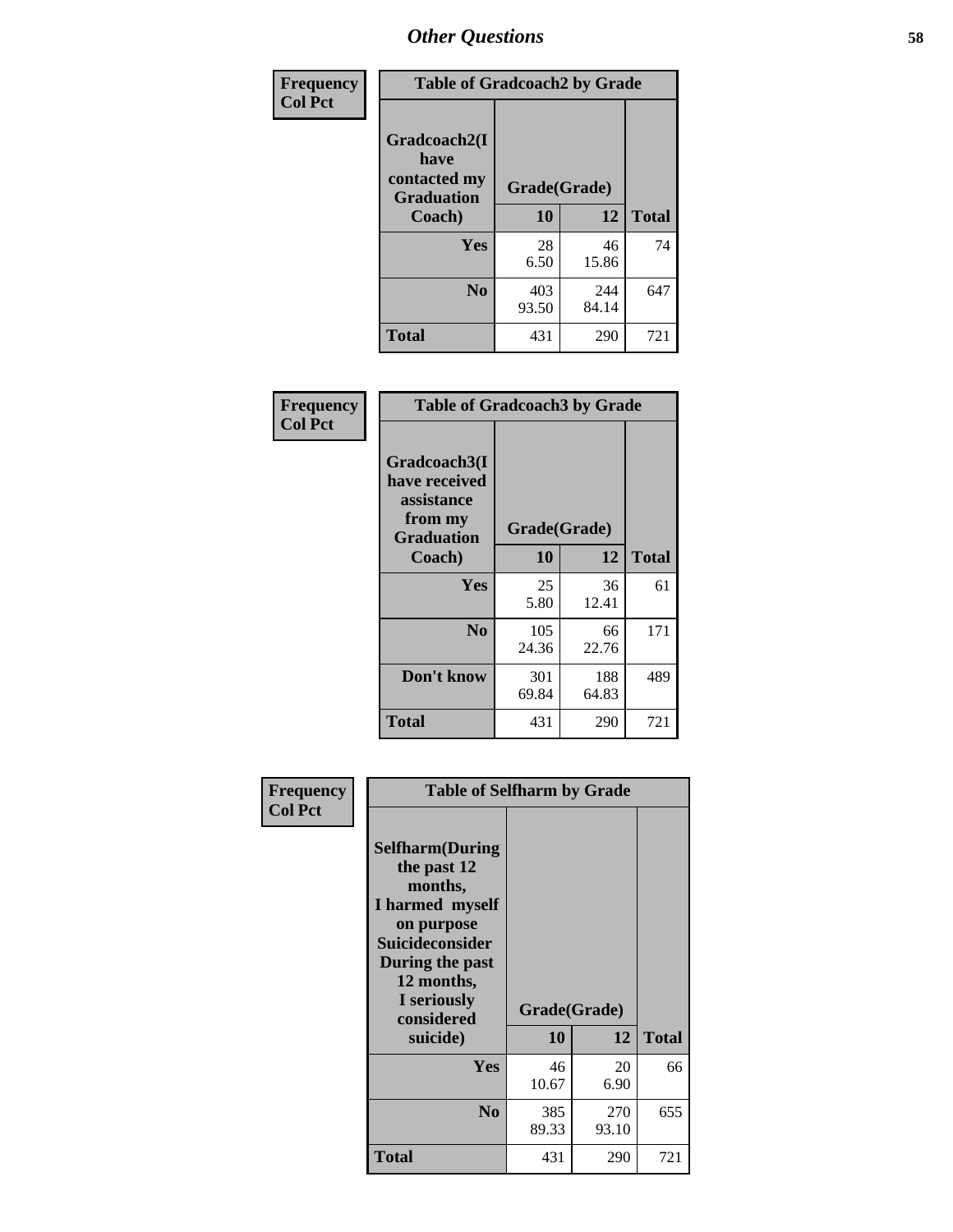| Frequency      | <b>Table of Gradcoach2 by Grade</b> |              |              |              |
|----------------|-------------------------------------|--------------|--------------|--------------|
| <b>Col Pct</b> |                                     |              |              |              |
|                | Gradcoach2(I<br>have                |              |              |              |
|                | contacted my<br><b>Graduation</b>   | Grade(Grade) |              |              |
|                | Coach)                              | 10           | 12           | <b>Total</b> |
|                | Yes                                 | 28<br>6.50   | 46<br>15.86  | 74           |
|                | N <sub>0</sub>                      | 403<br>93.50 | 244<br>84.14 | 647          |
|                | <b>Total</b>                        | 431          | 290          | 721          |

| Frequency<br><b>Col Pct</b> | <b>Table of Gradcoach3 by Grade</b>                                         |              |              |              |
|-----------------------------|-----------------------------------------------------------------------------|--------------|--------------|--------------|
|                             | Gradcoach3(I<br>have received<br>assistance<br>from my<br><b>Graduation</b> | Grade(Grade) |              |              |
|                             | Coach)                                                                      | 10           | 12           | <b>Total</b> |
|                             | Yes                                                                         | 25<br>5.80   | 36<br>12.41  | 61           |
|                             | N <sub>0</sub>                                                              | 105<br>24.36 | 66<br>22.76  | 171          |
|                             | Don't know                                                                  | 301<br>69.84 | 188<br>64.83 | 489          |
|                             | <b>Total</b>                                                                | 431          | 290          | 721          |

| Frequency<br><b>Col Pct</b> | <b>Table of Selfharm by Grade</b>                                                                                                                                                      |                    |              |              |
|-----------------------------|----------------------------------------------------------------------------------------------------------------------------------------------------------------------------------------|--------------------|--------------|--------------|
|                             | <b>Selfharm</b> (During<br>the past 12<br>months,<br>I harmed myself<br>on purpose<br><b>Suicideconsider</b><br>During the past<br>12 months,<br>I seriously<br>considered<br>suicide) | Grade(Grade)<br>10 | 12           | <b>Total</b> |
|                             | Yes                                                                                                                                                                                    | 46<br>10.67        | 20<br>6.90   | 66           |
|                             | N <sub>0</sub>                                                                                                                                                                         | 385<br>89.33       | 270<br>93.10 | 655          |
|                             | <b>Total</b>                                                                                                                                                                           | 431                | 290          | 721          |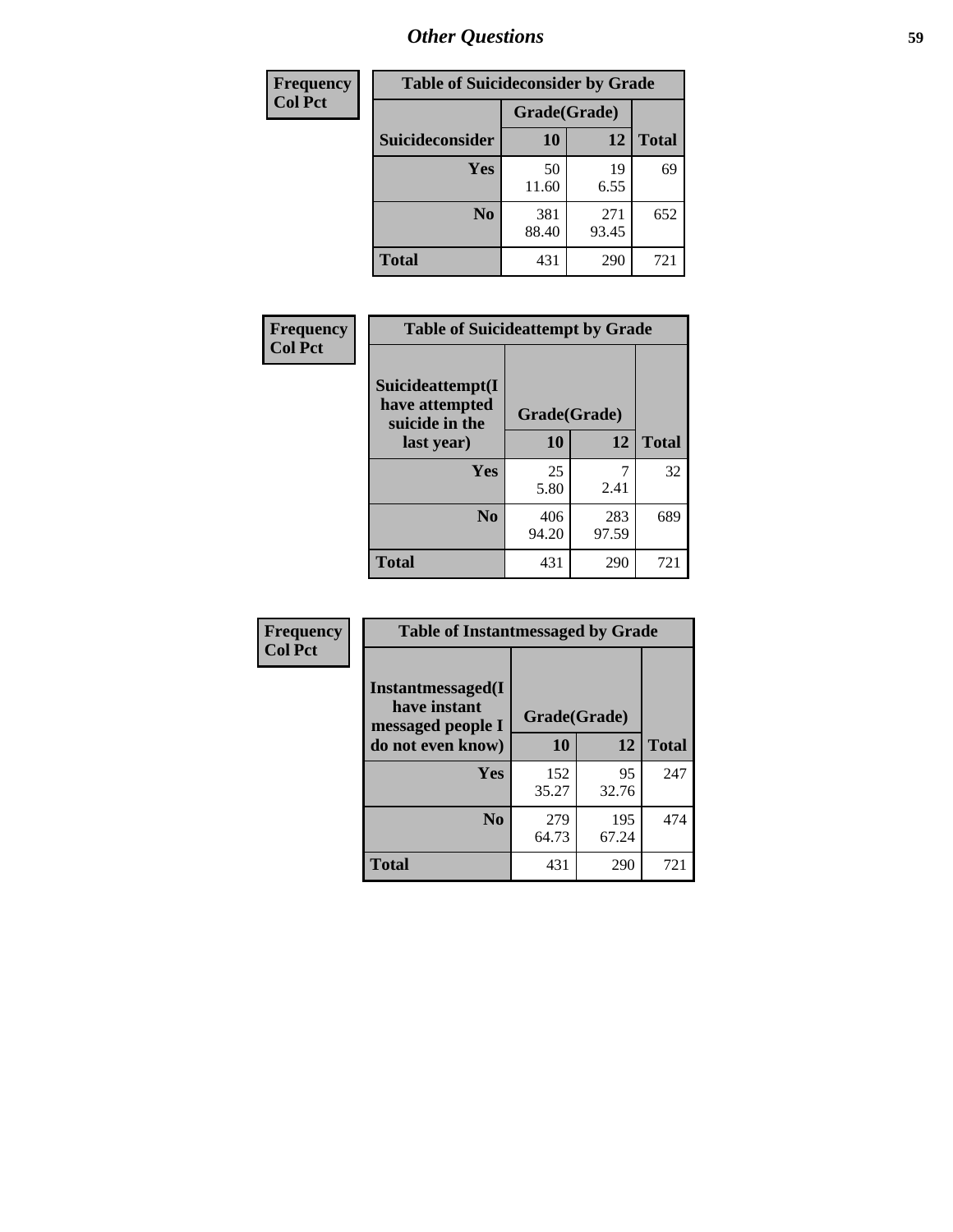| <b>Frequency</b> | <b>Table of Suicideconsider by Grade</b> |              |              |              |  |
|------------------|------------------------------------------|--------------|--------------|--------------|--|
| <b>Col Pct</b>   |                                          | Grade(Grade) |              |              |  |
|                  | Suicideconsider                          | <b>10</b>    | 12           | <b>Total</b> |  |
|                  | Yes                                      | 50<br>11.60  | 19<br>6.55   | 69           |  |
|                  | N <sub>0</sub>                           | 381<br>88.40 | 271<br>93.45 | 652          |  |
|                  | Total                                    | 431          | 290          | 721          |  |

| Frequency      | <b>Table of Suicideattempt by Grade</b>              |              |              |              |
|----------------|------------------------------------------------------|--------------|--------------|--------------|
| <b>Col Pct</b> | Suicideattempt(I<br>have attempted<br>suicide in the | Grade(Grade) |              |              |
|                | last year)                                           | 10           | 12           | <b>Total</b> |
|                | Yes                                                  | 25<br>5.80   | 2.41         | 32           |
|                | $\bf No$                                             | 406<br>94.20 | 283<br>97.59 | 689          |
|                | <b>Total</b>                                         | 431          | 290          | 721          |

| Frequency      | <b>Table of Instantmessaged by Grade</b>               |              |              |              |
|----------------|--------------------------------------------------------|--------------|--------------|--------------|
| <b>Col Pct</b> | Instantmessaged(I<br>have instant<br>messaged people I | Grade(Grade) |              |              |
|                | do not even know)                                      | 10           | 12           | <b>Total</b> |
|                | Yes                                                    | 152<br>35.27 | 95<br>32.76  | 247          |
|                | N <sub>0</sub>                                         | 279<br>64.73 | 195<br>67.24 | 474          |
|                | <b>Total</b>                                           | 431          | 290          | 721          |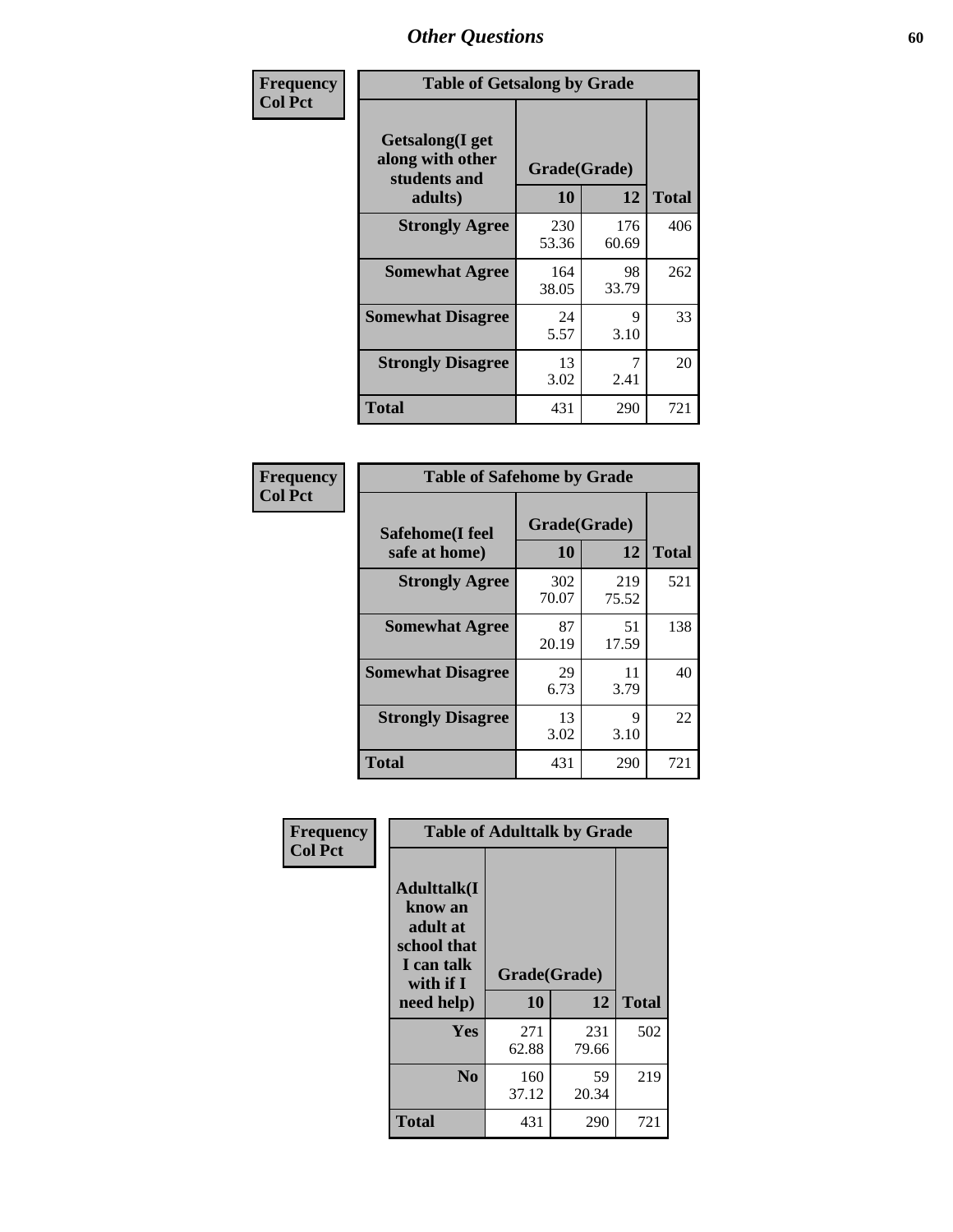| Frequency      | <b>Table of Getsalong by Grade</b>                          |              |              |              |
|----------------|-------------------------------------------------------------|--------------|--------------|--------------|
| <b>Col Pct</b> | <b>Getsalong</b> (I get<br>along with other<br>students and |              | Grade(Grade) |              |
|                | adults)                                                     | 10           | 12           | <b>Total</b> |
|                | <b>Strongly Agree</b>                                       | 230<br>53.36 | 176<br>60.69 | 406          |
|                | <b>Somewhat Agree</b>                                       | 164<br>38.05 | 98<br>33.79  | 262          |
|                | <b>Somewhat Disagree</b>                                    | 24<br>5.57   | 9<br>3.10    | 33           |
|                | <b>Strongly Disagree</b>                                    | 13<br>3.02   | 7<br>2.41    | 20           |
|                | <b>Total</b>                                                | 431          | 290          | 721          |

| Frequency      | <b>Table of Safehome by Grade</b> |                    |              |              |  |  |  |  |
|----------------|-----------------------------------|--------------------|--------------|--------------|--|--|--|--|
| <b>Col Pct</b> | Safehome(I feel<br>safe at home)  | Grade(Grade)<br>10 | 12           | <b>Total</b> |  |  |  |  |
|                | <b>Strongly Agree</b>             | 302<br>70.07       | 219<br>75.52 | 521          |  |  |  |  |
|                | <b>Somewhat Agree</b>             | 87<br>20.19        | 51<br>17.59  | 138          |  |  |  |  |
|                | <b>Somewhat Disagree</b>          | 29<br>6.73         | 11<br>3.79   | 40           |  |  |  |  |
|                | <b>Strongly Disagree</b>          | 13<br>3.02         | 9<br>3.10    | 22           |  |  |  |  |
|                | <b>Total</b>                      | 431                | 290          | 721          |  |  |  |  |

| Frequency      |                                                                                      | <b>Table of Adulttalk by Grade</b> |              |              |
|----------------|--------------------------------------------------------------------------------------|------------------------------------|--------------|--------------|
| <b>Col Pct</b> | <b>Adulttalk</b> (I<br>know an<br>adult at<br>school that<br>I can talk<br>with if I | Grade(Grade)                       |              |              |
|                | need help)                                                                           | 10                                 | 12           | <b>Total</b> |
|                | Yes                                                                                  | 271<br>62.88                       | 231<br>79.66 | 502          |
|                | N <sub>0</sub>                                                                       | 160<br>37.12                       | 59<br>20.34  | 219          |
|                | <b>Total</b>                                                                         | 431                                | 290          | 721          |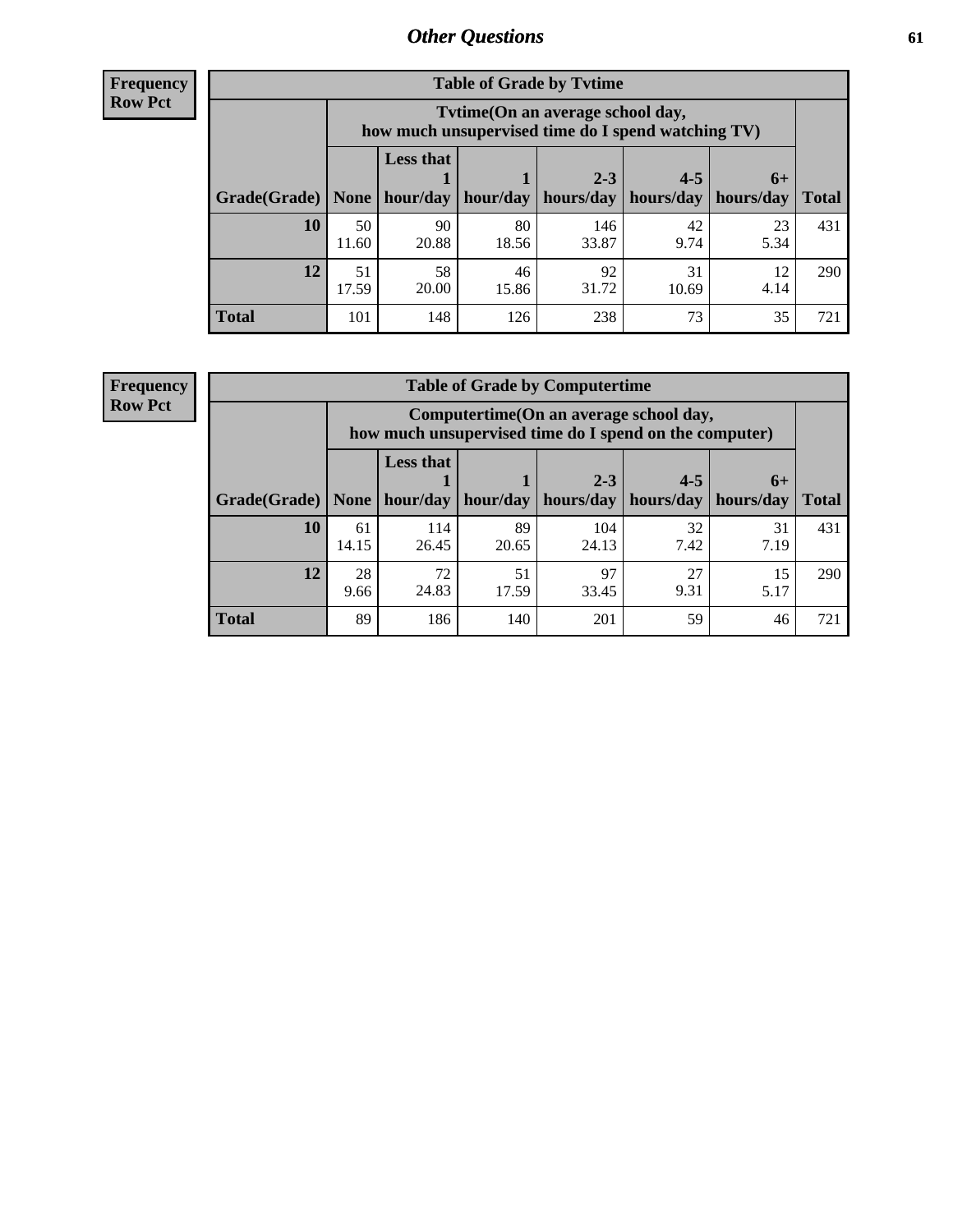**Frequency Row Pct**

| <b>Table of Grade by Tytime</b> |             |                                                                                         |             |              |             |                   |              |  |  |
|---------------------------------|-------------|-----------------------------------------------------------------------------------------|-------------|--------------|-------------|-------------------|--------------|--|--|
|                                 |             | Tytime (On an average school day,<br>how much unsupervised time do I spend watching TV) |             |              |             |                   |              |  |  |
|                                 |             | <b>Less that</b>                                                                        |             | $2 - 3$      | $4 - 5$     |                   |              |  |  |
| Grade(Grade)                    | None        | hour/day                                                                                | hour/day    | hours/day    | hours/day   | $6+$<br>hours/day | <b>Total</b> |  |  |
| 10                              | 50<br>11.60 | 90<br>20.88                                                                             | 80<br>18.56 | 146<br>33.87 | 42<br>9.74  | 23<br>5.34        | 431          |  |  |
| 12                              | 51<br>17.59 | 58<br>20.00                                                                             | 46<br>15.86 | 92<br>31.72  | 31<br>10.69 | 12<br>4.14        | 290          |  |  |
| <b>Total</b>                    | 101         | 148                                                                                     | 126         | 238          | 73          | 35                | 721          |  |  |

**Frequency Row Pct**

| <b>Table of Grade by Computertime</b> |             |                                                                                                   |                     |                      |                      |                   |              |  |  |
|---------------------------------------|-------------|---------------------------------------------------------------------------------------------------|---------------------|----------------------|----------------------|-------------------|--------------|--|--|
|                                       |             | Computertime (On an average school day,<br>how much unsupervised time do I spend on the computer) |                     |                      |                      |                   |              |  |  |
| Grade(Grade)                          | None        | <b>Less that</b>                                                                                  | hour/day   hour/day | $2 - 3$<br>hours/day | $4 - 5$<br>hours/day | $6+$<br>hours/day | <b>Total</b> |  |  |
| 10                                    | 61<br>14.15 | 114<br>26.45                                                                                      | 89<br>20.65         | 104<br>24.13         | 32<br>7.42           | 31<br>7.19        | 431          |  |  |
| 12                                    | 28<br>9.66  | 97<br>72<br>27<br>51<br>15<br>24.83<br>9.31<br>17.59<br>33.45<br>5.17                             |                     |                      |                      |                   |              |  |  |
| <b>Total</b>                          | 89          | 186                                                                                               | 140                 | 201                  | 59                   | 46                | 721          |  |  |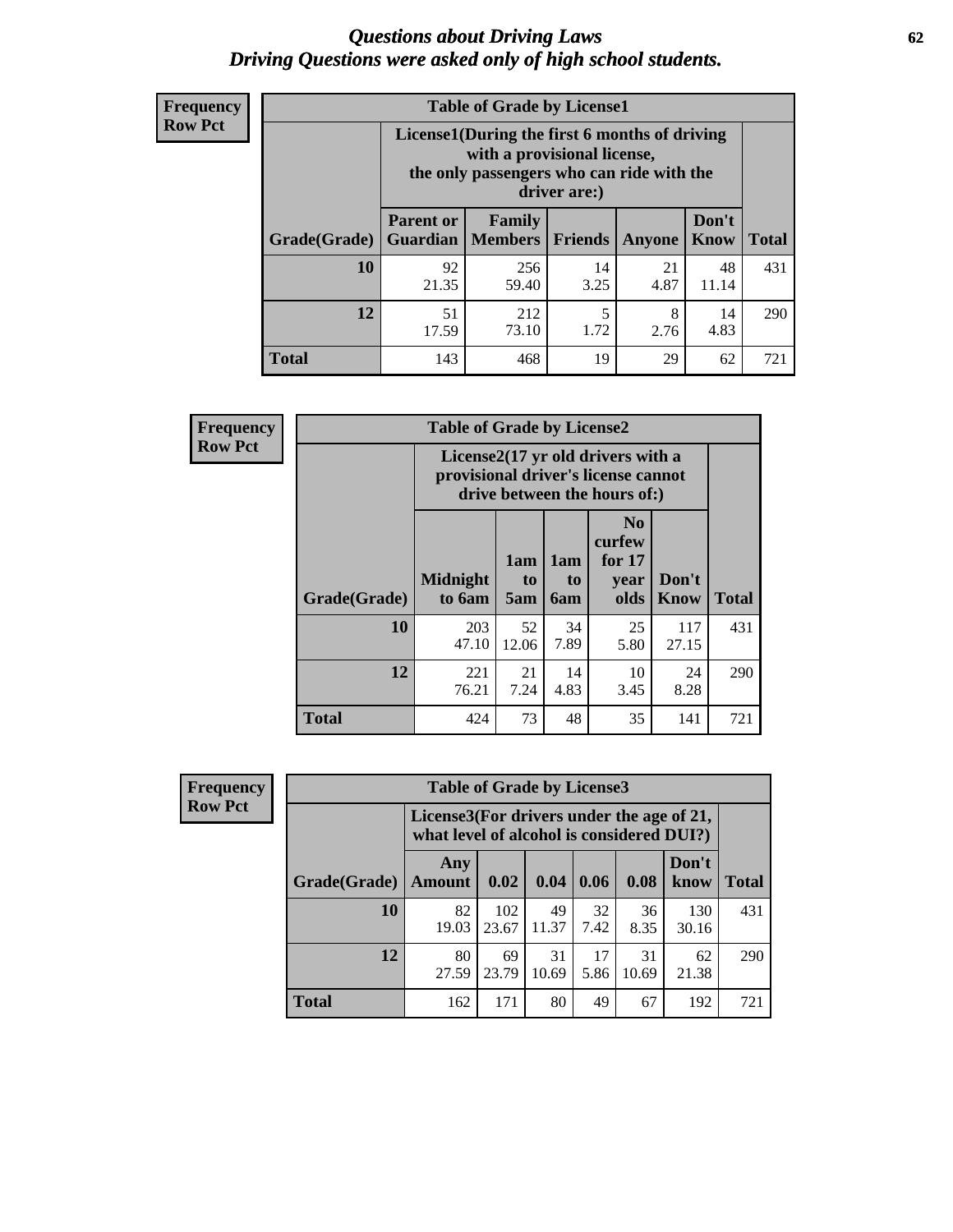#### *Questions about Driving Laws* **62** *Driving Questions were asked only of high school students.*

| <b>Frequency</b> |
|------------------|
| <b>Row Pct</b>   |

| <b>Table of Grade by License1</b> |                                                                     |                                                                                                                                           |            |            |               |              |  |  |  |
|-----------------------------------|---------------------------------------------------------------------|-------------------------------------------------------------------------------------------------------------------------------------------|------------|------------|---------------|--------------|--|--|--|
|                                   |                                                                     | License1(During the first 6 months of driving<br>with a provisional license,<br>the only passengers who can ride with the<br>driver are:) |            |            |               |              |  |  |  |
| Grade(Grade)                      | <b>Parent or</b><br>Guardian                                        | Family<br>  Members                                                                                                                       | Friends    | Anyone     | Don't<br>Know | <b>Total</b> |  |  |  |
| 10                                | 92<br>21.35                                                         | 256<br>59.40                                                                                                                              | 14<br>3.25 | 21<br>4.87 | 48<br>11.14   | 431          |  |  |  |
| 12                                | 51<br>5<br>8<br>14<br>212<br>73.10<br>4.83<br>1.72<br>17.59<br>2.76 |                                                                                                                                           |            |            |               |              |  |  |  |
| <b>Total</b>                      | 143                                                                 | 468                                                                                                                                       | 19         | 29         | 62            | 721          |  |  |  |

| Frequency      |              | <b>Table of Grade by License2</b>                                                                        |                  |                  |                                                      |                      |              |  |  |
|----------------|--------------|----------------------------------------------------------------------------------------------------------|------------------|------------------|------------------------------------------------------|----------------------|--------------|--|--|
| <b>Row Pct</b> |              | License2(17 yr old drivers with a<br>provisional driver's license cannot<br>drive between the hours of:) |                  |                  |                                                      |                      |              |  |  |
|                | Grade(Grade) | <b>Midnight</b><br>to 6am                                                                                | 1am<br>to<br>5am | 1am<br>to<br>6am | N <sub>0</sub><br>curfew<br>for $17$<br>year<br>olds | Don't<br><b>Know</b> | <b>Total</b> |  |  |
|                | 10           | 203<br>47.10                                                                                             | 52<br>12.06      | 34<br>7.89       | 25<br>5.80                                           | 117<br>27.15         | 431          |  |  |
|                | 12           | 221<br>76.21                                                                                             | 21<br>7.24       | 14<br>4.83       | 10<br>3.45                                           | 24<br>8.28           | 290          |  |  |
|                | <b>Total</b> | 424                                                                                                      | 73               | 48               | 35                                                   | 141                  | 721          |  |  |

| Frequency      |              | <b>Table of Grade by License3</b> |                                                                                        |             |            |             |               |              |
|----------------|--------------|-----------------------------------|----------------------------------------------------------------------------------------|-------------|------------|-------------|---------------|--------------|
| <b>Row Pct</b> |              |                                   | License3(For drivers under the age of 21,<br>what level of alcohol is considered DUI?) |             |            |             |               |              |
|                | Grade(Grade) | Any<br><b>Amount</b>              | 0.02                                                                                   | 0.04        | 0.06       | 0.08        | Don't<br>know | <b>Total</b> |
|                | <b>10</b>    | 82<br>19.03                       | 102<br>23.67                                                                           | 49<br>11.37 | 32<br>7.42 | 36<br>8.35  | 130<br>30.16  | 431          |
|                | 12           | 80<br>27.59                       | 69<br>23.79                                                                            | 31<br>10.69 | 17<br>5.86 | 31<br>10.69 | 62<br>21.38   | 290          |
|                | <b>Total</b> | 162                               | 171                                                                                    | 80          | 49         | 67          | 192           | 721          |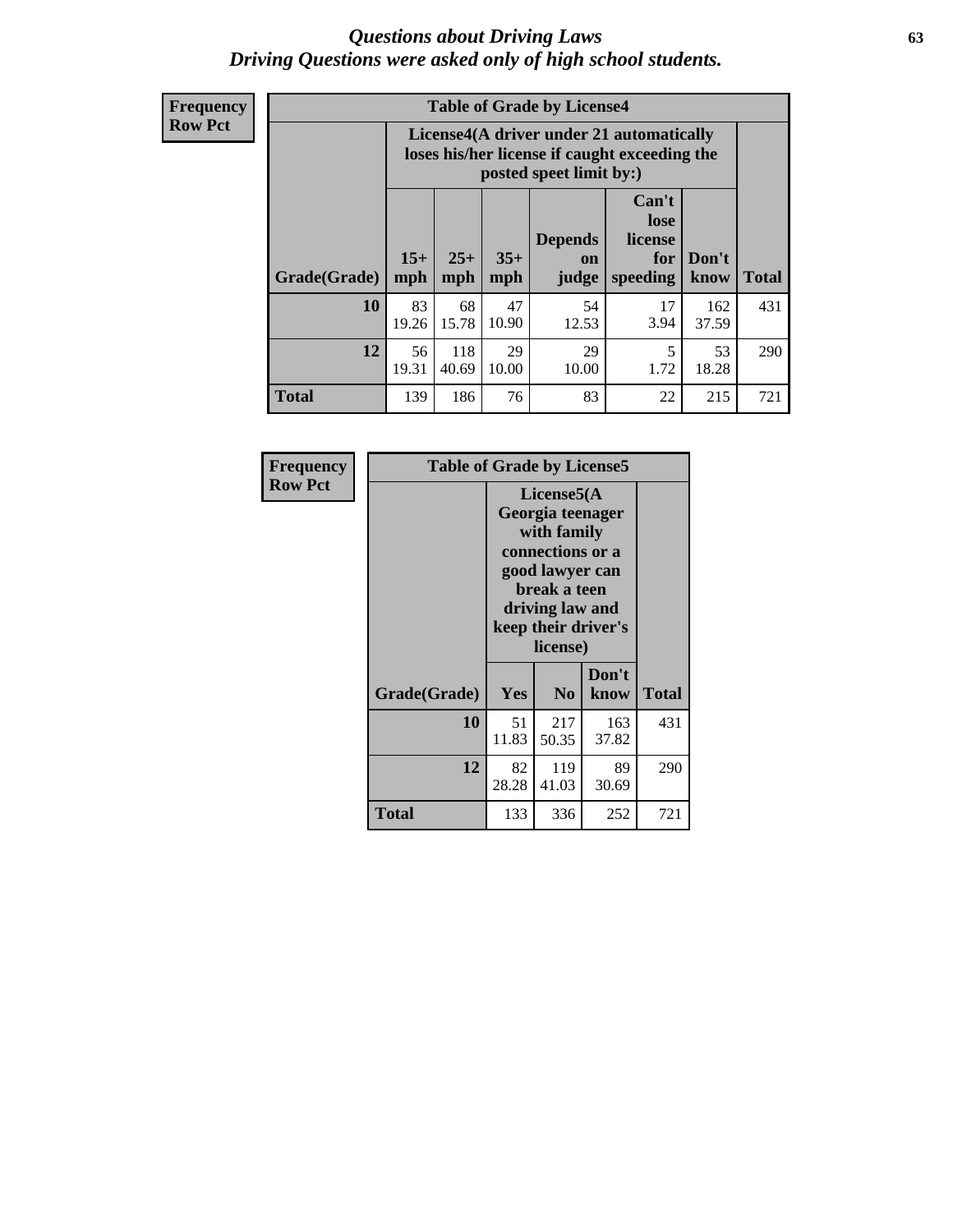#### *Questions about Driving Laws* **63** *Driving Questions were asked only of high school students.*

**Frequency Row Pct**

| <b>Table of Grade by License4</b> |              |                                                                                                                                               |             |             |            |              |     |  |
|-----------------------------------|--------------|-----------------------------------------------------------------------------------------------------------------------------------------------|-------------|-------------|------------|--------------|-----|--|
|                                   |              | License4(A driver under 21 automatically<br>loses his/her license if caught exceeding the<br>posted speet limit by:)                          |             |             |            |              |     |  |
| Grade(Grade)                      | $15+$<br>mph | Can't<br>lose<br><b>Depends</b><br>license<br>$25+$<br>$35+$<br>Don't<br>for<br>on<br><b>Total</b><br>mph<br>speeding<br>mph<br>judge<br>know |             |             |            |              |     |  |
| 10                                | 83<br>19.26  | 68<br>15.78                                                                                                                                   | 47<br>10.90 | 54<br>12.53 | 17<br>3.94 | 162<br>37.59 | 431 |  |
| 12                                | 56<br>19.31  | 118<br>40.69                                                                                                                                  | 29<br>10.00 | 29<br>10.00 | 5<br>1.72  | 53<br>18.28  | 290 |  |
| <b>Total</b>                      | 139          | 186                                                                                                                                           | 76          | 83          | 22         | 215          | 721 |  |

| Frequency      | <b>Table of Grade by License5</b> |                                                                                                                                                             |                |               |       |
|----------------|-----------------------------------|-------------------------------------------------------------------------------------------------------------------------------------------------------------|----------------|---------------|-------|
| <b>Row Pct</b> |                                   | License5(A)<br>Georgia teenager<br>with family<br>connections or a<br>good lawyer can<br>break a teen<br>driving law and<br>keep their driver's<br>license) |                |               |       |
|                | Grade(Grade)                      | <b>Yes</b>                                                                                                                                                  | N <sub>0</sub> | Don't<br>know | Total |
|                | <b>10</b>                         | 51<br>11.83                                                                                                                                                 | 217<br>50.35   | 163<br>37.82  | 431   |
|                | 12                                | 82<br>28.28                                                                                                                                                 | 119<br>41.03   | 89<br>30.69   | 290   |
|                | <b>Total</b>                      | 133                                                                                                                                                         | 336            | 252           | 721   |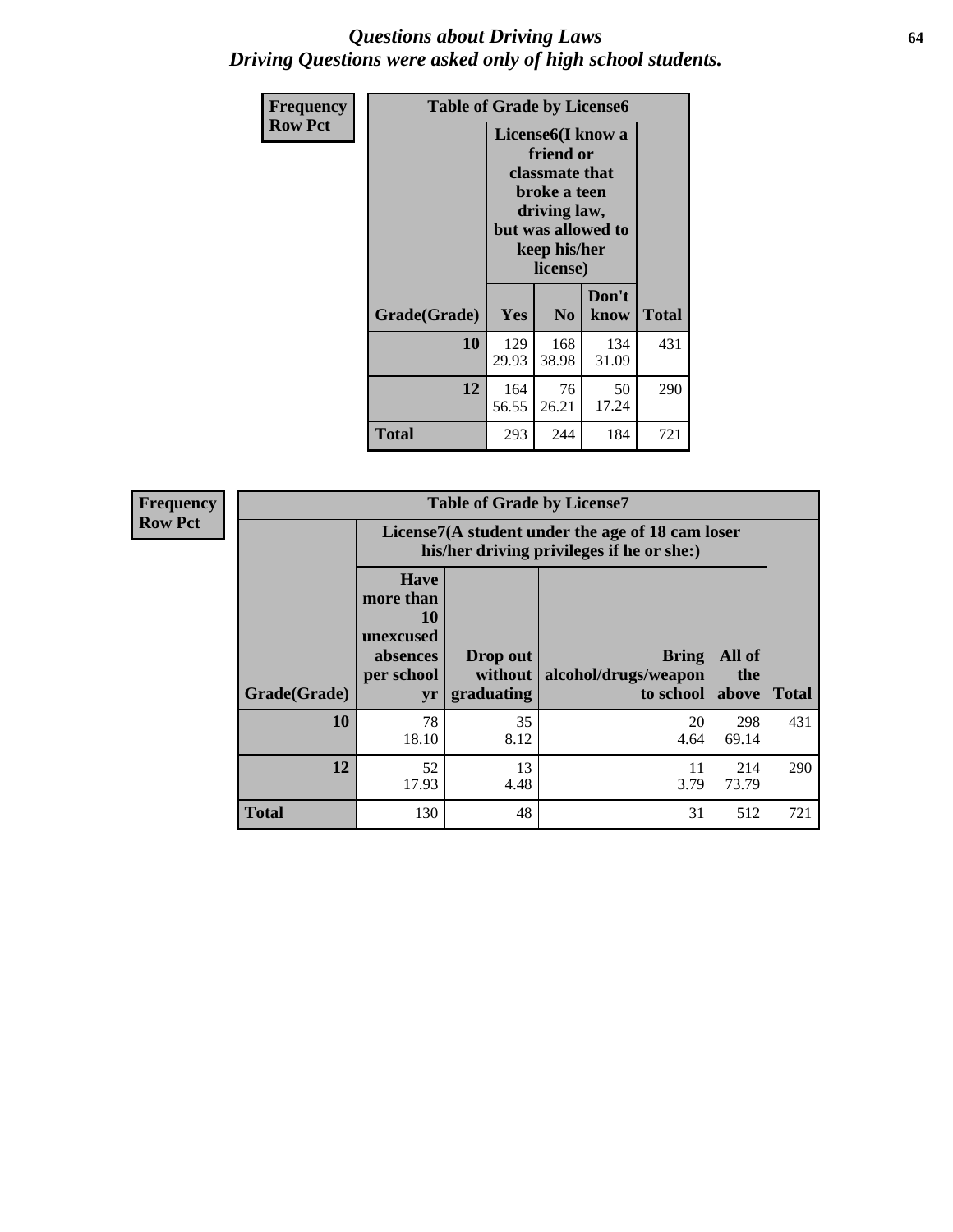### *Questions about Driving Laws* **64** *Driving Questions were asked only of high school students.*

| <b>Frequency</b> | <b>Table of Grade by License6</b> |              |                                                                                                                           |                    |       |  |
|------------------|-----------------------------------|--------------|---------------------------------------------------------------------------------------------------------------------------|--------------------|-------|--|
| <b>Row Pct</b>   |                                   |              | License <sub>6</sub> (I know a<br>friend or<br>classmate that<br>broke a teen<br>driving law,<br>keep his/her<br>license) | but was allowed to |       |  |
|                  | Grade(Grade)                      | <b>Yes</b>   | N <sub>0</sub>                                                                                                            | Don't<br>know      | Total |  |
|                  | 10                                | 129<br>29.93 | 168<br>38.98                                                                                                              | 134<br>31.09       | 431   |  |
|                  | 12                                | 164<br>56.55 | 76<br>26.21                                                                                                               | 50<br>17.24        | 290   |  |
|                  | Total                             | 293          | 244                                                                                                                       | 184                | 721   |  |

| <b>Frequency</b> | <b>Table of Grade by License7</b> |                                                                             |                                                                                               |                                                   |                        |              |  |
|------------------|-----------------------------------|-----------------------------------------------------------------------------|-----------------------------------------------------------------------------------------------|---------------------------------------------------|------------------------|--------------|--|
| <b>Row Pct</b>   |                                   |                                                                             | License7(A student under the age of 18 cam loser<br>his/her driving privileges if he or she:) |                                                   |                        |              |  |
|                  | Grade(Grade)                      | <b>Have</b><br>more than<br>10<br>unexcused<br>absences<br>per school<br>yr | Drop out<br>without  <br>graduating                                                           | <b>Bring</b><br>alcohol/drugs/weapon<br>to school | All of<br>the<br>above | <b>Total</b> |  |
|                  | 10                                | 78<br>18.10                                                                 | 35<br>8.12                                                                                    | 20<br>4.64                                        | 298<br>69.14           | 431          |  |
|                  | 12                                | 52<br>17.93                                                                 | 13<br>4.48                                                                                    | 11<br>3.79                                        | 214<br>73.79           | 290          |  |
|                  | <b>Total</b>                      | 130                                                                         | 48                                                                                            | 31                                                | 512                    | 721          |  |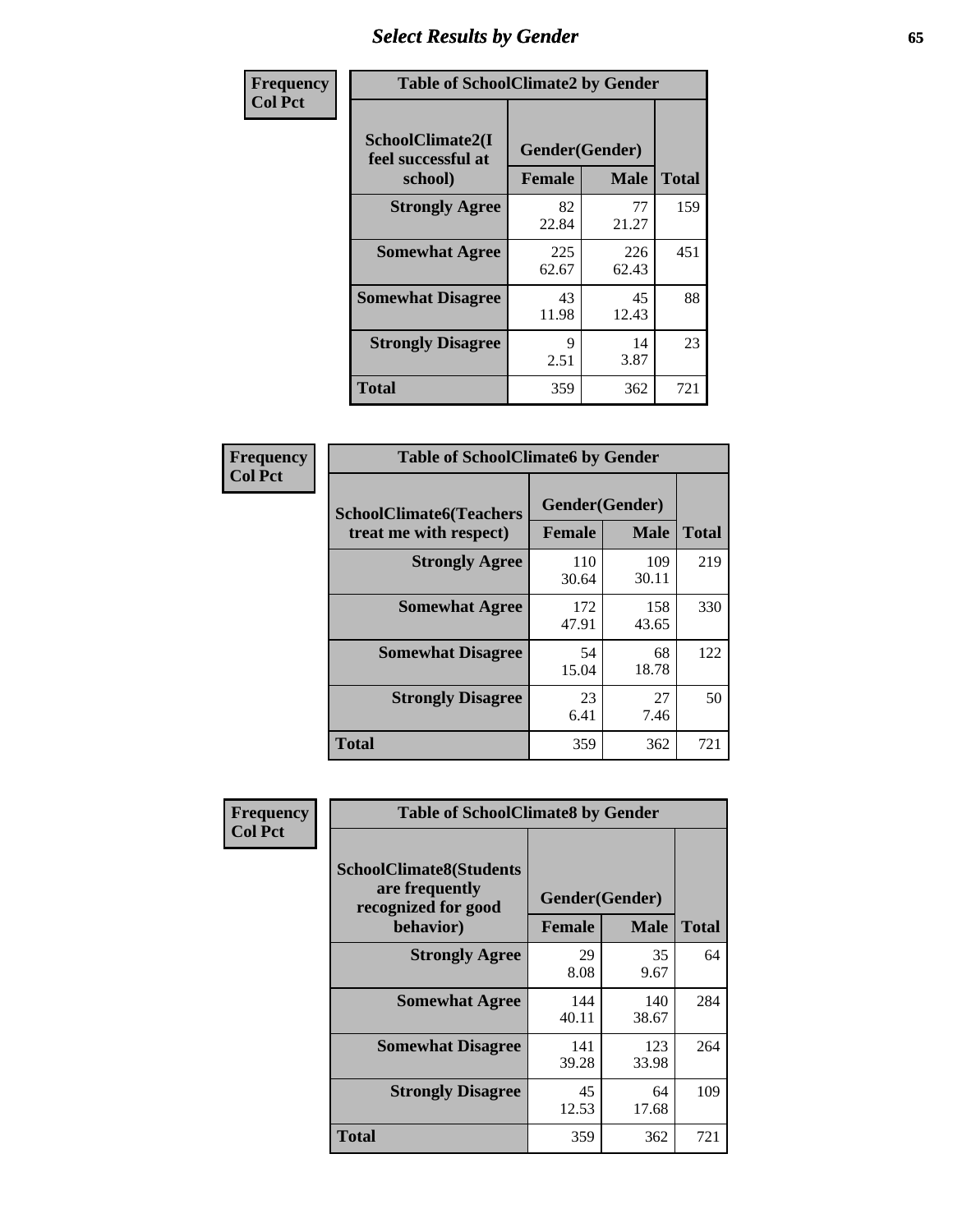# *Select Results by Gender* **65**

| Frequency      | <b>Table of SchoolClimate2 by Gender</b>          |                                 |              |              |
|----------------|---------------------------------------------------|---------------------------------|--------------|--------------|
| <b>Col Pct</b> | SchoolClimate2(I<br>feel successful at<br>school) | Gender(Gender)<br><b>Female</b> | <b>Male</b>  | <b>Total</b> |
|                | <b>Strongly Agree</b>                             | 82<br>22.84                     | 77<br>21.27  | 159          |
|                | <b>Somewhat Agree</b>                             | 225<br>62.67                    | 226<br>62.43 | 451          |
|                | <b>Somewhat Disagree</b>                          | 43<br>11.98                     | 45<br>12.43  | 88           |
|                | <b>Strongly Disagree</b>                          | 9<br>2.51                       | 14<br>3.87   | 23           |
|                | <b>Total</b>                                      | 359                             | 362          | 721          |

| Frequency      | <b>Table of SchoolClimate6 by Gender</b>                 |                          |              |              |  |
|----------------|----------------------------------------------------------|--------------------------|--------------|--------------|--|
| <b>Col Pct</b> | <b>SchoolClimate6(Teachers</b><br>treat me with respect) | Gender(Gender)<br>Female | <b>Male</b>  | <b>Total</b> |  |
|                | <b>Strongly Agree</b>                                    | 110<br>30.64             | 109<br>30.11 | 219          |  |
|                | <b>Somewhat Agree</b>                                    | 172<br>47.91             | 158<br>43.65 | 330          |  |
|                | <b>Somewhat Disagree</b>                                 | 54<br>15.04              | 68<br>18.78  | 122          |  |
|                | <b>Strongly Disagree</b>                                 | 23<br>6.41               | 27<br>7.46   | 50           |  |
|                | <b>Total</b>                                             | 359                      | 362          | 721          |  |

| <b>Frequency</b> | <b>Table of SchoolClimate8 by Gender</b>                                             |                                 |                      |     |
|------------------|--------------------------------------------------------------------------------------|---------------------------------|----------------------|-----|
| <b>Col Pct</b>   | <b>SchoolClimate8(Students</b><br>are frequently<br>recognized for good<br>behavior) | Gender(Gender)<br><b>Female</b> | <b>Total</b>         |     |
|                  | <b>Strongly Agree</b>                                                                | 29                              | <b>Male</b><br>35    | 64  |
|                  | <b>Somewhat Agree</b>                                                                | 8.08<br>144<br>40.11            | 9.67<br>140<br>38.67 | 284 |
|                  | <b>Somewhat Disagree</b>                                                             | 141<br>39.28                    | 123<br>33.98         | 264 |
|                  | <b>Strongly Disagree</b>                                                             | 45<br>12.53                     | 64<br>17.68          | 109 |
|                  | Total                                                                                | 359                             | 362                  | 721 |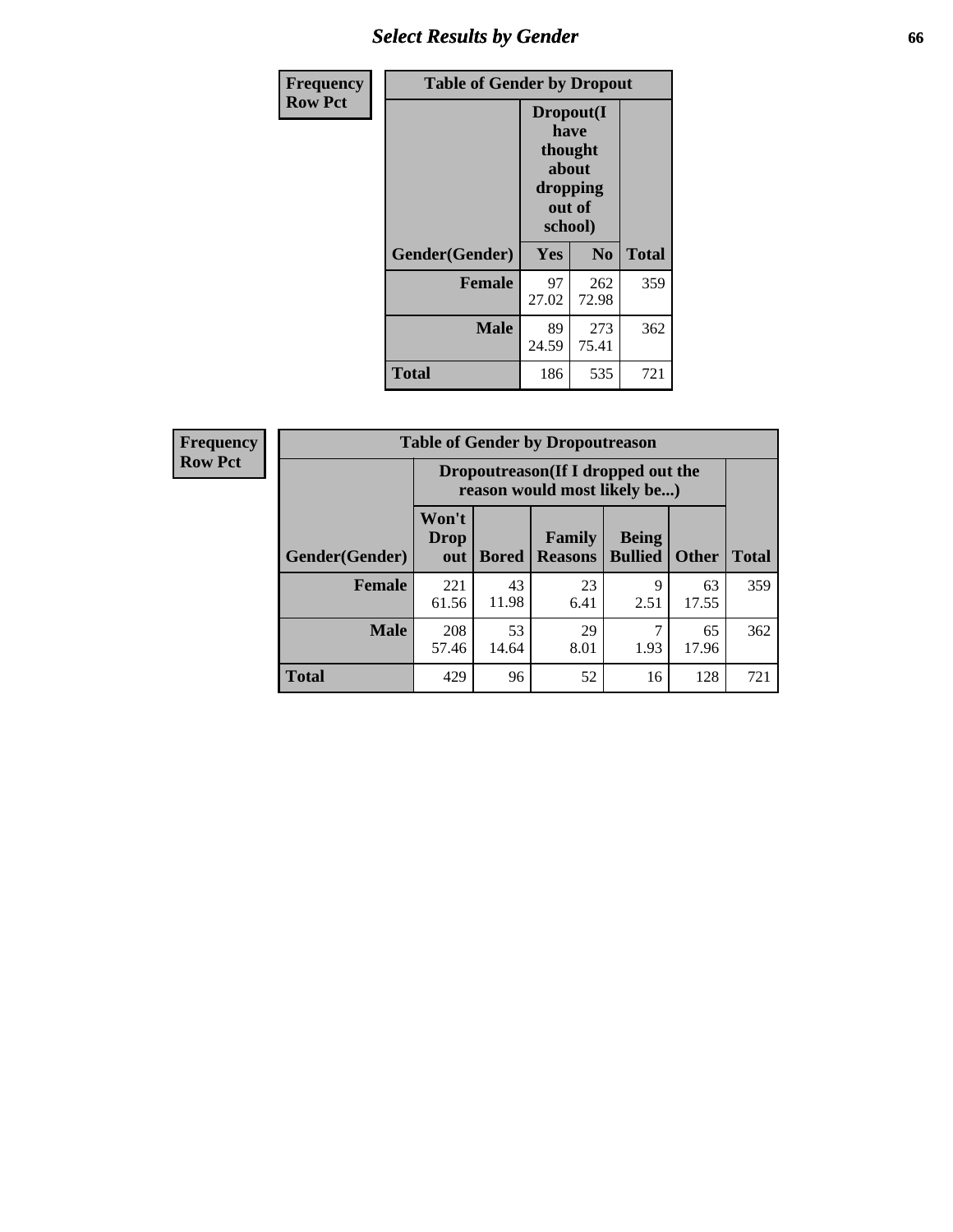# *Select Results by Gender* **66**

| Frequency      | <b>Table of Gender by Dropout</b> |                                                                        |                |              |
|----------------|-----------------------------------|------------------------------------------------------------------------|----------------|--------------|
| <b>Row Pct</b> |                                   | Dropout(I<br>have<br>thought<br>about<br>dropping<br>out of<br>school) |                |              |
|                | Gender(Gender)                    | Yes                                                                    | N <sub>0</sub> | <b>Total</b> |
|                | <b>Female</b>                     | 97<br>27.02                                                            | 262<br>72.98   | 359          |
|                | <b>Male</b>                       | 89<br>24.59                                                            | 273<br>75.41   | 362          |
|                | <b>Total</b>                      | 186                                                                    | 535            | 721          |

| <b>Frequency</b> |                | <b>Table of Gender by Dropoutreason</b>                            |              |                          |                                |              |              |
|------------------|----------------|--------------------------------------------------------------------|--------------|--------------------------|--------------------------------|--------------|--------------|
| <b>Row Pct</b>   |                | Dropoutreason(If I dropped out the<br>reason would most likely be) |              |                          |                                |              |              |
|                  | Gender(Gender) | Won't<br><b>Drop</b><br>out                                        | <b>Bored</b> | Family<br><b>Reasons</b> | <b>Being</b><br><b>Bullied</b> | <b>Other</b> | <b>Total</b> |
|                  | Female         | 221<br>61.56                                                       | 43<br>11.98  | 23<br>6.41               | q<br>2.51                      | 63<br>17.55  | 359          |
|                  | <b>Male</b>    | 208<br>57.46                                                       | 53<br>14.64  | 29<br>8.01               | ℸ<br>1.93                      | 65<br>17.96  | 362          |
|                  | <b>Total</b>   | 429                                                                | 96           | 52                       | 16                             | 128          | 721          |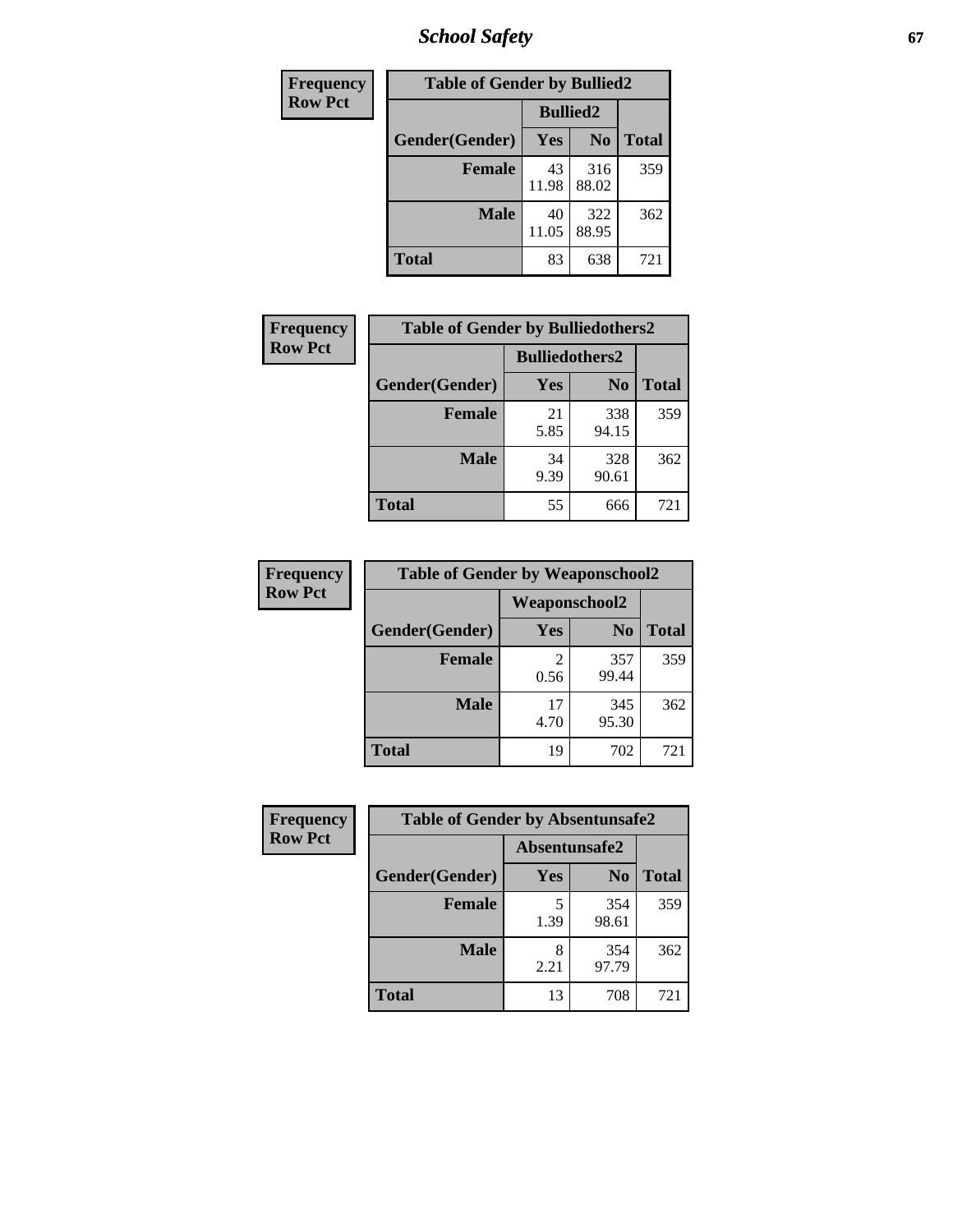*School Safety* **67**

| Frequency      | <b>Table of Gender by Bullied2</b> |                 |                |              |
|----------------|------------------------------------|-----------------|----------------|--------------|
| <b>Row Pct</b> |                                    | <b>Bullied2</b> |                |              |
|                | Gender(Gender)                     | <b>Yes</b>      | N <sub>0</sub> | <b>Total</b> |
|                | <b>Female</b>                      | 43<br>11.98     | 316<br>88.02   | 359          |
|                | <b>Male</b>                        | 40<br>11.05     | 322<br>88.95   | 362          |
|                | Total                              | 83              | 638            | 721          |

| Frequency      | <b>Table of Gender by Bulliedothers2</b> |                       |                |              |
|----------------|------------------------------------------|-----------------------|----------------|--------------|
| <b>Row Pct</b> |                                          | <b>Bulliedothers2</b> |                |              |
|                | Gender(Gender)                           | Yes                   | N <sub>0</sub> | <b>Total</b> |
|                | <b>Female</b>                            | 21<br>5.85            | 338<br>94.15   | 359          |
|                | <b>Male</b>                              | 34<br>9.39            | 328<br>90.61   | 362          |
|                | <b>Total</b>                             | 55                    | 666            | 721          |

| Frequency      | <b>Table of Gender by Weaponschool2</b> |                      |                |              |
|----------------|-----------------------------------------|----------------------|----------------|--------------|
| <b>Row Pct</b> |                                         | <b>Weaponschool2</b> |                |              |
|                | Gender(Gender)                          | Yes                  | N <sub>0</sub> | <b>Total</b> |
|                | <b>Female</b>                           | 0.56                 | 357<br>99.44   | 359          |
|                | <b>Male</b>                             | 17<br>4.70           | 345<br>95.30   | 362          |
|                | <b>Total</b>                            | 19                   | 702            | 721          |

| Frequency      | <b>Table of Gender by Absentunsafe2</b> |               |                |              |
|----------------|-----------------------------------------|---------------|----------------|--------------|
| <b>Row Pct</b> |                                         | Absentunsafe2 |                |              |
|                | Gender(Gender)                          | Yes           | N <sub>0</sub> | <b>Total</b> |
|                | <b>Female</b>                           | 1.39          | 354<br>98.61   | 359          |
|                | <b>Male</b>                             | 2.21          | 354<br>97.79   | 362          |
|                | <b>Total</b>                            | 13            | 708            | 721          |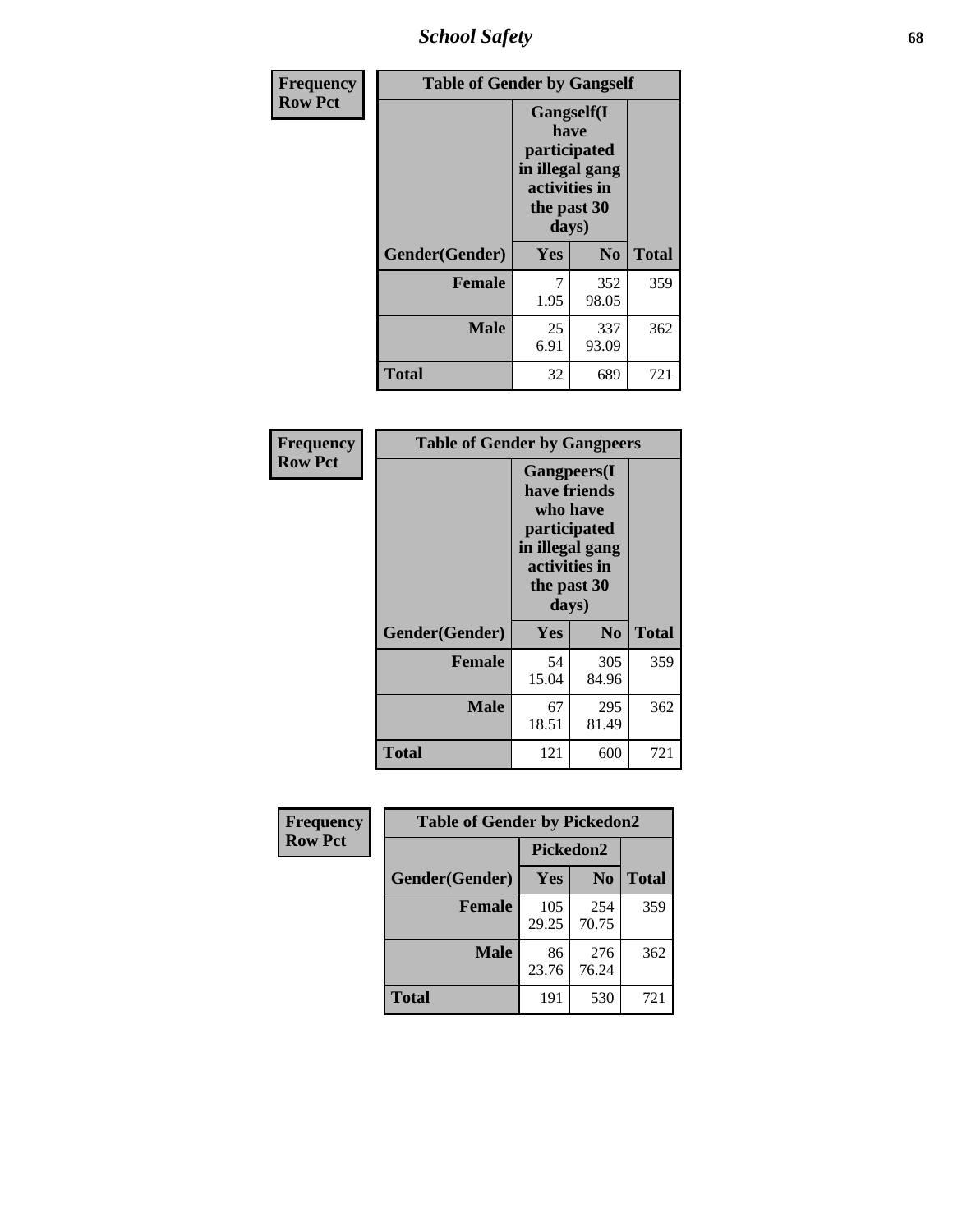*School Safety* **68**

| Frequency      | <b>Table of Gender by Gangself</b> |                                                                                                        |              |              |
|----------------|------------------------------------|--------------------------------------------------------------------------------------------------------|--------------|--------------|
| <b>Row Pct</b> |                                    | <b>Gangself</b> (I<br>have<br>participated<br>in illegal gang<br>activities in<br>the past 30<br>days) |              |              |
|                | Gender(Gender)                     | Yes                                                                                                    | No           | <b>Total</b> |
|                | <b>Female</b>                      | 7<br>1.95                                                                                              | 352<br>98.05 | 359          |
|                | <b>Male</b>                        | 25<br>6.91                                                                                             | 337<br>93.09 | 362          |
|                | <b>Total</b>                       | 32                                                                                                     | 689          | 721          |

| Frequency      | <b>Table of Gender by Gangpeers</b> |                                                                                                                             |                |              |
|----------------|-------------------------------------|-----------------------------------------------------------------------------------------------------------------------------|----------------|--------------|
| <b>Row Pct</b> |                                     | <b>Gangpeers</b> (I<br>have friends<br>who have<br>participated<br>in illegal gang<br>activities in<br>the past 30<br>days) |                |              |
|                | Gender(Gender)                      | <b>Yes</b>                                                                                                                  | N <sub>0</sub> | <b>Total</b> |
|                | <b>Female</b>                       | 54<br>15.04                                                                                                                 | 305<br>84.96   | 359          |
|                | Male                                | 67<br>18.51                                                                                                                 | 295<br>81.49   | 362          |
|                | Total                               | 121                                                                                                                         | 600            | 721          |

| Frequency      | <b>Table of Gender by Pickedon2</b> |              |                |              |
|----------------|-------------------------------------|--------------|----------------|--------------|
| <b>Row Pct</b> |                                     | Pickedon2    |                |              |
|                | Gender(Gender)                      | Yes          | N <sub>0</sub> | <b>Total</b> |
|                | <b>Female</b>                       | 105<br>29.25 | 254<br>70.75   | 359          |
|                | <b>Male</b>                         | 86<br>23.76  | 276<br>76.24   | 362          |
|                | <b>Total</b>                        | 191          | 530            | 721          |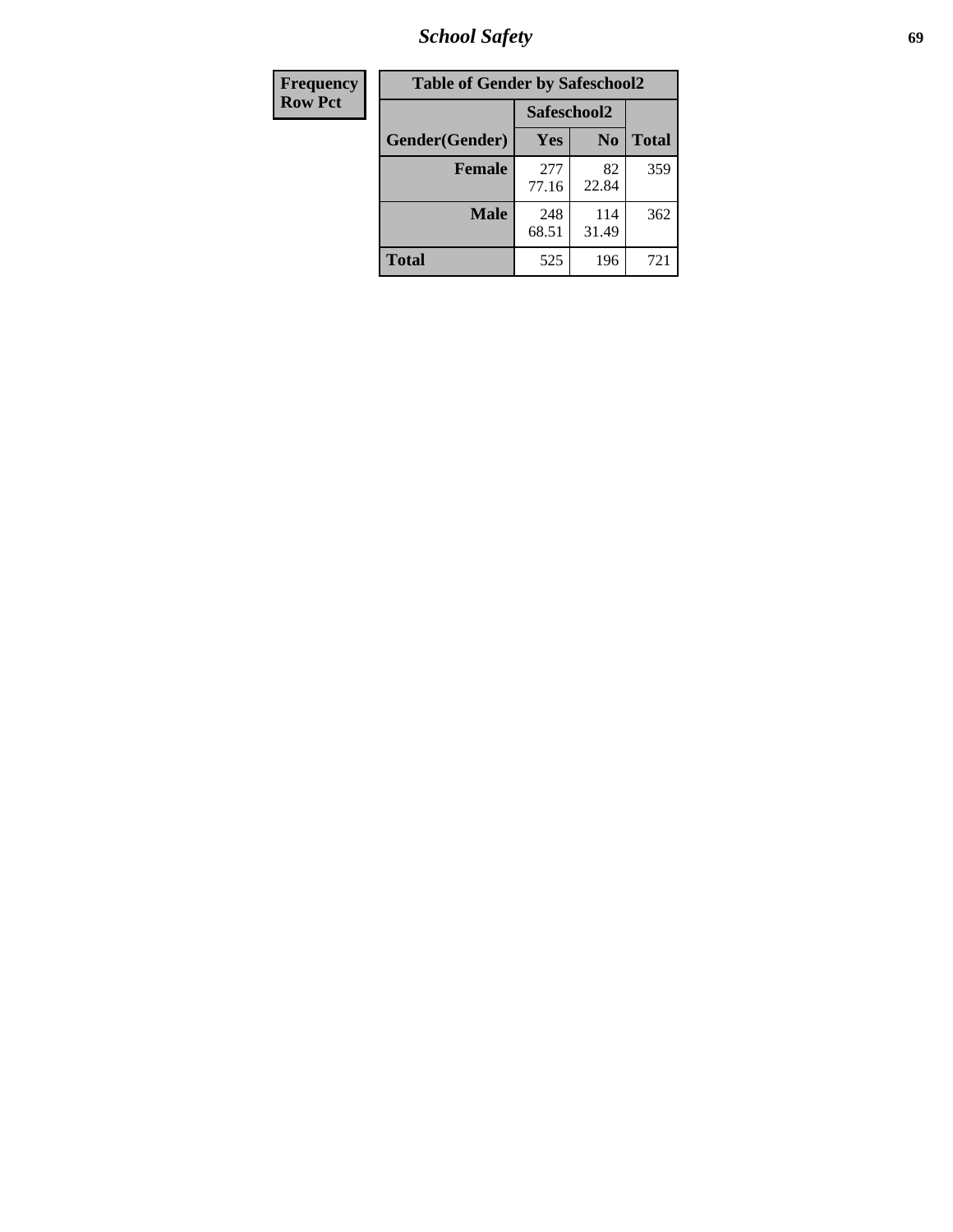*School Safety* **69**

| Frequency      | <b>Table of Gender by Safeschool2</b> |              |                |              |  |
|----------------|---------------------------------------|--------------|----------------|--------------|--|
| <b>Row Pct</b> |                                       | Safeschool2  |                |              |  |
|                | Gender(Gender)                        | <b>Yes</b>   | N <sub>0</sub> | <b>Total</b> |  |
|                | <b>Female</b>                         | 277<br>77.16 | 82<br>22.84    | 359          |  |
|                | Male                                  | 248<br>68.51 | 114<br>31.49   | 362          |  |
|                | <b>Total</b>                          | 525          | 196            | 721          |  |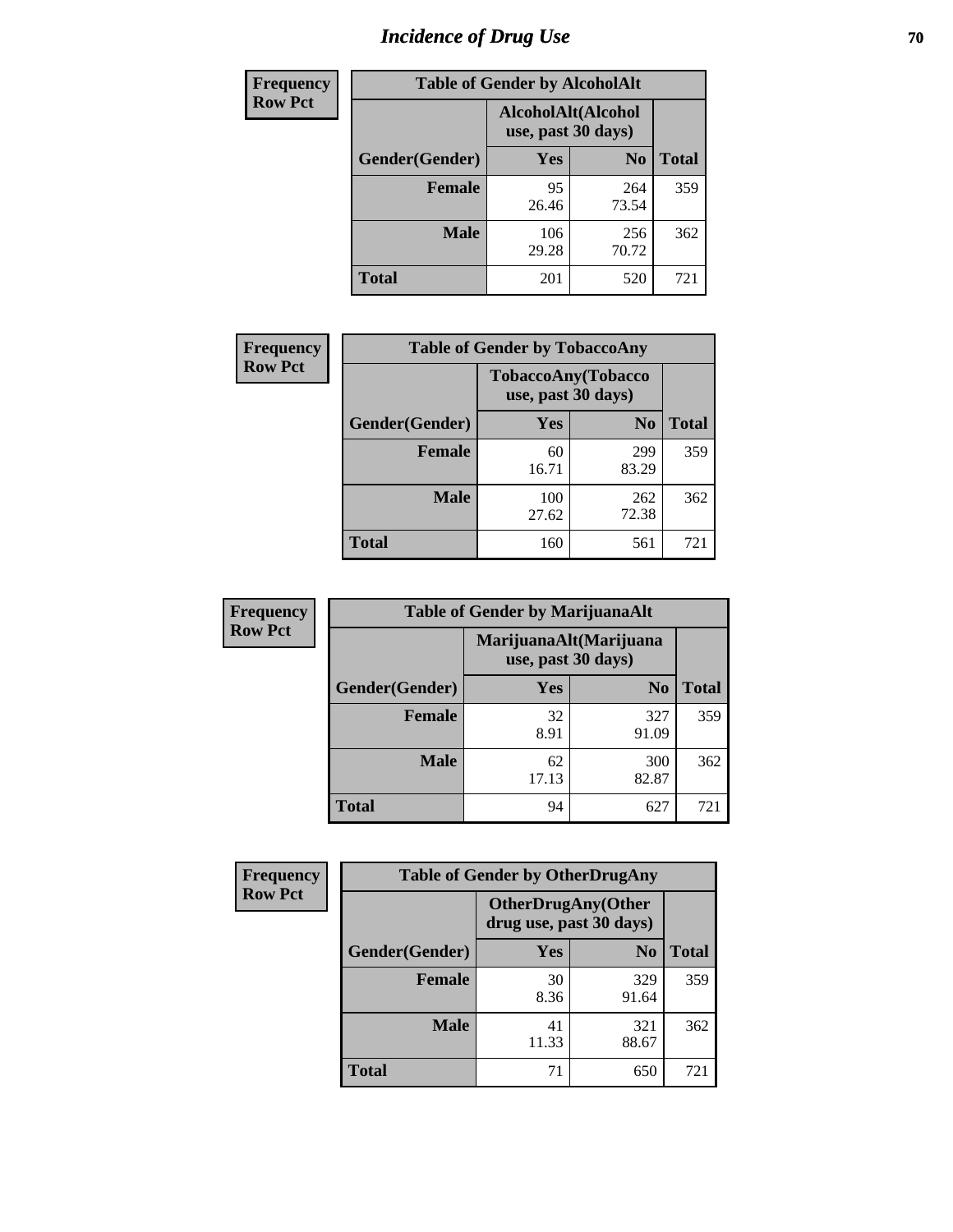# *Incidence of Drug Use* **70**

| <b>Frequency</b> | <b>Table of Gender by AlcoholAlt</b>     |              |                |              |  |
|------------------|------------------------------------------|--------------|----------------|--------------|--|
| <b>Row Pct</b>   | AlcoholAlt(Alcohol<br>use, past 30 days) |              |                |              |  |
|                  | Gender(Gender)                           | <b>Yes</b>   | N <sub>0</sub> | <b>Total</b> |  |
|                  | <b>Female</b>                            | 95<br>26.46  | 264<br>73.54   | 359          |  |
|                  | <b>Male</b>                              | 106<br>29.28 | 256<br>70.72   | 362          |  |
|                  | <b>Total</b>                             | 201          | 520            | 721          |  |

| <b>Frequency</b> | <b>Table of Gender by TobaccoAny</b> |                                          |                |              |  |
|------------------|--------------------------------------|------------------------------------------|----------------|--------------|--|
| <b>Row Pct</b>   |                                      | TobaccoAny(Tobacco<br>use, past 30 days) |                |              |  |
|                  | Gender(Gender)                       | Yes                                      | N <sub>0</sub> | <b>Total</b> |  |
|                  | <b>Female</b>                        | 60<br>16.71                              | 299<br>83.29   | 359          |  |
|                  | <b>Male</b>                          | 100<br>27.62                             | 262<br>72.38   | 362          |  |
|                  | <b>Total</b>                         | 160                                      | 561            | 721          |  |

| <b>Frequency</b> | <b>Table of Gender by MarijuanaAlt</b> |                    |                        |              |
|------------------|----------------------------------------|--------------------|------------------------|--------------|
| <b>Row Pct</b>   |                                        | use, past 30 days) | MarijuanaAlt(Marijuana |              |
|                  | Gender(Gender)                         | <b>Yes</b>         | N <sub>0</sub>         | <b>Total</b> |
|                  | Female                                 | 32<br>8.91         | 327<br>91.09           | 359          |
|                  | <b>Male</b>                            | 62<br>17.13        | 300<br>82.87           | 362          |
|                  | <b>Total</b>                           | 94                 | 627                    | 721          |

| <b>Frequency</b> | <b>Table of Gender by OtherDrugAny</b> |                                                      |                |              |  |
|------------------|----------------------------------------|------------------------------------------------------|----------------|--------------|--|
| <b>Row Pct</b>   |                                        | <b>OtherDrugAny(Other</b><br>drug use, past 30 days) |                |              |  |
|                  | Gender(Gender)                         | <b>Yes</b>                                           | N <sub>0</sub> | <b>Total</b> |  |
|                  | <b>Female</b>                          | 30<br>8.36                                           | 329<br>91.64   | 359          |  |
|                  | <b>Male</b>                            | 41<br>11.33                                          | 321<br>88.67   | 362          |  |
|                  | <b>Total</b>                           | 71                                                   | 650            | 721          |  |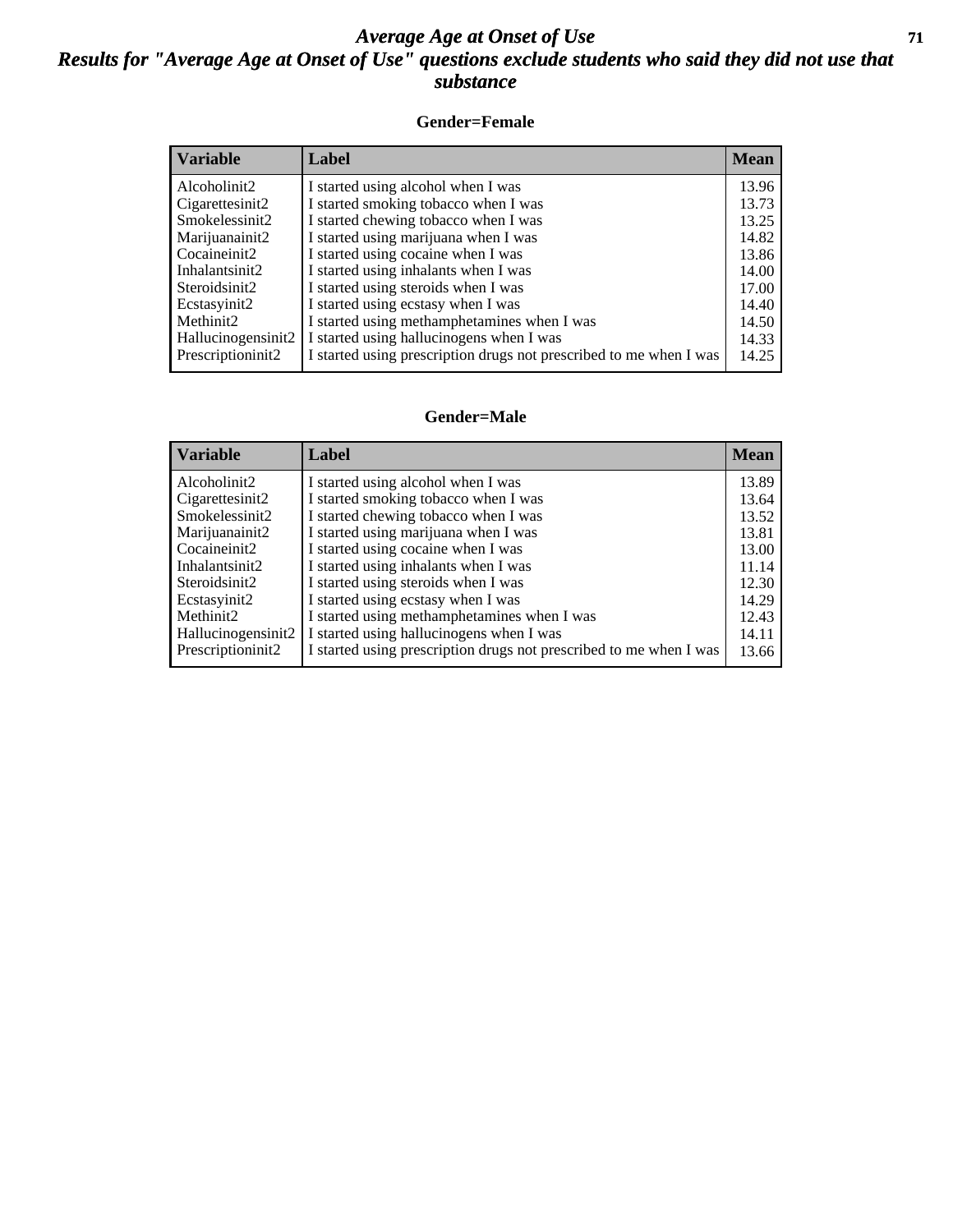### *Average Age at Onset of Use* **71** *Results for "Average Age at Onset of Use" questions exclude students who said they did not use that substance*

#### **Gender=Female**

| <b>Variable</b>    | Label                                                              | <b>Mean</b> |
|--------------------|--------------------------------------------------------------------|-------------|
| Alcoholinit2       | I started using alcohol when I was                                 | 13.96       |
| Cigarettesinit2    | I started smoking tobacco when I was                               | 13.73       |
| Smokelessinit2     | I started chewing tobacco when I was                               | 13.25       |
| Marijuanainit2     | I started using marijuana when I was                               | 14.82       |
| Cocaineinit2       | I started using cocaine when I was                                 | 13.86       |
| Inhalantsinit2     | I started using inhalants when I was                               | 14.00       |
| Steroidsinit2      | I started using steroids when I was                                | 17.00       |
| Ecstasyinit2       | I started using ecstasy when I was                                 | 14.40       |
| Methinit2          | I started using methamphetamines when I was                        | 14.50       |
| Hallucinogensinit2 | I started using hallucinogens when I was                           | 14.33       |
| Prescription in t2 | I started using prescription drugs not prescribed to me when I was | 14.25       |

#### **Gender=Male**

| <b>Variable</b>                 | Label                                                              | <b>Mean</b> |
|---------------------------------|--------------------------------------------------------------------|-------------|
| Alcoholinit2                    | I started using alcohol when I was                                 | 13.89       |
| Cigarettesinit2                 | I started smoking tobacco when I was                               | 13.64       |
| Smokelessinit2                  | I started chewing tobacco when I was                               | 13.52       |
| Marijuanainit2                  | I started using marijuana when I was                               | 13.81       |
| Cocaineinit2                    | I started using cocaine when I was                                 | 13.00       |
| Inhalantsinit2                  | I started using inhalants when I was                               | 11.14       |
| Steroidsinit2                   | I started using steroids when I was                                | 12.30       |
| Ecstasyinit2                    | I started using ecstasy when I was                                 | 14.29       |
| Methinit <sub>2</sub>           | I started using methamphetamines when I was                        | 12.43       |
| Hallucinogensinit2              | I started using hallucinogens when I was                           | 14.11       |
| Prescription in it <sub>2</sub> | I started using prescription drugs not prescribed to me when I was | 13.66       |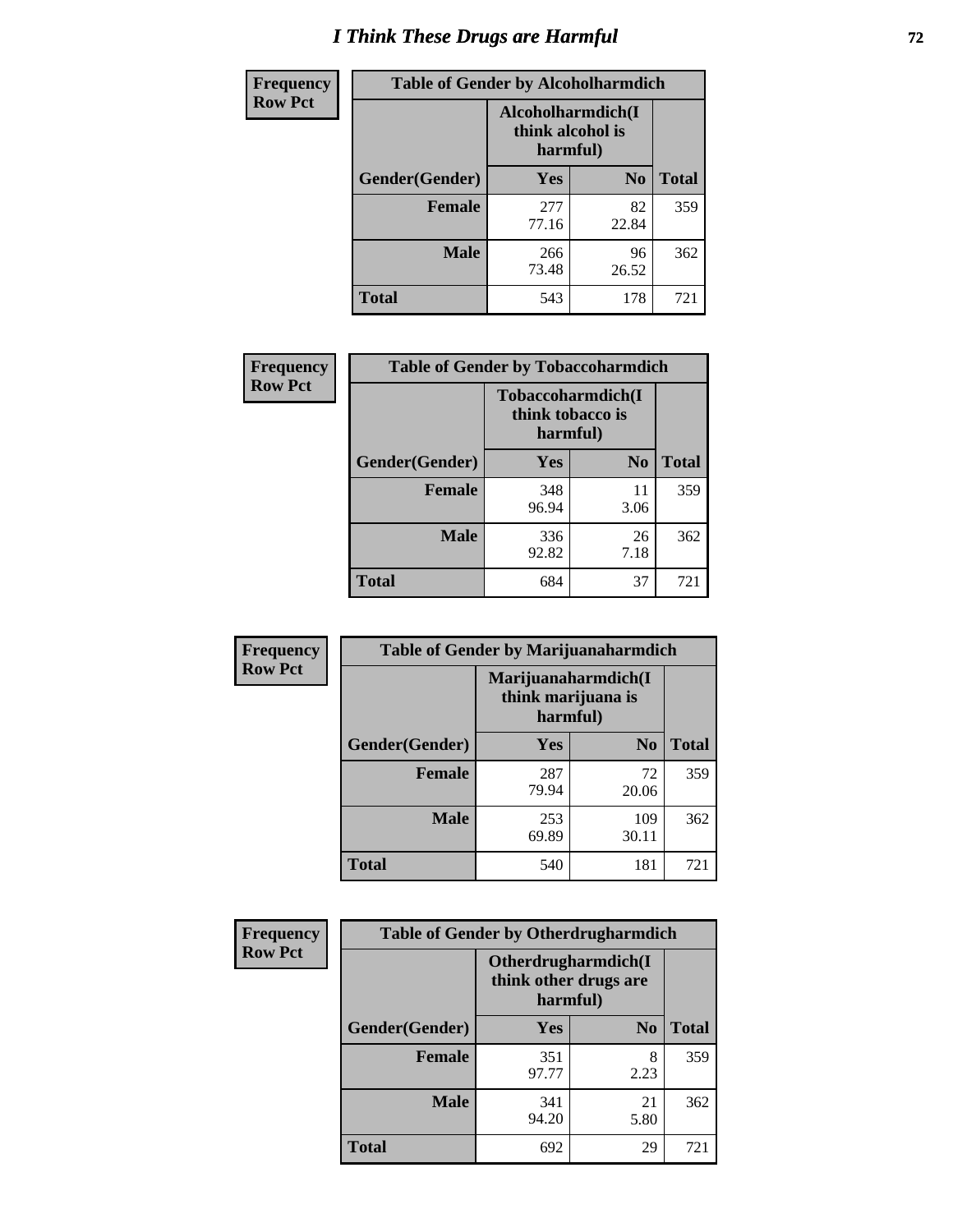# *I Think These Drugs are Harmful* **72**

| <b>Frequency</b> | <b>Table of Gender by Alcoholharmdich</b> |                                                   |                |              |  |
|------------------|-------------------------------------------|---------------------------------------------------|----------------|--------------|--|
| <b>Row Pct</b>   |                                           | Alcoholharmdich(I<br>think alcohol is<br>harmful) |                |              |  |
|                  | Gender(Gender)                            | Yes                                               | N <sub>0</sub> | <b>Total</b> |  |
|                  | <b>Female</b>                             | 277<br>77.16                                      | 82<br>22.84    | 359          |  |
|                  | <b>Male</b>                               | 266<br>73.48                                      | 96<br>26.52    | 362          |  |
|                  | Total                                     | 543                                               | 178            | 721          |  |

| Frequency      | <b>Table of Gender by Tobaccoharmdich</b> |                  |                               |              |  |
|----------------|-------------------------------------------|------------------|-------------------------------|--------------|--|
| <b>Row Pct</b> |                                           | think tobacco is | Tobaccoharmdich(I<br>harmful) |              |  |
|                | Gender(Gender)                            | <b>Yes</b>       | N <sub>0</sub>                | <b>Total</b> |  |
|                | <b>Female</b>                             | 348<br>96.94     | 11<br>3.06                    | 359          |  |
|                | <b>Male</b>                               | 336<br>92.82     | 26<br>7.18                    | 362          |  |
|                | <b>Total</b>                              | 684              | 37                            | 721          |  |

| Frequency      | <b>Table of Gender by Marijuanaharmdich</b> |                                                       |                |              |  |
|----------------|---------------------------------------------|-------------------------------------------------------|----------------|--------------|--|
| <b>Row Pct</b> |                                             | Marijuanaharmdich(I<br>think marijuana is<br>harmful) |                |              |  |
|                | Gender(Gender)                              | <b>Yes</b>                                            | N <sub>0</sub> | <b>Total</b> |  |
|                | <b>Female</b>                               | 287<br>79.94                                          | 72<br>20.06    | 359          |  |
|                | <b>Male</b>                                 | 253<br>69.89                                          | 109<br>30.11   | 362          |  |
|                | <b>Total</b>                                | 540                                                   | 181            | 721          |  |

| Frequency      | <b>Table of Gender by Otherdrugharmdich</b> |              |                                              |              |  |
|----------------|---------------------------------------------|--------------|----------------------------------------------|--------------|--|
| <b>Row Pct</b> |                                             | harmful)     | Otherdrugharmdich(I<br>think other drugs are |              |  |
|                | Gender(Gender)                              | <b>Yes</b>   | N <sub>0</sub>                               | <b>Total</b> |  |
|                | <b>Female</b>                               | 351<br>97.77 | 8<br>2.23                                    | 359          |  |
|                | <b>Male</b>                                 | 341<br>94.20 | 21<br>5.80                                   | 362          |  |
|                | <b>Total</b>                                | 692          | 29                                           | 721          |  |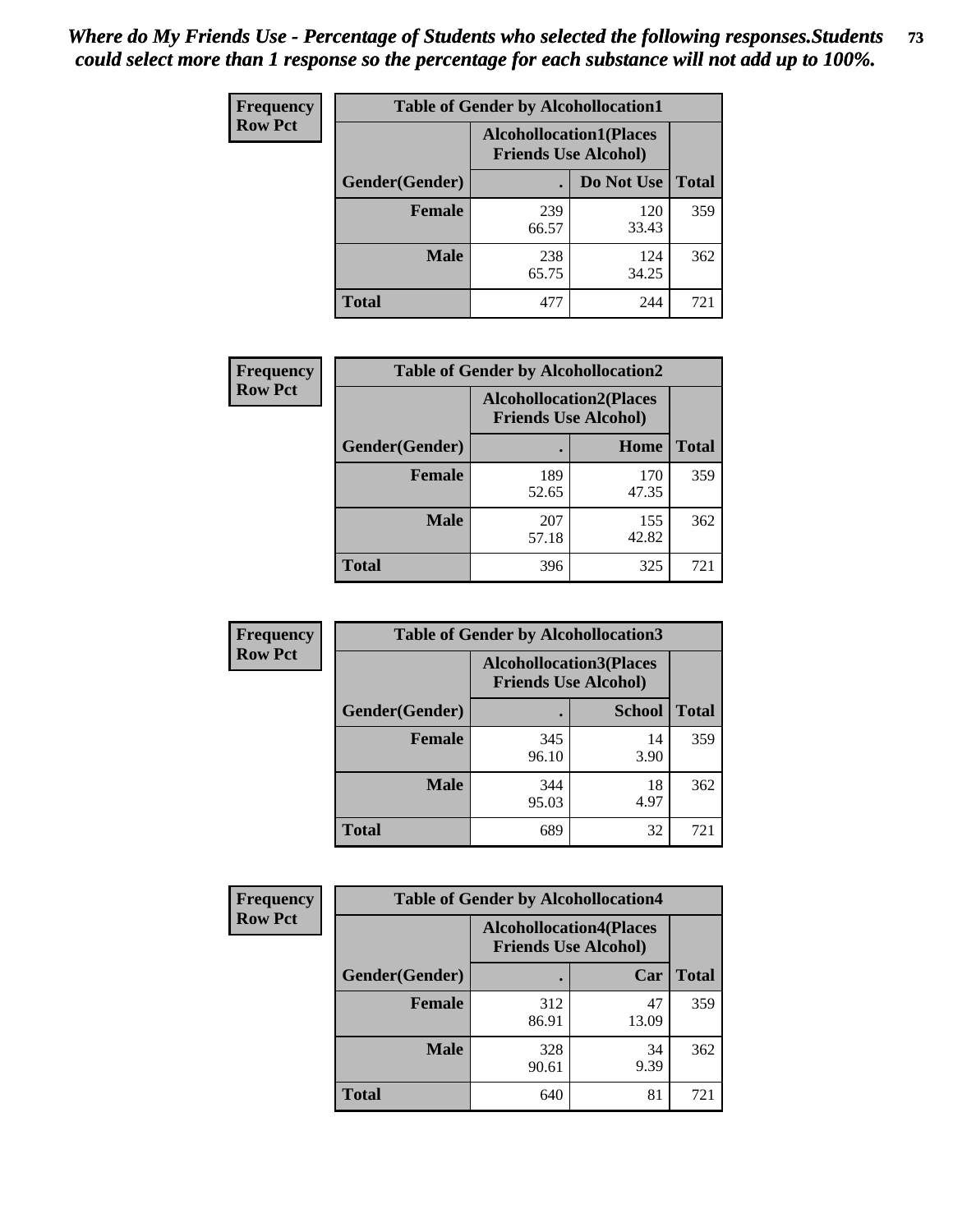| <b>Frequency</b> | <b>Table of Gender by Alcohollocation1</b> |                                                               |              |              |
|------------------|--------------------------------------------|---------------------------------------------------------------|--------------|--------------|
| <b>Row Pct</b>   |                                            | <b>Alcohollocation1(Places</b><br><b>Friends Use Alcohol)</b> |              |              |
|                  | Gender(Gender)                             |                                                               | Do Not Use   | <b>Total</b> |
|                  | <b>Female</b>                              | 239<br>66.57                                                  | 120<br>33.43 | 359          |
|                  | <b>Male</b>                                | 238<br>65.75                                                  | 124<br>34.25 | 362          |
|                  | <b>Total</b>                               | 477                                                           | 244          | 721          |

| <b>Frequency</b> | <b>Table of Gender by Alcohollocation2</b> |                                                               |              |              |
|------------------|--------------------------------------------|---------------------------------------------------------------|--------------|--------------|
| <b>Row Pct</b>   |                                            | <b>Alcohollocation2(Places</b><br><b>Friends Use Alcohol)</b> |              |              |
|                  | Gender(Gender)                             |                                                               | Home         | <b>Total</b> |
|                  | <b>Female</b>                              | 189<br>52.65                                                  | 170<br>47.35 | 359          |
|                  | <b>Male</b>                                | 207<br>57.18                                                  | 155<br>42.82 | 362          |
|                  | <b>Total</b>                               | 396                                                           | 325          | 721          |

| Frequency      | <b>Table of Gender by Alcohollocation3</b> |                                                               |               |              |
|----------------|--------------------------------------------|---------------------------------------------------------------|---------------|--------------|
| <b>Row Pct</b> |                                            | <b>Alcohollocation3(Places</b><br><b>Friends Use Alcohol)</b> |               |              |
|                | Gender(Gender)                             |                                                               | <b>School</b> | <b>Total</b> |
|                | <b>Female</b>                              | 345<br>96.10                                                  | 14<br>3.90    | 359          |
|                | <b>Male</b>                                | 344<br>95.03                                                  | 18<br>4.97    | 362          |
|                | <b>Total</b>                               | 689                                                           | 32            | 721          |

| Frequency      | <b>Table of Gender by Alcohollocation4</b> |                                                               |             |              |
|----------------|--------------------------------------------|---------------------------------------------------------------|-------------|--------------|
| <b>Row Pct</b> |                                            | <b>Alcohollocation4(Places</b><br><b>Friends Use Alcohol)</b> |             |              |
|                | Gender(Gender)                             |                                                               | Car         | <b>Total</b> |
|                | <b>Female</b>                              | 312<br>86.91                                                  | 47<br>13.09 | 359          |
|                | <b>Male</b>                                | 328<br>90.61                                                  | 34<br>9.39  | 362          |
|                | <b>Total</b>                               | 640                                                           | 81          | 721          |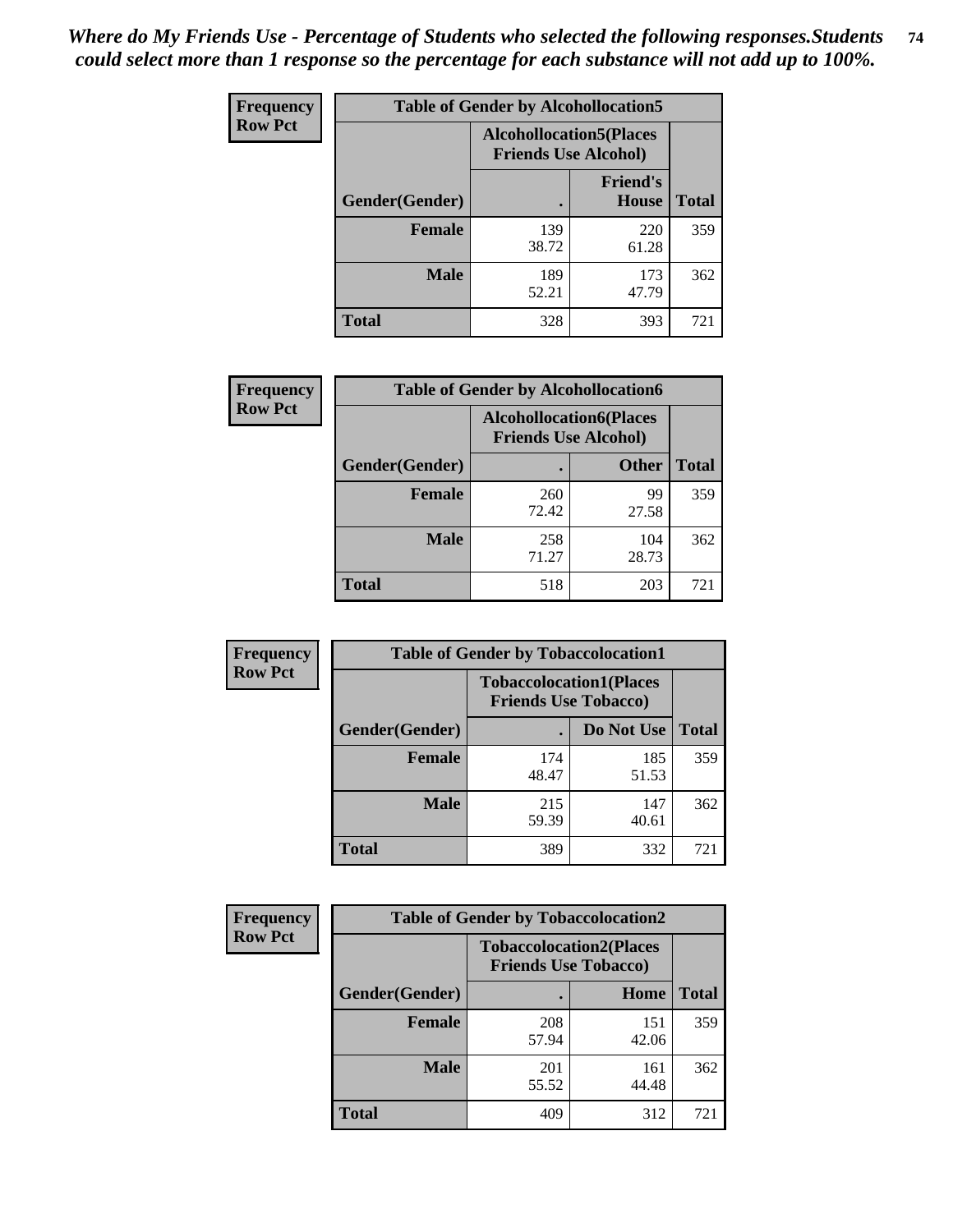| <b>Frequency</b> | <b>Table of Gender by Alcohollocation5</b> |                                                                |                          |              |
|------------------|--------------------------------------------|----------------------------------------------------------------|--------------------------|--------------|
| <b>Row Pct</b>   |                                            | <b>Alcohollocation5</b> (Places<br><b>Friends Use Alcohol)</b> |                          |              |
|                  | Gender(Gender)                             |                                                                | <b>Friend's</b><br>House | <b>Total</b> |
|                  | <b>Female</b>                              | 139<br>38.72                                                   | 220<br>61.28             | 359          |
|                  | <b>Male</b>                                | 189<br>52.21                                                   | 173<br>47.79             | 362          |
|                  | <b>Total</b>                               | 328                                                            | 393                      | 721          |

| <b>Frequency</b> | <b>Table of Gender by Alcohollocation6</b> |                                                               |              |              |
|------------------|--------------------------------------------|---------------------------------------------------------------|--------------|--------------|
| <b>Row Pct</b>   |                                            | <b>Alcohollocation6(Places</b><br><b>Friends Use Alcohol)</b> |              |              |
|                  | Gender(Gender)                             |                                                               | <b>Other</b> | <b>Total</b> |
|                  | <b>Female</b>                              | 260<br>72.42                                                  | 99<br>27.58  | 359          |
|                  | <b>Male</b>                                | 258<br>71.27                                                  | 104<br>28.73 | 362          |
|                  | <b>Total</b>                               | 518                                                           | 203          | 721          |

| Frequency      | <b>Table of Gender by Tobaccolocation1</b> |                                                               |              |              |  |
|----------------|--------------------------------------------|---------------------------------------------------------------|--------------|--------------|--|
| <b>Row Pct</b> |                                            | <b>Tobaccolocation1(Places</b><br><b>Friends Use Tobacco)</b> |              |              |  |
|                | <b>Gender</b> (Gender)                     |                                                               | Do Not Use   | <b>Total</b> |  |
|                | Female                                     | 174<br>48.47                                                  | 185<br>51.53 | 359          |  |
|                | <b>Male</b>                                | 215<br>59.39                                                  | 147<br>40.61 | 362          |  |
|                | <b>Total</b>                               | 389                                                           | 332          | 721          |  |

| <b>Frequency</b> | <b>Table of Gender by Tobaccolocation2</b> |                                                               |              |              |
|------------------|--------------------------------------------|---------------------------------------------------------------|--------------|--------------|
| <b>Row Pct</b>   |                                            | <b>Tobaccolocation2(Places</b><br><b>Friends Use Tobacco)</b> |              |              |
|                  | Gender(Gender)                             |                                                               | Home         | <b>Total</b> |
|                  | <b>Female</b>                              | 208<br>57.94                                                  | 151<br>42.06 | 359          |
|                  | <b>Male</b>                                | 201<br>55.52                                                  | 161<br>44.48 | 362          |
|                  | <b>Total</b>                               | 409                                                           | 312          | 721          |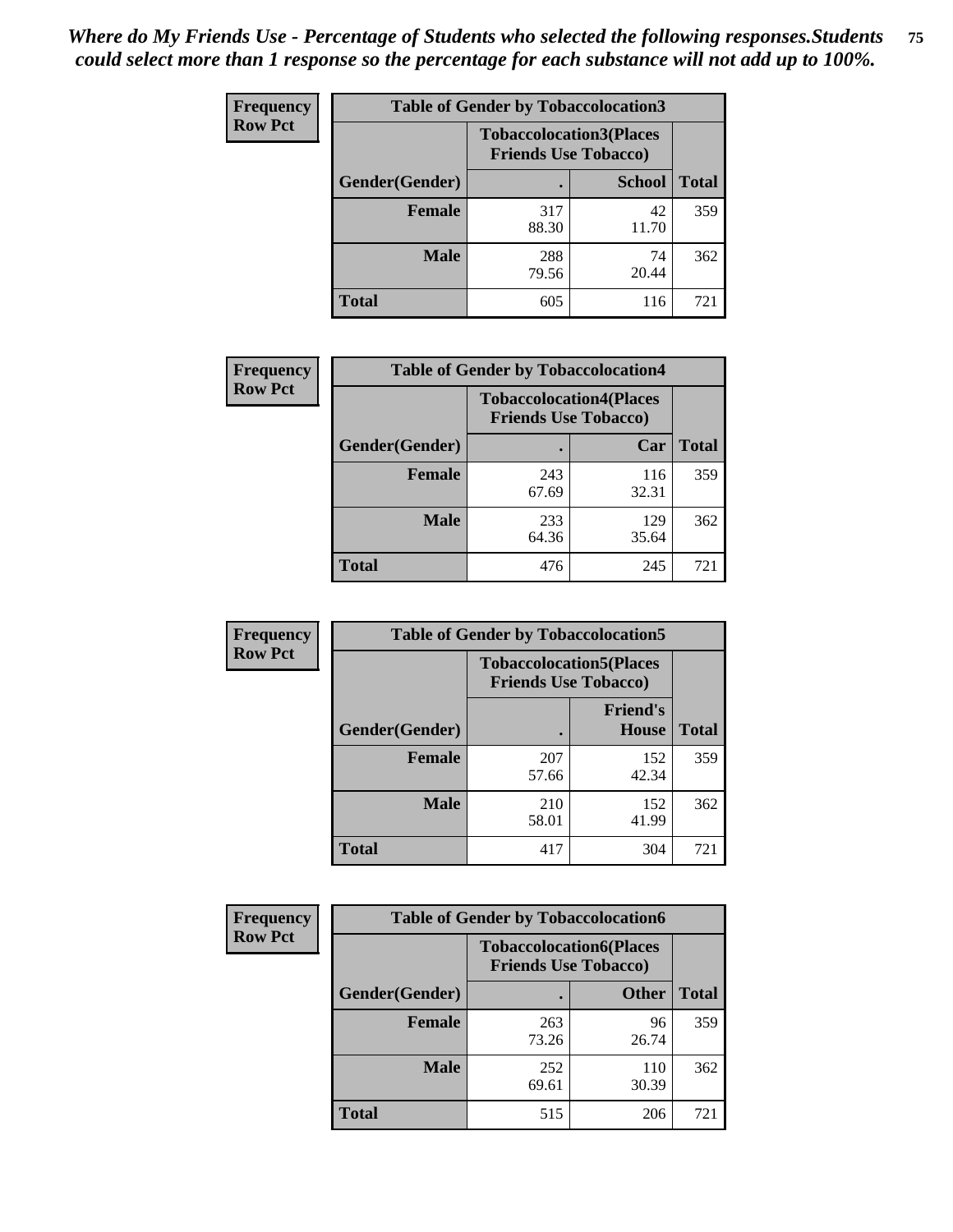| <b>Frequency</b> | <b>Table of Gender by Tobaccolocation3</b> |              |                                                               |              |
|------------------|--------------------------------------------|--------------|---------------------------------------------------------------|--------------|
| <b>Row Pct</b>   |                                            |              | <b>Tobaccolocation3(Places</b><br><b>Friends Use Tobacco)</b> |              |
|                  | Gender(Gender)                             |              | <b>School</b>                                                 | <b>Total</b> |
|                  | Female                                     | 317<br>88.30 | 42<br>11.70                                                   | 359          |
|                  | <b>Male</b>                                | 288<br>79.56 | 74<br>20.44                                                   | 362          |
|                  | Total                                      | 605          | 116                                                           | 721          |

| <b>Frequency</b> | <b>Table of Gender by Tobaccolocation4</b> |                                                               |              |              |  |
|------------------|--------------------------------------------|---------------------------------------------------------------|--------------|--------------|--|
| <b>Row Pct</b>   |                                            | <b>Tobaccolocation4(Places</b><br><b>Friends Use Tobacco)</b> |              |              |  |
|                  | <b>Gender</b> (Gender)                     |                                                               | Car          | <b>Total</b> |  |
|                  | <b>Female</b>                              | 243<br>67.69                                                  | 116<br>32.31 | 359          |  |
|                  | <b>Male</b>                                | 233<br>64.36                                                  | 129<br>35.64 | 362          |  |
|                  | <b>Total</b>                               | 476                                                           | 245          | 721          |  |

| <b>Frequency</b> | <b>Table of Gender by Tobaccolocation5</b> |                             |                                 |              |
|------------------|--------------------------------------------|-----------------------------|---------------------------------|--------------|
| <b>Row Pct</b>   |                                            | <b>Friends Use Tobacco)</b> | <b>Tobaccolocation5(Places</b>  |              |
|                  | <b>Gender</b> (Gender)                     |                             | <b>Friend's</b><br><b>House</b> | <b>Total</b> |
|                  | <b>Female</b>                              | 207<br>57.66                | 152<br>42.34                    | 359          |
|                  | <b>Male</b>                                | 210<br>58.01                | 152<br>41.99                    | 362          |
|                  | <b>Total</b>                               | 417                         | 304                             | 721          |

| <b>Frequency</b> |                | <b>Table of Gender by Tobaccolocation6</b>                    |              |              |
|------------------|----------------|---------------------------------------------------------------|--------------|--------------|
| <b>Row Pct</b>   |                | <b>Tobaccolocation6(Places</b><br><b>Friends Use Tobacco)</b> |              |              |
|                  | Gender(Gender) |                                                               | <b>Other</b> | <b>Total</b> |
|                  | Female         | 263<br>73.26                                                  | 96<br>26.74  | 359          |
|                  | <b>Male</b>    | 252<br>69.61                                                  | 110<br>30.39 | 362          |
|                  | <b>Total</b>   | 515                                                           | 206          | 721          |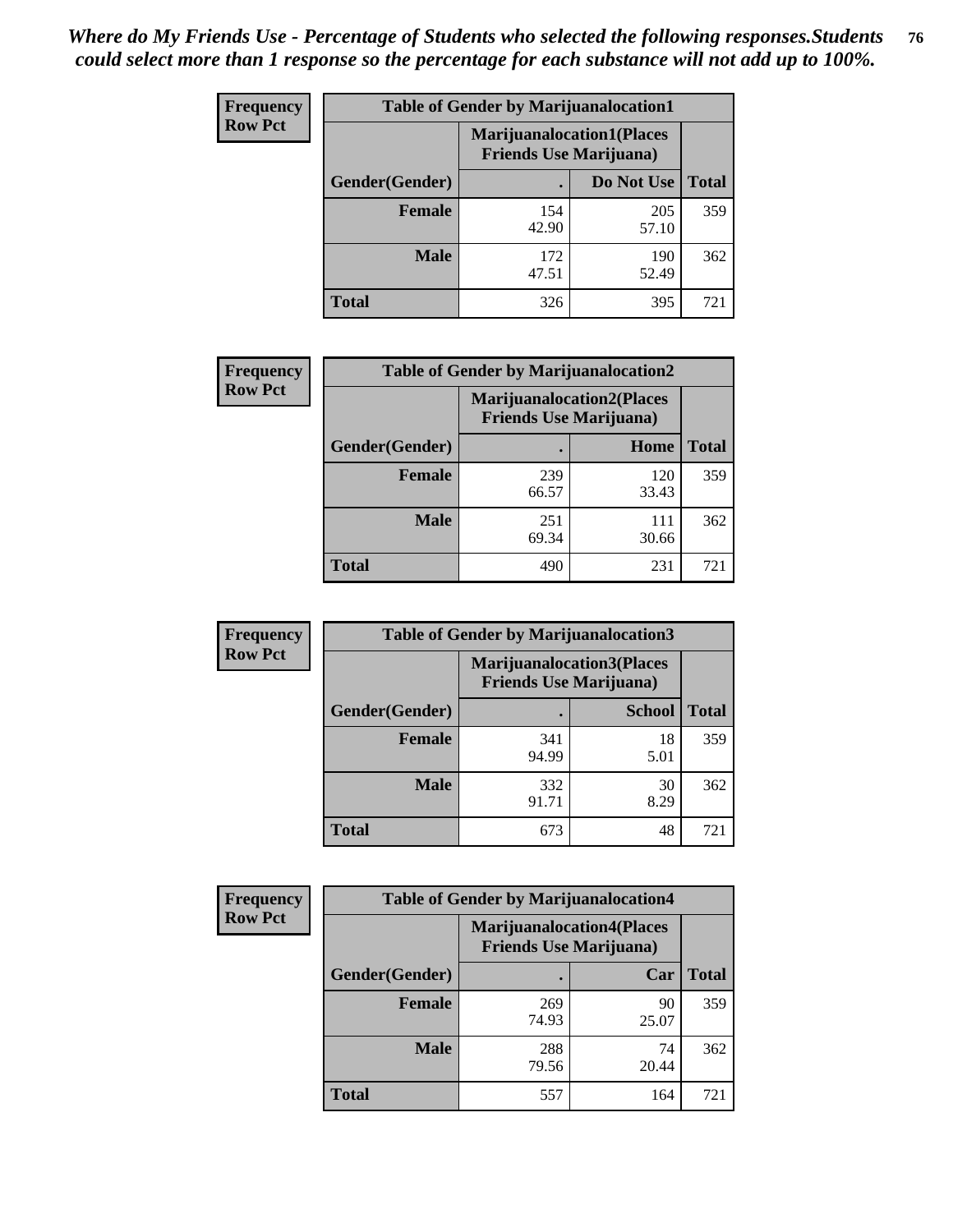| <b>Frequency</b> | <b>Table of Gender by Marijuanalocation1</b> |                                                                    |              |              |
|------------------|----------------------------------------------|--------------------------------------------------------------------|--------------|--------------|
| <b>Row Pct</b>   |                                              | <b>Marijuanalocation1(Places</b><br><b>Friends Use Marijuana</b> ) |              |              |
|                  | Gender(Gender)                               |                                                                    | Do Not Use   | <b>Total</b> |
|                  | <b>Female</b>                                | 154<br>42.90                                                       | 205<br>57.10 | 359          |
|                  | <b>Male</b>                                  | 172<br>47.51                                                       | 190<br>52.49 | 362          |
|                  | <b>Total</b>                                 | 326                                                                | 395          | 721          |

| <b>Frequency</b> | <b>Table of Gender by Marijuanalocation2</b> |                                                                    |              |              |
|------------------|----------------------------------------------|--------------------------------------------------------------------|--------------|--------------|
| <b>Row Pct</b>   |                                              | <b>Marijuanalocation2(Places</b><br><b>Friends Use Marijuana</b> ) |              |              |
|                  | Gender(Gender)                               |                                                                    | Home         | <b>Total</b> |
|                  | Female                                       | 239<br>66.57                                                       | 120<br>33.43 | 359          |
|                  | <b>Male</b>                                  | 251<br>69.34                                                       | 111<br>30.66 | 362          |
|                  | <b>Total</b>                                 | 490                                                                | 231          | 721          |

| Frequency      | <b>Table of Gender by Marijuanalocation3</b> |                                                                    |               |              |  |
|----------------|----------------------------------------------|--------------------------------------------------------------------|---------------|--------------|--|
| <b>Row Pct</b> |                                              | <b>Marijuanalocation3(Places</b><br><b>Friends Use Marijuana</b> ) |               |              |  |
|                | Gender(Gender)                               |                                                                    | <b>School</b> | <b>Total</b> |  |
|                | Female                                       | 341<br>94.99                                                       | 18<br>5.01    | 359          |  |
|                | <b>Male</b>                                  | 332<br>91.71                                                       | 30<br>8.29    | 362          |  |
|                | <b>Total</b>                                 | 673                                                                | 48            | 721          |  |

| Frequency      | <b>Table of Gender by Marijuanalocation4</b> |                                |                                  |              |
|----------------|----------------------------------------------|--------------------------------|----------------------------------|--------------|
| <b>Row Pct</b> |                                              | <b>Friends Use Marijuana</b> ) | <b>Marijuanalocation4(Places</b> |              |
|                | <b>Gender</b> (Gender)                       |                                | Car                              | <b>Total</b> |
|                | <b>Female</b>                                | 269<br>74.93                   | 90<br>25.07                      | 359          |
|                | <b>Male</b>                                  | 288<br>79.56                   | 74<br>20.44                      | 362          |
|                | <b>Total</b>                                 | 557                            | 164                              | 721          |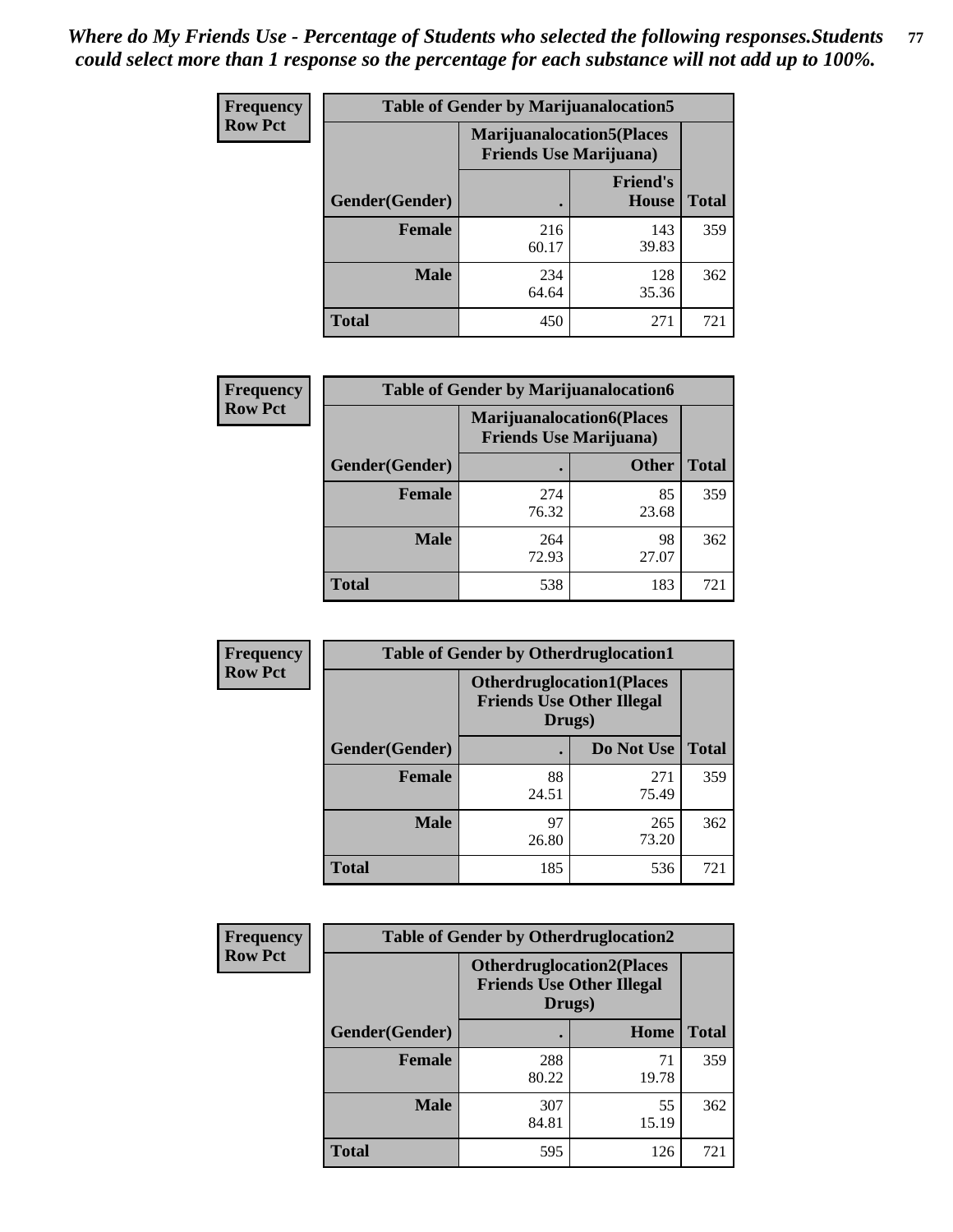| <b>Frequency</b> | <b>Table of Gender by Marijuanalocation5</b> |                                                                    |                                 |              |
|------------------|----------------------------------------------|--------------------------------------------------------------------|---------------------------------|--------------|
| <b>Row Pct</b>   |                                              | <b>Marijuanalocation5(Places</b><br><b>Friends Use Marijuana</b> ) |                                 |              |
|                  | Gender(Gender)                               |                                                                    | <b>Friend's</b><br><b>House</b> | <b>Total</b> |
|                  | <b>Female</b>                                | 216<br>60.17                                                       | 143<br>39.83                    | 359          |
|                  | <b>Male</b>                                  | 234<br>64.64                                                       | 128<br>35.36                    | 362          |
|                  | <b>Total</b>                                 | 450                                                                | 271                             | 721          |

| <b>Frequency</b> | <b>Table of Gender by Marijuanalocation6</b> |                                |                                  |              |
|------------------|----------------------------------------------|--------------------------------|----------------------------------|--------------|
| <b>Row Pct</b>   |                                              | <b>Friends Use Marijuana</b> ) | <b>Marijuanalocation6(Places</b> |              |
|                  | Gender(Gender)                               |                                | <b>Other</b>                     | <b>Total</b> |
|                  | <b>Female</b>                                | 274<br>76.32                   | 85<br>23.68                      | 359          |
|                  | <b>Male</b>                                  | 264<br>72.93                   | 98<br>27.07                      | 362          |
|                  | Total                                        | 538                            | 183                              | 721          |

| <b>Frequency</b> | <b>Table of Gender by Otherdruglocation1</b> |                                                                                |              |              |
|------------------|----------------------------------------------|--------------------------------------------------------------------------------|--------------|--------------|
| <b>Row Pct</b>   |                                              | <b>Otherdruglocation1(Places</b><br><b>Friends Use Other Illegal</b><br>Drugs) |              |              |
|                  | Gender(Gender)                               |                                                                                | Do Not Use   | <b>Total</b> |
|                  | <b>Female</b>                                | 88<br>24.51                                                                    | 271<br>75.49 | 359          |
|                  | <b>Male</b>                                  | 97<br>26.80                                                                    | 265<br>73.20 | 362          |
|                  | <b>Total</b>                                 | 185                                                                            | 536          | 721          |

| <b>Frequency</b> | <b>Table of Gender by Otherdruglocation2</b> |                                                                                |             |              |
|------------------|----------------------------------------------|--------------------------------------------------------------------------------|-------------|--------------|
| <b>Row Pct</b>   |                                              | <b>Otherdruglocation2(Places</b><br><b>Friends Use Other Illegal</b><br>Drugs) |             |              |
|                  | Gender(Gender)                               |                                                                                | Home        | <b>Total</b> |
|                  | Female                                       | 288<br>80.22                                                                   | 71<br>19.78 | 359          |
|                  | <b>Male</b>                                  | 307<br>84.81                                                                   | 55<br>15.19 | 362          |
|                  | <b>Total</b>                                 | 595                                                                            | 126         | 721          |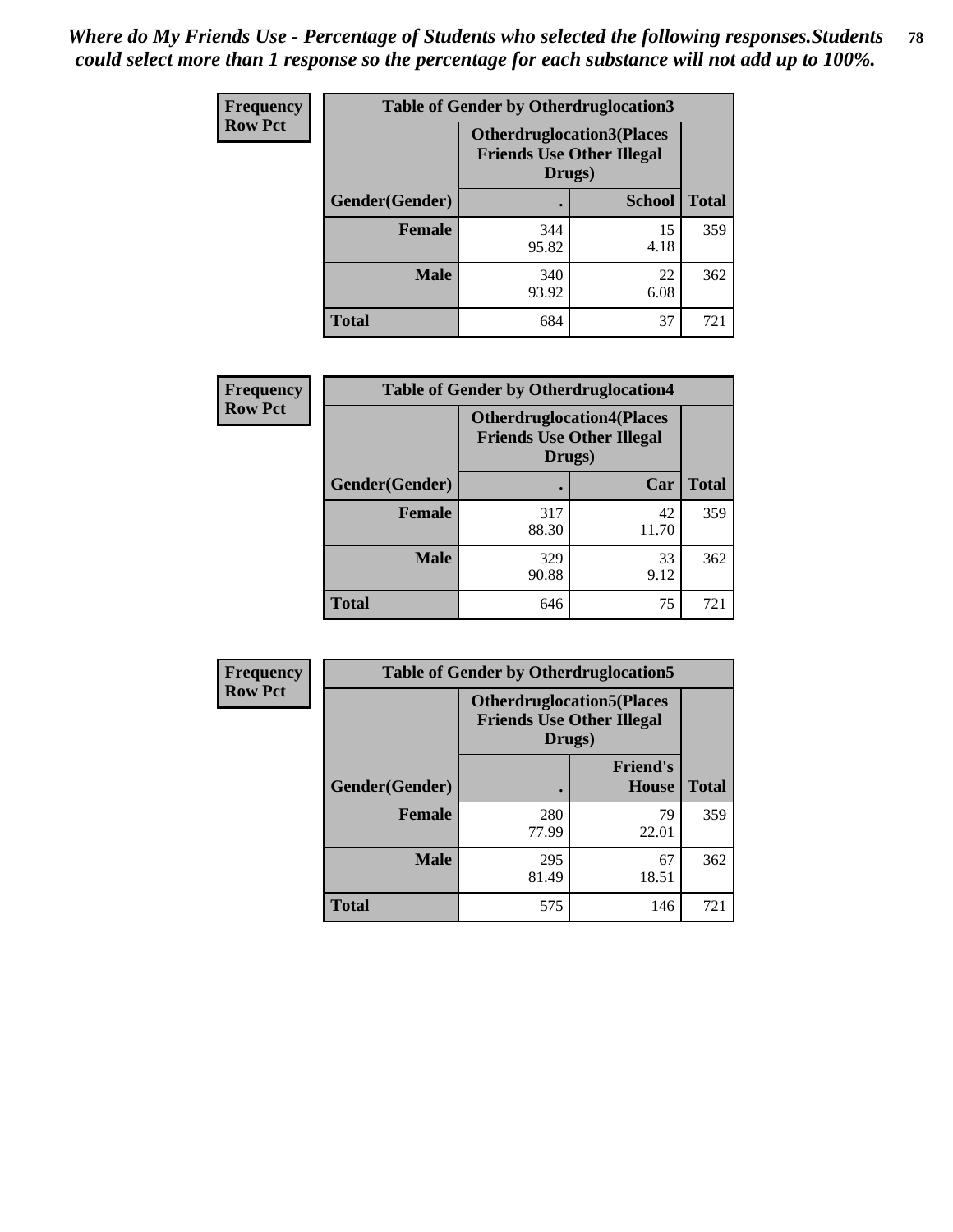| <b>Frequency</b> | <b>Table of Gender by Otherdruglocation3</b> |                                                                                |               |              |
|------------------|----------------------------------------------|--------------------------------------------------------------------------------|---------------|--------------|
| <b>Row Pct</b>   |                                              | <b>Otherdruglocation3(Places</b><br><b>Friends Use Other Illegal</b><br>Drugs) |               |              |
|                  | Gender(Gender)                               |                                                                                | <b>School</b> | <b>Total</b> |
|                  | <b>Female</b>                                | 344<br>95.82                                                                   | 15<br>4.18    | 359          |
|                  | <b>Male</b>                                  | 340<br>93.92                                                                   | 22<br>6.08    | 362          |
|                  | <b>Total</b>                                 | 684                                                                            | 37            | 721          |

| <b>Frequency</b> | <b>Table of Gender by Otherdruglocation4</b> |                                                                                |             |              |
|------------------|----------------------------------------------|--------------------------------------------------------------------------------|-------------|--------------|
| <b>Row Pct</b>   |                                              | <b>Otherdruglocation4(Places</b><br><b>Friends Use Other Illegal</b><br>Drugs) |             |              |
|                  | Gender(Gender)                               |                                                                                | Car         | <b>Total</b> |
|                  | <b>Female</b>                                | 317<br>88.30                                                                   | 42<br>11.70 | 359          |
|                  | <b>Male</b>                                  | 329<br>90.88                                                                   | 33<br>9.12  | 362          |
|                  | <b>Total</b>                                 | 646                                                                            | 75          | 721          |

| Frequency      | <b>Table of Gender by Otherdruglocation5</b> |              |                                                                      |              |
|----------------|----------------------------------------------|--------------|----------------------------------------------------------------------|--------------|
| <b>Row Pct</b> |                                              | Drugs)       | <b>Otherdruglocation5(Places</b><br><b>Friends Use Other Illegal</b> |              |
|                | Gender(Gender)                               |              | <b>Friend's</b><br><b>House</b>                                      | <b>Total</b> |
|                | <b>Female</b>                                | 280<br>77.99 | 79<br>22.01                                                          | 359          |
|                | <b>Male</b>                                  | 295<br>81.49 | 67<br>18.51                                                          | 362          |
|                | <b>Total</b>                                 | 575          | 146                                                                  | 721          |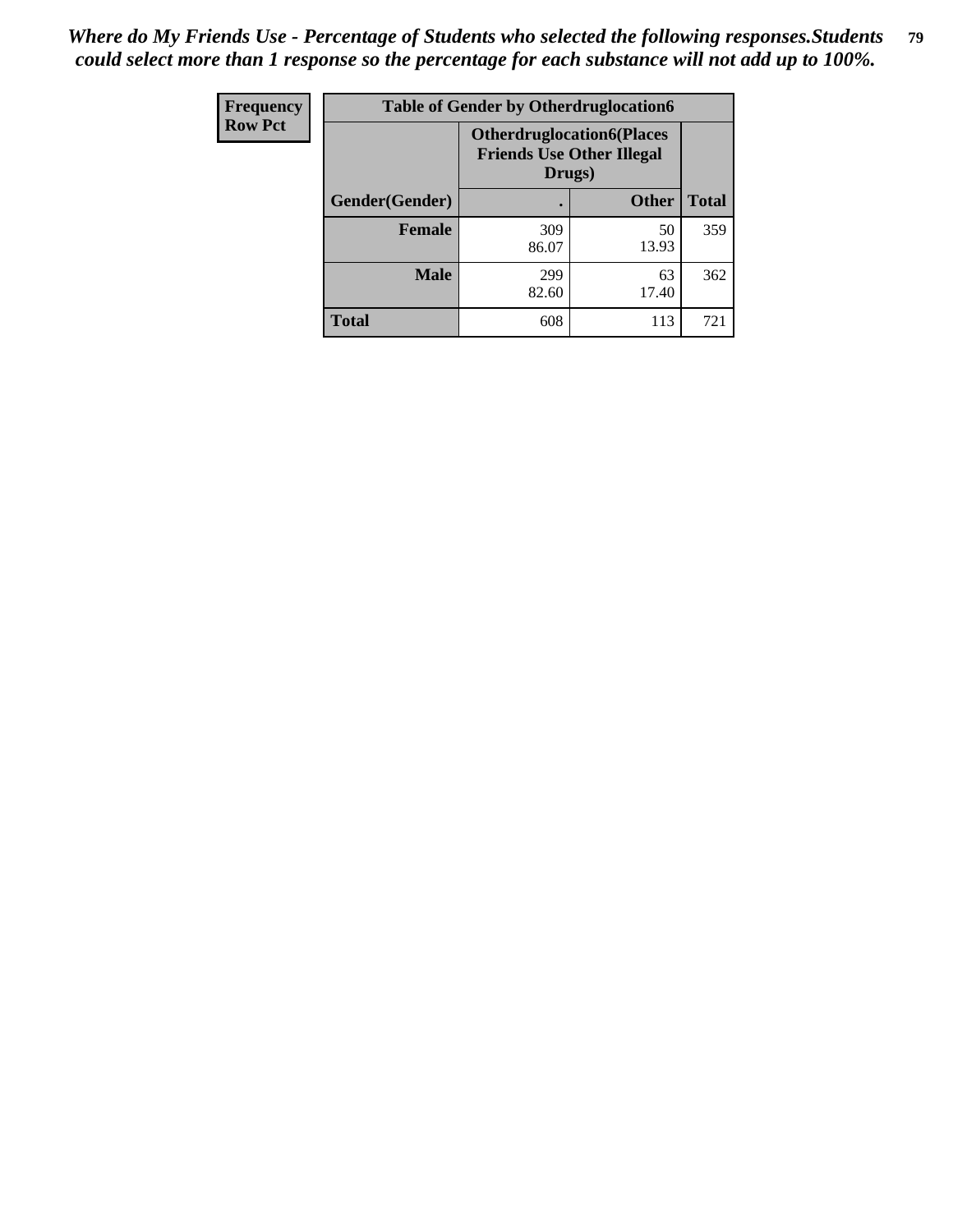| <b>Frequency</b> | <b>Table of Gender by Otherdruglocation6</b> |                                            |                                  |              |
|------------------|----------------------------------------------|--------------------------------------------|----------------------------------|--------------|
| <b>Row Pct</b>   |                                              | <b>Friends Use Other Illegal</b><br>Drugs) | <b>Otherdruglocation6(Places</b> |              |
|                  | Gender(Gender)                               |                                            | <b>Other</b>                     | <b>Total</b> |
|                  | Female                                       | 309<br>86.07                               | 50<br>13.93                      | 359          |
|                  | <b>Male</b>                                  | 299<br>82.60                               | 63<br>17.40                      | 362          |
|                  | <b>Total</b>                                 | 608                                        | 113                              | 721          |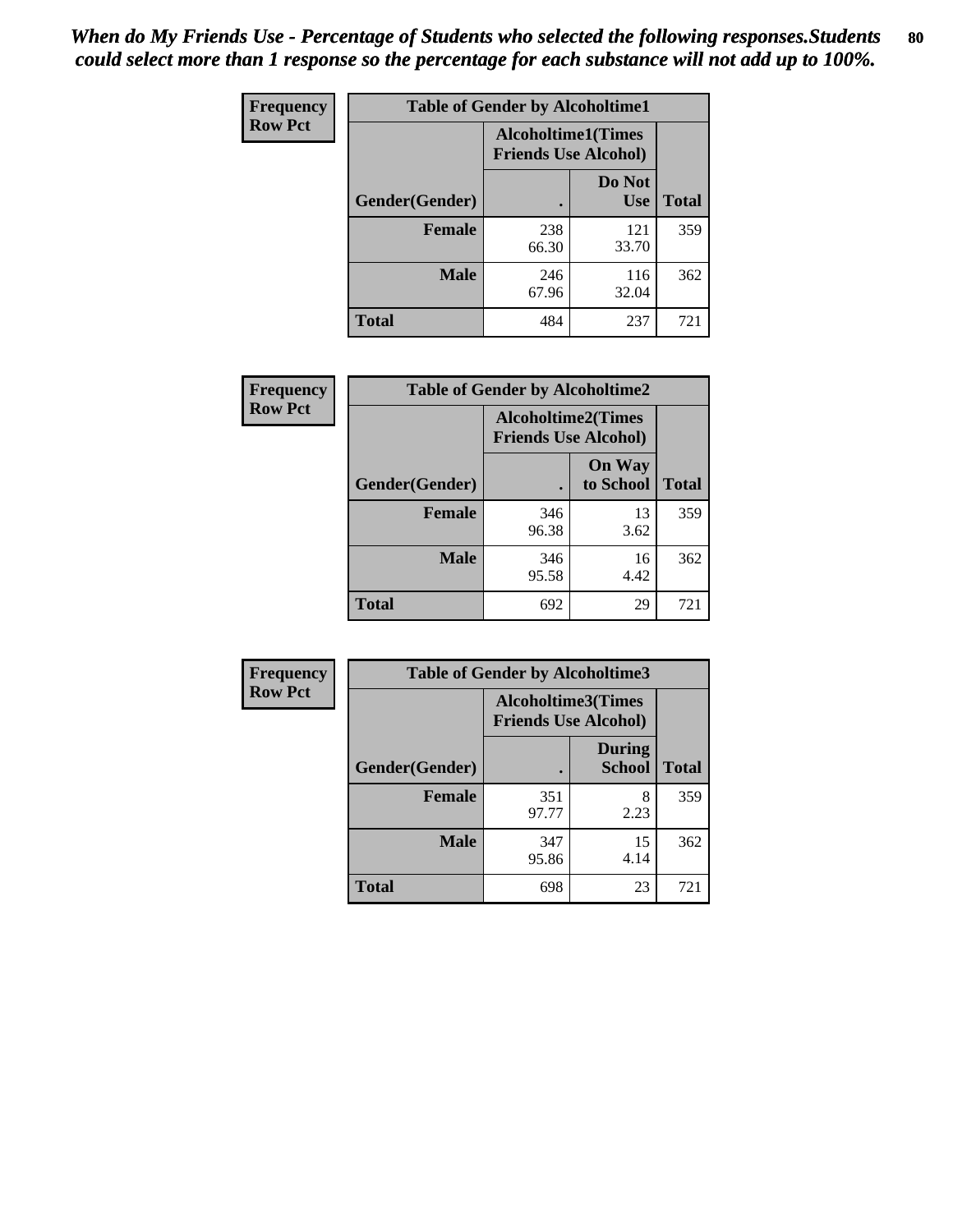| <b>Frequency</b> | <b>Table of Gender by Alcoholtime1</b> |                                                          |                      |              |
|------------------|----------------------------------------|----------------------------------------------------------|----------------------|--------------|
| <b>Row Pct</b>   |                                        | <b>Alcoholtime1(Times</b><br><b>Friends Use Alcohol)</b> |                      |              |
|                  | Gender(Gender)                         |                                                          | Do Not<br><b>Use</b> | <b>Total</b> |
|                  | <b>Female</b>                          | 238<br>66.30                                             | 121<br>33.70         | 359          |
|                  | <b>Male</b>                            | 246<br>67.96                                             | 116<br>32.04         | 362          |
|                  | <b>Total</b>                           | 484                                                      | 237                  | 721          |

| Frequency      | <b>Table of Gender by Alcoholtime2</b> |                                                          |                            |              |
|----------------|----------------------------------------|----------------------------------------------------------|----------------------------|--------------|
| <b>Row Pct</b> |                                        | <b>Alcoholtime2(Times</b><br><b>Friends Use Alcohol)</b> |                            |              |
|                | Gender(Gender)                         |                                                          | <b>On Way</b><br>to School | <b>Total</b> |
|                | <b>Female</b>                          | 346<br>96.38                                             | 13<br>3.62                 | 359          |
|                | <b>Male</b>                            | 346<br>95.58                                             | 16<br>4.42                 | 362          |
|                | <b>Total</b>                           | 692                                                      | 29                         | 721          |

| Frequency      | <b>Table of Gender by Alcoholtime3</b> |                                                   |                                |              |
|----------------|----------------------------------------|---------------------------------------------------|--------------------------------|--------------|
| <b>Row Pct</b> |                                        | Alcoholtime3(Times<br><b>Friends Use Alcohol)</b> |                                |              |
|                | Gender(Gender)                         |                                                   | <b>During</b><br><b>School</b> | <b>Total</b> |
|                | Female                                 | 351<br>97.77                                      | 8<br>2.23                      | 359          |
|                | <b>Male</b>                            | 347<br>95.86                                      | 15<br>4.14                     | 362          |
|                | <b>Total</b>                           | 698                                               | 23                             | 721          |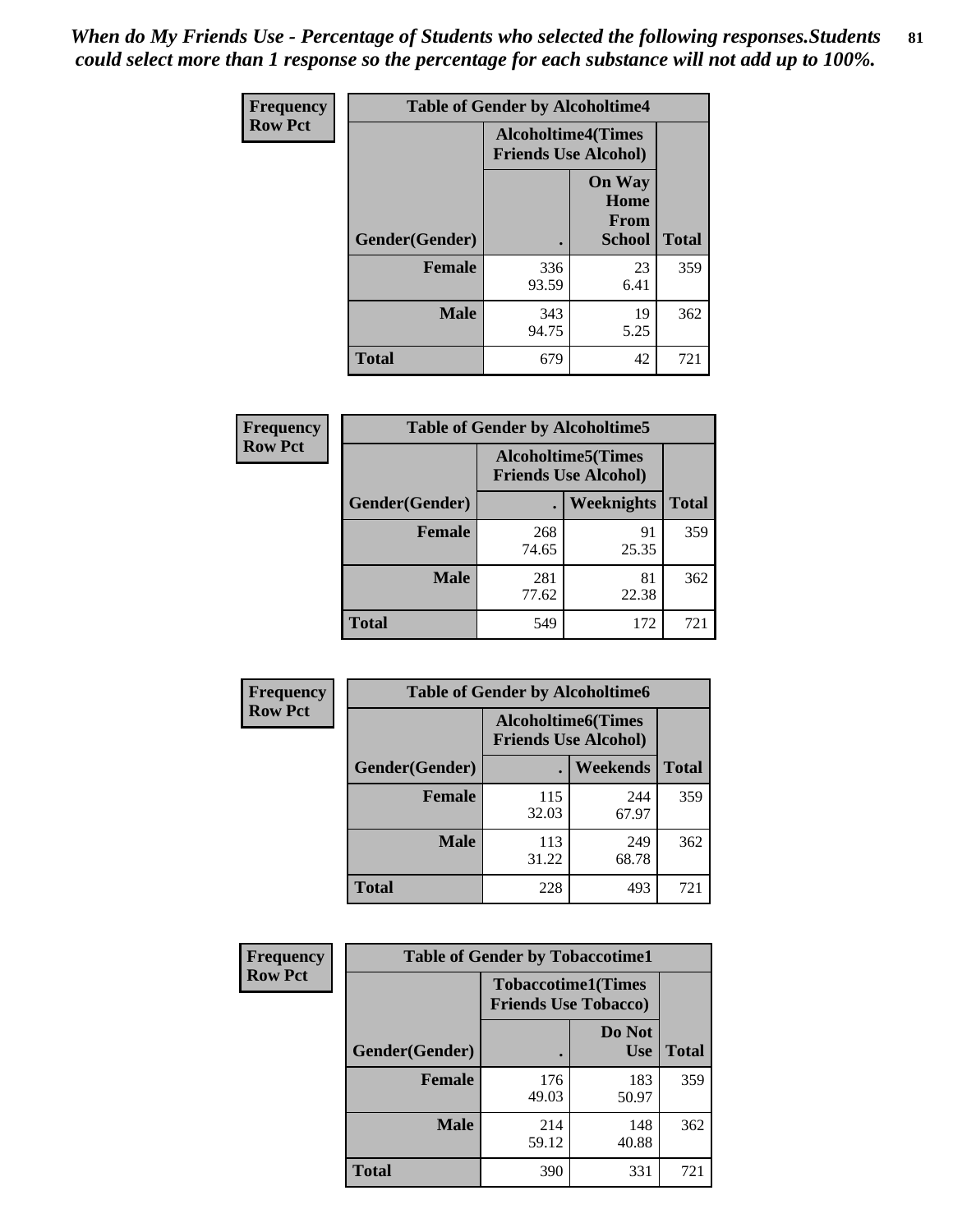*When do My Friends Use - Percentage of Students who selected the following responses.Students could select more than 1 response so the percentage for each substance will not add up to 100%.* **81**

| <b>Frequency</b> | <b>Table of Gender by Alcoholtime4</b> |                                                          |                                                |              |  |
|------------------|----------------------------------------|----------------------------------------------------------|------------------------------------------------|--------------|--|
| <b>Row Pct</b>   |                                        | <b>Alcoholtime4(Times</b><br><b>Friends Use Alcohol)</b> |                                                |              |  |
|                  | Gender(Gender)                         |                                                          | <b>On Way</b><br>Home<br>From<br><b>School</b> | <b>Total</b> |  |
|                  | <b>Female</b>                          | 336<br>93.59                                             | 23<br>6.41                                     | 359          |  |
|                  | <b>Male</b>                            | 343<br>94.75                                             | 19<br>5.25                                     | 362          |  |
|                  | <b>Total</b>                           | 679                                                      | 42                                             | 721          |  |

| <b>Frequency</b> | <b>Table of Gender by Alcoholtime5</b> |                                                           |             |              |
|------------------|----------------------------------------|-----------------------------------------------------------|-------------|--------------|
| <b>Row Pct</b>   |                                        | <b>Alcoholtime5</b> (Times<br><b>Friends Use Alcohol)</b> |             |              |
|                  | Gender(Gender)                         |                                                           | Weeknights  | <b>Total</b> |
|                  | <b>Female</b>                          | 268<br>74.65                                              | 91<br>25.35 | 359          |
|                  | <b>Male</b>                            | 281<br>77.62                                              | 81<br>22.38 | 362          |
|                  | <b>Total</b>                           | 549                                                       | 172         | 721          |

| <b>Frequency</b> | <b>Table of Gender by Alcoholtime6</b> |                                                           |                 |              |  |
|------------------|----------------------------------------|-----------------------------------------------------------|-----------------|--------------|--|
| <b>Row Pct</b>   |                                        | <b>Alcoholtime6</b> (Times<br><b>Friends Use Alcohol)</b> |                 |              |  |
|                  | Gender(Gender)                         |                                                           | <b>Weekends</b> | <b>Total</b> |  |
|                  | Female                                 | 115<br>32.03                                              | 244<br>67.97    | 359          |  |
|                  | <b>Male</b>                            | 113<br>31.22                                              | 249<br>68.78    | 362          |  |
|                  | Total                                  | 228                                                       | 493             | 721          |  |

| <b>Frequency</b> | <b>Table of Gender by Tobaccotime1</b> |                                                          |                      |              |
|------------------|----------------------------------------|----------------------------------------------------------|----------------------|--------------|
| <b>Row Pct</b>   |                                        | <b>Tobaccotime1(Times</b><br><b>Friends Use Tobacco)</b> |                      |              |
|                  | Gender(Gender)                         |                                                          | Do Not<br><b>Use</b> | <b>Total</b> |
|                  | Female                                 | 176<br>49.03                                             | 183<br>50.97         | 359          |
|                  | <b>Male</b>                            | 214<br>59.12                                             | 148<br>40.88         | 362          |
|                  | <b>Total</b>                           | 390                                                      | 331                  | 721          |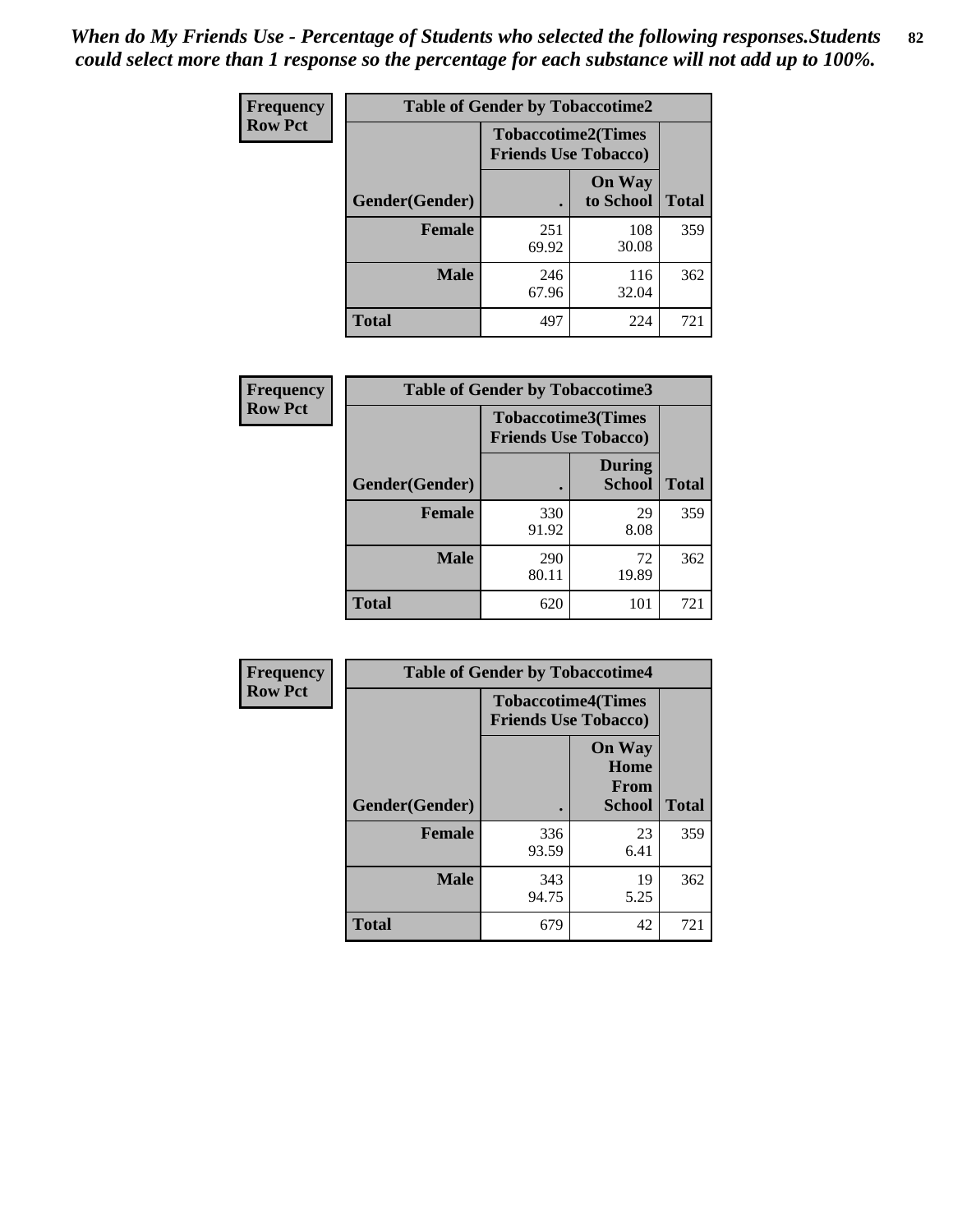| <b>Frequency</b> | <b>Table of Gender by Tobaccotime2</b> |                                                          |                            |              |
|------------------|----------------------------------------|----------------------------------------------------------|----------------------------|--------------|
| <b>Row Pct</b>   |                                        | <b>Tobaccotime2(Times</b><br><b>Friends Use Tobacco)</b> |                            |              |
|                  | Gender(Gender)                         |                                                          | <b>On Way</b><br>to School | <b>Total</b> |
|                  | <b>Female</b>                          | 251<br>69.92                                             | 108<br>30.08               | 359          |
|                  | <b>Male</b>                            | 246<br>67.96                                             | 116<br>32.04               | 362          |
|                  | <b>Total</b>                           | 497                                                      | 224                        | 721          |

| Frequency      | <b>Table of Gender by Tobaccotime3</b> |                                                          |                                |              |
|----------------|----------------------------------------|----------------------------------------------------------|--------------------------------|--------------|
| <b>Row Pct</b> |                                        | <b>Tobaccotime3(Times</b><br><b>Friends Use Tobacco)</b> |                                |              |
|                | Gender(Gender)                         |                                                          | <b>During</b><br><b>School</b> | <b>Total</b> |
|                | <b>Female</b>                          | 330<br>91.92                                             | 29<br>8.08                     | 359          |
|                | <b>Male</b>                            | 290<br>80.11                                             | 72<br>19.89                    | 362          |
|                | <b>Total</b>                           | 620                                                      | 101                            | 721          |

| Frequency      | <b>Table of Gender by Tobaccotime4</b> |                                                          |                                                |              |
|----------------|----------------------------------------|----------------------------------------------------------|------------------------------------------------|--------------|
| <b>Row Pct</b> |                                        | <b>Tobaccotime4(Times</b><br><b>Friends Use Tobacco)</b> |                                                |              |
|                | Gender(Gender)                         |                                                          | <b>On Way</b><br>Home<br>From<br><b>School</b> | <b>Total</b> |
|                | <b>Female</b>                          | 336<br>93.59                                             | 23<br>6.41                                     | 359          |
|                | <b>Male</b>                            | 343<br>94.75                                             | 19<br>5.25                                     | 362          |
|                | <b>Total</b>                           | 679                                                      | 42                                             | 721          |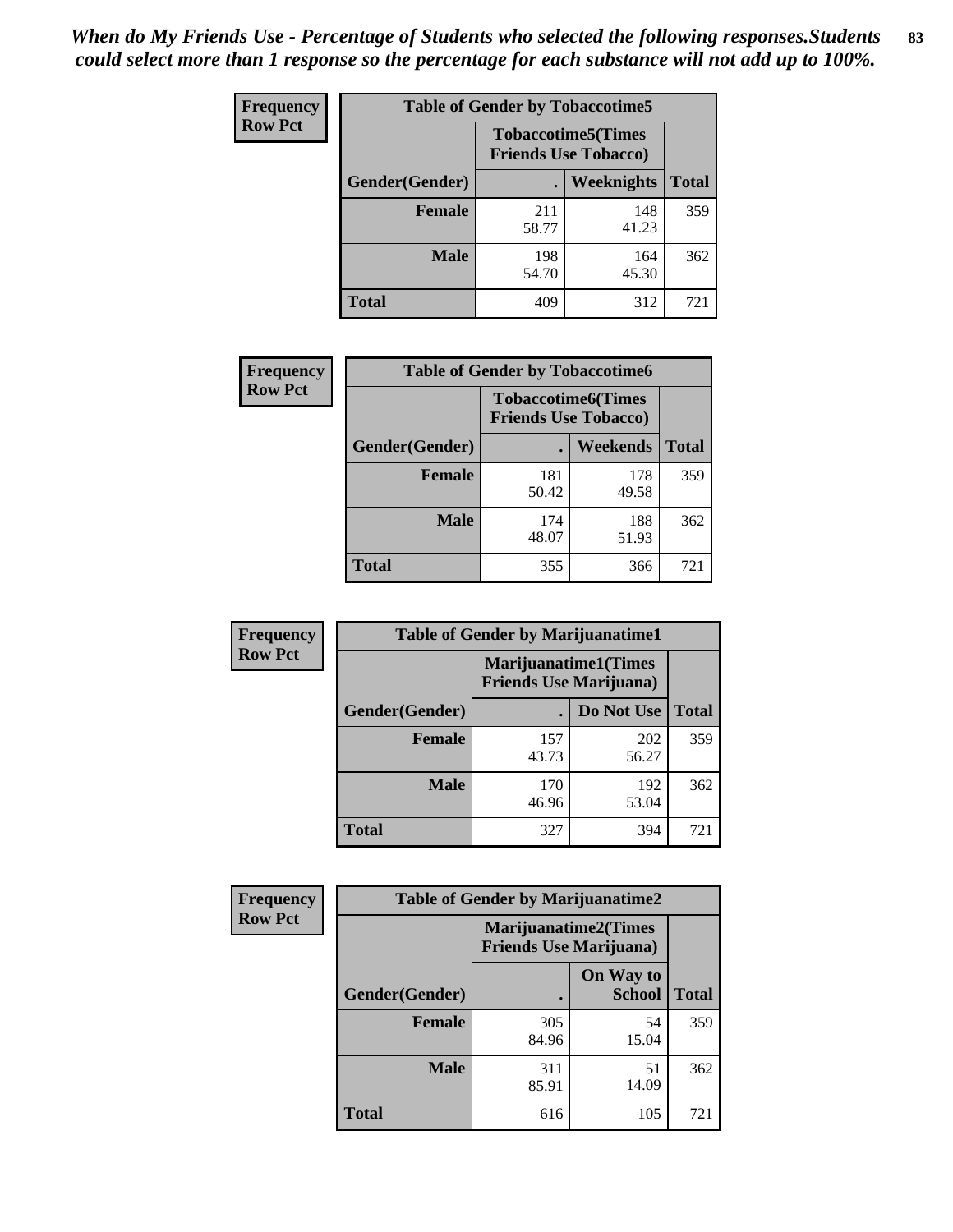| <b>Frequency</b> | <b>Table of Gender by Tobaccotime5</b> |              |                                                          |              |  |
|------------------|----------------------------------------|--------------|----------------------------------------------------------|--------------|--|
| <b>Row Pct</b>   |                                        |              | <b>Tobaccotime5(Times</b><br><b>Friends Use Tobacco)</b> |              |  |
|                  | Gender(Gender)                         |              | Weeknights                                               | <b>Total</b> |  |
|                  | <b>Female</b>                          | 211<br>58.77 | 148<br>41.23                                             | 359          |  |
|                  | <b>Male</b>                            | 198<br>54.70 | 164<br>45.30                                             | 362          |  |
|                  | <b>Total</b>                           | 409          | 312                                                      | 721          |  |

| Frequency      | <b>Table of Gender by Tobaccotime6</b> |                                                          |                 |              |
|----------------|----------------------------------------|----------------------------------------------------------|-----------------|--------------|
| <b>Row Pct</b> |                                        | <b>Tobaccotime6(Times</b><br><b>Friends Use Tobacco)</b> |                 |              |
|                | Gender(Gender)                         |                                                          | <b>Weekends</b> | <b>Total</b> |
|                | Female                                 | 181<br>50.42                                             | 178<br>49.58    | 359          |
|                | <b>Male</b>                            | 174<br>48.07                                             | 188<br>51.93    | 362          |
|                | <b>Total</b>                           | 355                                                      | 366             | 721          |

| <b>Frequency</b> | <b>Table of Gender by Marijuanatime1</b> |                                |                             |              |  |
|------------------|------------------------------------------|--------------------------------|-----------------------------|--------------|--|
| <b>Row Pct</b>   |                                          | <b>Friends Use Marijuana</b> ) | <b>Marijuanatime1(Times</b> |              |  |
|                  | Gender(Gender)                           |                                | Do Not Use                  | <b>Total</b> |  |
|                  | <b>Female</b>                            | 157<br>43.73                   | 202<br>56.27                | 359          |  |
|                  | <b>Male</b>                              | 170<br>46.96                   | 192<br>53.04                | 362          |  |
|                  | <b>Total</b>                             | 327                            | 394                         | 721          |  |

| <b>Frequency</b> | <b>Table of Gender by Marijuanatime2</b> |                                                               |                            |              |
|------------------|------------------------------------------|---------------------------------------------------------------|----------------------------|--------------|
| <b>Row Pct</b>   |                                          | <b>Marijuanatime2(Times</b><br><b>Friends Use Marijuana</b> ) |                            |              |
|                  | Gender(Gender)                           |                                                               | On Way to<br><b>School</b> | <b>Total</b> |
|                  | Female                                   | 305<br>84.96                                                  | 54<br>15.04                | 359          |
|                  | <b>Male</b>                              | 311<br>85.91                                                  | 51<br>14.09                | 362          |
|                  | <b>Total</b>                             | 616                                                           | 105                        | 721          |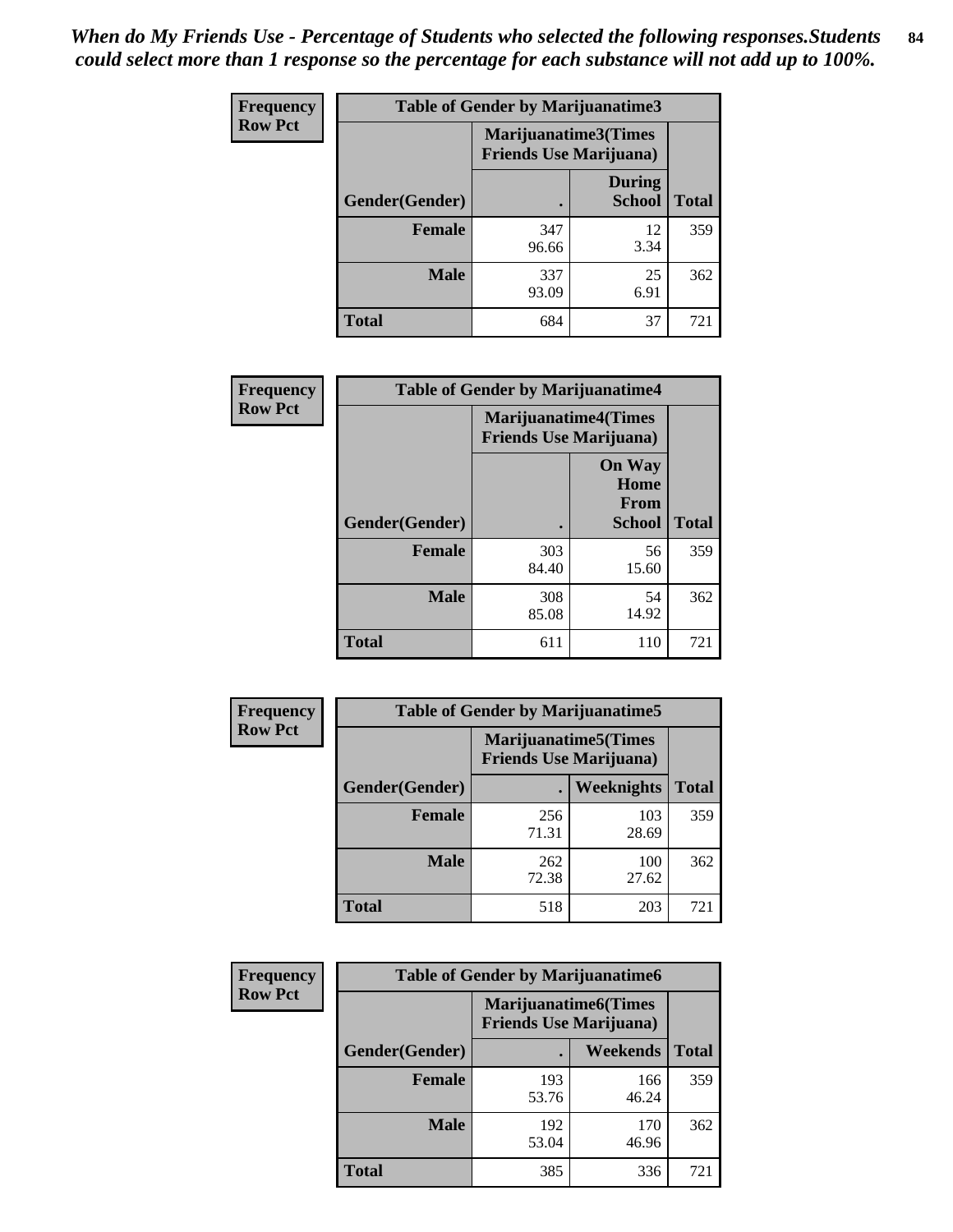| Frequency      | <b>Table of Gender by Marijuanatime3</b> |                                                        |                                |              |
|----------------|------------------------------------------|--------------------------------------------------------|--------------------------------|--------------|
| <b>Row Pct</b> |                                          | Marijuanatime3(Times<br><b>Friends Use Marijuana</b> ) |                                |              |
|                | Gender(Gender)                           |                                                        | <b>During</b><br><b>School</b> | <b>Total</b> |
|                | <b>Female</b>                            | 347<br>96.66                                           | 12<br>3.34                     | 359          |
|                | <b>Male</b>                              | 337<br>93.09                                           | 25<br>6.91                     | 362          |
|                | <b>Total</b>                             | 684                                                    | 37                             | 721          |

| Frequency      | <b>Table of Gender by Marijuanatime4</b> |                                |                                                       |              |
|----------------|------------------------------------------|--------------------------------|-------------------------------------------------------|--------------|
| <b>Row Pct</b> |                                          | <b>Friends Use Marijuana</b> ) | <b>Marijuanatime4</b> (Times                          |              |
|                | Gender(Gender)                           |                                | <b>On Way</b><br>Home<br><b>From</b><br><b>School</b> | <b>Total</b> |
|                | <b>Female</b>                            | 303<br>84.40                   | 56<br>15.60                                           | 359          |
|                | <b>Male</b>                              | 308<br>85.08                   | 54<br>14.92                                           | 362          |
|                | <b>Total</b>                             | 611                            | 110                                                   | 721          |

| Frequency      | <b>Table of Gender by Marijuanatime5</b> |                                                                |              |              |  |
|----------------|------------------------------------------|----------------------------------------------------------------|--------------|--------------|--|
| <b>Row Pct</b> |                                          | <b>Marijuanatime5</b> (Times<br><b>Friends Use Marijuana</b> ) |              |              |  |
|                | Gender(Gender)                           |                                                                | Weeknights   | <b>Total</b> |  |
|                | Female                                   | 256<br>71.31                                                   | 103<br>28.69 | 359          |  |
|                | <b>Male</b>                              | 262<br>72.38                                                   | 100<br>27.62 | 362          |  |
|                | <b>Total</b>                             | 518                                                            | 203          | 721          |  |

| Frequency      | <b>Table of Gender by Marijuanatime6</b> |                                                               |                 |              |  |
|----------------|------------------------------------------|---------------------------------------------------------------|-----------------|--------------|--|
| <b>Row Pct</b> |                                          | <b>Marijuanatime6(Times</b><br><b>Friends Use Marijuana</b> ) |                 |              |  |
|                | Gender(Gender)                           |                                                               | <b>Weekends</b> | <b>Total</b> |  |
|                | <b>Female</b>                            | 193<br>53.76                                                  | 166<br>46.24    | 359          |  |
|                | <b>Male</b>                              | 192<br>53.04                                                  | 170<br>46.96    | 362          |  |
|                | <b>Total</b>                             | 385                                                           | 336             | 721          |  |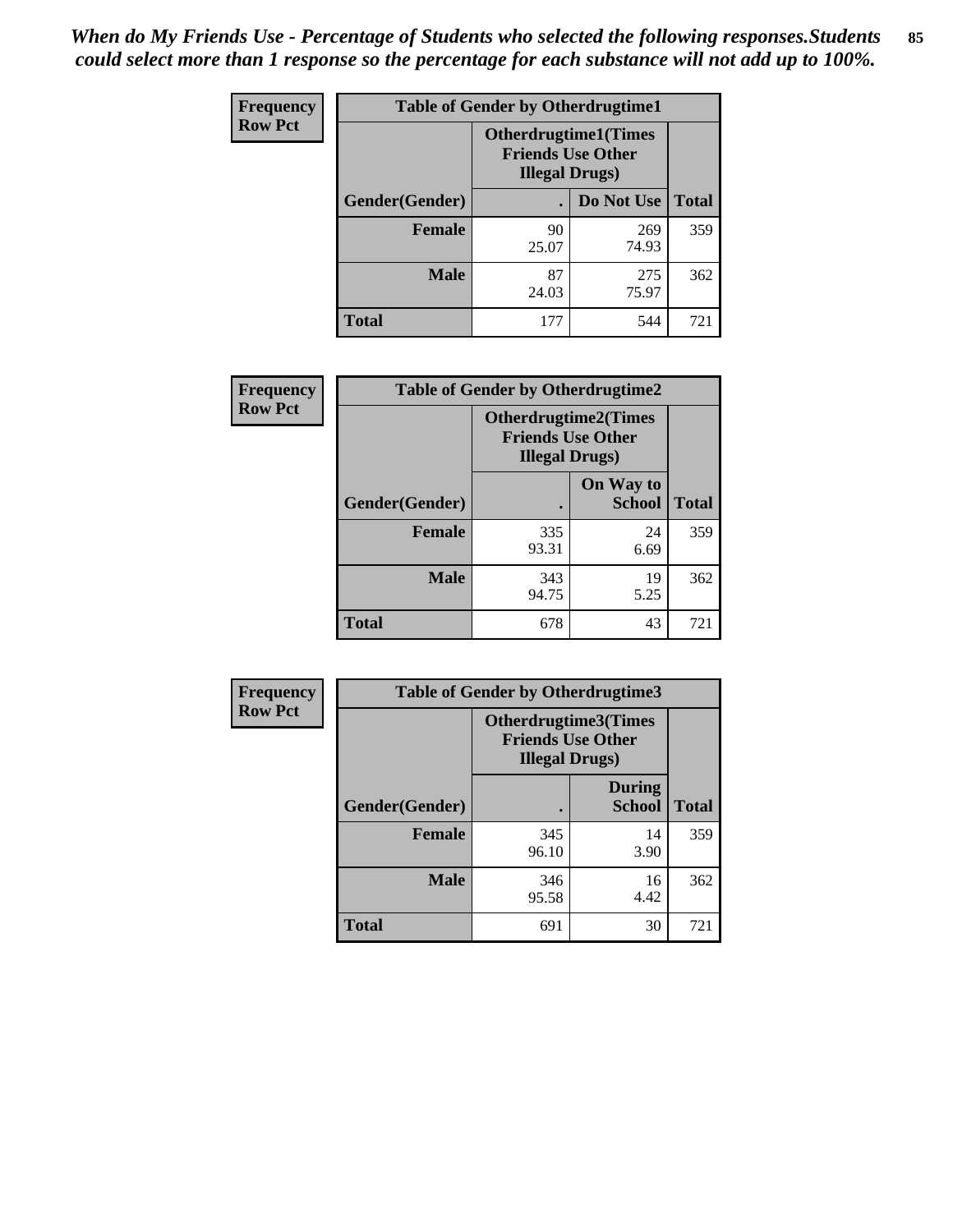*When do My Friends Use - Percentage of Students who selected the following responses.Students could select more than 1 response so the percentage for each substance will not add up to 100%.* **85**

| <b>Frequency</b> | <b>Table of Gender by Otherdrugtime1</b> |                                                    |                              |              |
|------------------|------------------------------------------|----------------------------------------------------|------------------------------|--------------|
| <b>Row Pct</b>   |                                          | <b>Friends Use Other</b><br><b>Illegal Drugs</b> ) | <b>Otherdrugtime1</b> (Times |              |
|                  | Gender(Gender)                           |                                                    | Do Not Use                   | <b>Total</b> |
|                  | <b>Female</b>                            | 90<br>25.07                                        | 269<br>74.93                 | 359          |
|                  | <b>Male</b>                              | 87<br>24.03                                        | 275<br>75.97                 | 362          |
|                  | <b>Total</b>                             | 177                                                | 544                          | 721          |

| Frequency      | <b>Table of Gender by Otherdrugtime2</b> |                                                    |                             |              |
|----------------|------------------------------------------|----------------------------------------------------|-----------------------------|--------------|
| <b>Row Pct</b> |                                          | <b>Friends Use Other</b><br><b>Illegal Drugs</b> ) | <b>Otherdrugtime2(Times</b> |              |
|                | Gender(Gender)                           |                                                    | On Way to<br><b>School</b>  | <b>Total</b> |
|                | <b>Female</b>                            | 335<br>93.31                                       | 24<br>6.69                  | 359          |
|                | <b>Male</b>                              | 343<br>94.75                                       | 19<br>5.25                  | 362          |
|                | <b>Total</b>                             | 678                                                | 43                          | 721          |

| Frequency      |                | <b>Table of Gender by Otherdrugtime3</b> |                                                         |              |
|----------------|----------------|------------------------------------------|---------------------------------------------------------|--------------|
| <b>Row Pct</b> |                | <b>Illegal Drugs)</b>                    | <b>Otherdrugtime3(Times</b><br><b>Friends Use Other</b> |              |
|                | Gender(Gender) |                                          | <b>During</b><br><b>School</b>                          | <b>Total</b> |
|                | <b>Female</b>  | 345<br>96.10                             | 14<br>3.90                                              | 359          |
|                | <b>Male</b>    | 346<br>95.58                             | 16<br>4.42                                              | 362          |
|                | <b>Total</b>   | 691                                      | 30                                                      | 721          |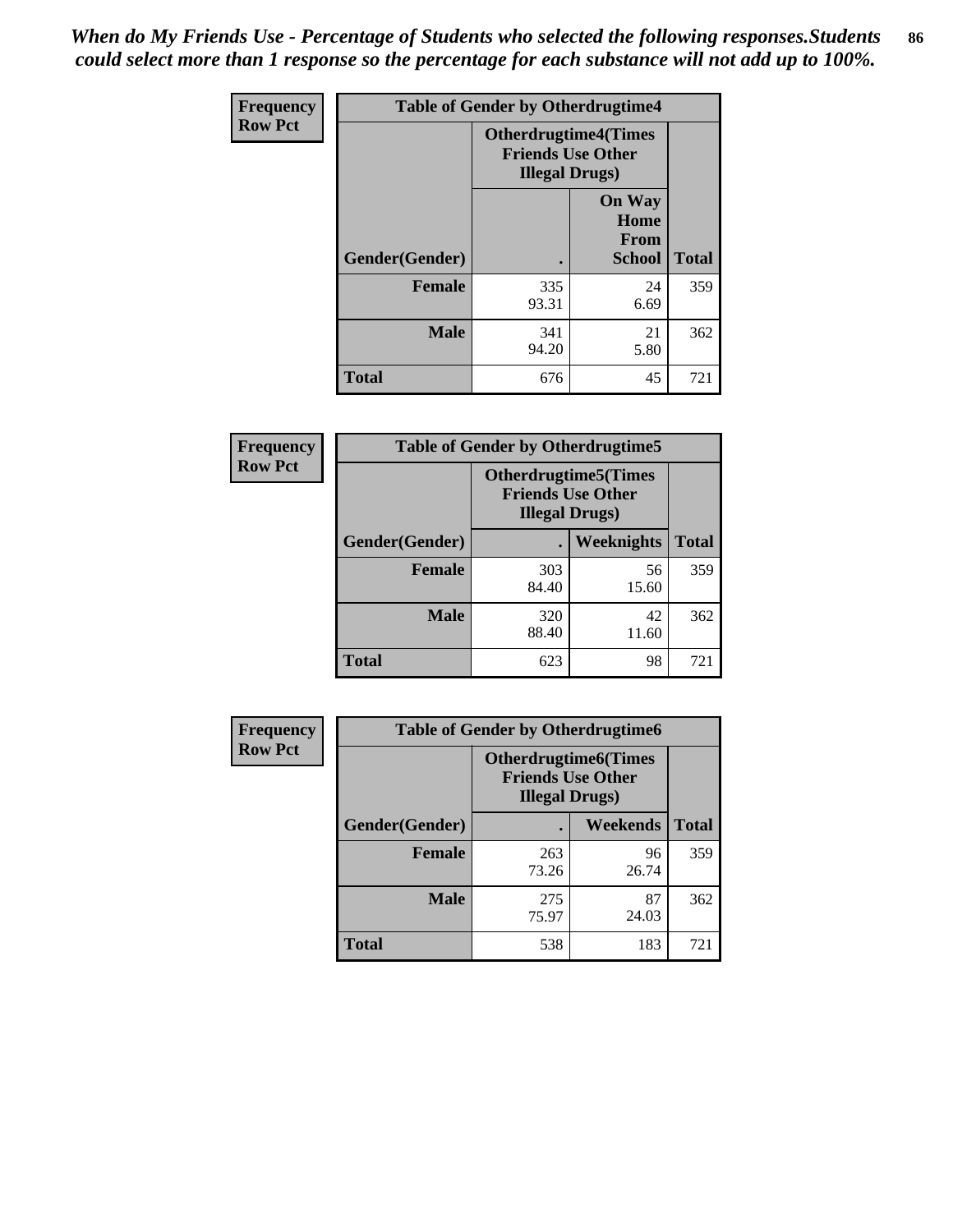*When do My Friends Use - Percentage of Students who selected the following responses.Students could select more than 1 response so the percentage for each substance will not add up to 100%.* **86**

| <b>Frequency</b> | <b>Table of Gender by Otherdrugtime4</b> |                                                    |                                                |              |
|------------------|------------------------------------------|----------------------------------------------------|------------------------------------------------|--------------|
| <b>Row Pct</b>   |                                          | <b>Friends Use Other</b><br><b>Illegal Drugs</b> ) | <b>Otherdrugtime4(Times</b>                    |              |
|                  | Gender(Gender)                           |                                                    | <b>On Way</b><br>Home<br><b>From</b><br>School | <b>Total</b> |
|                  | <b>Female</b>                            | 335<br>93.31                                       | 24<br>6.69                                     | 359          |
|                  | <b>Male</b>                              | 341<br>94.20                                       | 21<br>5.80                                     | 362          |
|                  | <b>Total</b>                             | 676                                                | 45                                             | 721          |

| Frequency      | <b>Table of Gender by Otherdrugtime5</b> |                                                                                    |             |              |
|----------------|------------------------------------------|------------------------------------------------------------------------------------|-------------|--------------|
| <b>Row Pct</b> |                                          | <b>Otherdrugtime5</b> (Times<br><b>Friends Use Other</b><br><b>Illegal Drugs</b> ) |             |              |
|                | Gender(Gender)                           |                                                                                    | Weeknights  | <b>Total</b> |
|                | <b>Female</b>                            | 303<br>84.40                                                                       | 56<br>15.60 | 359          |
|                | <b>Male</b>                              | 320<br>88.40                                                                       | 42<br>11.60 | 362          |
|                | <b>Total</b>                             | 623                                                                                | 98          | 721          |

| <b>Frequency</b> | <b>Table of Gender by Otherdrugtime6</b> |                                                                                   |                 |              |  |
|------------------|------------------------------------------|-----------------------------------------------------------------------------------|-----------------|--------------|--|
| <b>Row Pct</b>   |                                          | <b>Otherdrugtime6(Times</b><br><b>Friends Use Other</b><br><b>Illegal Drugs</b> ) |                 |              |  |
|                  | Gender(Gender)                           |                                                                                   | <b>Weekends</b> | <b>Total</b> |  |
|                  | <b>Female</b>                            | 263<br>73.26                                                                      | 96<br>26.74     | 359          |  |
|                  | Male                                     | 275<br>75.97                                                                      | 87<br>24.03     | 362          |  |
|                  | <b>Total</b>                             | 538                                                                               | 183             | 721          |  |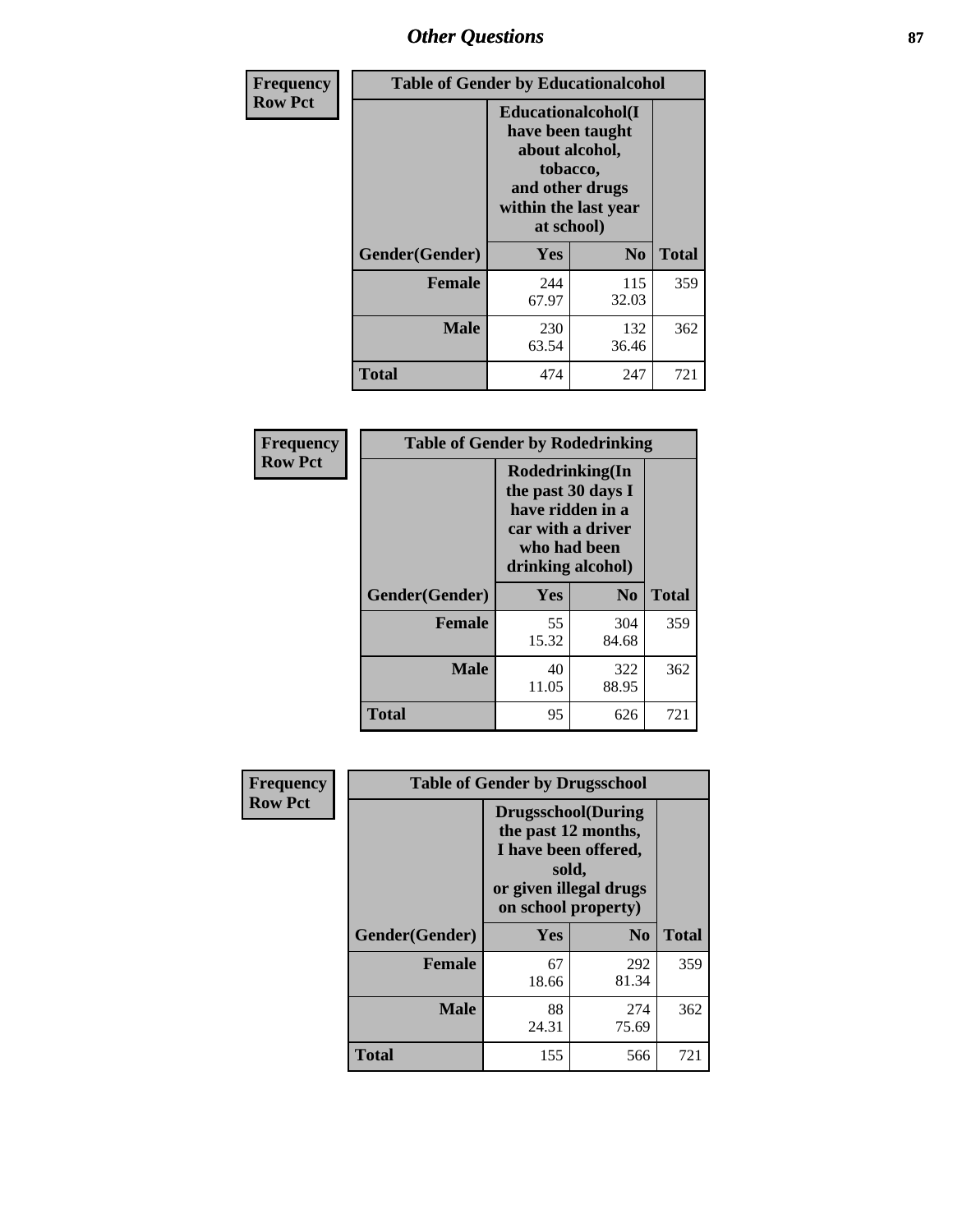# *Other Questions* **87**

| <b>Frequency</b> | <b>Table of Gender by Educationalcohol</b> |                                                                                                                                       |                |              |  |
|------------------|--------------------------------------------|---------------------------------------------------------------------------------------------------------------------------------------|----------------|--------------|--|
| <b>Row Pct</b>   |                                            | <b>Educationalcohol</b> (I<br>have been taught<br>about alcohol,<br>tobacco,<br>and other drugs<br>within the last year<br>at school) |                |              |  |
|                  | Gender(Gender)                             | Yes                                                                                                                                   | $\mathbf{N_0}$ | <b>Total</b> |  |
|                  | <b>Female</b>                              | 244<br>67.97                                                                                                                          | 115<br>32.03   | 359          |  |
|                  | <b>Male</b>                                | 230<br>63.54                                                                                                                          | 132<br>36.46   | 362          |  |
|                  | <b>Total</b>                               | 474                                                                                                                                   | 247            | 721          |  |

| Frequency      | <b>Table of Gender by Rodedrinking</b> |                                                                                                                     |                |              |  |
|----------------|----------------------------------------|---------------------------------------------------------------------------------------------------------------------|----------------|--------------|--|
| <b>Row Pct</b> |                                        | Rodedrinking(In<br>the past 30 days I<br>have ridden in a<br>car with a driver<br>who had been<br>drinking alcohol) |                |              |  |
|                | Gender(Gender)                         | Yes                                                                                                                 | N <sub>0</sub> | <b>Total</b> |  |
|                | <b>Female</b>                          | 55<br>15.32                                                                                                         | 304<br>84.68   | 359          |  |
|                | <b>Male</b>                            | 40<br>11.05                                                                                                         | 322<br>88.95   | 362          |  |
|                | <b>Total</b>                           | 95                                                                                                                  | 626            | 721          |  |

| Frequency      | <b>Table of Gender by Drugsschool</b> |                                                                                                                                     |                |              |  |
|----------------|---------------------------------------|-------------------------------------------------------------------------------------------------------------------------------------|----------------|--------------|--|
| <b>Row Pct</b> |                                       | <b>Drugsschool</b> (During<br>the past 12 months,<br>I have been offered,<br>sold,<br>or given illegal drugs<br>on school property) |                |              |  |
|                | Gender(Gender)                        | Yes                                                                                                                                 | N <sub>0</sub> | <b>Total</b> |  |
|                | <b>Female</b>                         | 67<br>18.66                                                                                                                         | 292<br>81.34   | 359          |  |
|                | <b>Male</b>                           | 88<br>24.31                                                                                                                         | 274<br>75.69   | 362          |  |
|                | <b>Total</b>                          | 155                                                                                                                                 | 566            | 721          |  |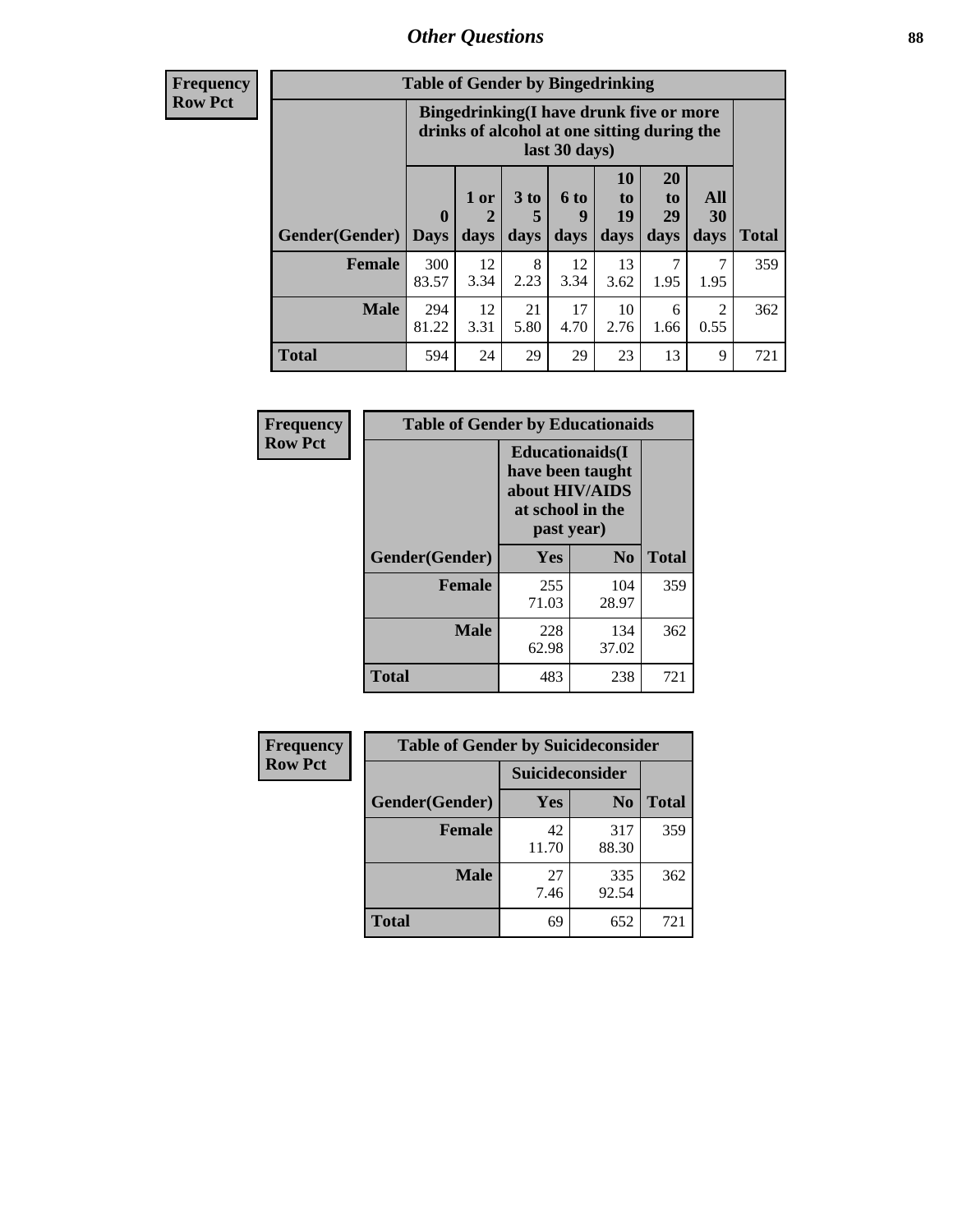# *Other Questions* **88**

**Frequency Row Pct**

| <b>Table of Gender by Bingedrinking</b> |                            |                                                                                                         |                              |                   |                               |                               |                        |              |
|-----------------------------------------|----------------------------|---------------------------------------------------------------------------------------------------------|------------------------------|-------------------|-------------------------------|-------------------------------|------------------------|--------------|
|                                         |                            | Bingedrinking(I have drunk five or more<br>drinks of alcohol at one sitting during the<br>last 30 days) |                              |                   |                               |                               |                        |              |
| <b>Gender</b> (Gender)                  | $\mathbf 0$<br><b>Days</b> | 1 or<br>days                                                                                            | 3 <sub>to</sub><br>5<br>days | 6 to<br>9<br>days | <b>10</b><br>to<br>19<br>days | <b>20</b><br>to<br>29<br>days | All<br>30<br>days      | <b>Total</b> |
| <b>Female</b>                           | 300<br>83.57               | 12<br>3.34                                                                                              | 8<br>2.23                    | 12<br>3.34        | 13<br>3.62                    | 7<br>1.95                     | 1.95                   | 359          |
| <b>Male</b>                             | 294<br>81.22               | 12<br>3.31                                                                                              | 21<br>5.80                   | 17<br>4.70        | 10<br>2.76                    | 6<br>1.66                     | $\mathfrak{D}$<br>0.55 | 362          |
|                                         |                            |                                                                                                         |                              |                   |                               |                               |                        |              |

| Frequency      | <b>Table of Gender by Educationaids</b> |                                                                                                 |              |              |  |  |
|----------------|-----------------------------------------|-------------------------------------------------------------------------------------------------|--------------|--------------|--|--|
| <b>Row Pct</b> |                                         | <b>Educationaids</b> (I<br>have been taught<br>about HIV/AIDS<br>at school in the<br>past year) |              |              |  |  |
|                | Gender(Gender)                          | Yes                                                                                             | $\bf N_0$    | <b>Total</b> |  |  |
|                | <b>Female</b>                           | 255<br>71.03                                                                                    | 104<br>28.97 | 359          |  |  |
|                | <b>Male</b>                             | 228<br>62.98                                                                                    | 134<br>37.02 | 362          |  |  |
|                | <b>Total</b>                            | 483                                                                                             | 238          | 721          |  |  |

| <b>Frequency</b> | <b>Table of Gender by Suicideconsider</b> |                        |                |              |  |
|------------------|-------------------------------------------|------------------------|----------------|--------------|--|
| <b>Row Pct</b>   |                                           | <b>Suicideconsider</b> |                |              |  |
|                  | Gender(Gender)                            | Yes                    | N <sub>0</sub> | <b>Total</b> |  |
|                  | <b>Female</b>                             | 42<br>11.70            | 317<br>88.30   | 359          |  |
|                  | <b>Male</b>                               | 27<br>7.46             | 335<br>92.54   | 362          |  |
|                  | <b>Total</b>                              | 69                     | 652            | 721          |  |